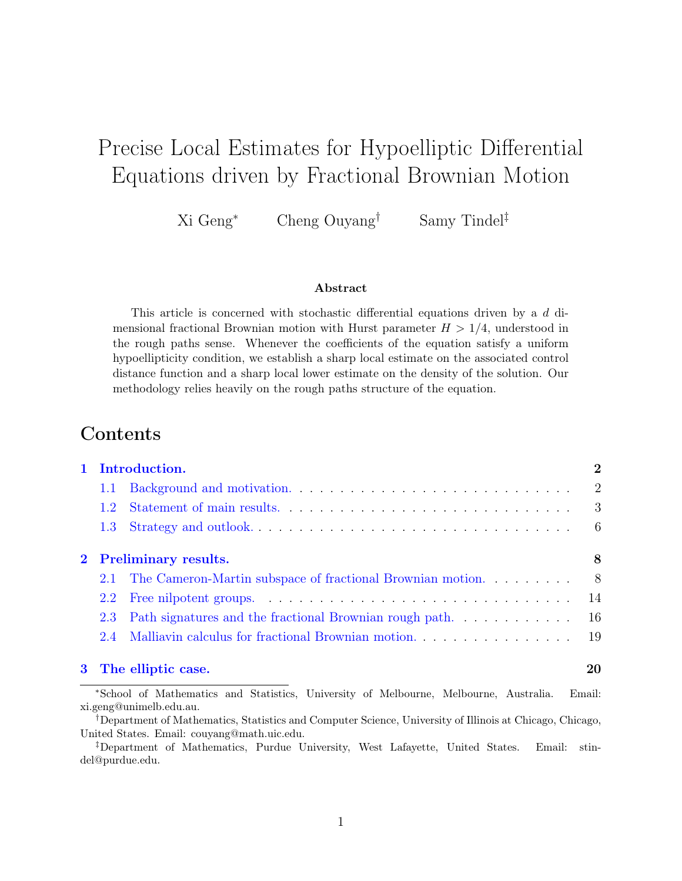# Precise Local Estimates for Hypoelliptic Differential Equations driven by Fractional Brownian Motion

Xi Geng<sup>∗</sup> Cheng Ouyang† Samy Tindel‡

#### Abstract

This article is concerned with stochastic differential equations driven by a d dimensional fractional Brownian motion with Hurst parameter  $H > 1/4$ , understood in the rough paths sense. Whenever the coefficients of the equation satisfy a uniform hypoellipticity condition, we establish a sharp local estimate on the associated control distance function and a sharp local lower estimate on the density of the solution. Our methodology relies heavily on the rough paths structure of the equation.

# Contents

| 1 Introduction.        |                                                                |                           |
|------------------------|----------------------------------------------------------------|---------------------------|
| 1.1                    |                                                                | $\overline{2}$            |
| $1.2^{\circ}$          |                                                                | $\overline{\phantom{a}3}$ |
| $1.3 -$                |                                                                | - 6                       |
| 2 Preliminary results. |                                                                |                           |
|                        | 2.1 The Cameron-Martin subspace of fractional Brownian motion. | - 8                       |
| 2.2                    |                                                                | 14                        |
| $2.3^{\circ}$          |                                                                | <sup>16</sup>             |
| 2.4                    | Malliavin calculus for fractional Brownian motion.             | -19                       |
|                        | 3 The elliptic case.                                           | 20                        |

<sup>∗</sup>School of Mathematics and Statistics, University of Melbourne, Melbourne, Australia. Email: xi.geng@unimelb.edu.au.

<sup>†</sup>Department of Mathematics, Statistics and Computer Science, University of Illinois at Chicago, Chicago, United States. Email: couyang@math.uic.edu.

<sup>‡</sup>Department of Mathematics, Purdue University, West Lafayette, United States. Email: stindel@purdue.edu.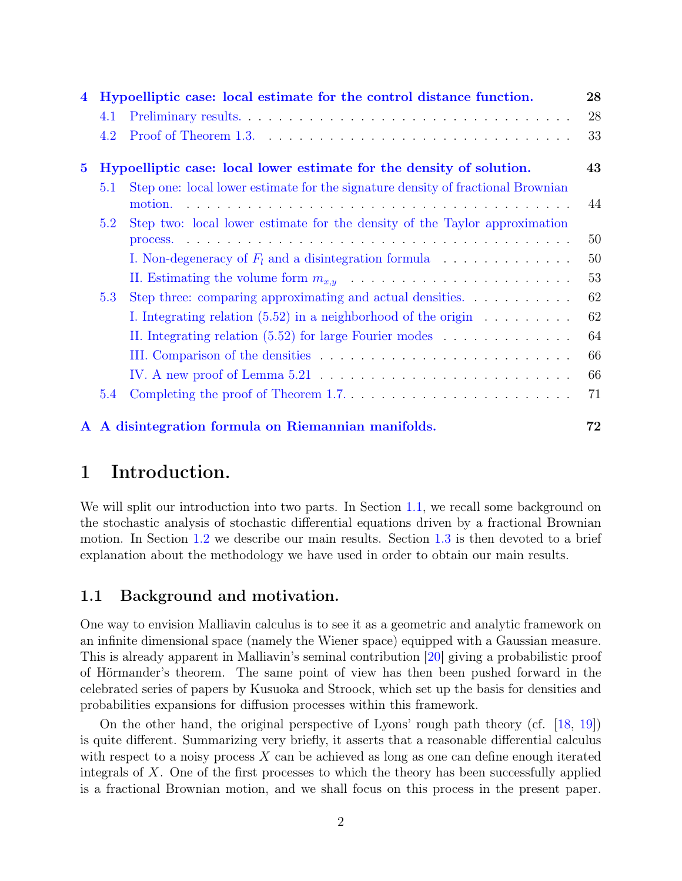| $\overline{\mathbf{4}}$ |                                                                      | Hypoelliptic case: local estimate for the control distance function.                  | 28 |
|-------------------------|----------------------------------------------------------------------|---------------------------------------------------------------------------------------|----|
|                         | 4.1                                                                  |                                                                                       | 28 |
|                         | 4.2                                                                  |                                                                                       | 33 |
| $\bf{5}$                | Hypoelliptic case: local lower estimate for the density of solution. |                                                                                       | 43 |
|                         | 5.1                                                                  | Step one: local lower estimate for the signature density of fractional Brownian       |    |
|                         |                                                                      | motion.                                                                               | 44 |
|                         | 5.2                                                                  | Step two: local lower estimate for the density of the Taylor approximation            |    |
|                         |                                                                      |                                                                                       | 50 |
|                         |                                                                      | I. Non-degeneracy of $F_l$ and a disintegration formula $\ldots \ldots \ldots \ldots$ | 50 |
|                         |                                                                      |                                                                                       | 53 |
|                         | 5.3                                                                  | Step three: comparing approximating and actual densities.                             | 62 |
|                         |                                                                      | I. Integrating relation $(5.52)$ in a neighborhood of the origin $\ldots \ldots$      | 62 |
|                         |                                                                      | II. Integrating relation $(5.52)$ for large Fourier modes                             | 64 |
|                         |                                                                      |                                                                                       | 66 |
|                         |                                                                      |                                                                                       | 66 |
|                         | 5.4                                                                  |                                                                                       | 71 |
|                         |                                                                      | A A disintegration formula on Riemannian manifolds.                                   | 72 |

# <span id="page-1-0"></span>1 Introduction.

We will split our introduction into two parts. In Section [1.1,](#page-1-1) we recall some background on the stochastic analysis of stochastic differential equations driven by a fractional Brownian motion. In Section [1.2](#page-2-0) we describe our main results. Section [1.3](#page-5-0) is then devoted to a brief explanation about the methodology we have used in order to obtain our main results.

## <span id="page-1-1"></span>1.1 Background and motivation.

One way to envision Malliavin calculus is to see it as a geometric and analytic framework on an infinite dimensional space (namely the Wiener space) equipped with a Gaussian measure. This is already apparent in Malliavin's seminal contribution [\[20\]](#page-75-0) giving a probabilistic proof of Hörmander's theorem. The same point of view has then been pushed forward in the celebrated series of papers by Kusuoka and Stroock, which set up the basis for densities and probabilities expansions for diffusion processes within this framework.

On the other hand, the original perspective of Lyons' rough path theory (cf. [\[18,](#page-75-1) [19\]](#page-75-2)) is quite different. Summarizing very briefly, it asserts that a reasonable differential calculus with respect to a noisy process X can be achieved as long as one can define enough iterated integrals of  $X$ . One of the first processes to which the theory has been successfully applied is a fractional Brownian motion, and we shall focus on this process in the present paper.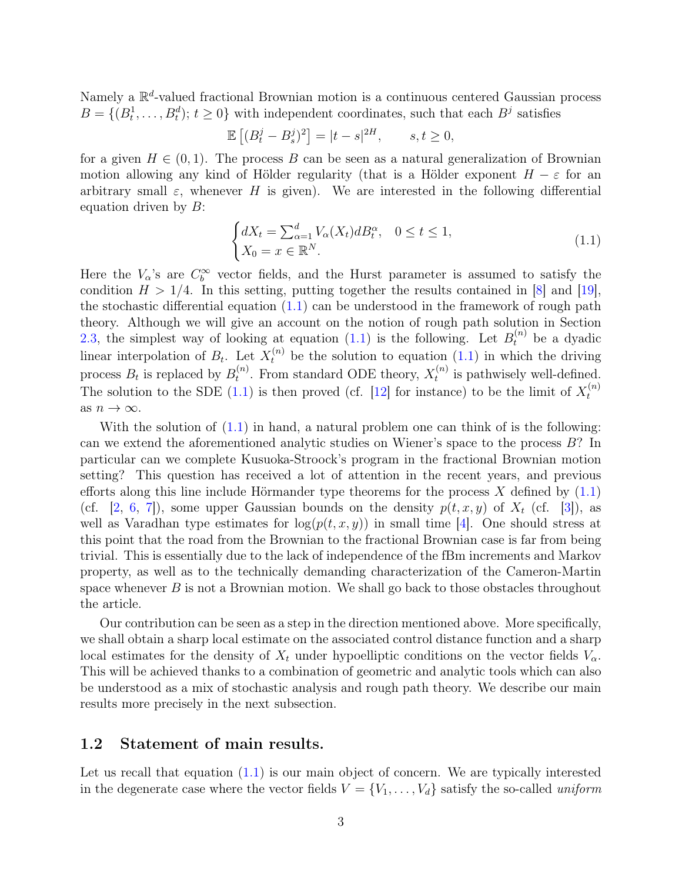Namely a  $\mathbb{R}^d$ -valued fractional Brownian motion is a continuous centered Gaussian process  $B = \{(B_t^1, \ldots, B_t^d); t \geq 0\}$  with independent coordinates, such that each  $B^j$  satisfies

$$
\mathbb{E}\left[ (B_t^j - B_s^j)^2 \right] = |t - s|^{2H}, \qquad s, t \ge 0,
$$

for a given  $H \in (0,1)$ . The process B can be seen as a natural generalization of Brownian motion allowing any kind of Hölder regularity (that is a Hölder exponent  $H - \varepsilon$  for an arbitrary small  $\varepsilon$ , whenever H is given). We are interested in the following differential equation driven by  $B$ :

<span id="page-2-1"></span>
$$
\begin{cases} dX_t = \sum_{\alpha=1}^d V_\alpha(X_t) dB_t^\alpha, & 0 \le t \le 1, \\ X_0 = x \in \mathbb{R}^N. \end{cases}
$$
\n(1.1)

Here the  $V_{\alpha}$ 's are  $C_{b}^{\infty}$  vector fields, and the Hurst parameter is assumed to satisfy the condition  $H > 1/4$ . In this setting, putting together the results contained in [\[8\]](#page-74-0) and [\[19\]](#page-75-2), the stochastic differential equation  $(1.1)$  can be understood in the framework of rough path theory. Although we will give an account on the notion of rough path solution in Section [2.3,](#page-15-0) the simplest way of looking at equation [\(1.1\)](#page-2-1) is the following. Let  $B_t^{(n)}$  be a dyadic linear interpolation of  $B_t$ . Let  $X_t^{(n)}$  be the solution to equation [\(1.1\)](#page-2-1) in which the driving process  $B_t$  is replaced by  $B_t^{(n)}$  $t_t^{(n)}$ . From standard ODE theory,  $X_t^{(n)}$  $t_t^{(n)}$  is pathwisely well-defined. The solution to the SDE [\(1.1\)](#page-2-1) is then proved (cf. [\[12\]](#page-75-3) for instance) to be the limit of  $X_t^{(n)}$ t as  $n \to \infty$ .

With the solution of  $(1.1)$  in hand, a natural problem one can think of is the following: can we extend the aforementioned analytic studies on Wiener's space to the process  $B$ ? In particular can we complete Kusuoka-Stroock's program in the fractional Brownian motion setting? This question has received a lot of attention in the recent years, and previous efforts along this line include Hörmander type theorems for the process  $X$  defined by  $(1.1)$ (cf. [\[2,](#page-74-1) [6,](#page-74-2) [7\]](#page-74-3)), some upper Gaussian bounds on the density  $p(t, x, y)$  of  $X_t$  (cf. [\[3\]](#page-74-4)), as well as Varadhan type estimates for  $log(p(t, x, y))$  in small time [\[4\]](#page-74-5). One should stress at this point that the road from the Brownian to the fractional Brownian case is far from being trivial. This is essentially due to the lack of independence of the fBm increments and Markov property, as well as to the technically demanding characterization of the Cameron-Martin space whenever  $B$  is not a Brownian motion. We shall go back to those obstacles throughout the article.

Our contribution can be seen as a step in the direction mentioned above. More specifically, we shall obtain a sharp local estimate on the associated control distance function and a sharp local estimates for the density of  $X_t$  under hypoelliptic conditions on the vector fields  $V_\alpha$ . This will be achieved thanks to a combination of geometric and analytic tools which can also be understood as a mix of stochastic analysis and rough path theory. We describe our main results more precisely in the next subsection.

#### <span id="page-2-0"></span>1.2 Statement of main results.

Let us recall that equation  $(1.1)$  is our main object of concern. We are typically interested in the degenerate case where the vector fields  $V = \{V_1, \ldots, V_d\}$  satisfy the so-called uniform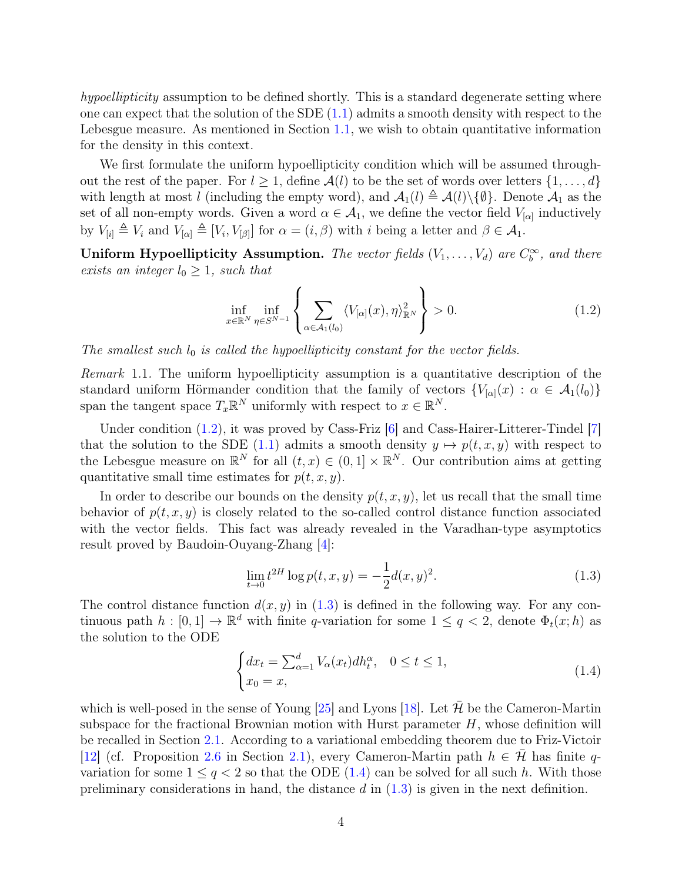hypoellipticity assumption to be defined shortly. This is a standard degenerate setting where one can expect that the solution of the SDE  $(1.1)$  admits a smooth density with respect to the Lebesgue measure. As mentioned in Section [1.1,](#page-1-1) we wish to obtain quantitative information for the density in this context.

We first formulate the uniform hypoellipticity condition which will be assumed throughout the rest of the paper. For  $l \geq 1$ , define  $\mathcal{A}(l)$  to be the set of words over letters  $\{1, \ldots, d\}$ with length at most l (including the empty word), and  $\mathcal{A}_1(l) \triangleq \mathcal{A}(l)\backslash \{\emptyset\}$ . Denote  $\mathcal{A}_1$  as the set of all non-empty words. Given a word  $\alpha \in \mathcal{A}_1$ , we define the vector field  $V_{[\alpha]}$  inductively by  $V_{[i]} \triangleq V_i$  and  $V_{[\alpha]} \triangleq [V_i, V_{[\beta]}]$  for  $\alpha = (i, \beta)$  with i being a letter and  $\beta \in \mathcal{A}_1$ .

Uniform Hypoellipticity Assumption. The vector fields  $(V_1, \ldots, V_d)$  are  $C_b^{\infty}$ , and there exists an integer  $l_0 \geq 1$ , such that

<span id="page-3-0"></span>
$$
\inf_{x \in \mathbb{R}^N} \inf_{\eta \in S^{N-1}} \left\{ \sum_{\alpha \in \mathcal{A}_1(l_0)} \langle V_{[\alpha]}(x), \eta \rangle_{\mathbb{R}^N}^2 \right\} > 0. \tag{1.2}
$$

The smallest such  $l_0$  is called the hypoellipticity constant for the vector fields.

Remark 1.1. The uniform hypoellipticity assumption is a quantitative description of the standard uniform Hörmander condition that the family of vectors  ${V_{[\alpha]}}(x) : \alpha \in \mathcal{A}_1(l_0)$ span the tangent space  $T_x \mathbb{R}^N$  uniformly with respect to  $x \in \mathbb{R}^N$ .

Under condition  $(1.2)$ , it was proved by Cass-Friz  $[6]$  and Cass-Hairer-Litterer-Tindel  $[7]$ that the solution to the SDE [\(1.1\)](#page-2-1) admits a smooth density  $y \mapsto p(t, x, y)$  with respect to the Lebesgue measure on  $\mathbb{R}^N$  for all  $(t, x) \in (0, 1] \times \mathbb{R}^N$ . Our contribution aims at getting quantitative small time estimates for  $p(t, x, y)$ .

In order to describe our bounds on the density  $p(t, x, y)$ , let us recall that the small time behavior of  $p(t, x, y)$  is closely related to the so-called control distance function associated with the vector fields. This fact was already revealed in the Varadhan-type asymptotics result proved by Baudoin-Ouyang-Zhang [\[4\]](#page-74-5):

<span id="page-3-1"></span>
$$
\lim_{t \to 0} t^{2H} \log p(t, x, y) = -\frac{1}{2} d(x, y)^2.
$$
\n(1.3)

The control distance function  $d(x, y)$  in [\(1.3\)](#page-3-1) is defined in the following way. For any continuous path  $h: [0,1] \to \mathbb{R}^d$  with finite q-variation for some  $1 \le q < 2$ , denote  $\Phi_t(x; h)$  as the solution to the ODE

<span id="page-3-2"></span>
$$
\begin{cases} dx_t = \sum_{\alpha=1}^d V_\alpha(x_t) dh_t^\alpha, & 0 \le t \le 1, \\ x_0 = x, & (1.4) \end{cases}
$$

which is well-posed in the sense of Young [\[25\]](#page-75-4) and Lyons [\[18\]](#page-75-1). Let  $\bar{\mathcal{H}}$  be the Cameron-Martin subspace for the fractional Brownian motion with Hurst parameter  $H$ , whose definition will be recalled in Section [2.1.](#page-7-1) According to a variational embedding theorem due to Friz-Victoir [\[12\]](#page-75-3) (cf. Proposition [2.6](#page-10-0) in Section [2.1\)](#page-7-1), every Cameron-Martin path  $h \in \mathcal{H}$  has finite qvariation for some  $1 \leq q < 2$  so that the ODE [\(1.4\)](#page-3-2) can be solved for all such h. With those preliminary considerations in hand, the distance  $d$  in  $(1.3)$  is given in the next definition.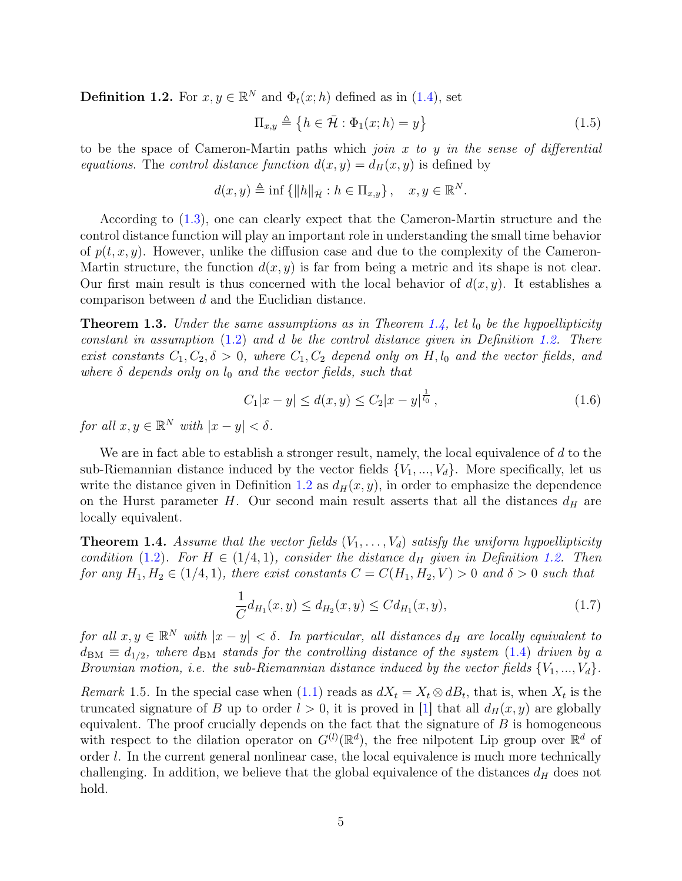<span id="page-4-2"></span>**Definition 1.2.** For  $x, y \in \mathbb{R}^N$  and  $\Phi_t(x; h)$  defined as in [\(1.4\)](#page-3-2), set

<span id="page-4-4"></span>
$$
\Pi_{x,y} \triangleq \{ h \in \bar{\mathcal{H}} : \Phi_1(x; h) = y \}
$$
\n(1.5)

to be the space of Cameron-Martin paths which *join*  $x$  to  $y$  in the sense of differential equations. The control distance function  $d(x, y) = d_H(x, y)$  is defined by

$$
d(x, y) \triangleq \inf \{ ||h||_{\bar{\mathcal{H}}} : h \in \Pi_{x, y} \}, \quad x, y \in \mathbb{R}^N.
$$

According to [\(1.3\)](#page-3-1), one can clearly expect that the Cameron-Martin structure and the control distance function will play an important role in understanding the small time behavior of  $p(t, x, y)$ . However, unlike the diffusion case and due to the complexity of the Cameron-Martin structure, the function  $d(x, y)$  is far from being a metric and its shape is not clear. Our first main result is thus concerned with the local behavior of  $d(x, y)$ . It establishes a comparison between d and the Euclidian distance.

<span id="page-4-0"></span>**Theorem 1.3.** Under the same assumptions as in Theorem [1.4,](#page-4-1) let  $l_0$  be the hypoellipticity constant in assumption [\(1.2\)](#page-3-0) and d be the control distance given in Definition [1.2.](#page-4-2) There exist constants  $C_1, C_2, \delta > 0$ , where  $C_1, C_2$  depend only on H,  $l_0$  and the vector fields, and where  $\delta$  depends only on  $l_0$  and the vector fields, such that

$$
C_1|x - y| \le d(x, y) \le C_2|x - y|^{\frac{1}{l_0}},\tag{1.6}
$$

for all  $x, y \in \mathbb{R}^N$  with  $|x - y| < \delta$ .

We are in fact able to establish a stronger result, namely, the local equivalence of  $d$  to the sub-Riemannian distance induced by the vector fields  ${V_1, ..., V_d}$ . More specifically, let us write the distance given in Definition [1.2](#page-4-2) as  $d_H(x, y)$ , in order to emphasize the dependence on the Hurst parameter H. Our second main result asserts that all the distances  $d_H$  are locally equivalent.

<span id="page-4-1"></span>**Theorem 1.4.** Assume that the vector fields  $(V_1, \ldots, V_d)$  satisfy the uniform hypoellipticity condition [\(1.2\)](#page-3-0). For  $H \in (1/4, 1)$ , consider the distance  $d_H$  given in Definition [1.2.](#page-4-2) Then for any  $H_1, H_2 \in (1/4, 1)$ , there exist constants  $C = C(H_1, H_2, V) > 0$  and  $\delta > 0$  such that

$$
\frac{1}{C}d_{H_1}(x,y) \le d_{H_2}(x,y) \le C d_{H_1}(x,y),\tag{1.7}
$$

for all  $x, y \in \mathbb{R}^N$  with  $|x - y| < \delta$ . In particular, all distances  $d_H$  are locally equivalent to  $d_{BM} \equiv d_{1/2}$ , where  $d_{BM}$  stands for the controlling distance of the system [\(1.4\)](#page-3-2) driven by a Brownian motion, i.e. the sub-Riemannian distance induced by the vector fields  $\{V_1, ..., V_d\}$ .

<span id="page-4-3"></span>Remark 1.5. In the special case when [\(1.1\)](#page-2-1) reads as  $dX_t = X_t \otimes dB_t$ , that is, when  $X_t$  is the truncated signature of B up to order  $l > 0$ , it is proved in [\[1\]](#page-74-6) that all  $d_H(x, y)$  are globally equivalent. The proof crucially depends on the fact that the signature of  $B$  is homogeneous with respect to the dilation operator on  $G^{(l)}(\mathbb{R}^d)$ , the free nilpotent Lip group over  $\mathbb{R}^d$  of order l. In the current general nonlinear case, the local equivalence is much more technically challenging. In addition, we believe that the global equivalence of the distances  $d_H$  does not hold.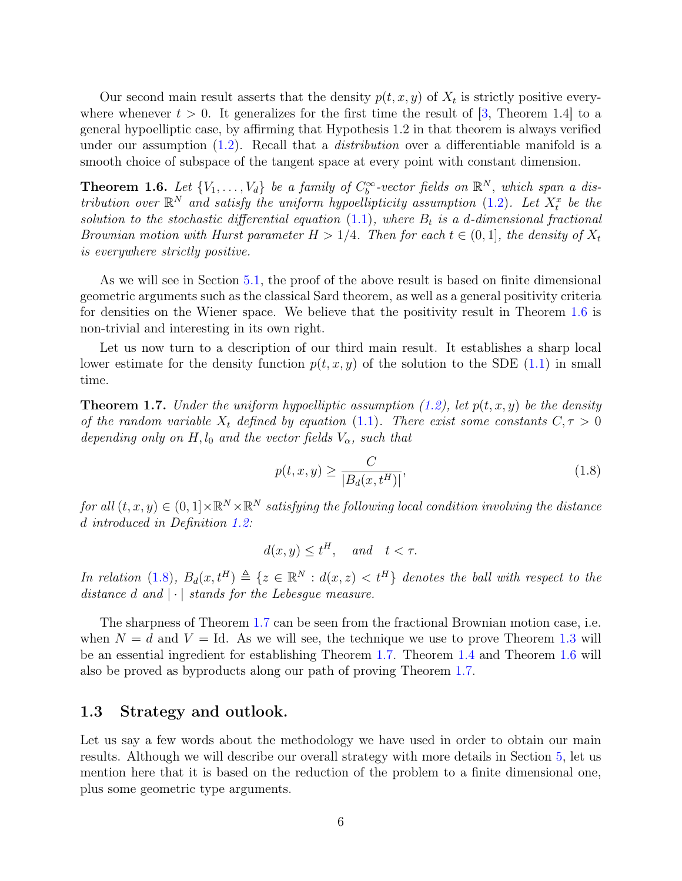Our second main result asserts that the density  $p(t, x, y)$  of  $X_t$  is strictly positive everywhere whenever  $t > 0$ . It generalizes for the first time the result of [\[3,](#page-74-4) Theorem 1.4] to a general hypoelliptic case, by affirming that Hypothesis 1.2 in that theorem is always verified under our assumption  $(1.2)$ . Recall that a *distribution* over a differentiable manifold is a smooth choice of subspace of the tangent space at every point with constant dimension.

<span id="page-5-2"></span>**Theorem 1.6.** Let  $\{V_1, \ldots, V_d\}$  be a family of  $C_b^{\infty}$ -vector fields on  $\mathbb{R}^N$ , which span a distribution over  $\mathbb{R}^N$  and satisfy the uniform hypoellipticity assumption [\(1.2\)](#page-3-0). Let  $X_t^x$  be the solution to the stochastic differential equation  $(1.1)$ , where  $B_t$  is a d-dimensional fractional Brownian motion with Hurst parameter  $H > 1/4$ . Then for each  $t \in (0,1]$ , the density of  $X_t$ is everywhere strictly positive.

As we will see in Section [5.1,](#page-43-0) the proof of the above result is based on finite dimensional geometric arguments such as the classical Sard theorem, as well as a general positivity criteria for densities on the Wiener space. We believe that the positivity result in Theorem [1.6](#page-5-2) is non-trivial and interesting in its own right.

Let us now turn to a description of our third main result. It establishes a sharp local lower estimate for the density function  $p(t, x, y)$  of the solution to the SDE [\(1.1\)](#page-2-1) in small time.

<span id="page-5-1"></span>**Theorem 1.7.** Under the uniform hypoelliptic assumption [\(1.2\)](#page-3-0), let  $p(t, x, y)$  be the density of the random variable  $X_t$  defined by equation [\(1.1\)](#page-2-1). There exist some constants  $C, \tau > 0$ depending only on H,  $l_0$  and the vector fields  $V_\alpha$ , such that

<span id="page-5-3"></span>
$$
p(t, x, y) \ge \frac{C}{|B_d(x, t^H)|},\tag{1.8}
$$

for all  $(t, x, y) \in (0, 1] \times \mathbb{R}^N \times \mathbb{R}^N$  satisfying the following local condition involving the distance d introduced in Definition [1.2:](#page-4-2)

$$
d(x, y) \le t^H, \quad and \quad t < \tau.
$$

In relation [\(1.8\)](#page-5-3),  $B_d(x,t^H) \triangleq \{z \in \mathbb{R}^N : d(x,z) < t^H\}$  denotes the ball with respect to the distance d and  $|\cdot|$  stands for the Lebesgue measure.

The sharpness of Theorem [1.7](#page-5-1) can be seen from the fractional Brownian motion case, i.e. when  $N = d$  and  $V = Id$ . As we will see, the technique we use to prove Theorem [1.3](#page-4-0) will be an essential ingredient for establishing Theorem [1.7.](#page-5-1) Theorem [1.4](#page-4-1) and Theorem [1.6](#page-5-2) will also be proved as byproducts along our path of proving Theorem [1.7.](#page-5-1)

### <span id="page-5-0"></span>1.3 Strategy and outlook.

Let us say a few words about the methodology we have used in order to obtain our main results. Although we will describe our overall strategy with more details in Section [5,](#page-42-0) let us mention here that it is based on the reduction of the problem to a finite dimensional one, plus some geometric type arguments.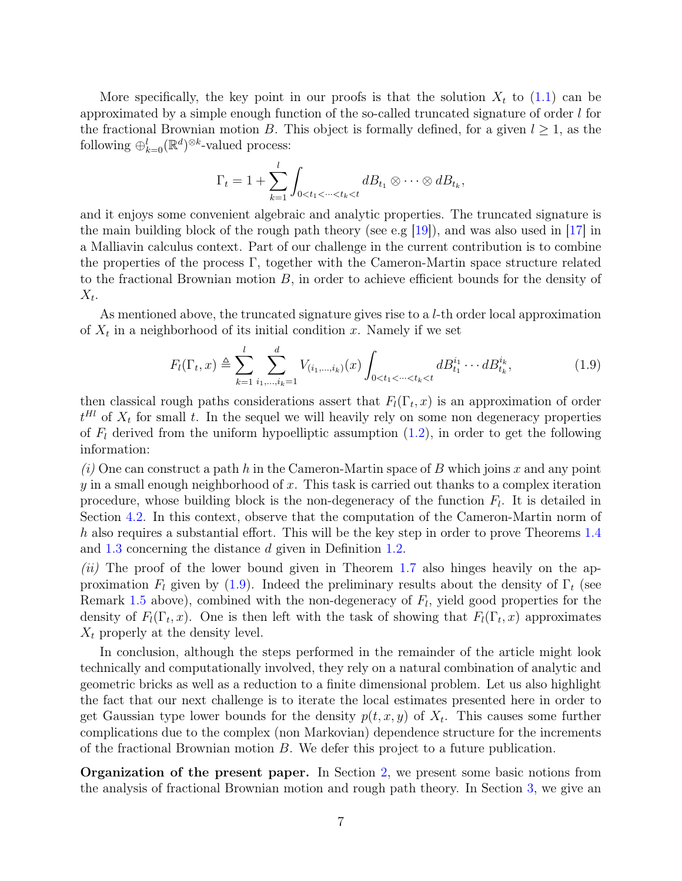More specifically, the key point in our proofs is that the solution  $X_t$  to  $(1.1)$  can be approximated by a simple enough function of the so-called truncated signature of order  $l$  for the fractional Brownian motion B. This object is formally defined, for a given  $l \geq 1$ , as the following  $\oplus_{k=0}^{l} (\mathbb{R}^d)^{\otimes k}$ -valued process:

$$
\Gamma_t = 1 + \sum_{k=1}^l \int_{0 < t_1 < \dots < t_k < t} dB_{t_1} \otimes \dots \otimes dB_{t_k},
$$

and it enjoys some convenient algebraic and analytic properties. The truncated signature is the main building block of the rough path theory (see e.g [\[19\]](#page-75-2)), and was also used in [\[17\]](#page-75-5) in a Malliavin calculus context. Part of our challenge in the current contribution is to combine the properties of the process Γ, together with the Cameron-Martin space structure related to the fractional Brownian motion B, in order to achieve efficient bounds for the density of  $X_t$ .

As mentioned above, the truncated signature gives rise to a  $l$ -th order local approximation of  $X_t$  in a neighborhood of its initial condition x. Namely if we set

<span id="page-6-0"></span>
$$
F_l(\Gamma_t, x) \triangleq \sum_{k=1}^l \sum_{i_1, \dots, i_k=1}^d V_{(i_1, \dots, i_k)}(x) \int_{0 < t_1 < \dots < t_k < t} dB_{t_1}^{i_1} \dots dB_{t_k}^{i_k},\tag{1.9}
$$

then classical rough paths considerations assert that  $F_l(\Gamma_t, x)$  is an approximation of order  $t<sup>Hl</sup>$  of  $X_t$  for small t. In the sequel we will heavily rely on some non degeneracy properties of  $F_l$  derived from the uniform hypoelliptic assumption  $(1.2)$ , in order to get the following information:

 $(i)$  One can construct a path h in the Cameron-Martin space of B which joins x and any point y in a small enough neighborhood of x. This task is carried out thanks to a complex iteration procedure, whose building block is the non-degeneracy of the function  $F_l$ . It is detailed in Section [4.2.](#page-32-0) In this context, observe that the computation of the Cameron-Martin norm of h also requires a substantial effort. This will be the key step in order to prove Theorems [1.4](#page-4-1) and [1.3](#page-4-0) concerning the distance d given in Definition [1.2.](#page-4-2)

 $(ii)$  The proof of the lower bound given in Theorem [1.7](#page-5-1) also hinges heavily on the approximation  $F_l$  given by [\(1.9\)](#page-6-0). Indeed the preliminary results about the density of  $\Gamma_t$  (see Remark [1.5](#page-4-3) above), combined with the non-degeneracy of  $F_l$ , yield good properties for the density of  $F_l(\Gamma_t, x)$ . One is then left with the task of showing that  $F_l(\Gamma_t, x)$  approximates  $X_t$  properly at the density level.

In conclusion, although the steps performed in the remainder of the article might look technically and computationally involved, they rely on a natural combination of analytic and geometric bricks as well as a reduction to a finite dimensional problem. Let us also highlight the fact that our next challenge is to iterate the local estimates presented here in order to get Gaussian type lower bounds for the density  $p(t, x, y)$  of  $X_t$ . This causes some further complications due to the complex (non Markovian) dependence structure for the increments of the fractional Brownian motion  $B$ . We defer this project to a future publication.

Organization of the present paper. In Section [2,](#page-7-0) we present some basic notions from the analysis of fractional Brownian motion and rough path theory. In Section [3,](#page-19-0) we give an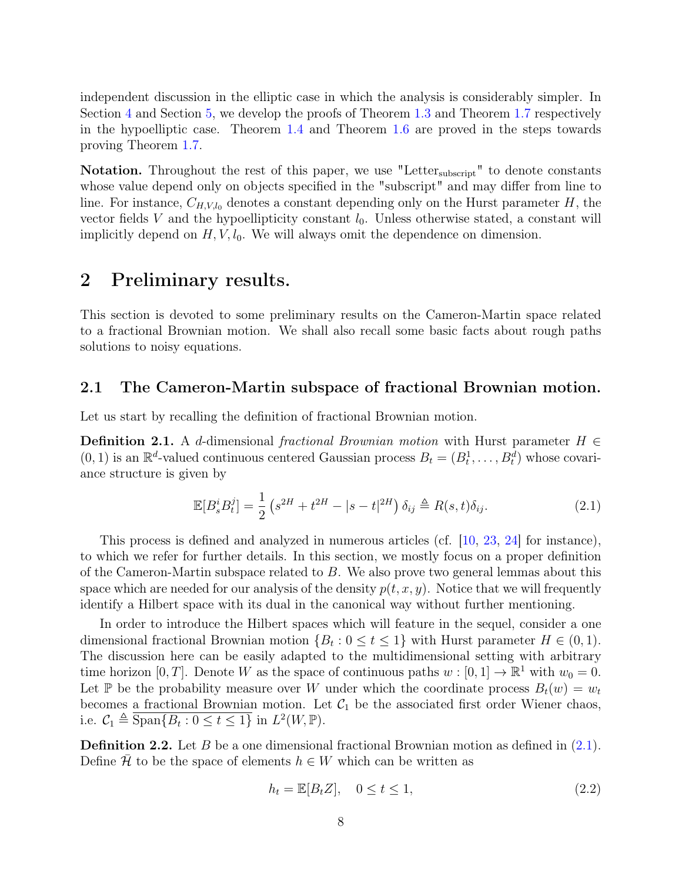independent discussion in the elliptic case in which the analysis is considerably simpler. In Section [4](#page-27-0) and Section [5,](#page-42-0) we develop the proofs of Theorem [1.3](#page-4-0) and Theorem [1.7](#page-5-1) respectively in the hypoelliptic case. Theorem [1.4](#page-4-1) and Theorem [1.6](#page-5-2) are proved in the steps towards proving Theorem [1.7.](#page-5-1)

Notation. Throughout the rest of this paper, we use "Letter<sub>subscript</sub>" to denote constants whose value depend only on objects specified in the "subscript" and may differ from line to line. For instance,  $C_{H, V, l_0}$  denotes a constant depending only on the Hurst parameter H, the vector fields V and the hypoellipticity constant  $l_0$ . Unless otherwise stated, a constant will implicitly depend on  $H, V, l_0$ . We will always omit the dependence on dimension.

# <span id="page-7-0"></span>2 Preliminary results.

This section is devoted to some preliminary results on the Cameron-Martin space related to a fractional Brownian motion. We shall also recall some basic facts about rough paths solutions to noisy equations.

### <span id="page-7-1"></span>2.1 The Cameron-Martin subspace of fractional Brownian motion.

Let us start by recalling the definition of fractional Brownian motion.

<span id="page-7-2"></span>**Definition 2.1.** A d-dimensional fractional Brownian motion with Hurst parameter  $H \in$  $(0, 1)$  is an  $\mathbb{R}^d$ -valued continuous centered Gaussian process  $B_t = (B_t^1, \ldots, B_t^d)$  whose covariance structure is given by

<span id="page-7-4"></span>
$$
\mathbb{E}[B_s^i B_t^j] = \frac{1}{2} \left( s^{2H} + t^{2H} - |s - t|^{2H} \right) \delta_{ij} \triangleq R(s, t) \delta_{ij}.
$$
 (2.1)

This process is defined and analyzed in numerous articles (cf. [\[10,](#page-75-6) [23,](#page-75-7) [24\]](#page-75-8) for instance), to which we refer for further details. In this section, we mostly focus on a proper definition of the Cameron-Martin subspace related to B. We also prove two general lemmas about this space which are needed for our analysis of the density  $p(t, x, y)$ . Notice that we will frequently identify a Hilbert space with its dual in the canonical way without further mentioning.

In order to introduce the Hilbert spaces which will feature in the sequel, consider a one dimensional fractional Brownian motion  $\{B_t : 0 \le t \le 1\}$  with Hurst parameter  $H \in (0, 1)$ . The discussion here can be easily adapted to the multidimensional setting with arbitrary time horizon [0, T]. Denote W as the space of continuous paths  $w : [0, 1] \to \mathbb{R}^1$  with  $w_0 = 0$ . Let P be the probability measure over W under which the coordinate process  $B_t(w) = w_t$ becomes a fractional Brownian motion. Let  $C_1$  be the associated first order Wiener chaos, i.e.  $C_1 \triangleq \overline{\text{Span}\{B_t : 0 \le t \le 1\}}$  in  $L^2(W, \mathbb{P})$ .

<span id="page-7-5"></span>**Definition 2.2.** Let B be a one dimensional fractional Brownian motion as defined in  $(2.1)$ . Define H to be the space of elements  $h \in W$  which can be written as

<span id="page-7-3"></span>
$$
h_t = \mathbb{E}[B_t Z], \quad 0 \le t \le 1,
$$
\n
$$
(2.2)
$$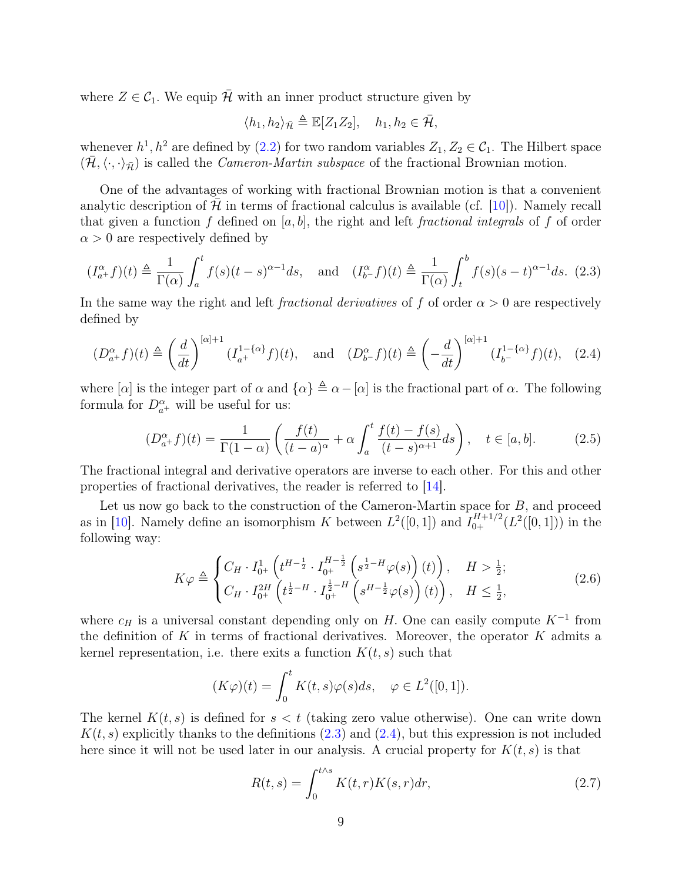where  $Z \in C_1$ . We equip H with an inner product structure given by

$$
\langle h_1, h_2 \rangle_{\bar{\mathcal{H}}} \triangleq \mathbb{E}[Z_1 Z_2], \quad h_1, h_2 \in \bar{\mathcal{H}},
$$

whenever  $h^1, h^2$  are defined by  $(2.2)$  for two random variables  $Z_1, Z_2 \in C_1$ . The Hilbert space  $(\bar{\mathcal{H}}, \langle \cdot, \cdot \rangle_{\bar{\mathcal{H}}})$  is called the *Cameron-Martin subspace* of the fractional Brownian motion.

One of the advantages of working with fractional Brownian motion is that a convenient analytic description of  $\mathcal H$  in terms of fractional calculus is available (cf. [\[10\]](#page-75-6)). Namely recall that given a function f defined on  $[a, b]$ , the right and left fractional integrals of f of order  $\alpha > 0$  are respectively defined by

<span id="page-8-0"></span>
$$
(I_{a+}^{\alpha}f)(t) \triangleq \frac{1}{\Gamma(\alpha)} \int_{a}^{t} f(s)(t-s)^{\alpha-1} ds, \text{ and } (I_{b-}^{\alpha}f)(t) \triangleq \frac{1}{\Gamma(\alpha)} \int_{t}^{b} f(s)(s-t)^{\alpha-1} ds. (2.3)
$$

In the same way the right and left *fractional derivatives* of f of order  $\alpha > 0$  are respectively defined by

<span id="page-8-1"></span>
$$
(D_{a+}^{\alpha}f)(t) \triangleq \left(\frac{d}{dt}\right)^{[\alpha]+1} (I_{a+}^{1-\{\alpha\}}f)(t), \quad \text{and} \quad (D_{b-}^{\alpha}f)(t) \triangleq \left(-\frac{d}{dt}\right)^{[\alpha]+1} (I_{b-}^{1-\{\alpha\}}f)(t), \quad (2.4)
$$

where  $[\alpha]$  is the integer part of  $\alpha$  and  $\{\alpha\} \triangleq \alpha - [\alpha]$  is the fractional part of  $\alpha$ . The following formula for  $D_{a^{+}}^{\alpha}$  will be useful for us:

$$
(D_{a+}^{\alpha}f)(t) = \frac{1}{\Gamma(1-\alpha)} \left( \frac{f(t)}{(t-a)^{\alpha}} + \alpha \int_{a}^{t} \frac{f(t) - f(s)}{(t-s)^{\alpha+1}} ds \right), \quad t \in [a, b]. \tag{2.5}
$$

The fractional integral and derivative operators are inverse to each other. For this and other properties of fractional derivatives, the reader is referred to [\[14\]](#page-75-9).

Let us now go back to the construction of the Cameron-Martin space for B, and proceed as in [\[10\]](#page-75-6). Namely define an isomorphism K between  $L^2([0,1])$  and  $I_{0+}^{H+1/2}(L^2([0,1]))$  in the following way:

<span id="page-8-2"></span>
$$
K\varphi \triangleq \begin{cases} C_H \cdot I_{0^+}^1 \left( t^{H - \frac{1}{2}} \cdot I_{0^+}^{H - \frac{1}{2}} \left( s^{\frac{1}{2} - H} \varphi(s) \right) (t) \right), & H > \frac{1}{2}; \\ C_H \cdot I_{0^+}^{2H} \left( t^{\frac{1}{2} - H} \cdot I_{0^+}^{\frac{1}{2} - H} \left( s^{H - \frac{1}{2}} \varphi(s) \right) (t) \right), & H \le \frac{1}{2}, \end{cases} (2.6)
$$

where  $c_H$  is a universal constant depending only on H. One can easily compute  $K^{-1}$  from the definition of K in terms of fractional derivatives. Moreover, the operator  $K$  admits a kernel representation, i.e. there exits a function  $K(t, s)$  such that

$$
(K\varphi)(t) = \int_0^t K(t,s)\varphi(s)ds, \quad \varphi \in L^2([0,1]).
$$

The kernel  $K(t, s)$  is defined for  $s < t$  (taking zero value otherwise). One can write down  $K(t, s)$  explicitly thanks to the definitions [\(2.3\)](#page-8-0) and [\(2.4\)](#page-8-1), but this expression is not included here since it will not be used later in our analysis. A crucial property for  $K(t, s)$  is that

<span id="page-8-3"></span>
$$
R(t,s) = \int_0^{t \wedge s} K(t,r)K(s,r)dr,
$$
\n(2.7)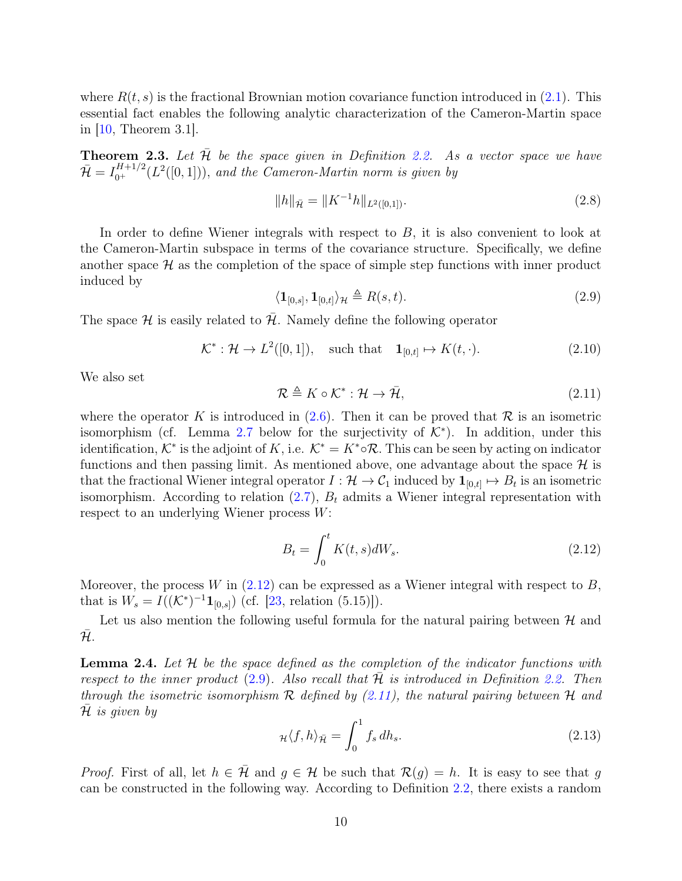where  $R(t, s)$  is the fractional Brownian motion covariance function introduced in  $(2.1)$ . This essential fact enables the following analytic characterization of the Cameron-Martin space in [\[10,](#page-75-6) Theorem 3.1].

<span id="page-9-4"></span>**Theorem 2.3.** Let  $\overline{\mathcal{H}}$  be the space given in Definition [2.2.](#page-7-5) As a vector space we have  $\bar{\mathcal{H}} = I_{0^+}^{H+1/2}(L^2([0,1])),$  and the Cameron-Martin norm is given by

<span id="page-9-6"></span>
$$
||h||_{\bar{\mathcal{H}}} = ||K^{-1}h||_{L^{2}([0,1])}.
$$
\n(2.8)

In order to define Wiener integrals with respect to  $B$ , it is also convenient to look at the Cameron-Martin subspace in terms of the covariance structure. Specifically, we define another space  $\mathcal H$  as the completion of the space of simple step functions with inner product induced by

<span id="page-9-1"></span>
$$
\langle \mathbf{1}_{[0,s]}, \mathbf{1}_{[0,t]} \rangle_{\mathcal{H}} \triangleq R(s,t). \tag{2.9}
$$

The space H is easily related to  $\bar{\mathcal{H}}$ . Namely define the following operator

<span id="page-9-3"></span>
$$
\mathcal{K}^*: \mathcal{H} \to L^2([0,1]), \quad \text{such that} \quad \mathbf{1}_{[0,t]} \mapsto K(t,\cdot). \tag{2.10}
$$

We also set

<span id="page-9-2"></span>
$$
\mathcal{R} \triangleq K \circ \mathcal{K}^* : \mathcal{H} \to \bar{\mathcal{H}},\tag{2.11}
$$

where the operator K is introduced in  $(2.6)$ . Then it can be proved that R is an isometric isomorphism (cf. Lemma [2.7](#page-11-0) below for the surjectivity of  $K^*$ ). In addition, under this identification,  $K^*$  is the adjoint of K, i.e.  $K^* = K^* \circ \mathcal{R}$ . This can be seen by acting on indicator functions and then passing limit. As mentioned above, one advantage about the space  $\mathcal{H}$  is that the fractional Wiener integral operator  $I: \mathcal{H} \to \mathcal{C}_1$  induced by  $\mathbf{1}_{[0,t]} \mapsto B_t$  is an isometric isomorphism. According to relation  $(2.7)$ ,  $B_t$  admits a Wiener integral representation with respect to an underlying Wiener process W:

<span id="page-9-0"></span>
$$
B_t = \int_0^t K(t, s)dW_s.
$$
\n(2.12)

Moreover, the process W in  $(2.12)$  can be expressed as a Wiener integral with respect to B, that is  $W_s = I((\mathcal{K}^*)^{-1} \mathbf{1}_{[0,s]})$  (cf. [\[23,](#page-75-7) relation (5.15)]).

Let us also mention the following useful formula for the natural pairing between  $H$  and  $\bar{\mathcal{H}}$ .

**Lemma 2.4.** Let  $H$  be the space defined as the completion of the indicator functions with respect to the inner product  $(2.9)$ . Also recall that H is introduced in Definition [2.2.](#page-7-5) Then through the isometric isomorphism  $\mathcal R$  defined by [\(2.11\)](#page-9-2), the natural pairing between  $\mathcal H$  and  $H$  is given by

<span id="page-9-5"></span>
$$
\mu \langle f, h \rangle_{\bar{\mathcal{H}}} = \int_0^1 f_s \, dh_s. \tag{2.13}
$$

*Proof.* First of all, let  $h \in \overline{\mathcal{H}}$  and  $g \in \mathcal{H}$  be such that  $\mathcal{R}(g) = h$ . It is easy to see that g can be constructed in the following way. According to Definition [2.2,](#page-7-5) there exists a random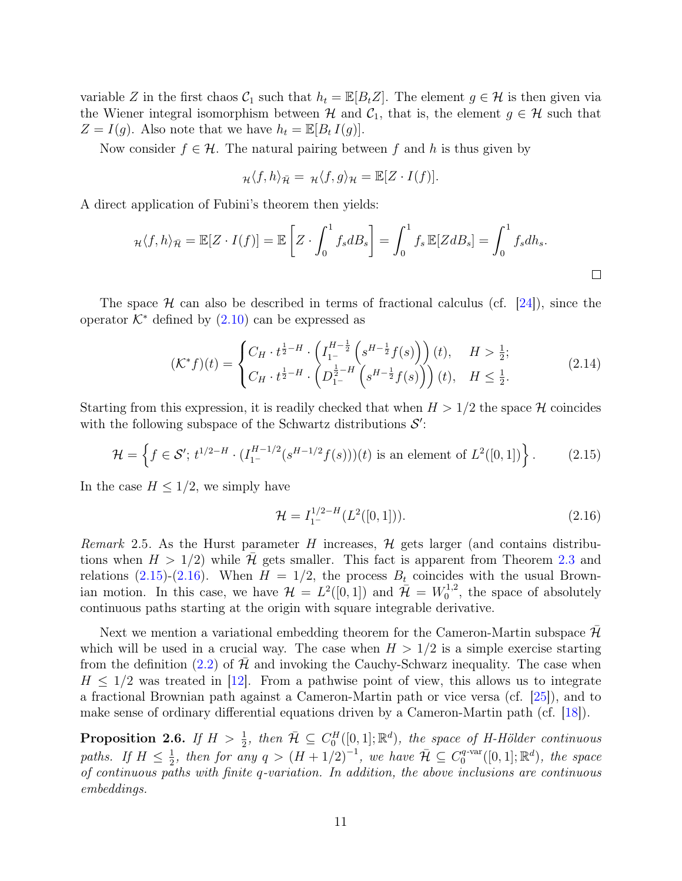variable Z in the first chaos  $\mathcal{C}_1$  such that  $h_t = \mathbb{E}[B_t Z]$ . The element  $g \in \mathcal{H}$  is then given via the Wiener integral isomorphism between  $\mathcal H$  and  $\mathcal C_1$ , that is, the element  $g \in \mathcal H$  such that  $Z = I(g)$ . Also note that we have  $h_t = \mathbb{E}[B_t I(g)]$ .

Now consider  $f \in \mathcal{H}$ . The natural pairing between f and h is thus given by

$$
\mathcal{H}\langle f,h\rangle_{\bar{\mathcal{H}}} = \mathcal{H}\langle f,g\rangle_{\mathcal{H}} = \mathbb{E}[Z\cdot I(f)].
$$

A direct application of Fubini's theorem then yields:

$$
\mu \langle f, h \rangle_{\bar{\mathcal{H}}} = \mathbb{E}[Z \cdot I(f)] = \mathbb{E}\left[Z \cdot \int_0^1 f_s dB_s\right] = \int_0^1 f_s \mathbb{E}[Z dB_s] = \int_0^1 f_s dh_s.
$$

The space H can also be described in terms of fractional calculus (cf. [\[24\]](#page-75-8)), since the operator  $K^*$  defined by  $(2.10)$  can be expressed as

<span id="page-10-3"></span>
$$
(\mathcal{K}^* f)(t) = \begin{cases} C_H \cdot t^{\frac{1}{2}-H} \cdot \left( I_1^{H-\frac{1}{2}} \left( s^{H-\frac{1}{2}} f(s) \right) \right)(t), & H > \frac{1}{2}; \\ C_H \cdot t^{\frac{1}{2}-H} \cdot \left( D_1^{\frac{1}{2}-H} \left( s^{H-\frac{1}{2}} f(s) \right) \right)(t), & H \le \frac{1}{2}. \end{cases}
$$
(2.14)

Starting from this expression, it is readily checked that when  $H > 1/2$  the space H coincides with the following subspace of the Schwartz distributions  $S'$ :

<span id="page-10-1"></span>
$$
\mathcal{H} = \left\{ f \in \mathcal{S}'; \ t^{1/2 - H} \cdot (I_{1^-}^{H-1/2} (s^{H-1/2} f(s)))(t) \text{ is an element of } L^2([0,1]) \right\}. \tag{2.15}
$$

In the case  $H \leq 1/2$ , we simply have

<span id="page-10-2"></span>
$$
\mathcal{H} = I_1^{1/2-H}(L^2([0,1])). \tag{2.16)}
$$

*Remark* 2.5. As the Hurst parameter H increases,  $H$  gets larger (and contains distributions when  $H > 1/2$  while H gets smaller. This fact is apparent from Theorem [2.3](#page-9-4) and relations [\(2.15\)](#page-10-1)-[\(2.16\)](#page-10-2). When  $H = 1/2$ , the process  $B_t$  coincides with the usual Brownian motion. In this case, we have  $\mathcal{H} = L^2([0,1])$  and  $\bar{\mathcal{H}} = W_0^{1,2}$  $_{0}^{1,2}$ , the space of absolutely continuous paths starting at the origin with square integrable derivative.

Next we mention a variational embedding theorem for the Cameron-Martin subspace  $\mathcal H$ which will be used in a crucial way. The case when  $H > 1/2$  is a simple exercise starting from the definition [\(2.2\)](#page-7-3) of  $H$  and invoking the Cauchy-Schwarz inequality. The case when  $H \leq 1/2$  was treated in [\[12\]](#page-75-3). From a pathwise point of view, this allows us to integrate a fractional Brownian path against a Cameron-Martin path or vice versa (cf. [\[25\]](#page-75-4)), and to make sense of ordinary differential equations driven by a Cameron-Martin path (cf. [\[18\]](#page-75-1)).

<span id="page-10-0"></span>**Proposition 2.6.** If  $H > \frac{1}{2}$ , then  $\overline{\mathcal{H}} \subseteq C_0^H([0,1];\mathbb{R}^d)$ , the space of H-Hölder continuous paths. If  $H \leq \frac{1}{2}$  $\frac{1}{2}$ , then for any  $q > (H + 1/2)^{-1}$ , we have  $\overline{\mathcal{H}} \subseteq C_0^{q\text{-var}}$  $\mathcal{O}_0^{q\text{-}\mathrm{var}}([0,1];\mathbb{R}^d)$ , the space of continuous paths with finite q-variation. In addition, the above inclusions are continuous embeddings.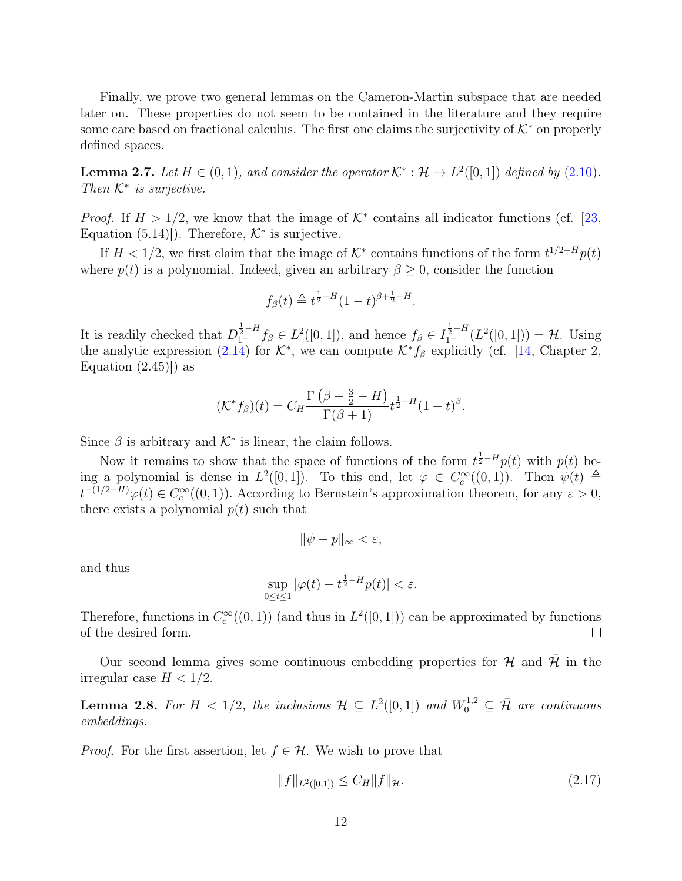Finally, we prove two general lemmas on the Cameron-Martin subspace that are needed later on. These properties do not seem to be contained in the literature and they require some care based on fractional calculus. The first one claims the surjectivity of  $K^*$  on properly defined spaces.

<span id="page-11-0"></span>**Lemma 2.7.** Let  $H \in (0,1)$ , and consider the operator  $\mathcal{K}^* : \mathcal{H} \to L^2([0,1])$  defined by  $(2.10)$ . Then  $K^*$  is surjective.

*Proof.* If  $H > 1/2$ , we know that the image of  $K^*$  contains all indicator functions (cf. [\[23,](#page-75-7) Equation  $(5.14)$ . Therefore,  $K^*$  is surjective.

If  $H < 1/2$ , we first claim that the image of  $K^*$  contains functions of the form  $t^{1/2-H}p(t)$ where  $p(t)$  is a polynomial. Indeed, given an arbitrary  $\beta \geq 0$ , consider the function

$$
f_{\beta}(t) \triangleq t^{\frac{1}{2}-H} (1-t)^{\beta + \frac{1}{2}-H}.
$$

It is readily checked that  $D_{1-}^{\frac{1}{2}-H} f_\beta \in L^2([0,1])$ , and hence  $f_\beta \in I_{1-}^{\frac{1}{2}-H}(L^2([0,1])) = \mathcal{H}$ . Using the analytic expression [\(2.14\)](#page-10-3) for  $\mathcal{K}^*$ , we can compute  $\mathcal{K}^* f_\beta$  explicitly (cf. [\[14,](#page-75-9) Chapter 2, Equation  $(2.45)$ ) as

$$
(\mathcal{K}^* f_\beta)(t) = C_H \frac{\Gamma(\beta + \frac{3}{2} - H)}{\Gamma(\beta + 1)} t^{\frac{1}{2} - H} (1 - t)^\beta.
$$

Since  $\beta$  is arbitrary and  $\mathcal{K}^*$  is linear, the claim follows.

Now it remains to show that the space of functions of the form  $t^{\frac{1}{2}-H}p(t)$  with  $p(t)$  being a polynomial is dense in  $L^2([0,1])$ . To this end, let  $\varphi \in C_c^{\infty}((0,1))$ . Then  $\psi(t) \triangleq$  $t^{-(1/2-H)}\varphi(t) \in C_c^{\infty}((0,1))$ . According to Bernstein's approximation theorem, for any  $\varepsilon > 0$ , there exists a polynomial  $p(t)$  such that

$$
\|\psi - p\|_{\infty} < \varepsilon,
$$

and thus

$$
\sup_{0\leq t\leq 1}|\varphi(t)-t^{\frac{1}{2}-H}p(t)|<\varepsilon.
$$

Therefore, functions in  $C_c^{\infty}((0,1))$  (and thus in  $L^2([0,1])$ ) can be approximated by functions of the desired form.  $\Box$ 

Our second lemma gives some continuous embedding properties for  $\mathcal H$  and  $\mathcal H$  in the irregular case  $H < 1/2$ .

<span id="page-11-2"></span>**Lemma 2.8.** For  $H < 1/2$ , the inclusions  $H \subseteq L^2([0,1])$  and  $W_0^{1,2} \subseteq \overline{\mathcal{H}}$  are continuous embeddings.

*Proof.* For the first assertion, let  $f \in \mathcal{H}$ . We wish to prove that

<span id="page-11-1"></span>
$$
||f||_{L^{2}([0,1])} \leq C_H ||f||_{\mathcal{H}}.\tag{2.17}
$$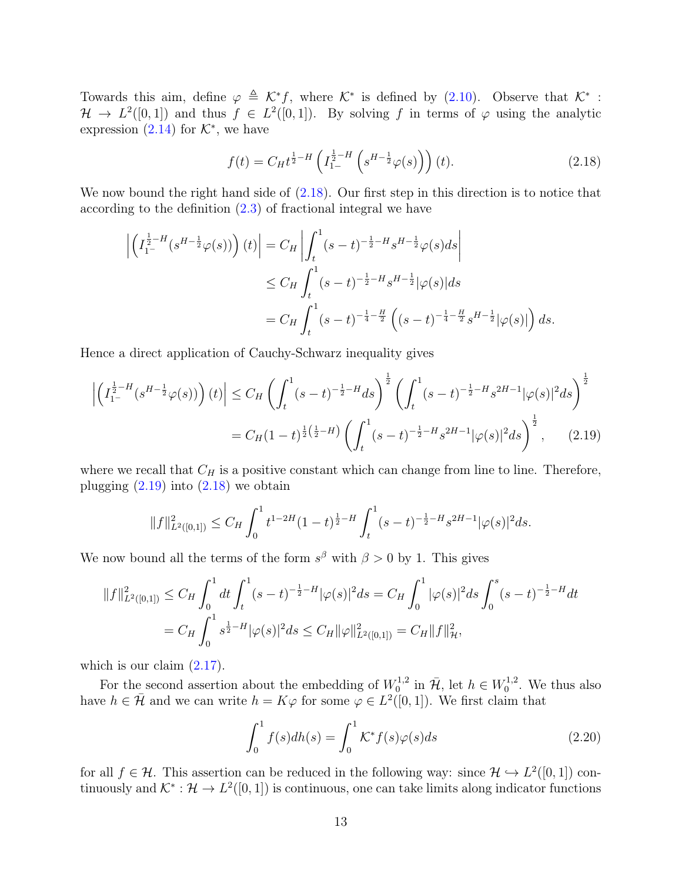Towards this aim, define  $\varphi \triangleq \mathcal{K}^* f$ , where  $\mathcal{K}^*$  is defined by [\(2.10\)](#page-9-3). Observe that  $\mathcal{K}^*$ :  $\mathcal{H} \to L^2([0,1])$  and thus  $f \in L^2([0,1])$ . By solving f in terms of  $\varphi$  using the analytic expression  $(2.14)$  for  $K^*$ , we have

<span id="page-12-0"></span>
$$
f(t) = C_H t^{\frac{1}{2} - H} \left( I_{1-}^{\frac{1}{2} - H} \left( s^{H - \frac{1}{2}} \varphi(s) \right) \right) (t).
$$
 (2.18)

We now bound the right hand side of  $(2.18)$ . Our first step in this direction is to notice that according to the definition [\(2.3\)](#page-8-0) of fractional integral we have

$$
\left| \left( I_{1^-}^{\frac{1}{2}-H} (s^{H-\frac{1}{2}} \varphi(s)) \right) (t) \right| = C_H \left| \int_t^1 (s-t)^{-\frac{1}{2}-H} s^{H-\frac{1}{2}} \varphi(s) ds \right|
$$
  
\n
$$
\leq C_H \int_t^1 (s-t)^{-\frac{1}{2}-H} s^{H-\frac{1}{2}} |\varphi(s)| ds
$$
  
\n
$$
= C_H \int_t^1 (s-t)^{-\frac{1}{4}-\frac{H}{2}} \left( (s-t)^{-\frac{1}{4}-\frac{H}{2}} s^{H-\frac{1}{2}} |\varphi(s)| \right) ds.
$$

Hence a direct application of Cauchy-Schwarz inequality gives

$$
\left| \left( I_{1^-}^{\frac{1}{2}-H} (s^{H-\frac{1}{2}} \varphi(s)) \right) (t) \right| \leq C_H \left( \int_t^1 (s-t)^{-\frac{1}{2}-H} ds \right)^{\frac{1}{2}} \left( \int_t^1 (s-t)^{-\frac{1}{2}-H} s^{2H-1} |\varphi(s)|^2 ds \right)^{\frac{1}{2}}
$$
  
=  $C_H (1-t)^{\frac{1}{2}(\frac{1}{2}-H)} \left( \int_t^1 (s-t)^{-\frac{1}{2}-H} s^{2H-1} |\varphi(s)|^2 ds \right)^{\frac{1}{2}}, \qquad (2.19)$ 

where we recall that  $C_H$  is a positive constant which can change from line to line. Therefore, plugging  $(2.19)$  into  $(2.18)$  we obtain

<span id="page-12-1"></span>
$$
||f||_{L^{2}([0,1])}^{2} \leq C_{H} \int_{0}^{1} t^{1-2H} (1-t)^{\frac{1}{2}-H} \int_{t}^{1} (s-t)^{-\frac{1}{2}-H} s^{2H-1} |\varphi(s)|^{2} ds.
$$

We now bound all the terms of the form  $s^{\beta}$  with  $\beta > 0$  by 1. This gives

$$
||f||_{L^{2}([0,1])}^{2} \leq C_{H} \int_{0}^{1} dt \int_{t}^{1} (s-t)^{-\frac{1}{2}-H} |\varphi(s)|^{2} ds = C_{H} \int_{0}^{1} |\varphi(s)|^{2} ds \int_{0}^{s} (s-t)^{-\frac{1}{2}-H} dt
$$
  
=  $C_{H} \int_{0}^{1} s^{\frac{1}{2}-H} |\varphi(s)|^{2} ds \leq C_{H} ||\varphi||_{L^{2}([0,1])}^{2} = C_{H} ||f||_{\mathcal{H}}^{2},$ 

which is our claim  $(2.17)$ .

For the second assertion about the embedding of  $W_0^{1,2}$  $\bar{u}_0^{1,2}$  in  $\bar{\mathcal{H}}$ , let  $h \in W_0^{1,2}$  $_{0}^{1,2}$ . We thus also have  $h \in \bar{\mathcal{H}}$  and we can write  $h = K\varphi$  for some  $\varphi \in L^2([0,1])$ . We first claim that

<span id="page-12-2"></span>
$$
\int_0^1 f(s)dh(s) = \int_0^1 \mathcal{K}^* f(s)\varphi(s)ds\tag{2.20}
$$

for all  $f \in \mathcal{H}$ . This assertion can be reduced in the following way: since  $\mathcal{H} \hookrightarrow L^2([0,1])$  continuously and  $\mathcal{K}^* : \mathcal{H} \to L^2([0,1])$  is continuous, one can take limits along indicator functions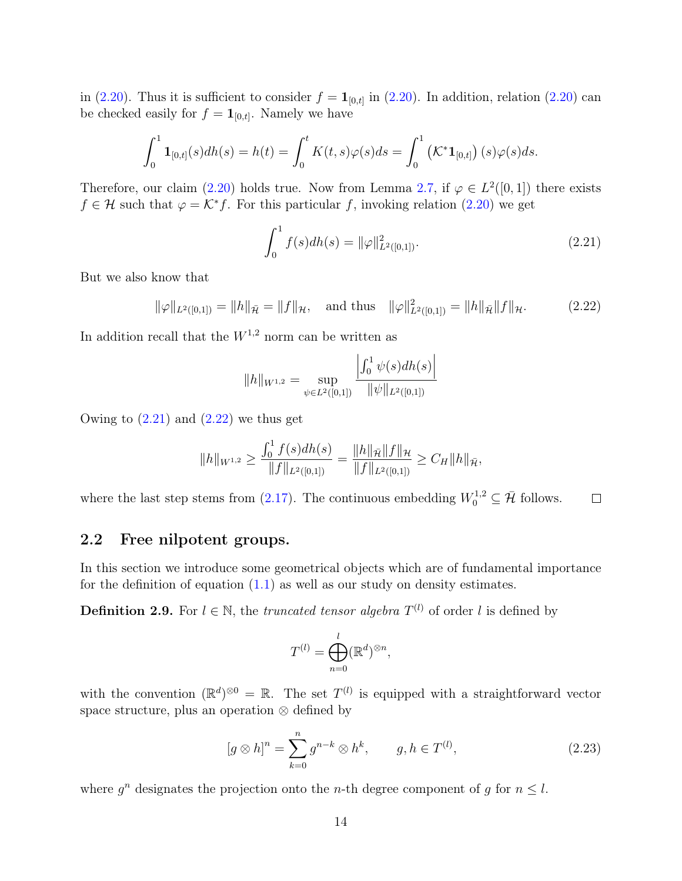in [\(2.20\)](#page-12-2). Thus it is sufficient to consider  $f = \mathbf{1}_{[0,t]}$  in (2.20). In addition, relation (2.20) can be checked easily for  $f = \mathbf{1}_{[0,t]}$ . Namely we have

$$
\int_0^1 \mathbf{1}_{[0,t]}(s) dh(s) = h(t) = \int_0^t K(t,s) \varphi(s) ds = \int_0^1 \left( \mathcal{K}^* \mathbf{1}_{[0,t]} \right)(s) \varphi(s) ds.
$$

Therefore, our claim [\(2.20\)](#page-12-2) holds true. Now from Lemma [2.7,](#page-11-0) if  $\varphi \in L^2([0,1])$  there exists  $f \in \mathcal{H}$  such that  $\varphi = \mathcal{K}^* f$ . For this particular f, invoking relation [\(2.20\)](#page-12-2) we get

<span id="page-13-1"></span>
$$
\int_0^1 f(s)dh(s) = \|\varphi\|_{L^2([0,1])}^2.
$$
\n(2.21)

But we also know that

<span id="page-13-2"></span>
$$
\|\varphi\|_{L^2([0,1])} = \|h\|_{\bar{\mathcal{H}}} = \|f\|_{\mathcal{H}}, \quad \text{and thus} \quad \|\varphi\|_{L^2([0,1])}^2 = \|h\|_{\bar{\mathcal{H}}}\|f\|_{\mathcal{H}}.
$$
 (2.22)

In addition recall that the  $W^{1,2}$  norm can be written as

$$
||h||_{W^{1,2}} = \sup_{\psi \in L^2([0,1])} \frac{\left| \int_0^1 \psi(s) dh(s) \right|}{\|\psi\|_{L^2([0,1])}}
$$

Owing to  $(2.21)$  and  $(2.22)$  we thus get

$$
||h||_{W^{1,2}} \ge \frac{\int_0^1 f(s)dh(s)}{||f||_{L^2([0,1])}} = \frac{||h||_{\bar{\mathcal{H}}}||f||_{\mathcal{H}}}{||f||_{L^2([0,1])}} \ge C_H ||h||_{\bar{\mathcal{H}}},
$$

where the last step stems from [\(2.17\)](#page-11-1). The continuous embedding  $W_0^{1,2} \subseteq \overline{\mathcal{H}}$  follows.  $\Box$ 

# <span id="page-13-0"></span>2.2 Free nilpotent groups.

In this section we introduce some geometrical objects which are of fundamental importance for the definition of equation  $(1.1)$  as well as our study on density estimates.

<span id="page-13-3"></span>**Definition 2.9.** For  $l \in \mathbb{N}$ , the *truncated tensor algebra*  $T^{(l)}$  of order l is defined by

$$
T^{(l)} = \bigoplus_{n=0}^{l} (\mathbb{R}^d)^{\otimes n},
$$

with the convention  $(\mathbb{R}^d)^{\otimes 0} = \mathbb{R}$ . The set  $T^{(l)}$  is equipped with a straightforward vector space structure, plus an operation ⊗ defined by

$$
[g \otimes h]^n = \sum_{k=0}^n g^{n-k} \otimes h^k, \qquad g, h \in T^{(l)},
$$
\n(2.23)

where  $g^n$  designates the projection onto the *n*-th degree component of g for  $n \leq l$ .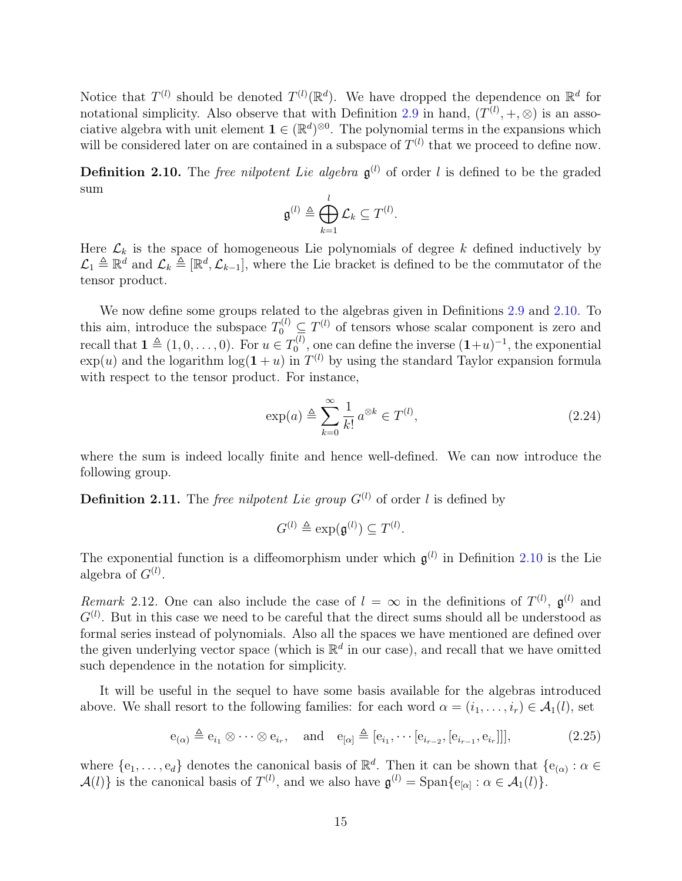Notice that  $T^{(l)}$  should be denoted  $T^{(l)}(\mathbb{R}^d)$ . We have dropped the dependence on  $\mathbb{R}^d$  for notational simplicity. Also observe that with Definition [2.9](#page-13-3) in hand,  $(T^{(l)}, +, \otimes)$  is an associative algebra with unit element  $\mathbf{1} \in (\mathbb{R}^d)^{\otimes 0}$ . The polynomial terms in the expansions which will be considered later on are contained in a subspace of  $T^{(l)}$  that we proceed to define now.

<span id="page-14-0"></span>**Definition 2.10.** The *free nilpotent Lie algebra*  $\mathfrak{g}^{(l)}$  of order l is defined to be the graded sum

$$
\mathfrak{g}^{(l)} \triangleq \bigoplus_{k=1}^l \mathcal{L}_k \subseteq T^{(l)}.
$$

Here  $\mathcal{L}_k$  is the space of homogeneous Lie polynomials of degree k defined inductively by  $\mathcal{L}_1 \triangleq \mathbb{R}^d$  and  $\mathcal{L}_k \triangleq [\mathbb{R}^d, \mathcal{L}_{k-1}]$ , where the Lie bracket is defined to be the commutator of the tensor product.

We now define some groups related to the algebras given in Definitions [2.9](#page-13-3) and [2.10.](#page-14-0) To this aim, introduce the subspace  $T_0^{(l)} \subseteq T^{(l)}$  of tensors whose scalar component is zero and recall that  $\mathbf{1} \triangleq (1, 0, \ldots, 0)$ . For  $u \in T_0^{(l)}$  $\mathbf{0}^{(l)}$ , one can define the inverse  $(1+u)^{-1}$ , the exponential  $\exp(u)$  and the logarithm  $\log(1+u)$  in  $T^{(l)}$  by using the standard Taylor expansion formula with respect to the tensor product. For instance,

<span id="page-14-1"></span>
$$
\exp(a) \triangleq \sum_{k=0}^{\infty} \frac{1}{k!} a^{\otimes k} \in T^{(l)},\tag{2.24}
$$

where the sum is indeed locally finite and hence well-defined. We can now introduce the following group.

**Definition 2.11.** The free nilpotent Lie group  $G^{(l)}$  of order l is defined by

$$
G^{(l)} \triangleq \exp(\mathfrak{g}^{(l)}) \subseteq T^{(l)}.
$$

The exponential function is a diffeomorphism under which  $g^{(l)}$  in Definition [2.10](#page-14-0) is the Lie algebra of  $G^{(l)}$ .

Remark 2.12. One can also include the case of  $l = \infty$  in the definitions of  $T^{(l)}$ ,  $\mathfrak{g}^{(l)}$  and  $G^{(l)}$ . But in this case we need to be careful that the direct sums should all be understood as formal series instead of polynomials. Also all the spaces we have mentioned are defined over the given underlying vector space (which is  $\mathbb{R}^d$  in our case), and recall that we have omitted such dependence in the notation for simplicity.

It will be useful in the sequel to have some basis available for the algebras introduced above. We shall resort to the following families: for each word  $\alpha = (i_1, \ldots, i_r) \in \mathcal{A}_1(l)$ , set

<span id="page-14-2"></span>
$$
e_{(\alpha)} \triangleq e_{i_1} \otimes \cdots \otimes e_{i_r}, \quad \text{and} \quad e_{[\alpha]} \triangleq [e_{i_1}, \cdots [e_{i_{r-2}}, [e_{i_{r-1}}, e_{i_r}]]], \tag{2.25}
$$

where  $\{e_1,\ldots,e_d\}$  denotes the canonical basis of  $\mathbb{R}^d$ . Then it can be shown that  $\{e_{(\alpha)}: \alpha \in$  $\mathcal{A}(l)$  is the canonical basis of  $T^{(l)}$ , and we also have  $\mathfrak{g}^{(l)} = \text{Span}\{e_{[\alpha]} : \alpha \in \mathcal{A}_1(l)\}.$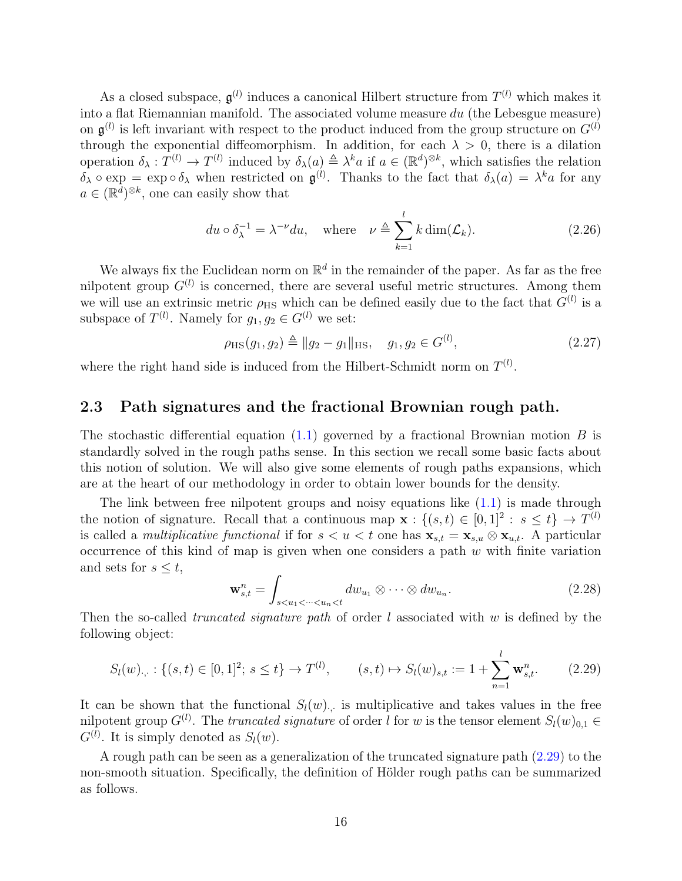As a closed subspace,  $\mathfrak{g}^{(l)}$  induces a canonical Hilbert structure from  $T^{(l)}$  which makes it into a flat Riemannian manifold. The associated volume measure  $du$  (the Lebesgue measure) on  $\mathfrak{g}^{(l)}$  is left invariant with respect to the product induced from the group structure on  $G^{(l)}$ through the exponential diffeomorphism. In addition, for each  $\lambda > 0$ , there is a dilation operation  $\delta_{\lambda}: T^{(l)} \to T^{(l)}$  induced by  $\delta_{\lambda}(a) \triangleq \lambda^k a$  if  $a \in (\mathbb{R}^d)^{\otimes k}$ , which satisfies the relation  $\delta_{\lambda} \circ \exp = \exp \circ \delta_{\lambda}$  when restricted on  $\mathfrak{g}^{(l)}$ . Thanks to the fact that  $\delta_{\lambda}(a) = \lambda^k a$  for any  $a \in (\mathbb{R}^d)^{\otimes k}$ , one can easily show that

$$
du \circ \delta_{\lambda}^{-1} = \lambda^{-\nu} du
$$
, where  $\nu \triangleq \sum_{k=1}^{l} k \dim(\mathcal{L}_k)$ . (2.26)

We always fix the Euclidean norm on  $\mathbb{R}^d$  in the remainder of the paper. As far as the free nilpotent group  $G^{(l)}$  is concerned, there are several useful metric structures. Among them we will use an extrinsic metric  $\rho_{\rm HS}$  which can be defined easily due to the fact that  $G^{(l)}$  is a subspace of  $T^{(l)}$ . Namely for  $g_1, g_2 \in G^{(l)}$  we set:

<span id="page-15-2"></span>
$$
\rho_{\rm HS}(g_1, g_2) \triangleq \|g_2 - g_1\|_{\rm HS}, \quad g_1, g_2 \in G^{(l)}, \tag{2.27}
$$

where the right hand side is induced from the Hilbert-Schmidt norm on  $T^{(l)}$ .

### <span id="page-15-0"></span>2.3 Path signatures and the fractional Brownian rough path.

The stochastic differential equation  $(1.1)$  governed by a fractional Brownian motion B is standardly solved in the rough paths sense. In this section we recall some basic facts about this notion of solution. We will also give some elements of rough paths expansions, which are at the heart of our methodology in order to obtain lower bounds for the density.

The link between free nilpotent groups and noisy equations like  $(1.1)$  is made through the notion of signature. Recall that a continuous map  $\mathbf{x} : \{(s,t) \in [0,1]^2 : s \le t\} \to T^{(l)}$ is called a *multiplicative functional* if for  $s < u < t$  one has  $\mathbf{x}_{s,t} = \mathbf{x}_{s,u} \otimes \mathbf{x}_{u,t}$ . A particular occurrence of this kind of map is given when one considers a path  $w$  with finite variation and sets for  $s \leq t$ ,

<span id="page-15-3"></span>
$$
\mathbf{w}_{s,t}^n = \int_{s < u_1 < \dots < u_n < t} dw_{u_1} \otimes \dots \otimes dw_{u_n}.\tag{2.28}
$$

Then the so-called *truncated signature path* of order  $l$  associated with  $w$  is defined by the following object:

<span id="page-15-1"></span>
$$
S_l(w)_{\cdot,\cdot}: \{(s,t) \in [0,1]^2; \ s \le t\} \to T^{(l)}, \qquad (s,t) \mapsto S_l(w)_{s,t} := 1 + \sum_{n=1}^l \mathbf{w}_{s,t}^n. \tag{2.29}
$$

It can be shown that the functional  $S_l(w)$ , is multiplicative and takes values in the free nilpotent group  $G^{(l)}$ . The truncated signature of order l for w is the tensor element  $S_l(w)_{0,1} \in$  $G^{(l)}$ . It is simply denoted as  $S_l(w)$ .

A rough path can be seen as a generalization of the truncated signature path [\(2.29\)](#page-15-1) to the non-smooth situation. Specifically, the definition of Hölder rough paths can be summarized as follows.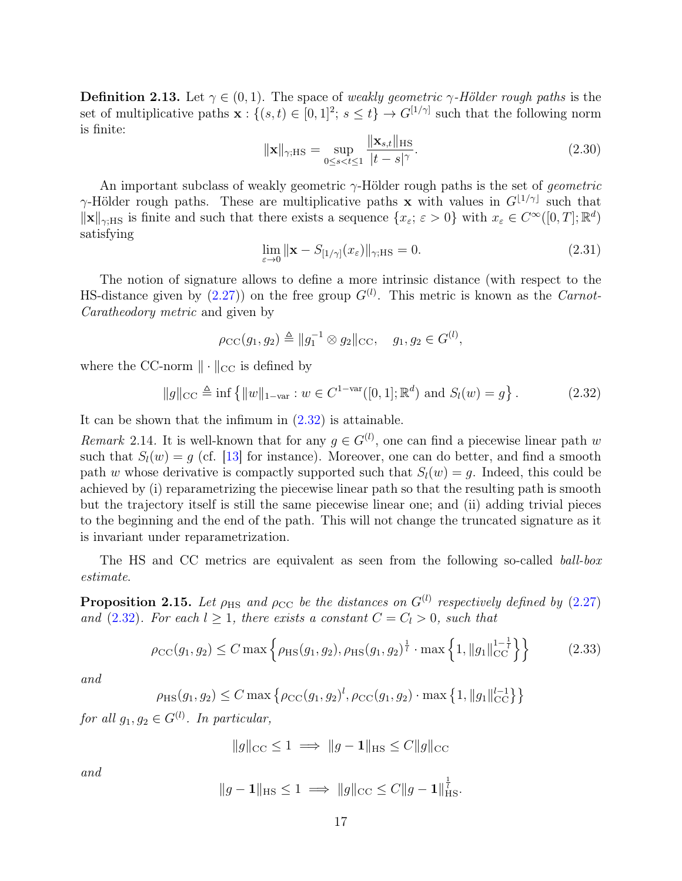**Definition 2.13.** Let  $\gamma \in (0,1)$ . The space of weakly geometric  $\gamma$ -Hölder rough paths is the set of multiplicative paths  $\mathbf{x}: \{(s,t) \in [0,1]^2; s \leq t\} \to G^{[1/\gamma]}$  such that the following norm is finite:

$$
\|\mathbf{x}\|_{\gamma;HS} = \sup_{0 \le s < t \le 1} \frac{\|\mathbf{x}_{s,t}\|_{HS}}{|t - s|^{\gamma}}.
$$
\n(2.30)

An important subclass of weakly geometric  $\gamma$ -Hölder rough paths is the set of *geometric*  $\gamma$ -Hölder rough paths. These are multiplicative paths **x** with values in  $G^{[1/\gamma]}$  such that  $\|\mathbf{x}\|_{\gamma;\text{HS}}$  is finite and such that there exists a sequence  $\{x_{\varepsilon}; \varepsilon > 0\}$  with  $x_{\varepsilon} \in C^{\infty}([0,T]; \mathbb{R}^d)$ satisfying

$$
\lim_{\varepsilon \to 0} \|\mathbf{x} - S_{[1/\gamma]}(x_{\varepsilon})\|_{\gamma; \text{HS}} = 0. \tag{2.31}
$$

The notion of signature allows to define a more intrinsic distance (with respect to the HS-distance given by  $(2.27)$  on the free group  $G^{(l)}$ . This metric is known as the *Carnot*-Caratheodory metric and given by

$$
\rho_{\rm CC}(g_1, g_2) \triangleq ||g_1^{-1} \otimes g_2||_{\rm CC}, \quad g_1, g_2 \in G^{(l)},
$$

where the CC-norm  $\|\cdot\|_{CC}$  is defined by

<span id="page-16-0"></span>
$$
||g||_{\text{CC}} \triangleq \inf \{ ||w||_{1-\text{var}} : w \in C^{1-\text{var}}([0,1]; \mathbb{R}^d) \text{ and } S_l(w) = g \}.
$$
 (2.32)

It can be shown that the infimum in [\(2.32\)](#page-16-0) is attainable.

<span id="page-16-2"></span>Remark 2.14. It is well-known that for any  $g \in G^{(l)}$ , one can find a piecewise linear path w such that  $S_l(w) = g$  (cf. [\[13\]](#page-75-10) for instance). Moreover, one can do better, and find a smooth path w whose derivative is compactly supported such that  $S_l(w) = q$ . Indeed, this could be achieved by (i) reparametrizing the piecewise linear path so that the resulting path is smooth but the trajectory itself is still the same piecewise linear one; and (ii) adding trivial pieces to the beginning and the end of the path. This will not change the truncated signature as it is invariant under reparametrization.

The HS and CC metrics are equivalent as seen from the following so-called *ball-box* estimate.

<span id="page-16-1"></span>**Proposition 2.15.** Let  $\rho_{\text{HS}}$  and  $\rho_{\text{CC}}$  be the distances on  $G^{(l)}$  respectively defined by [\(2.27\)](#page-15-2) and [\(2.32\)](#page-16-0). For each  $l \geq 1$ , there exists a constant  $C = C_l > 0$ , such that

<span id="page-16-3"></span>
$$
\rho_{\rm CC}(g_1, g_2) \le C \max \left\{ \rho_{\rm HS}(g_1, g_2), \rho_{\rm HS}(g_1, g_2)^{\frac{1}{l}} \cdot \max \left\{ 1, \|g_1\|_{\rm CC}^{1-\frac{1}{l}} \right\} \right\} \tag{2.33}
$$

and

$$
\rho_{\text{HS}}(g_1, g_2) \le C \max \{ \rho_{\text{CC}}(g_1, g_2)^l, \rho_{\text{CC}}(g_1, g_2) \cdot \max \{ 1, ||g_1||_{\text{CC}}^{l-1} \} \}
$$

for all  $g_1, g_2 \in G^{(l)}$ . In particular,

$$
||g||_{\text{CC}} \le 1 \implies ||g - \mathbf{1}||_{\text{HS}} \le C||g||_{\text{CC}}
$$

and

$$
||g-1||_{\text{HS}} \le 1 \implies ||g||_{\text{CC}} \le C||g-1||_{\text{HS}}^{\frac{1}{l}}.
$$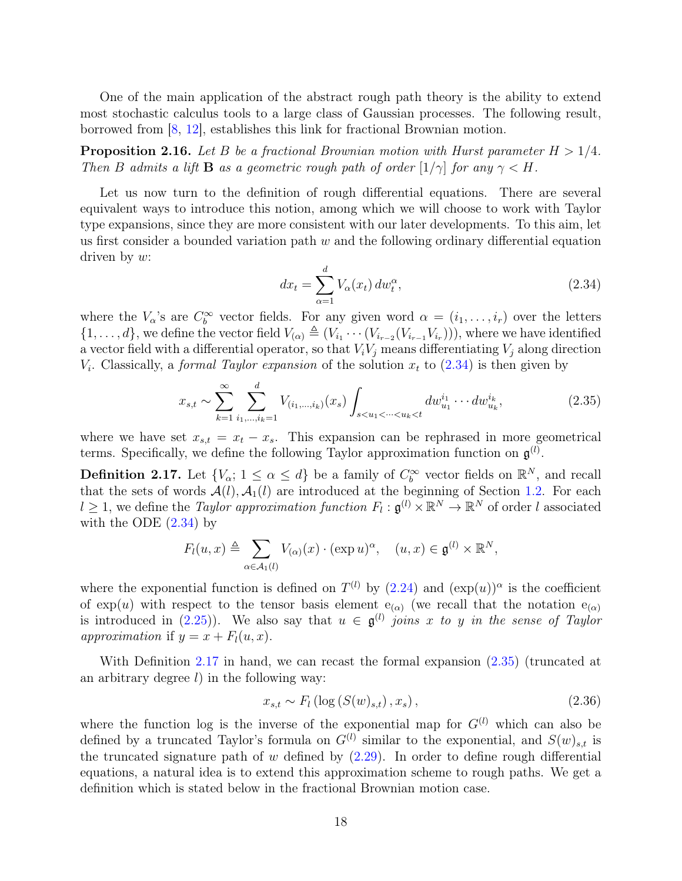One of the main application of the abstract rough path theory is the ability to extend most stochastic calculus tools to a large class of Gaussian processes. The following result, borrowed from [\[8,](#page-74-0) [12\]](#page-75-3), establishes this link for fractional Brownian motion.

<span id="page-17-3"></span>**Proposition 2.16.** Let B be a fractional Brownian motion with Hurst parameter  $H > 1/4$ . Then B admits a lift **B** as a geometric rough path of order  $[1/\gamma]$  for any  $\gamma < H$ .

Let us now turn to the definition of rough differential equations. There are several equivalent ways to introduce this notion, among which we will choose to work with Taylor type expansions, since they are more consistent with our later developments. To this aim, let us first consider a bounded variation path  $w$  and the following ordinary differential equation driven by w:

<span id="page-17-0"></span>
$$
dx_t = \sum_{\alpha=1}^d V_\alpha(x_t) \, dw_t^\alpha,\tag{2.34}
$$

where the  $V_{\alpha}$ 's are  $C_b^{\infty}$  vector fields. For any given word  $\alpha = (i_1, \ldots, i_r)$  over the letters  $\{1,\ldots,d\}$ , we define the vector field  $V_{(\alpha)} \triangleq (V_{i_1} \cdots (V_{i_{r-2}}(V_{i_{r-1}} V_{i_r})))$ , where we have identified a vector field with a differential operator, so that  $V_iV_j$  means differentiating  $V_j$  along direction  $V_i$ . Classically, a *formal Taylor expansion* of the solution  $x_t$  to  $(2.34)$  is then given by

<span id="page-17-2"></span>
$$
x_{s,t} \sim \sum_{k=1}^{\infty} \sum_{i_1,\dots,i_k=1}^{d} V_{(i_1,\dots,i_k)}(x_s) \int_{s < u_1 < \dots < u_k < t} dw_{u_1}^{i_1} \dots dw_{u_k}^{i_k},\tag{2.35}
$$

where we have set  $x_{s,t} = x_t - x_s$ . This expansion can be rephrased in more geometrical terms. Specifically, we define the following Taylor approximation function on  $\mathfrak{g}^{(l)}$ .

<span id="page-17-1"></span>**Definition 2.17.** Let  $\{V_{\alpha}; 1 \leq \alpha \leq d\}$  be a family of  $C_b^{\infty}$  vector fields on  $\mathbb{R}^N$ , and recall that the sets of words  $\mathcal{A}(l), \mathcal{A}_1(l)$  are introduced at the beginning of Section [1.2.](#page-2-0) For each  $l \geq 1$ , we define the *Taylor approximation function*  $F_l : \mathfrak{g}^{(l)} \times \mathbb{R}^N \to \mathbb{R}^N$  of order l associated with the ODE  $(2.34)$  by

$$
F_l(u,x) \triangleq \sum_{\alpha \in \mathcal{A}_1(l)} V_{(\alpha)}(x) \cdot (\exp u)^{\alpha}, \quad (u,x) \in \mathfrak{g}^{(l)} \times \mathbb{R}^N,
$$

where the exponential function is defined on  $T^{(l)}$  by  $(2.24)$  and  $(\exp(u))^{\alpha}$  is the coefficient of exp(u) with respect to the tensor basis element  $e_{(\alpha)}$  (we recall that the notation  $e_{(\alpha)}$ is introduced in [\(2.25\)](#page-14-2)). We also say that  $u \in \mathfrak{g}^{(l)}$  joins x to y in the sense of Taylor approximation if  $y = x + F<sub>l</sub>(u, x)$ .

With Definition [2.17](#page-17-1) in hand, we can recast the formal expansion [\(2.35\)](#page-17-2) (truncated at an arbitrary degree  $l$ ) in the following way:

$$
x_{s,t} \sim F_l(\log(S(w)_{s,t}), x_s), \tag{2.36}
$$

where the function log is the inverse of the exponential map for  $G^{(l)}$  which can also be defined by a truncated Taylor's formula on  $G^{(l)}$  similar to the exponential, and  $S(w)_{s,t}$  is the truncated signature path of  $w$  defined by  $(2.29)$ . In order to define rough differential equations, a natural idea is to extend this approximation scheme to rough paths. We get a definition which is stated below in the fractional Brownian motion case.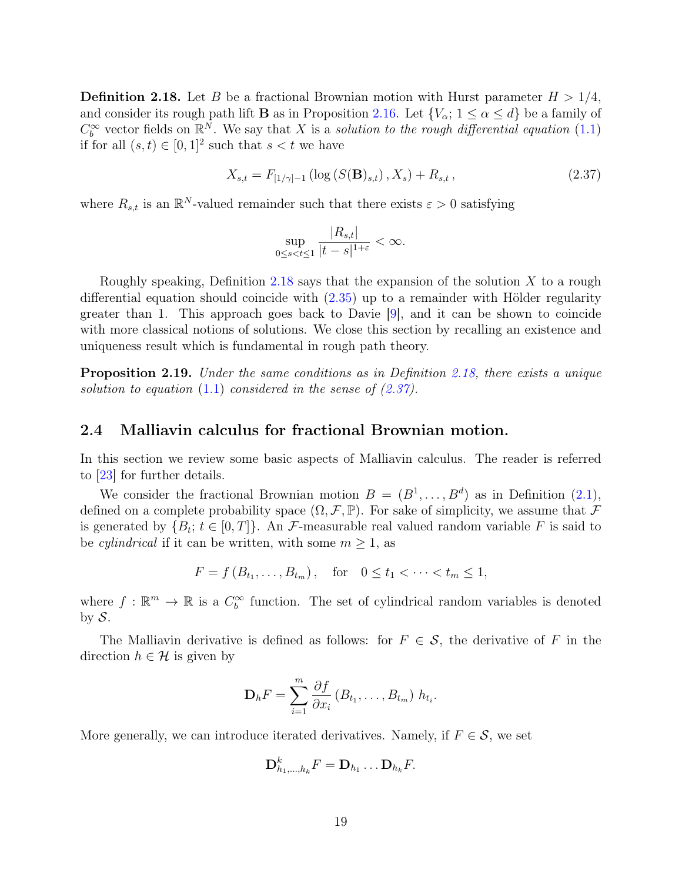<span id="page-18-1"></span>**Definition 2.18.** Let B be a fractional Brownian motion with Hurst parameter  $H > 1/4$ , and consider its rough path lift **B** as in Proposition [2.16.](#page-17-3) Let  $\{V_{\alpha}; 1 \leq \alpha \leq d\}$  be a family of  $C_b^{\infty}$  vector fields on  $\mathbb{R}^N$ . We say that X is a solution to the rough differential equation [\(1.1\)](#page-2-1) if for all  $(s, t) \in [0, 1]^2$  such that  $s < t$  we have

<span id="page-18-2"></span>
$$
X_{s,t} = F_{[1/\gamma]-1} \left( \log \left( S(\mathbf{B})_{s,t} \right), X_s \right) + R_{s,t}, \tag{2.37}
$$

where  $R_{s,t}$  is an  $\mathbb{R}^N$ -valued remainder such that there exists  $\varepsilon > 0$  satisfying

$$
\sup_{0\leq s
$$

Roughly speaking, Definition [2.18](#page-18-1) says that the expansion of the solution X to a rough differential equation should coincide with [\(2.35\)](#page-17-2) up to a remainder with Hölder regularity greater than 1. This approach goes back to Davie [\[9\]](#page-74-7), and it can be shown to coincide with more classical notions of solutions. We close this section by recalling an existence and uniqueness result which is fundamental in rough path theory.

**Proposition 2.19.** Under the same conditions as in Definition [2.18,](#page-18-1) there exists a unique solution to equation  $(1.1)$  considered in the sense of  $(2.37)$ .

### <span id="page-18-0"></span>2.4 Malliavin calculus for fractional Brownian motion.

In this section we review some basic aspects of Malliavin calculus. The reader is referred to [\[23\]](#page-75-7) for further details.

We consider the fractional Brownian motion  $B = (B^1, \ldots, B^d)$  as in Definition  $(2.1)$ , defined on a complete probability space  $(\Omega, \mathcal{F}, \mathbb{P})$ . For sake of simplicity, we assume that  $\mathcal F$ is generated by  $\{B_t; t \in [0,T]\}$ . An F-measurable real valued random variable F is said to be *cylindrical* if it can be written, with some  $m \geq 1$ , as

$$
F = f(B_{t_1},...,B_{t_m}),
$$
 for  $0 \le t_1 < \cdots < t_m \le 1$ ,

where  $f : \mathbb{R}^m \to \mathbb{R}$  is a  $C_b^{\infty}$  function. The set of cylindrical random variables is denoted by  $S$ .

The Malliavin derivative is defined as follows: for  $F \in \mathcal{S}$ , the derivative of F in the direction  $h \in \mathcal{H}$  is given by

$$
\mathbf{D}_h F = \sum_{i=1}^m \frac{\partial f}{\partial x_i} (B_{t_1}, \dots, B_{t_m}) h_{t_i}.
$$

More generally, we can introduce iterated derivatives. Namely, if  $F \in \mathcal{S}$ , we set

$$
\mathbf{D}_{h_1,\ldots,h_k}^k F = \mathbf{D}_{h_1} \ldots \mathbf{D}_{h_k} F.
$$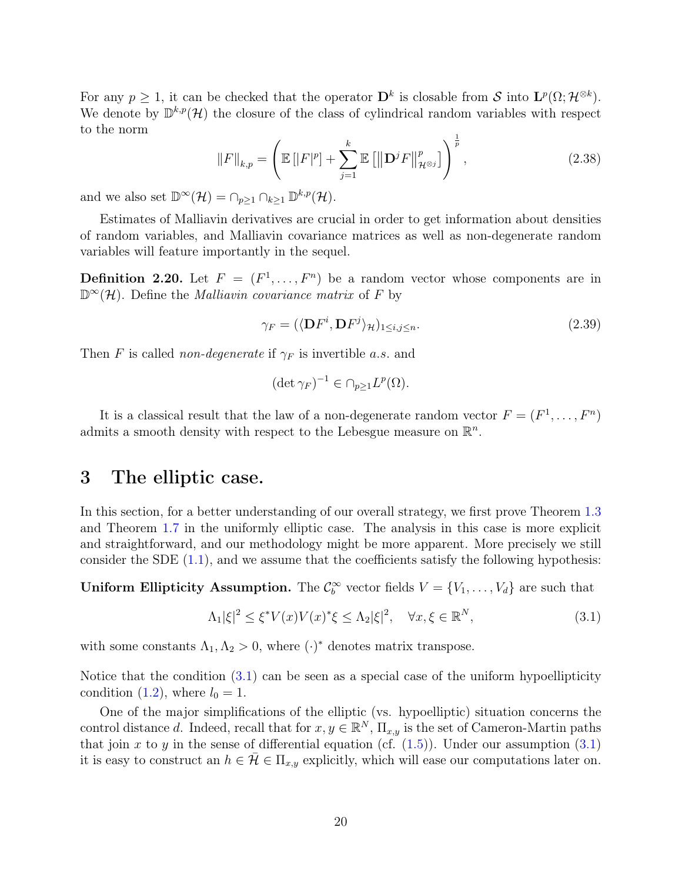For any  $p \geq 1$ , it can be checked that the operator  $\mathbf{D}^k$  is closable from S into  $\mathbf{L}^p(\Omega; \mathcal{H}^{\otimes k})$ . We denote by  $\mathbb{D}^{k,p}(\mathcal{H})$  the closure of the class of cylindrical random variables with respect to the norm

$$
||F||_{k,p} = \left(\mathbb{E} [||F|^p] + \sum_{j=1}^{k} \mathbb{E} [||\mathbf{D}^j F||_{\mathcal{H}^{\otimes j}}^p]\right)^{\frac{1}{p}},
$$
\n(2.38)

and we also set  $\mathbb{D}^{\infty}(\mathcal{H}) = \cap_{p \geq 1} \cap_{k \geq 1} \mathbb{D}^{k,p}(\mathcal{H}).$ 

Estimates of Malliavin derivatives are crucial in order to get information about densities of random variables, and Malliavin covariance matrices as well as non-degenerate random variables will feature importantly in the sequel.

**Definition 2.20.** Let  $F = (F^1, \ldots, F^n)$  be a random vector whose components are in  $\mathbb{D}^{\infty}(\mathcal{H})$ . Define the *Malliavin covariance matrix* of F by

$$
\gamma_F = (\langle \mathbf{D} F^i, \mathbf{D} F^j \rangle_{\mathcal{H}})_{1 \le i,j \le n}.\tag{2.39}
$$

Then F is called non-degenerate if  $\gamma_F$  is invertible a.s. and

$$
(\det \gamma_F)^{-1} \in \cap_{p \ge 1} L^p(\Omega).
$$

It is a classical result that the law of a non-degenerate random vector  $F = (F^1, \ldots, F^n)$ admits a smooth density with respect to the Lebesgue measure on  $\mathbb{R}^n$ .

# <span id="page-19-0"></span>3 The elliptic case.

In this section, for a better understanding of our overall strategy, we first prove Theorem [1.3](#page-4-0) and Theorem [1.7](#page-5-1) in the uniformly elliptic case. The analysis in this case is more explicit and straightforward, and our methodology might be more apparent. More precisely we still consider the SDE [\(1.1\)](#page-2-1), and we assume that the coefficients satisfy the following hypothesis:

**Uniform Ellipticity Assumption.** The  $\mathcal{C}_b^{\infty}$  vector fields  $V = \{V_1, \ldots, V_d\}$  are such that

<span id="page-19-1"></span>
$$
\Lambda_1|\xi|^2 \le \xi^* V(x) V(x)^* \xi \le \Lambda_2 |\xi|^2, \quad \forall x, \xi \in \mathbb{R}^N,
$$
\n(3.1)

with some constants  $\Lambda_1, \Lambda_2 > 0$ , where  $(\cdot)^*$  denotes matrix transpose.

Notice that the condition  $(3.1)$  can be seen as a special case of the uniform hypoellipticity condition [\(1.2\)](#page-3-0), where  $l_0 = 1$ .

One of the major simplifications of the elliptic (vs. hypoelliptic) situation concerns the control distance d. Indeed, recall that for  $x, y \in \mathbb{R}^N$ ,  $\Pi_{x,y}$  is the set of Cameron-Martin paths that join x to y in the sense of differential equation (cf.  $(1.5)$ ). Under our assumption  $(3.1)$ it is easy to construct an  $h \in \bar{\mathcal{H}} \in \Pi_{x,y}$  explicitly, which will ease our computations later on.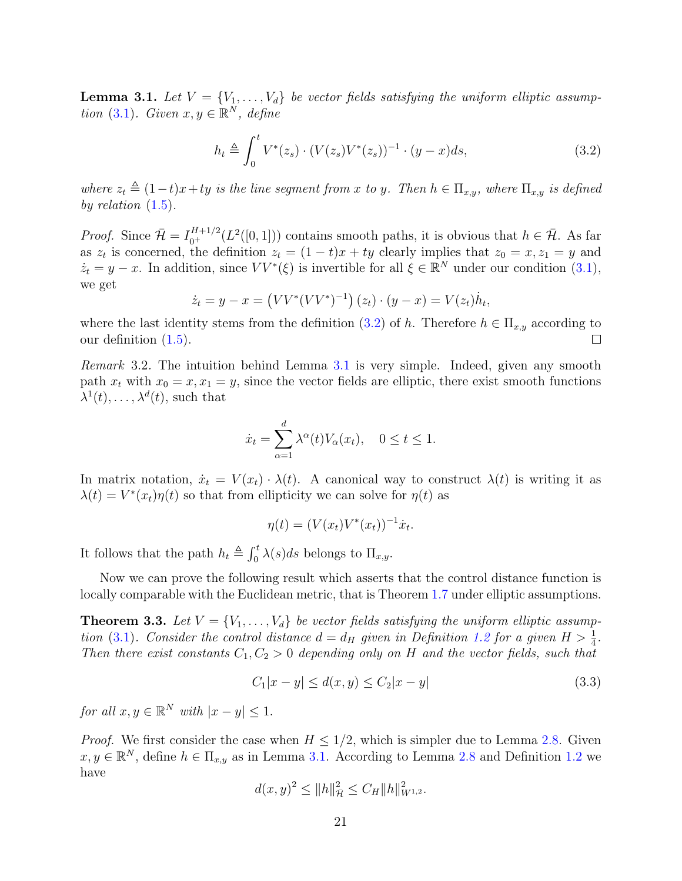<span id="page-20-1"></span>**Lemma 3.1.** Let  $V = \{V_1, \ldots, V_d\}$  be vector fields satisfying the uniform elliptic assump-tion [\(3.1\)](#page-19-1). Given  $x, y \in \mathbb{R}^N$ , define

<span id="page-20-0"></span>
$$
h_t \triangleq \int_0^t V^*(z_s) \cdot (V(z_s)V^*(z_s))^{-1} \cdot (y-x)ds,\tag{3.2}
$$

where  $z_t \triangleq (1-t)x+ty$  is the line segment from x to y. Then  $h \in \Pi_{x,y}$ , where  $\Pi_{x,y}$  is defined by relation  $(1.5)$ .

*Proof.* Since  $\bar{\mathcal{H}} = I_{0^+}^{H+1/2}(L^2([0,1]))$  contains smooth paths, it is obvious that  $h \in \bar{\mathcal{H}}$ . As far as  $z_t$  is concerned, the definition  $z_t = (1-t)x + ty$  clearly implies that  $z_0 = x, z_1 = y$  and  $\dot{z}_t = y - x$ . In addition, since  $VV^*(\xi)$  is invertible for all  $\xi \in \mathbb{R}^N$  under our condition  $(3.1)$ , we get

$$
\dot{z}_t = y - x = (VV^*(VV^*)^{-1})(z_t) \cdot (y - x) = V(z_t)\dot{h}_t,
$$

where the last identity stems from the definition [\(3.2\)](#page-20-0) of h. Therefore  $h \in \Pi_{x,y}$  according to our definition [\(1.5\)](#page-4-4).  $\Box$ 

Remark 3.2. The intuition behind Lemma [3.1](#page-20-1) is very simple. Indeed, given any smooth path  $x_t$  with  $x_0 = x, x_1 = y$ , since the vector fields are elliptic, there exist smooth functions  $\lambda^1(t), \ldots, \lambda^d(t)$ , such that

$$
\dot{x}_t = \sum_{\alpha=1}^d \lambda^{\alpha}(t) V_{\alpha}(x_t), \quad 0 \le t \le 1.
$$

In matrix notation,  $\dot{x}_t = V(x_t) \cdot \lambda(t)$ . A canonical way to construct  $\lambda(t)$  is writing it as  $\lambda(t) = V^*(x_t)\eta(t)$  so that from ellipticity we can solve for  $\eta(t)$  as

$$
\eta(t) = (V(x_t)V^*(x_t))^{-1}\dot{x}_t.
$$

It follows that the path  $h_t \triangleq \int_0^t \lambda(s)ds$  belongs to  $\Pi_{x,y}$ .

Now we can prove the following result which asserts that the control distance function is locally comparable with the Euclidean metric, that is Theorem [1.7](#page-5-1) under elliptic assumptions.

<span id="page-20-3"></span>**Theorem 3.3.** Let  $V = \{V_1, \ldots, V_d\}$  be vector fields satisfying the uniform elliptic assump-tion [\(3.1\)](#page-19-1). Consider the control distance  $d = d_H$  given in Definition [1.2](#page-4-2) for a given  $H > \frac{1}{4}$ . Then there exist constants  $C_1, C_2 > 0$  depending only on H and the vector fields, such that

<span id="page-20-2"></span>
$$
C_1|x - y| \le d(x, y) \le C_2|x - y| \tag{3.3}
$$

for all  $x, y \in \mathbb{R}^N$  with  $|x - y| \leq 1$ .

*Proof.* We first consider the case when  $H \leq 1/2$ , which is simpler due to Lemma [2.8.](#page-11-2) Given  $x, y \in \mathbb{R}^N$ , define  $h \in \Pi_{x,y}$  as in Lemma [3.1.](#page-20-1) According to Lemma [2.8](#page-11-2) and Definition [1.2](#page-4-2) we have

$$
d(x,y)^2 \le ||h||_{{\mathcal{H}}}^2 \le C_H ||h||_{W^{1,2}}^2.
$$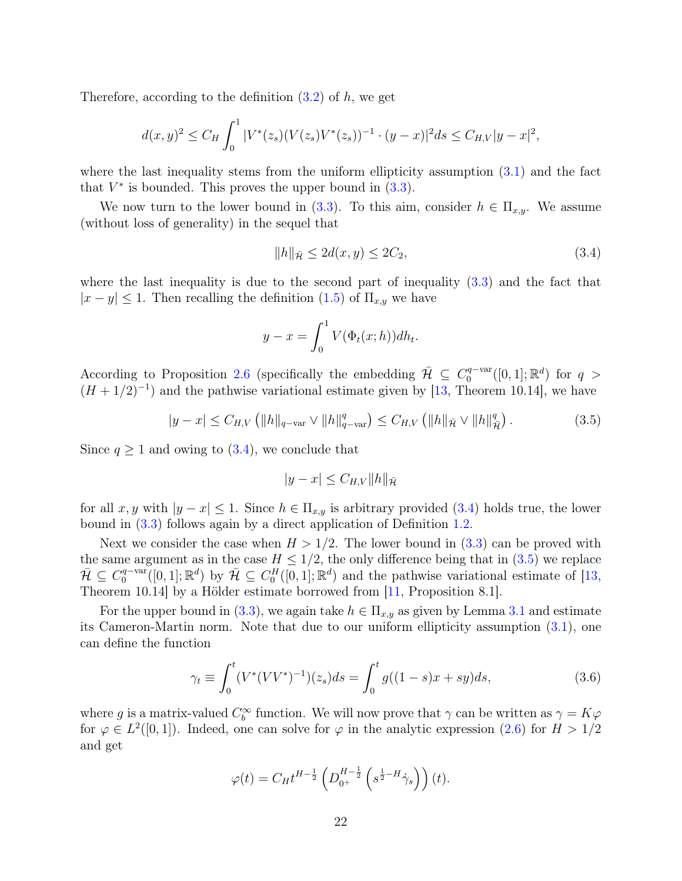Therefore, according to the definition  $(3.2)$  of h, we get

$$
d(x,y)^2 \le C_H \int_0^1 |V^*(z_s)(V(z_s)V^*(z_s))^{-1} \cdot (y-x)|^2 ds \le C_{H,V}|y-x|^2,
$$

where the last inequality stems from the uniform ellipticity assumption [\(3.1\)](#page-19-1) and the fact that  $V^*$  is bounded. This proves the upper bound in  $(3.3)$ .

We now turn to the lower bound in [\(3.3\)](#page-20-2). To this aim, consider  $h \in \Pi_{x,y}$ . We assume (without loss of generality) in the sequel that

<span id="page-21-0"></span>
$$
||h||_{\bar{\mathcal{H}}} \le 2d(x, y) \le 2C_2,\tag{3.4}
$$

where the last inequality is due to the second part of inequality [\(3.3\)](#page-20-2) and the fact that  $|x - y| \leq 1$ . Then recalling the definition  $(1.5)$  of  $\Pi_{x,y}$  we have

$$
y - x = \int_0^1 V(\Phi_t(x; h)) dh_t.
$$

According to Proposition [2.6](#page-10-0) (specifically the embedding  $\bar{\mathcal{H}} \subseteq C_0^{q-var}$  $C_0^{q-var}([0,1];\mathbb{R}^d)$  for  $q >$  $(H + 1/2)^{-1}$  and the pathwise variational estimate given by [\[13,](#page-75-10) Theorem 10.14], we have

<span id="page-21-1"></span>
$$
|y - x| \le C_{H,V} \left( \|h\|_{q - \text{var}} \vee \|h\|_{q - \text{var}}^q \right) \le C_{H,V} \left( \|h\|_{\bar{\mathcal{H}}} \vee \|h\|_{\bar{\mathcal{H}}}^q \right). \tag{3.5}
$$

Since  $q \ge 1$  and owing to  $(3.4)$ , we conclude that

<span id="page-21-2"></span>
$$
|y - x| \leq C_{H,V} ||h||_{\bar{\mathcal{H}}}
$$

for all x, y with  $|y-x| \leq 1$ . Since  $h \in \Pi_{x,y}$  is arbitrary provided [\(3.4\)](#page-21-0) holds true, the lower bound in [\(3.3\)](#page-20-2) follows again by a direct application of Definition [1.2.](#page-4-2)

Next we consider the case when  $H > 1/2$ . The lower bound in  $(3.3)$  can be proved with the same argument as in the case  $H \leq 1/2$ , the only difference being that in [\(3.5\)](#page-21-1) we replace  $\bar{\mathcal{H}} \subseteq C_0^{q - \text{var}}$  $\mathbb{Q}_0^{q-\text{var}}([0,1];\mathbb{R}^d)$  by  $\overline{\mathcal{H}} \subseteq C_0^H([0,1];\mathbb{R}^d)$  and the pathwise variational estimate of [\[13,](#page-75-10) Theorem 10.14] by a Hölder estimate borrowed from [\[11,](#page-75-11) Proposition 8.1].

For the upper bound in [\(3.3\)](#page-20-2), we again take  $h \in \Pi_{x,y}$  as given by Lemma [3.1](#page-20-1) and estimate its Cameron-Martin norm. Note that due to our uniform ellipticity assumption [\(3.1\)](#page-19-1), one can define the function

$$
\gamma_t \equiv \int_0^t (V^*(VV^*)^{-1})(z_s)ds = \int_0^t g((1-s)x + sy)ds,\tag{3.6}
$$

where g is a matrix-valued  $C_b^{\infty}$  function. We will now prove that  $\gamma$  can be written as  $\gamma = K\varphi$ for  $\varphi \in L^2([0,1])$ . Indeed, one can solve for  $\varphi$  in the analytic expression [\(2.6\)](#page-8-2) for  $H > 1/2$ and get

$$
\varphi(t) = C_H t^{H - \frac{1}{2}} \left( D_{0^+}^{H - \frac{1}{2}} \left( s^{\frac{1}{2} - H} \dot{\gamma}_s \right) \right) (t).
$$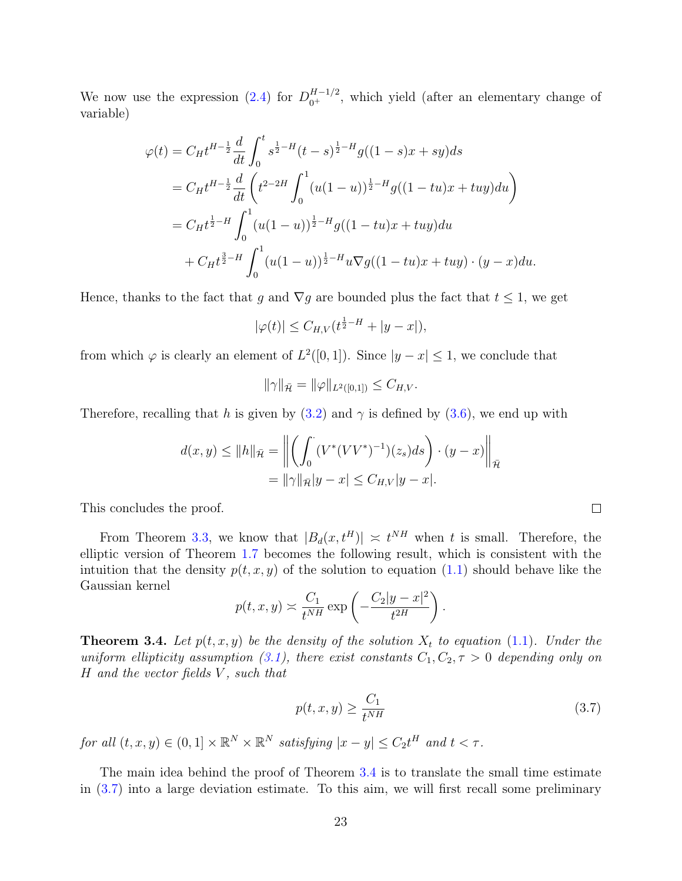We now use the expression [\(2.4\)](#page-8-1) for  $D_{0^+}^{H-1/2}$ , which yield (after an elementary change of variable)

$$
\varphi(t) = C_H t^{H - \frac{1}{2}} \frac{d}{dt} \int_0^t s^{\frac{1}{2} - H} (t - s)^{\frac{1}{2} - H} g((1 - s)x + sy) ds
$$
  
\n
$$
= C_H t^{H - \frac{1}{2}} \frac{d}{dt} \left( t^{2 - 2H} \int_0^1 (u(1 - u))^{\frac{1}{2} - H} g((1 - tu)x + tuy) du \right)
$$
  
\n
$$
= C_H t^{\frac{1}{2} - H} \int_0^1 (u(1 - u))^{\frac{1}{2} - H} g((1 - tu)x + tuy) du
$$
  
\n
$$
+ C_H t^{\frac{3}{2} - H} \int_0^1 (u(1 - u))^{\frac{1}{2} - H} u \nabla g((1 - tu)x + tuy) \cdot (y - x) du.
$$

Hence, thanks to the fact that g and  $\nabla g$  are bounded plus the fact that  $t \leq 1$ , we get

$$
|\varphi(t)| \le C_{H,V}(t^{\frac{1}{2}-H} + |y-x|),
$$

from which  $\varphi$  is clearly an element of  $L^2([0,1])$ . Since  $|y-x| \leq 1$ , we conclude that

$$
\|\gamma\|_{\bar{\mathcal{H}}} = \|\varphi\|_{L^2([0,1])} \leq C_{H,V}.
$$

Therefore, recalling that h is given by  $(3.2)$  and  $\gamma$  is defined by  $(3.6)$ , we end up with

$$
d(x,y) \le ||h||_{\bar{\mathcal{H}}} = \left\| \left( \int_0^{\cdot} (V^*(VV^*)^{-1})(z_s)ds \right) \cdot (y-x) \right\|_{\bar{\mathcal{H}}}
$$
  
=  $||\gamma||_{\bar{\mathcal{H}}}|y-x| \le C_{H,V}|y-x|$ .

This concludes the proof.

From Theorem [3.3,](#page-20-3) we know that  $|B_d(x, t^H)| \approx t^{NH}$  when t is small. Therefore, the elliptic version of Theorem [1.7](#page-5-1) becomes the following result, which is consistent with the intuition that the density  $p(t, x, y)$  of the solution to equation [\(1.1\)](#page-2-1) should behave like the Gaussian kernel

$$
p(t, x, y) \approx \frac{C_1}{t^{NH}} \exp\left(-\frac{C_2|y-x|^2}{t^{2H}}\right).
$$

<span id="page-22-0"></span>**Theorem 3.4.** Let  $p(t, x, y)$  be the density of the solution  $X_t$  to equation [\(1.1\)](#page-2-1). Under the uniform ellipticity assumption [\(3.1\)](#page-19-1), there exist constants  $C_1, C_2, \tau > 0$  depending only on  $H$  and the vector fields  $V$ , such that

$$
p(t, x, y) \ge \frac{C_1}{t^{NH}}\tag{3.7}
$$

for all  $(t, x, y) \in (0, 1] \times \mathbb{R}^N \times \mathbb{R}^N$  satisfying  $|x - y| \leq C_2 t^H$  and  $t < \tau$ .

The main idea behind the proof of Theorem [3.4](#page-22-0) is to translate the small time estimate in [\(3.7\)](#page-22-1) into a large deviation estimate. To this aim, we will first recall some preliminary

<span id="page-22-1"></span> $\Box$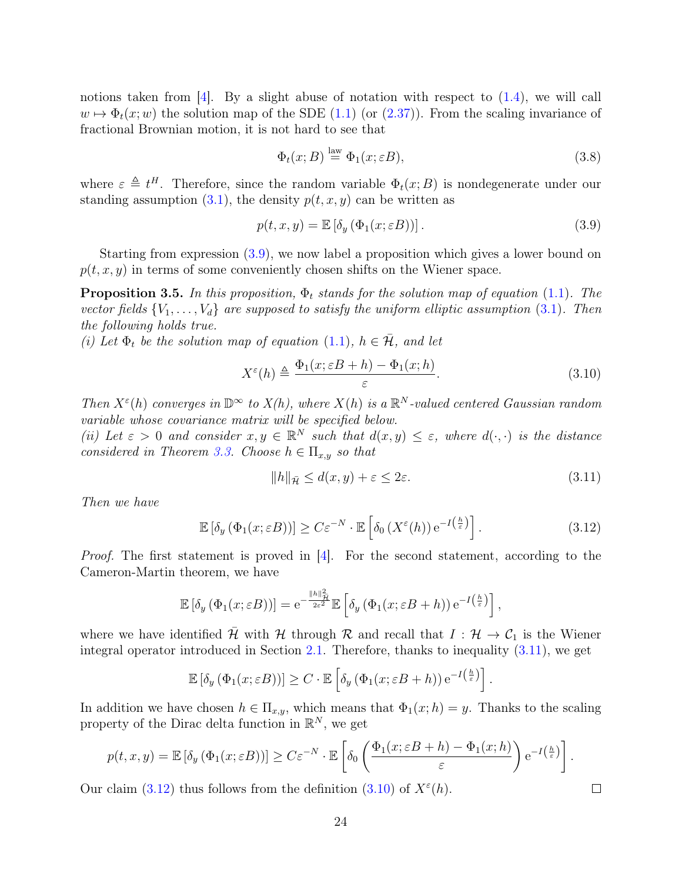notions taken from  $[4]$ . By a slight abuse of notation with respect to  $(1.4)$ , we will call  $w \mapsto \Phi_t(x;w)$  the solution map of the SDE [\(1.1\)](#page-2-1) (or [\(2.37\)](#page-18-2)). From the scaling invariance of fractional Brownian motion, it is not hard to see that

$$
\Phi_t(x;B) \stackrel{\text{law}}{=} \Phi_1(x;\varepsilon B),\tag{3.8}
$$

where  $\varepsilon \triangleq t^H$ . Therefore, since the random variable  $\Phi_t(x;B)$  is nondegenerate under our standing assumption  $(3.1)$ , the density  $p(t, x, y)$  can be written as

<span id="page-23-0"></span>
$$
p(t, x, y) = \mathbb{E} \left[ \delta_y \left( \Phi_1(x; \varepsilon B) \right) \right]. \tag{3.9}
$$

Starting from expression [\(3.9\)](#page-23-0), we now label a proposition which gives a lower bound on  $p(t, x, y)$  in terms of some conveniently chosen shifts on the Wiener space.

<span id="page-23-4"></span>**Proposition 3.5.** In this proposition,  $\Phi_t$  stands for the solution map of equation [\(1.1\)](#page-2-1). The vector fields  $\{V_1, \ldots, V_d\}$  are supposed to satisfy the uniform elliptic assumption [\(3.1\)](#page-19-1). Then the following holds true.

(i) Let  $\Phi_t$  be the solution map of equation [\(1.1\)](#page-2-1),  $h \in \bar{\mathcal{H}}$ , and let

$$
X^{\varepsilon}(h) \triangleq \frac{\Phi_1(x; \varepsilon B + h) - \Phi_1(x; h)}{\varepsilon}.
$$
\n(3.10)

Then  $X^{\varepsilon}(h)$  converges in  $\mathbb{D}^{\infty}$  to  $X(h)$ , where  $X(h)$  is a  $\mathbb{R}^{N}$ -valued centered Gaussian random variable whose covariance matrix will be specified below.

(ii) Let  $\varepsilon > 0$  and consider  $x, y \in \mathbb{R}^N$  such that  $d(x, y) \leq \varepsilon$ , where  $d(\cdot, \cdot)$  is the distance considered in Theorem [3.3.](#page-20-3) Choose  $h \in \Pi_{x,y}$  so that

<span id="page-23-3"></span><span id="page-23-1"></span>
$$
||h||_{\bar{\mathcal{H}}} \le d(x, y) + \varepsilon \le 2\varepsilon. \tag{3.11}
$$

<span id="page-23-2"></span> $\Box$ 

Then we have

$$
\mathbb{E}\left[\delta_y\left(\Phi_1(x;\varepsilon B)\right)\right] \ge C\varepsilon^{-N} \cdot \mathbb{E}\left[\delta_0\left(X^{\varepsilon}(h)\right) e^{-I\left(\frac{h}{\varepsilon}\right)}\right].\tag{3.12}
$$

Proof. The first statement is proved in [\[4\]](#page-74-5). For the second statement, according to the Cameron-Martin theorem, we have

$$
\mathbb{E}\left[\delta_y\left(\Phi_1(x;\varepsilon B)\right)\right] = e^{-\frac{\|h\|_{\mathcal{H}}^2}{2\varepsilon^2}} \mathbb{E}\left[\delta_y\left(\Phi_1(x;\varepsilon B + h)\right)e^{-I\left(\frac{h}{\varepsilon}\right)}\right],
$$

where we have identified  $\bar{\mathcal{H}}$  with  $\mathcal{H}$  through  $\mathcal{R}$  and recall that  $I : \mathcal{H} \to \mathcal{C}_1$  is the Wiener integral operator introduced in Section [2.1.](#page-7-1) Therefore, thanks to inequality [\(3.11\)](#page-23-1), we get

$$
\mathbb{E}\left[\delta_y\left(\Phi_1(x;\varepsilon B)\right)\right] \geq C \cdot \mathbb{E}\left[\delta_y\left(\Phi_1(x;\varepsilon B + h)\right)e^{-I\left(\frac{h}{\varepsilon}\right)}\right].
$$

In addition we have chosen  $h \in \Pi_{x,y}$ , which means that  $\Phi_1(x; h) = y$ . Thanks to the scaling property of the Dirac delta function in  $\mathbb{R}^N$ , we get

$$
p(t, x, y) = \mathbb{E}\left[\delta_y\left(\Phi_1(x; \varepsilon B)\right)\right] \ge C\varepsilon^{-N} \cdot \mathbb{E}\left[\delta_0\left(\frac{\Phi_1(x; \varepsilon B + h) - \Phi_1(x; h)}{\varepsilon}\right) e^{-I\left(\frac{h}{\varepsilon}\right)}\right].
$$

Our claim [\(3.12\)](#page-23-2) thus follows from the definition [\(3.10\)](#page-23-3) of  $X^{\varepsilon}(h)$ .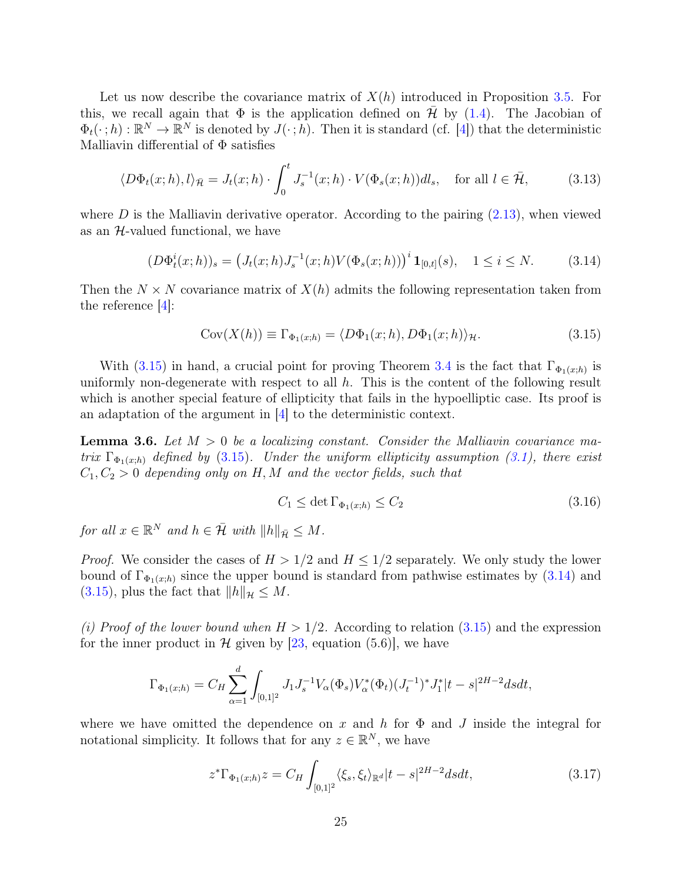Let us now describe the covariance matrix of  $X(h)$  introduced in Proposition [3.5.](#page-23-4) For this, we recall again that  $\Phi$  is the application defined on  $\bar{\mathcal{H}}$  by [\(1.4\)](#page-3-2). The Jacobian of  $\Phi_t(\cdot;h): \mathbb{R}^N \to \mathbb{R}^N$  is denoted by  $J(\cdot;h)$ . Then it is standard (cf. [\[4\]](#page-74-5)) that the deterministic Malliavin differential of  $\Phi$  satisfies

$$
\langle D\Phi_t(x;h),l\rangle_{\bar{\mathcal{H}}} = J_t(x;h) \cdot \int_0^t J_s^{-1}(x;h) \cdot V(\Phi_s(x;h))dl_s, \quad \text{for all } l \in \bar{\mathcal{H}},\tag{3.13}
$$

where  $D$  is the Malliavin derivative operator. According to the pairing  $(2.13)$ , when viewed as an  $H$ -valued functional, we have

$$
(D\Phi_t^i(x;h))_s = \left(J_t(x;h)J_s^{-1}(x;h)V(\Phi_s(x;h))\right)^i \mathbf{1}_{[0,t]}(s), \quad 1 \le i \le N. \tag{3.14}
$$

Then the  $N \times N$  covariance matrix of  $X(h)$  admits the following representation taken from the reference [\[4\]](#page-74-5):

<span id="page-24-1"></span>
$$
Cov(X(h)) \equiv \Gamma_{\Phi_1(x;h)} = \langle D\Phi_1(x;h), D\Phi_1(x;h) \rangle_{\mathcal{H}}.
$$
\n(3.15)

With [\(3.15\)](#page-24-0) in hand, a crucial point for proving Theorem [3.4](#page-22-0) is the fact that  $\Gamma_{\Phi_1(x;h)}$  is uniformly non-degenerate with respect to all  $h$ . This is the content of the following result which is another special feature of ellipticity that fails in the hypoelliptic case. Its proof is an adaptation of the argument in [\[4\]](#page-74-5) to the deterministic context.

<span id="page-24-4"></span>**Lemma 3.6.** Let  $M > 0$  be a localizing constant. Consider the Malliavin covariance matrix  $\Gamma_{\Phi_1(x,h)}$  defined by [\(3.15\)](#page-24-0). Under the uniform ellipticity assumption [\(3.1\)](#page-19-1), there exist  $C_1, C_2 > 0$  depending only on H, M and the vector fields, such that

<span id="page-24-3"></span><span id="page-24-0"></span>
$$
C_1 \le \det \Gamma_{\Phi_1(x;h)} \le C_2 \tag{3.16}
$$

for all  $x \in \mathbb{R}^N$  and  $h \in \overline{\mathcal{H}}$  with  $||h||_{\overline{\mathcal{H}}} \leq M$ .

*Proof.* We consider the cases of  $H > 1/2$  and  $H \leq 1/2$  separately. We only study the lower bound of  $\Gamma_{\Phi_1(x;h)}$  since the upper bound is standard from pathwise estimates by [\(3.14\)](#page-24-1) and [\(3.15\)](#page-24-0), plus the fact that  $||h||_{\mathcal{H}} \leq M$ .

(i) Proof of the lower bound when  $H > 1/2$ . According to relation [\(3.15\)](#page-24-0) and the expression for the inner product in  $\mathcal H$  given by [\[23,](#page-75-7) equation (5.6)], we have

$$
\Gamma_{\Phi_1(x;h)} = C_H \sum_{\alpha=1}^d \int_{[0,1]^2} J_1 J_s^{-1} V_{\alpha}(\Phi_s) V_{\alpha}^*(\Phi_t) (J_t^{-1})^* J_1^* |t-s|^{2H-2} ds dt,
$$

where we have omitted the dependence on x and h for  $\Phi$  and J inside the integral for notational simplicity. It follows that for any  $z \in \mathbb{R}^N$ , we have

<span id="page-24-2"></span>
$$
z^* \Gamma_{\Phi_1(x;h)} z = C_H \int_{[0,1]^2} \langle \xi_s, \xi_t \rangle_{\mathbb{R}^d} |t - s|^{2H-2} ds dt, \tag{3.17}
$$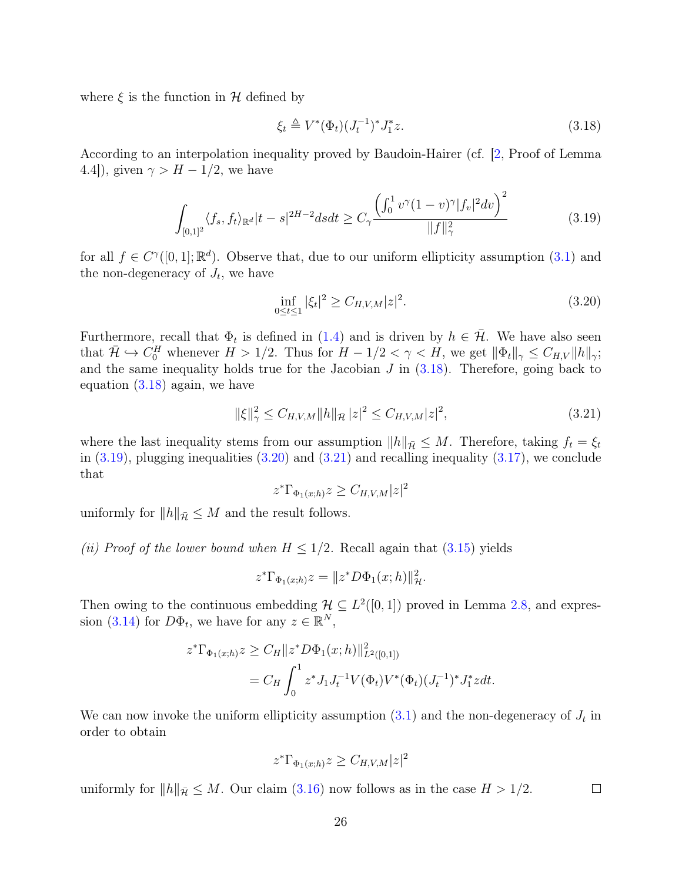where  $\xi$  is the function in  $H$  defined by

<span id="page-25-0"></span>
$$
\xi_t \triangleq V^*(\Phi_t)(J_t^{-1})^* J_1^* z. \tag{3.18}
$$

According to an interpolation inequality proved by Baudoin-Hairer (cf. [\[2,](#page-74-1) Proof of Lemma 4.4]), given  $\gamma > H - 1/2$ , we have

<span id="page-25-1"></span>
$$
\int_{[0,1]^2} \langle f_s, f_t \rangle_{\mathbb{R}^d} |t-s|^{2H-2} ds dt \ge C_\gamma \frac{\left(\int_0^1 v^\gamma (1-v)^\gamma |f_v|^2 dv\right)^2}{\|f\|_\gamma^2} \tag{3.19}
$$

for all  $f \in C^{\gamma}([0,1]; \mathbb{R}^d)$ . Observe that, due to our uniform ellipticity assumption [\(3.1\)](#page-19-1) and the non-degeneracy of  $J_t$ , we have

<span id="page-25-2"></span>
$$
\inf_{0 \le t \le 1} |\xi_t|^2 \ge C_{H,V,M}|z|^2. \tag{3.20}
$$

Furthermore, recall that  $\Phi_t$  is defined in [\(1.4\)](#page-3-2) and is driven by  $h \in \mathcal{H}$ . We have also seen that  $\bar{\mathcal{H}} \hookrightarrow C_0^H$  whenever  $H > 1/2$ . Thus for  $H - 1/2 < \gamma < H$ , we get  $||\Phi_t||_{\gamma} \leq C_{H,V} ||h||_{\gamma}$ ; and the same inequality holds true for the Jacobian  $J$  in  $(3.18)$ . Therefore, going back to equation [\(3.18\)](#page-25-0) again, we have

$$
\|\xi\|_{\gamma}^2 \le C_{H,V,M} \|h\|_{\bar{\mathcal{H}}}|z|^2 \le C_{H,V,M}|z|^2,\tag{3.21}
$$

where the last inequality stems from our assumption  $||h||_{\bar{\mathcal{H}}} \leq M$ . Therefore, taking  $f_t = \xi_t$ in  $(3.19)$ , plugging inequalities  $(3.20)$  and  $(3.21)$  and recalling inequality  $(3.17)$ , we conclude that

<span id="page-25-3"></span>
$$
z^* \Gamma_{\Phi_1(x;h)} z \ge C_{H,V,M} |z|^2
$$

uniformly for  $||h||_{\bar{\mathcal{H}}} \leq M$  and the result follows.

(ii) Proof of the lower bound when  $H \leq 1/2$ . Recall again that  $(3.15)$  yields

$$
z^*\Gamma_{\Phi_1(x;h)}z = ||z^*D\Phi_1(x;h)||_{{\mathcal{H}}}^2.
$$

Then owing to the continuous embedding  $\mathcal{H} \subseteq L^2([0,1])$  proved in Lemma [2.8,](#page-11-2) and expres-sion [\(3.14\)](#page-24-1) for  $D\Phi_t$ , we have for any  $z \in \mathbb{R}^N$ ,

$$
z^*\Gamma_{\Phi_1(x;h)}z \ge C_H ||z^* D\Phi_1(x;h)||^2_{L^2([0,1])}
$$
  
=  $C_H \int_0^1 z^* J_1 J_t^{-1} V(\Phi_t) V^*(\Phi_t) (J_t^{-1})^* J_1^* z dt.$ 

We can now invoke the uniform ellipticity assumption  $(3.1)$  and the non-degeneracy of  $J_t$  in order to obtain

$$
z^*\Gamma_{\Phi_1(x;h)}z \ge C_{H,V,M}|z|^2
$$

uniformly for  $||h||_{\bar{\mathcal{H}}} \leq M$ . Our claim [\(3.16\)](#page-24-3) now follows as in the case  $H > 1/2$ .  $\Box$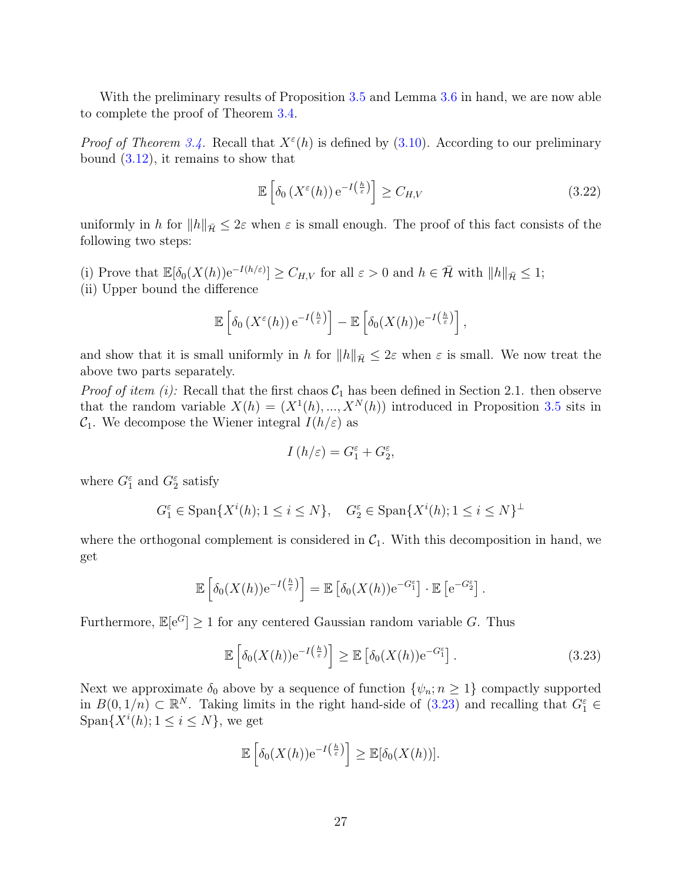With the preliminary results of Proposition [3.5](#page-23-4) and Lemma [3.6](#page-24-4) in hand, we are now able to complete the proof of Theorem [3.4.](#page-22-0)

*Proof of Theorem [3.4.](#page-22-0)* Recall that  $X^{\varepsilon}(h)$  is defined by [\(3.10\)](#page-23-3). According to our preliminary bound [\(3.12\)](#page-23-2), it remains to show that

<span id="page-26-1"></span>
$$
\mathbb{E}\left[\delta_0\left(X^{\varepsilon}(h)\right)e^{-I\left(\frac{h}{\varepsilon}\right)}\right] \ge C_{H,V} \tag{3.22}
$$

uniformly in h for  $||h||_{\bar{\mathcal{H}}} \leq 2\varepsilon$  when  $\varepsilon$  is small enough. The proof of this fact consists of the following two steps:

(i) Prove that  $\mathbb{E}[\delta_0(X(h))e^{-I(h/\varepsilon)}] \geq C_{H,V}$  for all  $\varepsilon > 0$  and  $h \in \bar{\mathcal{H}}$  with  $||h||_{\bar{\mathcal{H}}} \leq 1$ ; (ii) Upper bound the difference

$$
\mathbb{E}\left[\delta_0\left(X^{\varepsilon}(h)\right)e^{-I\left(\frac{h}{\varepsilon}\right)}\right] - \mathbb{E}\left[\delta_0(X(h))e^{-I\left(\frac{h}{\varepsilon}\right)}\right],
$$

and show that it is small uniformly in h for  $||h||_{\bar{\mathcal{H}}} \leq 2\varepsilon$  when  $\varepsilon$  is small. We now treat the above two parts separately.

*Proof of item (i):* Recall that the first chaos  $C_1$  has been defined in Section 2.1. then observe that the random variable  $X(h) = (X^1(h), ..., X^N(h))$  introduced in Proposition [3.5](#page-23-4) sits in  $C_1$ . We decompose the Wiener integral  $I(h/\varepsilon)$  as

$$
I\left( h/\varepsilon\right) =G_{1}^{\varepsilon}+G_{2}^{\varepsilon},
$$

where  $G_1^{\varepsilon}$  and  $G_2^{\varepsilon}$  satisfy

$$
G_1^{\varepsilon} \in \text{Span}\{X^i(h); 1 \le i \le N\}, \quad G_2^{\varepsilon} \in \text{Span}\{X^i(h); 1 \le i \le N\}^{\perp}
$$

where the orthogonal complement is considered in  $C_1$ . With this decomposition in hand, we get

$$
\mathbb{E}\left[\delta_0(X(h))e^{-I(\frac{h}{\varepsilon})}\right] = \mathbb{E}\left[\delta_0(X(h))e^{-G_1^{\varepsilon}}\right] \cdot \mathbb{E}\left[e^{-G_2^{\varepsilon}}\right]
$$

Furthermore,  $\mathbb{E}[e^G] \geq 1$  for any centered Gaussian random variable G. Thus

$$
\mathbb{E}\left[\delta_0(X(h))e^{-I\left(\frac{h}{\varepsilon}\right)}\right] \ge \mathbb{E}\left[\delta_0(X(h))e^{-G_1^{\varepsilon}}\right].\tag{3.23}
$$

<span id="page-26-0"></span>.

Next we approximate  $\delta_0$  above by a sequence of function  $\{\psi_n; n \geq 1\}$  compactly supported in  $B(0, 1/n) \subset \mathbb{R}^N$ . Taking limits in the right hand-side of  $(3.23)$  and recalling that  $G_1^{\varepsilon} \in$ Span $\{X^i(h); 1 \leq i \leq N\}$ , we get

$$
\mathbb{E}\left[\delta_0(X(h))e^{-I\left(\frac{h}{\varepsilon}\right)}\right] \geq \mathbb{E}[\delta_0(X(h))].
$$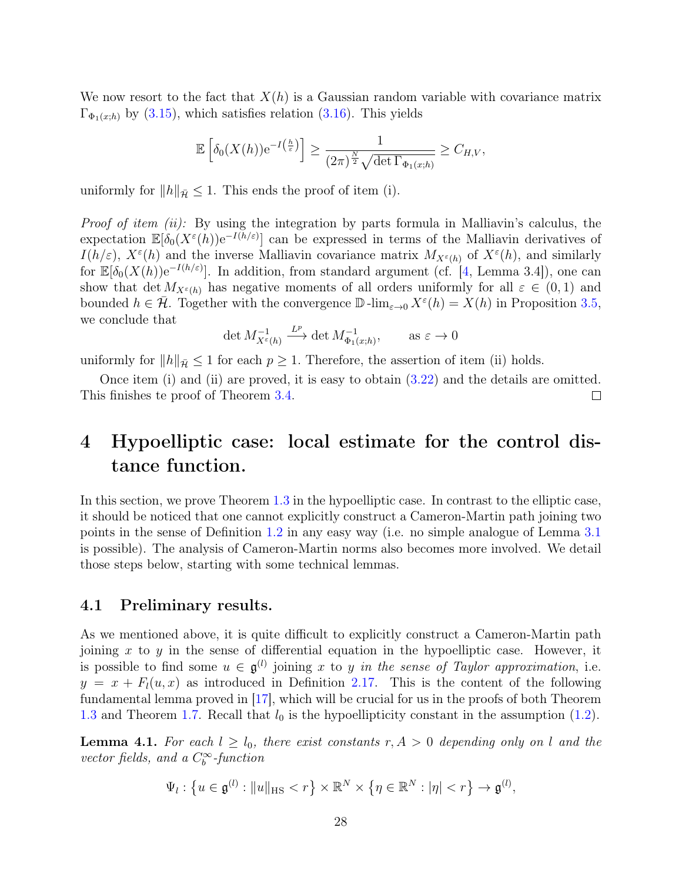We now resort to the fact that  $X(h)$  is a Gaussian random variable with covariance matrix  $\Gamma_{\Phi_1(x;h)}$  by [\(3.15\)](#page-24-0), which satisfies relation [\(3.16\)](#page-24-3). This yields

$$
\mathbb{E}\left[\delta_0(X(h))e^{-I\left(\frac{h}{\varepsilon}\right)}\right] \geq \frac{1}{(2\pi)^{\frac{N}{2}}\sqrt{\det\Gamma_{\Phi_1(x,h)}}} \geq C_{H,V},
$$

uniformly for  $||h||_{\overline{\mathcal{H}}} \leq 1$ . This ends the proof of item (i).

*Proof of item (ii):* By using the integration by parts formula in Malliavin's calculus, the expectation  $\mathbb{E}[\delta_0(X^{\varepsilon}(h))e^{-I(h/\varepsilon)}]$  can be expressed in terms of the Malliavin derivatives of  $I(h/\varepsilon)$ ,  $X^{\varepsilon}(h)$  and the inverse Malliavin covariance matrix  $M_{X^{\varepsilon}(h)}$  of  $X^{\varepsilon}(h)$ , and similarly for  $\mathbb{E}[\delta_0(X(h))e^{-I(h/\varepsilon)}]$ . In addition, from standard argument (cf. [\[4,](#page-74-5) Lemma 3.4]), one can show that det  $M_{X^{\varepsilon}(h)}$  has negative moments of all orders uniformly for all  $\varepsilon \in (0,1)$  and bounded  $h \in \bar{\mathcal{H}}$ . Together with the convergence  $\mathbb{D}$ -lim<sub> $\epsilon \to 0$ </sub>  $X^{\epsilon}(h) = X(h)$  in Proposition [3.5,](#page-23-4) we conclude that

$$
\det M_{X^{\varepsilon}(h)}^{-1} \xrightarrow{L^p} \det M_{\Phi_1(x;h)}^{-1}, \quad \text{as } \varepsilon \to 0
$$

uniformly for  $||h||_{\bar{\mathcal{H}}} \leq 1$  for each  $p \geq 1$ . Therefore, the assertion of item (ii) holds.

Once item (i) and (ii) are proved, it is easy to obtain [\(3.22\)](#page-26-1) and the details are omitted. This finishes te proof of Theorem [3.4.](#page-22-0)  $\Box$ 

# <span id="page-27-0"></span>4 Hypoelliptic case: local estimate for the control distance function.

In this section, we prove Theorem [1.3](#page-4-0) in the hypoelliptic case. In contrast to the elliptic case, it should be noticed that one cannot explicitly construct a Cameron-Martin path joining two points in the sense of Definition [1.2](#page-4-2) in any easy way (i.e. no simple analogue of Lemma [3.1](#page-20-1) is possible). The analysis of Cameron-Martin norms also becomes more involved. We detail those steps below, starting with some technical lemmas.

### <span id="page-27-1"></span>4.1 Preliminary results.

As we mentioned above, it is quite difficult to explicitly construct a Cameron-Martin path joining x to y in the sense of differential equation in the hypoelliptic case. However, it is possible to find some  $u \in \mathfrak{g}^{(l)}$  joining x to y in the sense of Taylor approximation, i.e.  $y = x + F<sub>l</sub>(u, x)$  as introduced in Definition [2.17.](#page-17-1) This is the content of the following fundamental lemma proved in [\[17\]](#page-75-5), which will be crucial for us in the proofs of both Theorem [1.3](#page-4-0) and Theorem [1.7.](#page-5-1) Recall that  $l_0$  is the hypoellipticity constant in the assumption [\(1.2\)](#page-3-0).

<span id="page-27-2"></span>**Lemma 4.1.** For each  $l \geq l_0$ , there exist constants  $r, A > 0$  depending only on l and the vector fields, and a  $C_b^{\infty}$ -function

$$
\Psi_l: \left\{ u \in \mathfrak{g}^{(l)} : ||u||_{\text{HS}} < r \right\} \times \mathbb{R}^N \times \left\{ \eta \in \mathbb{R}^N : |\eta| < r \right\} \to \mathfrak{g}^{(l)},
$$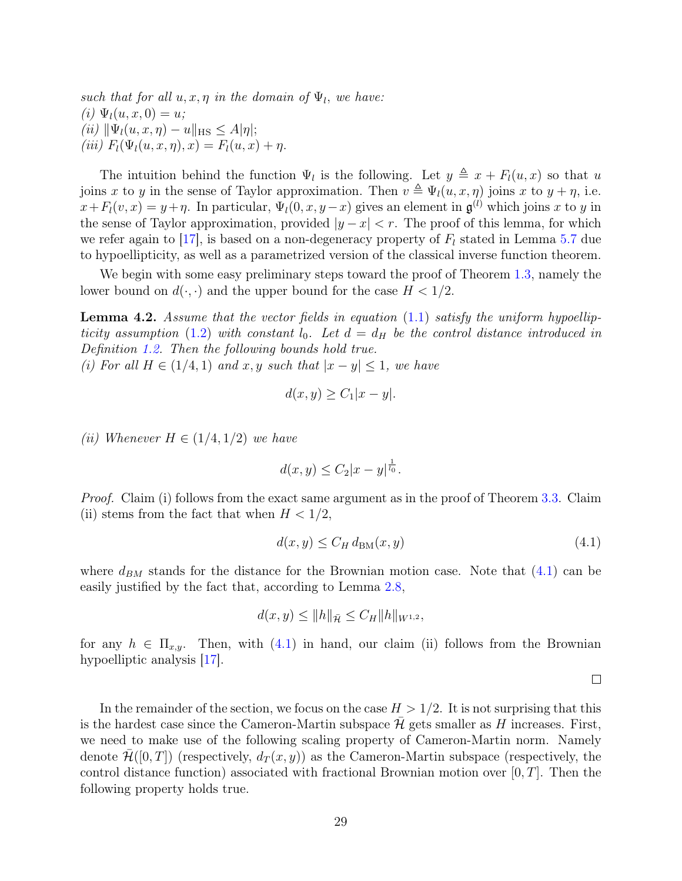such that for all  $u, x, \eta$  in the domain of  $\Psi_l$ , we have: (i)  $\Psi_l(u, x, 0) = u;$ (ii)  $\|\Psi_l(u, x, \eta) - u\|_{\text{HS}} \leq A|\eta|;$ (iii)  $F_l(\Psi_l(u, x, \eta), x) = F_l(u, x) + \eta.$ 

The intuition behind the function  $\Psi_l$  is the following. Let  $y \triangleq x + F_l(u, x)$  so that u joins x to y in the sense of Taylor approximation. Then  $v \triangleq \Psi_l(u, x, \eta)$  joins x to  $y + \eta$ , i.e.  $x+F<sub>l</sub>(v, x) = y+\eta$ . In particular,  $\Psi<sub>l</sub>(0, x, y-x)$  gives an element in  $\mathfrak{g}^{(l)}$  which joins x to y in the sense of Taylor approximation, provided  $|y-x| < r$ . The proof of this lemma, for which we refer again to [\[17\]](#page-75-5), is based on a non-degeneracy property of  $F_l$  stated in Lemma [5.7](#page-49-2) due to hypoellipticity, as well as a parametrized version of the classical inverse function theorem.

We begin with some easy preliminary steps toward the proof of Theorem [1.3,](#page-4-0) namely the lower bound on  $d(\cdot, \cdot)$  and the upper bound for the case  $H < 1/2$ .

<span id="page-28-1"></span>**Lemma 4.2.** Assume that the vector fields in equation  $(1.1)$  satisfy the uniform hypoellip-ticity assumption [\(1.2\)](#page-3-0) with constant  $l_0$ . Let  $d = d_H$  be the control distance introduced in Definition [1.2.](#page-4-2) Then the following bounds hold true.

(i) For all  $H \in (1/4, 1)$  and  $x, y$  such that  $|x - y| \leq 1$ , we have

$$
d(x, y) \ge C_1 |x - y|.
$$

(ii) Whenever  $H \in (1/4, 1/2)$  we have

$$
d(x, y) \le C_2 |x - y|^{\frac{1}{l_0}}.
$$

Proof. Claim (i) follows from the exact same argument as in the proof of Theorem [3.3.](#page-20-3) Claim (ii) stems from the fact that when  $H < 1/2$ ,

$$
d(x, y) \le C_H d_{BM}(x, y) \tag{4.1}
$$

where  $d_{BM}$  stands for the distance for the Brownian motion case. Note that  $(4.1)$  can be easily justified by the fact that, according to Lemma [2.8,](#page-11-2)

$$
d(x, y) \le ||h||_{\bar{\mathcal{H}}} \le C_H ||h||_{W^{1,2}},
$$

for any  $h \in \Pi_{x,y}$ . Then, with [\(4.1\)](#page-28-0) in hand, our claim (ii) follows from the Brownian hypoelliptic analysis [\[17\]](#page-75-5).

<span id="page-28-0"></span> $\Box$ 

In the remainder of the section, we focus on the case  $H > 1/2$ . It is not surprising that this is the hardest case since the Cameron-Martin subspace  $\mathcal H$  gets smaller as H increases. First, we need to make use of the following scaling property of Cameron-Martin norm. Namely denote  $\mathcal{H}([0,T])$  (respectively,  $d_T(x, y)$ ) as the Cameron-Martin subspace (respectively, the control distance function) associated with fractional Brownian motion over  $[0, T]$ . Then the following property holds true.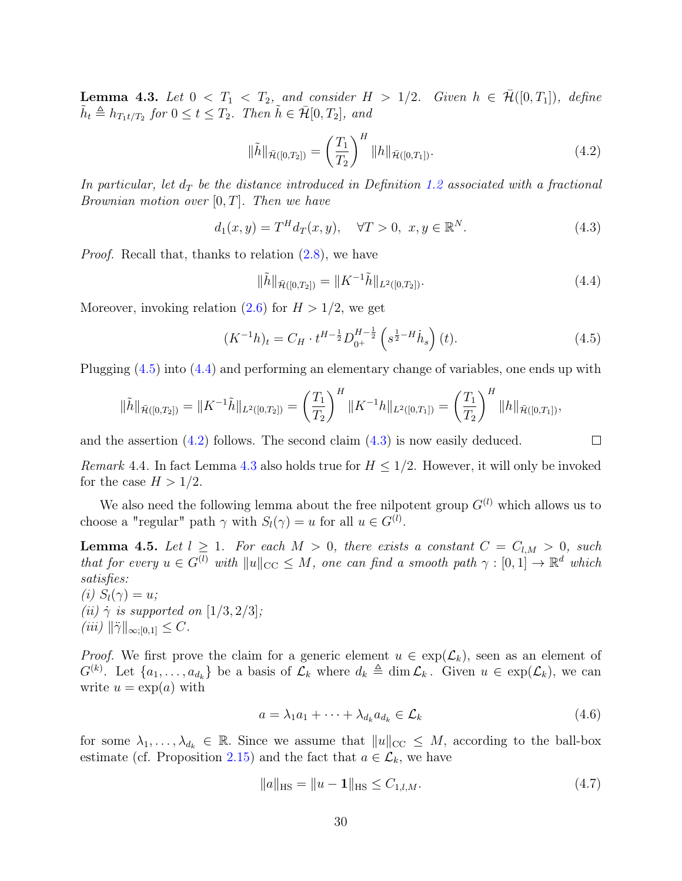<span id="page-29-4"></span>**Lemma 4.3.** Let  $0 < T_1 < T_2$ , and consider  $H > 1/2$ . Given  $h \in \mathcal{H}([0, T_1])$ , define  $\tilde{h}_t \triangleq h_{T_1t/T_2}$  for  $0 \le t \le T_2$ . Then  $\tilde{h} \in \bar{\mathcal{H}}[0,T_2]$ , and

$$
\|\tilde{h}\|_{\bar{\mathcal{H}}([0,T_2])} = \left(\frac{T_1}{T_2}\right)^H \|h\|_{\bar{\mathcal{H}}([0,T_1])}.
$$
\n(4.2)

In particular, let  $d_T$  be the distance introduced in Definition [1.2](#page-4-2) associated with a fractional Brownian motion over  $[0, T]$ . Then we have

$$
d_1(x, y) = T^H d_T(x, y), \quad \forall T > 0, \ x, y \in \mathbb{R}^N.
$$
 (4.3)

Proof. Recall that, thanks to relation [\(2.8\)](#page-9-6), we have

$$
\|\tilde{h}\|_{\bar{\mathcal{H}}([0,T_2])} = \|K^{-1}\tilde{h}\|_{L^2([0,T_2])}.
$$
\n(4.4)

<span id="page-29-6"></span><span id="page-29-3"></span><span id="page-29-2"></span><span id="page-29-1"></span><span id="page-29-0"></span> $\Box$ 

Moreover, invoking relation  $(2.6)$  for  $H > 1/2$ , we get

$$
(K^{-1}h)_t = C_H \cdot t^{H - \frac{1}{2}} D_{0^+}^{H - \frac{1}{2}} \left( s^{\frac{1}{2} - H} h_s \right)(t). \tag{4.5}
$$

Plugging [\(4.5\)](#page-29-0) into [\(4.4\)](#page-29-1) and performing an elementary change of variables, one ends up with

$$
\|\tilde{h}\|_{\tilde{\mathcal{H}}([0,T_2])} = \|K^{-1}\tilde{h}\|_{L^2([0,T_2])} = \left(\frac{T_1}{T_2}\right)^H \|K^{-1}h\|_{L^2([0,T_1])} = \left(\frac{T_1}{T_2}\right)^H \|h\|_{\tilde{\mathcal{H}}([0,T_1])},
$$

and the assertion  $(4.2)$  follows. The second claim  $(4.3)$  is now easily deduced.

*Remark* 4.4. In fact Lemma [4.3](#page-29-4) also holds true for  $H \leq 1/2$ . However, it will only be invoked for the case  $H > 1/2$ .

We also need the following lemma about the free nilpotent group  $G^{(l)}$  which allows us to choose a "regular" path  $\gamma$  with  $S_l(\gamma) = u$  for all  $u \in G^{(l)}$ .

<span id="page-29-7"></span>**Lemma 4.5.** Let  $l \geq 1$ . For each  $M > 0$ , there exists a constant  $C = C_{l,M} > 0$ , such that for every  $u \in G^{(l)}$  with  $||u||_{CC} \leq M$ , one can find a smooth path  $\gamma : [0,1] \to \mathbb{R}^d$  which satisfies:

(i)  $S_l(\gamma) = u;$ (ii)  $\dot{\gamma}$  is supported on [1/3, 2/3];  $(iii)$   $\|\ddot{\gamma}\|_{\infty;[0,1]} \leq C.$ 

*Proof.* We first prove the claim for a generic element  $u \in \exp(\mathcal{L}_k)$ , seen as an element of  $G^{(k)}$ . Let  $\{a_1,\ldots,a_{d_k}\}$  be a basis of  $\mathcal{L}_k$  where  $d_k \triangleq \dim \mathcal{L}_k$ . Given  $u \in \exp(\mathcal{L}_k)$ , we can write  $u = \exp(a)$  with

$$
a = \lambda_1 a_1 + \dots + \lambda_{d_k} a_{d_k} \in \mathcal{L}_k
$$
\n
$$
(4.6)
$$

for some  $\lambda_1, \ldots, \lambda_{d_k} \in \mathbb{R}$ . Since we assume that  $||u||_{CC} \leq M$ , according to the ball-box estimate (cf. Proposition [2.15\)](#page-16-1) and the fact that  $a \in \mathcal{L}_k$ , we have

<span id="page-29-5"></span>
$$
||a||_{\text{HS}} = ||u - 1||_{\text{HS}} \le C_{1,l,M}.
$$
\n(4.7)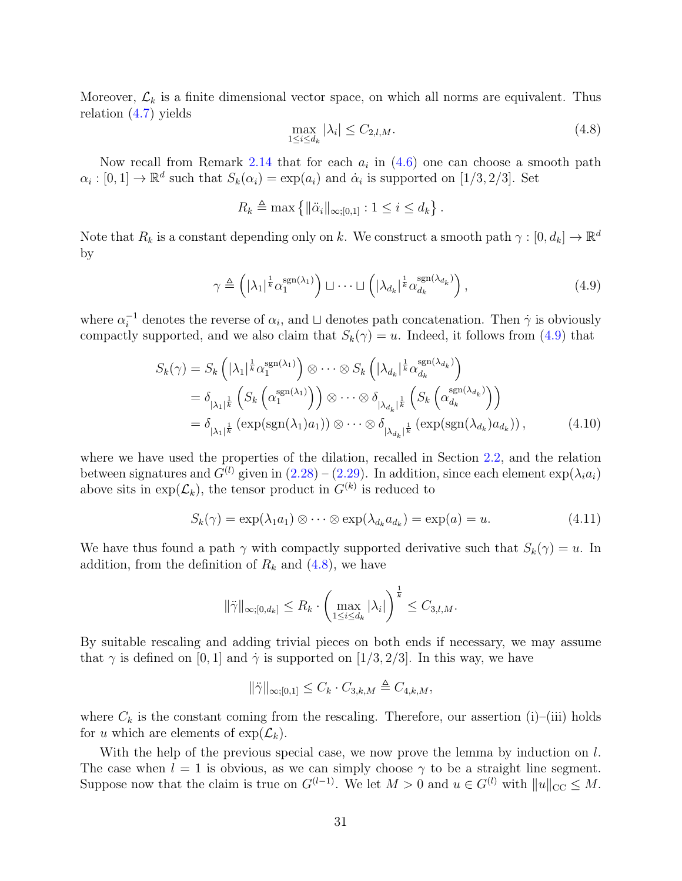Moreover,  $\mathcal{L}_k$  is a finite dimensional vector space, on which all norms are equivalent. Thus relation [\(4.7\)](#page-29-5) yields

<span id="page-30-1"></span><span id="page-30-0"></span>
$$
\max_{1 \le i \le d_k} |\lambda_i| \le C_{2,l,M}.\tag{4.8}
$$

Now recall from Remark [2.14](#page-16-2) that for each  $a_i$  in  $(4.6)$  one can choose a smooth path  $\alpha_i : [0,1] \to \mathbb{R}^d$  such that  $S_k(\alpha_i) = \exp(a_i)$  and  $\dot{\alpha}_i$  is supported on [1/3, 2/3]. Set

$$
R_k \triangleq \max \left\{ ||\ddot{\alpha}_i||_{\infty;[0,1]} : 1 \leq i \leq d_k \right\}.
$$

Note that  $R_k$  is a constant depending only on k. We construct a smooth path  $\gamma : [0, d_k] \to \mathbb{R}^d$ by

$$
\gamma \triangleq \left( |\lambda_1|^{\frac{1}{k}} \alpha_1^{\text{sgn}(\lambda_1)} \right) \sqcup \cdots \sqcup \left( |\lambda_{d_k}|^{\frac{1}{k}} \alpha_{d_k}^{\text{sgn}(\lambda_{d_k})} \right), \tag{4.9}
$$

where  $\alpha_i^{-1}$  denotes the reverse of  $\alpha_i$ , and  $\sqcup$  denotes path concatenation. Then  $\dot{\gamma}$  is obviously compactly supported, and we also claim that  $S_k(\gamma) = u$ . Indeed, it follows from [\(4.9\)](#page-30-0) that

$$
S_k(\gamma) = S_k \left( |\lambda_1|^{\frac{1}{k}} \alpha_1^{\text{sgn}(\lambda_1)} \right) \otimes \cdots \otimes S_k \left( |\lambda_{d_k}|^{\frac{1}{k}} \alpha_{d_k}^{\text{sgn}(\lambda_{d_k})} \right)
$$
  
\n
$$
= \delta_{|\lambda_1|^{\frac{1}{k}}} \left( S_k \left( \alpha_1^{\text{sgn}(\lambda_1)} \right) \right) \otimes \cdots \otimes \delta_{|\lambda_{d_k}|^{\frac{1}{k}}} \left( S_k \left( \alpha_{d_k}^{\text{sgn}(\lambda_{d_k})} \right) \right)
$$
  
\n
$$
= \delta_{|\lambda_1|^{\frac{1}{k}}} \left( \exp(\text{sgn}(\lambda_1) a_1) \right) \otimes \cdots \otimes \delta_{|\lambda_{d_k}|^{\frac{1}{k}}} \left( \exp(\text{sgn}(\lambda_{d_k}) a_{d_k}) \right), \tag{4.10}
$$

where we have used the properties of the dilation, recalled in Section [2.2,](#page-13-0) and the relation between signatures and  $G^{(l)}$  given in  $(2.28) - (2.29)$  $(2.28) - (2.29)$  $(2.28) - (2.29)$ . In addition, since each element  $\exp(\lambda_i a_i)$ above sits in  $\exp(\mathcal{L}_k)$ , the tensor product in  $G^{(k)}$  is reduced to

<span id="page-30-2"></span>
$$
S_k(\gamma) = \exp(\lambda_1 a_1) \otimes \cdots \otimes \exp(\lambda_{d_k} a_{d_k}) = \exp(a) = u.
$$
 (4.11)

We have thus found a path  $\gamma$  with compactly supported derivative such that  $S_k(\gamma) = u$ . In addition, from the definition of  $R_k$  and  $(4.8)$ , we have

$$
\|\ddot{\gamma}\|_{\infty;[0,d_k]} \leq R_k \cdot \left(\max_{1 \leq i \leq d_k} |\lambda_i|\right)^{\frac{1}{k}} \leq C_{3,l,M}.
$$

By suitable rescaling and adding trivial pieces on both ends if necessary, we may assume that  $\gamma$  is defined on [0, 1] and  $\dot{\gamma}$  is supported on [1/3, 2/3]. In this way, we have

$$
\|\ddot{\gamma}\|_{\infty;[0,1]}\leq C_k\cdot C_{3,k,M}\triangleq C_{4,k,M},
$$

where  $C_k$  is the constant coming from the rescaling. Therefore, our assertion (i)–(iii) holds for u which are elements of  $\exp(\mathcal{L}_k)$ .

With the help of the previous special case, we now prove the lemma by induction on l. The case when  $l = 1$  is obvious, as we can simply choose  $\gamma$  to be a straight line segment. Suppose now that the claim is true on  $G^{(l-1)}$ . We let  $M > 0$  and  $u \in G^{(l)}$  with  $||u||_{CC} \leq M$ .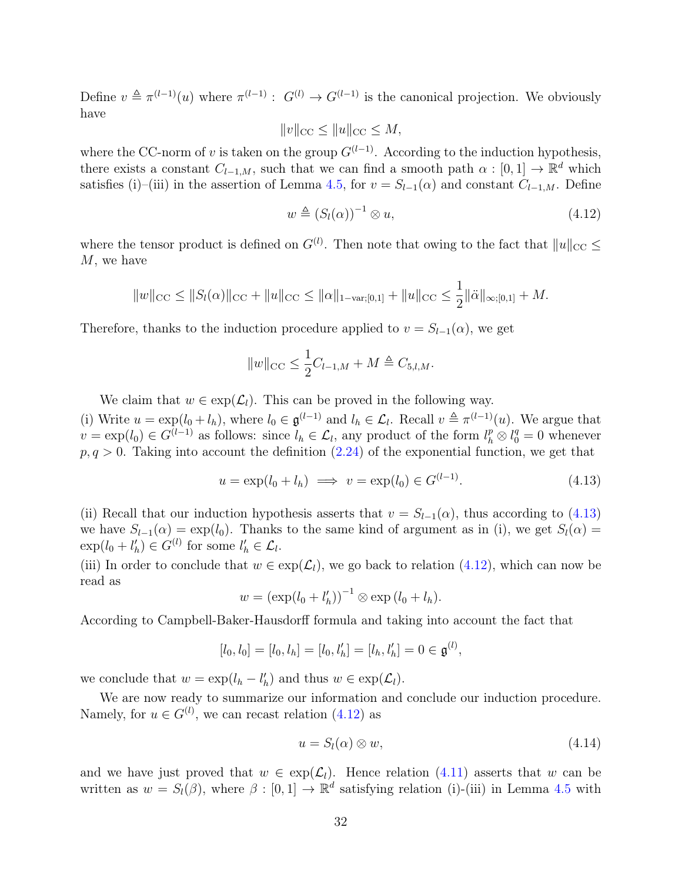Define  $v \triangleq \pi^{(l-1)}(u)$  where  $\pi^{(l-1)}$ :  $G^{(l)} \to G^{(l-1)}$  is the canonical projection. We obviously have

$$
||v||_{\text{CC}} \le ||u||_{\text{CC}} \le M,
$$

where the CC-norm of v is taken on the group  $G^{(l-1)}$ . According to the induction hypothesis, there exists a constant  $C_{l-1,M}$ , such that we can find a smooth path  $\alpha : [0,1] \to \mathbb{R}^d$  which satisfies (i)–(iii) in the assertion of Lemma [4.5,](#page-29-7) for  $v = S_{l-1}(\alpha)$  and constant  $C_{l-1,M}$ . Define

<span id="page-31-1"></span>
$$
w \triangleq (S_l(\alpha))^{-1} \otimes u,\tag{4.12}
$$

where the tensor product is defined on  $G^{(l)}$ . Then note that owing to the fact that  $||u||_{CC} \le$ M, we have

$$
||w||_{\text{CC}} \leq ||S_l(\alpha)||_{\text{CC}} + ||u||_{\text{CC}} \leq ||\alpha||_{1-\text{var};[0,1]} + ||u||_{\text{CC}} \leq \frac{1}{2} ||\ddot{\alpha}||_{\infty;[0,1]} + M.
$$

Therefore, thanks to the induction procedure applied to  $v = S_{l-1}(\alpha)$ , we get

<span id="page-31-0"></span>
$$
||w||_{\text{CC}} \leq \frac{1}{2}C_{l-1,M} + M \triangleq C_{5,l,M}.
$$

We claim that  $w \in \exp(\mathcal{L}_l)$ . This can be proved in the following way.

(i) Write  $u = \exp(l_0 + l_h)$ , where  $l_0 \in \mathfrak{g}^{(l-1)}$  and  $l_h \in \mathcal{L}_l$ . Recall  $v \triangleq \pi^{(l-1)}(u)$ . We argue that  $v = \exp(l_0) \in G^{(l-1)}$  as follows: since  $l_h \in \mathcal{L}_l$ , any product of the form  $l_h^p \otimes l_0^q = 0$  whenever  $p, q > 0$ . Taking into account the definition  $(2.24)$  of the exponential function, we get that

$$
u = \exp(l_0 + l_h) \implies v = \exp(l_0) \in G^{(l-1)}.
$$
\n(4.13)

(ii) Recall that our induction hypothesis asserts that  $v = S_{l-1}(\alpha)$ , thus according to [\(4.13\)](#page-31-0) we have  $S_{l-1}(\alpha) = \exp(l_0)$ . Thanks to the same kind of argument as in (i), we get  $S_l(\alpha) =$  $\exp(l_0 + l'_h) \in G^{(l)}$  for some  $l'_h \in \mathcal{L}_l$ .

(iii) In order to conclude that  $w \in \exp(\mathcal{L}_l)$ , we go back to relation [\(4.12\)](#page-31-1), which can now be read as

$$
w = (\exp(l_0 + l'_h))^{-1} \otimes \exp(l_0 + l_h).
$$

According to Campbell-Baker-Hausdorff formula and taking into account the fact that

$$
[l_0, l_0] = [l_0, l_h] = [l_0, l'_h] = [l_h, l'_h] = 0 \in \mathfrak{g}^{(l)},
$$

we conclude that  $w = \exp(l_h - l'_h)$  and thus  $w \in \exp(\mathcal{L}_l)$ .

We are now ready to summarize our information and conclude our induction procedure. Namely, for  $u \in G^{(l)}$ , we can recast relation  $(4.12)$  as

<span id="page-31-2"></span>
$$
u = S_l(\alpha) \otimes w,\tag{4.14}
$$

and we have just proved that  $w \in \exp(\mathcal{L}_l)$ . Hence relation [\(4.11\)](#page-30-2) asserts that w can be written as  $w = S_l(\beta)$ , where  $\beta : [0,1] \to \mathbb{R}^d$  satisfying relation (i)-(iii) in Lemma [4.5](#page-29-7) with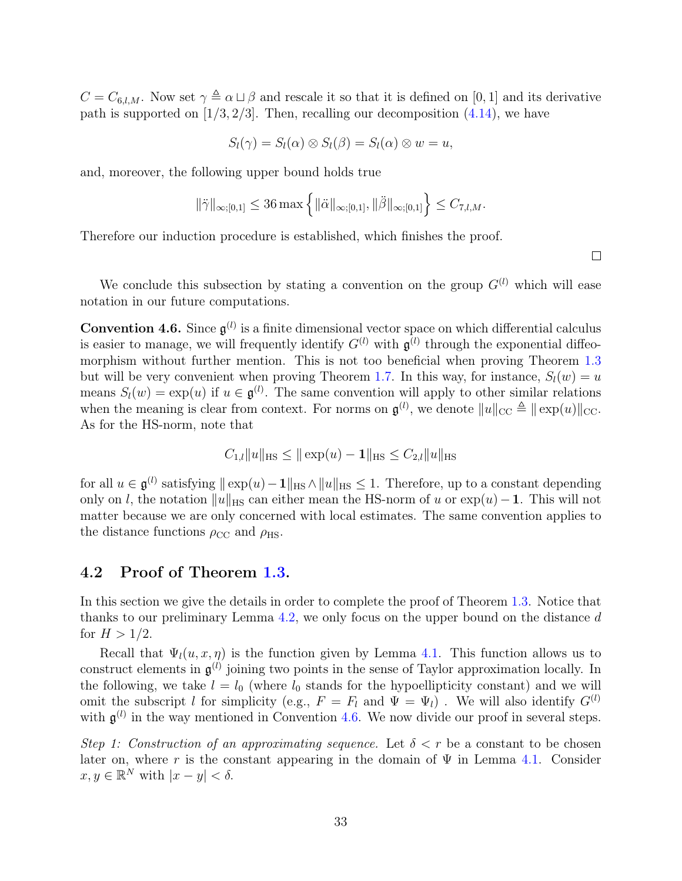$C = C_{6,l,M}$ . Now set  $\gamma \triangleq \alpha \sqcup \beta$  and rescale it so that it is defined on [0, 1] and its derivative path is supported on  $[1/3, 2/3]$ . Then, recalling our decomposition  $(4.14)$ , we have

$$
S_l(\gamma) = S_l(\alpha) \otimes S_l(\beta) = S_l(\alpha) \otimes w = u,
$$

and, moreover, the following upper bound holds true

$$
\|\ddot{\gamma}\|_{\infty;[0,1]}\leq 36 \max\left\{\|\ddot{\alpha}\|_{\infty;[0,1]},\|\ddot{\beta}\|_{\infty;[0,1]}\right\}\leq C_{7,l,M}.
$$

Therefore our induction procedure is established, which finishes the proof.

 $\Box$ 

We conclude this subsection by stating a convention on the group  $G^{(l)}$  which will ease notation in our future computations.

<span id="page-32-1"></span>**Convention 4.6.** Since  $\mathfrak{g}^{(l)}$  is a finite dimensional vector space on which differential calculus is easier to manage, we will frequently identify  $G^{(l)}$  with  $\mathfrak{g}^{(l)}$  through the exponential diffeomorphism without further mention. This is not too beneficial when proving Theorem [1.3](#page-4-0) but will be very convenient when proving Theorem [1.7.](#page-5-1) In this way, for instance,  $S_l(w) = u$ means  $S_l(w) = \exp(u)$  if  $u \in \mathfrak{g}^{(l)}$ . The same convention will apply to other similar relations when the meaning is clear from context. For norms on  $\mathfrak{g}^{(l)}$ , we denote  $||u||_{\text{CC}} \triangleq ||\exp(u)||_{\text{CC}}$ . As for the HS-norm, note that

$$
C_{1,l}||u||_{\text{HS}} \le ||\exp(u) - \mathbf{1}||_{\text{HS}} \le C_{2,l}||u||_{\text{HS}}
$$

for all  $u \in \mathfrak{g}^{(l)}$  satisfying  $|| \exp(u) - 1||_{\text{HS}} \wedge ||u||_{\text{HS}} \leq 1$ . Therefore, up to a constant depending only on l, the notation  $||u||_{HS}$  can either mean the HS-norm of u or  $exp(u)-1$ . This will not matter because we are only concerned with local estimates. The same convention applies to the distance functions  $\rho_{\rm CC}$  and  $\rho_{\rm HS}$ .

#### <span id="page-32-0"></span>4.2 Proof of Theorem [1.3.](#page-4-0)

In this section we give the details in order to complete the proof of Theorem [1.3.](#page-4-0) Notice that thanks to our preliminary Lemma [4.2,](#page-28-1) we only focus on the upper bound on the distance d for  $H > 1/2$ .

Recall that  $\Psi_l(u, x, \eta)$  is the function given by Lemma [4.1.](#page-27-2) This function allows us to construct elements in  $\mathfrak{g}^{(l)}$  joining two points in the sense of Taylor approximation locally. In the following, we take  $l = l_0$  (where  $l_0$  stands for the hypoellipticity constant) and we will omit the subscript l for simplicity (e.g.,  $F = F_l$  and  $\Psi = \Psi_l$ ). We will also identify  $G^{(l)}$ with  $\mathfrak{g}^{(l)}$  in the way mentioned in Convention [4.6.](#page-32-1) We now divide our proof in several steps.

Step 1: Construction of an approximating sequence. Let  $\delta < r$  be a constant to be chosen later on, where r is the constant appearing in the domain of  $\Psi$  in Lemma [4.1.](#page-27-2) Consider  $x, y \in \mathbb{R}^N$  with  $|x - y| < \delta$ .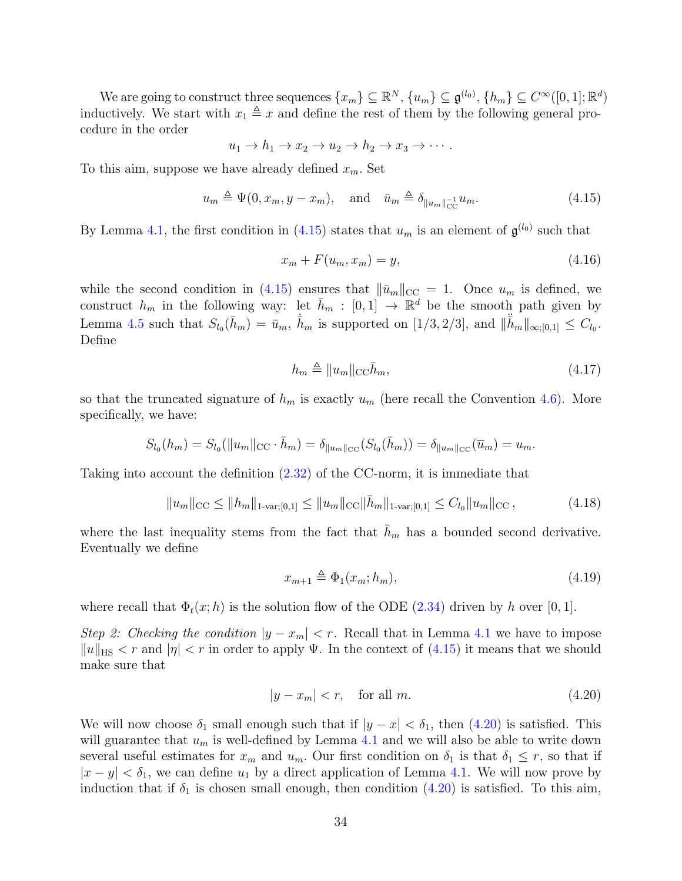We are going to construct three sequences  $\{x_m\} \subseteq \mathbb{R}^N$ ,  $\{u_m\} \subseteq \mathfrak{g}^{(l_0)}$ ,  $\{h_m\} \subseteq C^{\infty}([0,1];\mathbb{R}^d)$ inductively. We start with  $x_1 \triangleq x$  and define the rest of them by the following general procedure in the order

$$
u_1 \to h_1 \to x_2 \to u_2 \to h_2 \to x_3 \to \cdots.
$$

To this aim, suppose we have already defined  $x_m$ . Set

$$
u_m \triangleq \Psi(0, x_m, y - x_m), \quad \text{and} \quad \bar{u}_m \triangleq \delta_{\|u_m\|_{\text{CC}}^{-1}} u_m. \tag{4.15}
$$

By Lemma [4.1,](#page-27-2) the first condition in [\(4.15\)](#page-33-0) states that  $u_m$  is an element of  $\mathfrak{g}^{(l_0)}$  such that

<span id="page-33-2"></span><span id="page-33-0"></span>
$$
x_m + F(u_m, x_m) = y,\t\t(4.16)
$$

while the second condition in [\(4.15\)](#page-33-0) ensures that  $\|\bar{u}_m\|_{\text{CC}} = 1$ . Once  $u_m$  is defined, we construct  $h_m$  in the following way: let  $\bar{h}_m : [0,1] \to \mathbb{R}^d$  be the smooth path given by Lemma [4.5](#page-29-7) such that  $S_{l_0}(\bar{h}_m) = \bar{u}_m$ ,  $\dot{\bar{h}}_m$  is supported on  $[1/3, 2/3]$ , and  $\|\ddot{\bar{h}}_m\|_{\infty;[0,1]} \leq C_{l_0}$ . Define

<span id="page-33-5"></span>
$$
h_m \triangleq ||u_m||_{\text{CC}}\bar{h}_m,\tag{4.17}
$$

so that the truncated signature of  $h_m$  is exactly  $u_m$  (here recall the Convention [4.6\)](#page-32-1). More specifically, we have:

$$
S_{l_0}(h_m) = S_{l_0}(\|u_m\|_{\text{CC}} \cdot \bar{h}_m) = \delta_{\|u_m\|_{\text{CC}}}(S_{l_0}(\bar{h}_m)) = \delta_{\|u_m\|_{\text{CC}}}(\overline{u}_m) = u_m.
$$

Taking into account the definition [\(2.32\)](#page-16-0) of the CC-norm, it is immediate that

<span id="page-33-4"></span>
$$
||u_m||_{\text{CC}} \le ||h_m||_{1\text{-var};[0,1]} \le ||u_m||_{\text{CC}} ||\bar{h}_m||_{1\text{-var};[0,1]} \le C_{l_0} ||u_m||_{\text{CC}},\tag{4.18}
$$

where the last inequality stems from the fact that  $\bar{h}_m$  has a bounded second derivative. Eventually we define

<span id="page-33-3"></span>
$$
x_{m+1} \triangleq \Phi_1(x_m; h_m), \tag{4.19}
$$

where recall that  $\Phi_t(x; h)$  is the solution flow of the ODE [\(2.34\)](#page-17-0) driven by h over [0, 1].

Step 2: Checking the condition  $|y - x_m| < r$ . Recall that in Lemma [4.1](#page-27-2) we have to impose  $||u||_{\text{HS}} < r$  and  $|\eta| < r$  in order to apply Ψ. In the context of [\(4.15\)](#page-33-0) it means that we should make sure that

<span id="page-33-1"></span>
$$
|y - x_m| < r, \quad \text{for all } m. \tag{4.20}
$$

We will now choose  $\delta_1$  small enough such that if  $|y - x| < \delta_1$ , then  $(4.20)$  is satisfied. This will guarantee that  $u_m$  is well-defined by Lemma [4.1](#page-27-2) and we will also be able to write down several useful estimates for  $x_m$  and  $u_m$ . Our first condition on  $\delta_1$  is that  $\delta_1 \leq r$ , so that if  $|x - y| < \delta_1$ , we can define  $u_1$  by a direct application of Lemma [4.1.](#page-27-2) We will now prove by induction that if  $\delta_1$  is chosen small enough, then condition  $(4.20)$  is satisfied. To this aim,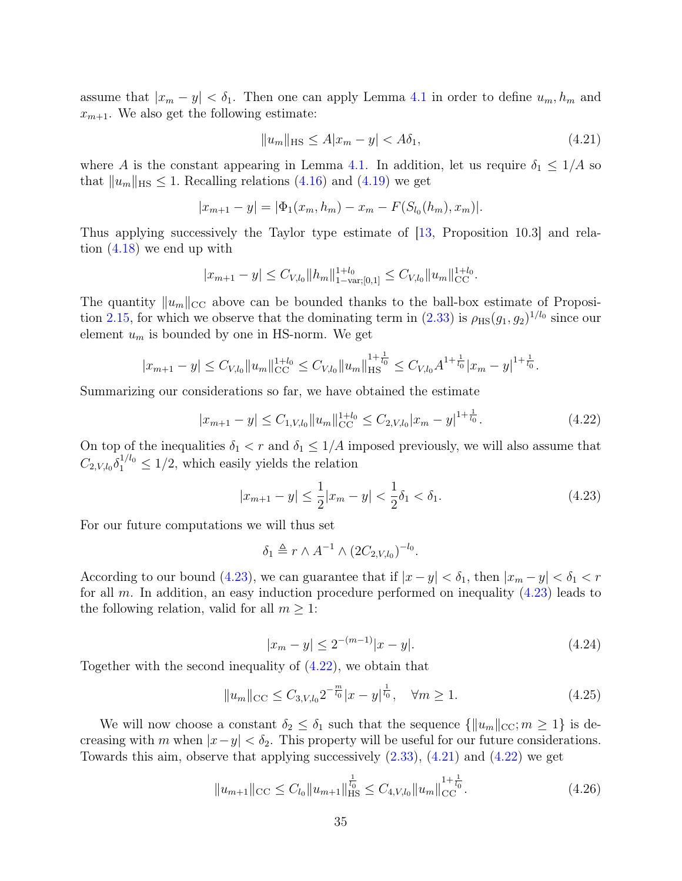assume that  $|x_m - y| < \delta_1$ . Then one can apply Lemma [4.1](#page-27-2) in order to define  $u_m, h_m$  and  $x_{m+1}$ . We also get the following estimate:

<span id="page-34-2"></span>
$$
||u_m||_{\text{HS}} \le A|x_m - y| < A\delta_1,\tag{4.21}
$$

where A is the constant appearing in Lemma [4.1.](#page-27-2) In addition, let us require  $\delta_1 \leq 1/A$  so that  $||u_m||_{\text{HS}} \leq 1$ . Recalling relations [\(4.16\)](#page-33-2) and [\(4.19\)](#page-33-3) we get

$$
|x_{m+1} - y| = |\Phi_1(x_m, h_m) - x_m - F(S_{l_0}(h_m), x_m)|.
$$

Thus applying successively the Taylor type estimate of [\[13,](#page-75-10) Proposition 10.3] and relation [\(4.18\)](#page-33-4) we end up with

$$
|x_{m+1} - y| \leq C_{V,l_0} ||h_m||_{1-\text{var};[0,1]}^{1+l_0} \leq C_{V,l_0} ||u_m||_{\text{CC}}^{1+l_0}.
$$

The quantity  $||u_m||_{\text{CC}}$  above can be bounded thanks to the ball-box estimate of Proposi-tion [2.15,](#page-16-1) for which we observe that the dominating term in  $(2.33)$  is  $\rho_{\text{HS}}(g_1, g_2)^{1/l_0}$  since our element  $u_m$  is bounded by one in HS-norm. We get

$$
|x_{m+1} - y| \leq C_{V,l_0} \|u_m\|_{\mathrm{CC}}^{1+l_0} \leq C_{V,l_0} \|u_m\|_{\mathrm{HS}}^{1+\frac{1}{l_0}} \leq C_{V,l_0} A^{1+\frac{1}{l_0}} |x_m - y|^{1+\frac{1}{l_0}}.
$$

Summarizing our considerations so far, we have obtained the estimate

<span id="page-34-1"></span>
$$
|x_{m+1} - y| \le C_{1, V, l_0} \|u_m\|_{CC}^{1+l_0} \le C_{2, V, l_0} |x_m - y|^{1 + \frac{1}{l_0}}.
$$
\n(4.22)

On top of the inequalities  $\delta_1 < r$  and  $\delta_1 \leq 1/A$  imposed previously, we will also assume that  $C_{2,V,l_0}\delta_1^{1/l_0} \leq 1/2$ , which easily yields the relation

<span id="page-34-0"></span>
$$
|x_{m+1} - y| \le \frac{1}{2}|x_m - y| < \frac{1}{2}\delta_1 < \delta_1. \tag{4.23}
$$

For our future computations we will thus set

$$
\delta_1 \triangleq r \wedge A^{-1} \wedge (2C_{2,V,l_0})^{-l_0}.
$$

According to our bound [\(4.23\)](#page-34-0), we can guarantee that if  $|x-y| < \delta_1$ , then  $|x_m - y| < \delta_1 < r$ for all m. In addition, an easy induction procedure performed on inequality  $(4.23)$  leads to the following relation, valid for all  $m \geq 1$ :

$$
|x_m - y| \le 2^{-(m-1)}|x - y|.
$$
\n(4.24)

Together with the second inequality of [\(4.22\)](#page-34-1), we obtain that

<span id="page-34-3"></span>
$$
||u_m||_{\text{CC}} \le C_{3,V,l_0} 2^{-\frac{m}{l_0}} |x-y|^{\frac{1}{l_0}}, \quad \forall m \ge 1.
$$
 (4.25)

We will now choose a constant  $\delta_2 \leq \delta_1$  such that the sequence  $\{\|u_m\|_{\text{CC}}; m \geq 1\}$  is decreasing with m when  $|x-y| < \delta_2$ . This property will be useful for our future considerations. Towards this aim, observe that applying successively  $(2.33)$ ,  $(4.21)$  and  $(4.22)$  we get

$$
||u_{m+1}||_{\text{CC}} \leq C_{l_0}||u_{m+1}||_{\text{HS}}^{\frac{1}{l_0}} \leq C_{4,V,l_0}||u_m||_{\text{CC}}^{1+\frac{1}{l_0}}.
$$
\n(4.26)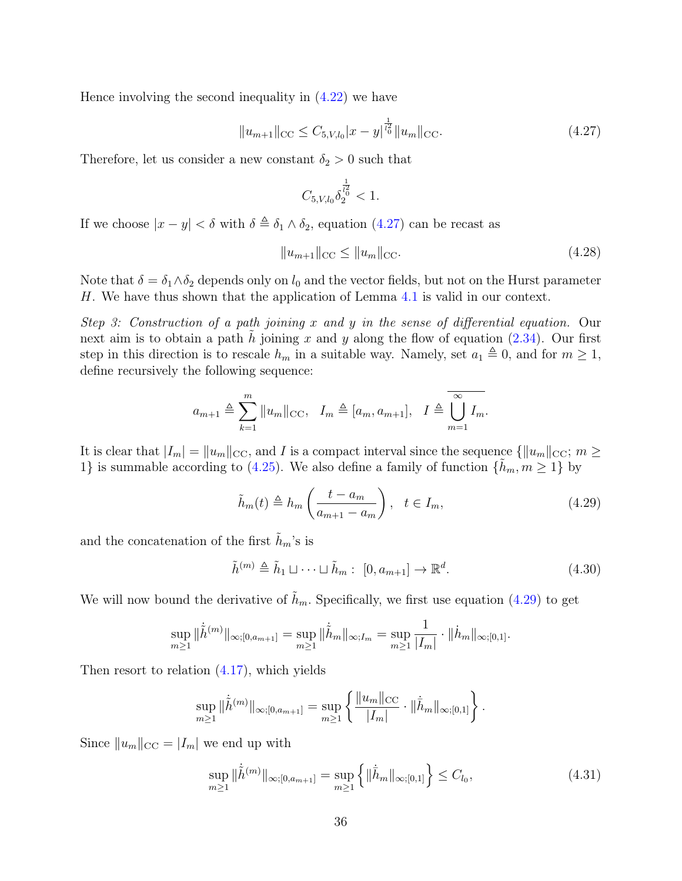Hence involving the second inequality in [\(4.22\)](#page-34-1) we have

<span id="page-35-0"></span>
$$
||u_{m+1}||_{\text{CC}} \le C_{5,V,l_0}|x-y|^{\frac{1}{l_0}^2}||u_m||_{\text{CC}}.\tag{4.27}
$$

Therefore, let us consider a new constant  $\delta_2 > 0$  such that

$$
C_{5,V,l_0}\delta_2^{\frac{1}{l_0^2}}<1.
$$

If we choose  $|x - y| < \delta$  with  $\delta \triangleq \delta_1 \wedge \delta_2$ , equation [\(4.27\)](#page-35-0) can be recast as

$$
||u_{m+1}||_{\text{CC}} \le ||u_m||_{\text{CC}}.\tag{4.28}
$$

Note that  $\delta = \delta_1 \wedge \delta_2$  depends only on  $l_0$  and the vector fields, but not on the Hurst parameter H. We have thus shown that the application of Lemma [4.1](#page-27-2) is valid in our context.

Step 3: Construction of a path joining x and y in the sense of differential equation. Our next aim is to obtain a path h joining x and y along the flow of equation  $(2.34)$ . Our first step in this direction is to rescale  $h_m$  in a suitable way. Namely, set  $a_1 \triangleq 0$ , and for  $m \geq 1$ , define recursively the following sequence:

$$
a_{m+1} \triangleq \sum_{k=1}^{m} ||u_m||_{\text{CC}}, \quad I_m \triangleq [a_m, a_{m+1}], \quad I \triangleq \overline{\bigcup_{m=1}^{\infty} I_m}.
$$

It is clear that  $|I_m| = ||u_m||_{\text{CC}}$ , and I is a compact interval since the sequence  $\{||u_m||_{\text{CC}}; m \geq \}$ 1} is summable according to [\(4.25\)](#page-34-3). We also define a family of function  $\{h_m, m \geq 1\}$  by

<span id="page-35-1"></span>
$$
\tilde{h}_m(t) \triangleq h_m \left( \frac{t - a_m}{a_{m+1} - a_m} \right), \quad t \in I_m,
$$
\n(4.29)

and the concatenation of the first  $h_m$ 's is

$$
\tilde{h}^{(m)} \triangleq \tilde{h}_1 \sqcup \cdots \sqcup \tilde{h}_m : [0, a_{m+1}] \to \mathbb{R}^d.
$$
\n(4.30)

We will now bound the derivative of  $h_m$ . Specifically, we first use equation [\(4.29\)](#page-35-1) to get

$$
\sup_{m\geq 1} \|\dot{\tilde{h}}^{(m)}\|_{\infty;[0,a_{m+1}]} = \sup_{m\geq 1} \|\dot{\tilde{h}}_m\|_{\infty;I_m} = \sup_{m\geq 1} \frac{1}{|I_m|} \cdot \|\dot{h}_m\|_{\infty;[0,1]}.
$$

Then resort to relation [\(4.17\)](#page-33-5), which yields

$$
\sup_{m\geq 1} \|\dot{\tilde{h}}^{(m)}\|_{\infty;[0,a_{m+1}]} = \sup_{m\geq 1} \left\{ \frac{\|u_m\|_{\rm CC}}{|I_m|} \cdot \|\dot{\bar{h}}_m\|_{\infty;[0,1]} \right\}.
$$

Since  $||u_m||_{\text{CC}} = |I_m|$  we end up with

$$
\sup_{m\geq 1} \|\dot{\tilde{h}}^{(m)}\|_{\infty;[0,a_{m+1}]} = \sup_{m\geq 1} \left\{ \|\dot{\bar{h}}_{m}\|_{\infty;[0,1]} \right\} \leq C_{l_{0}},\tag{4.31}
$$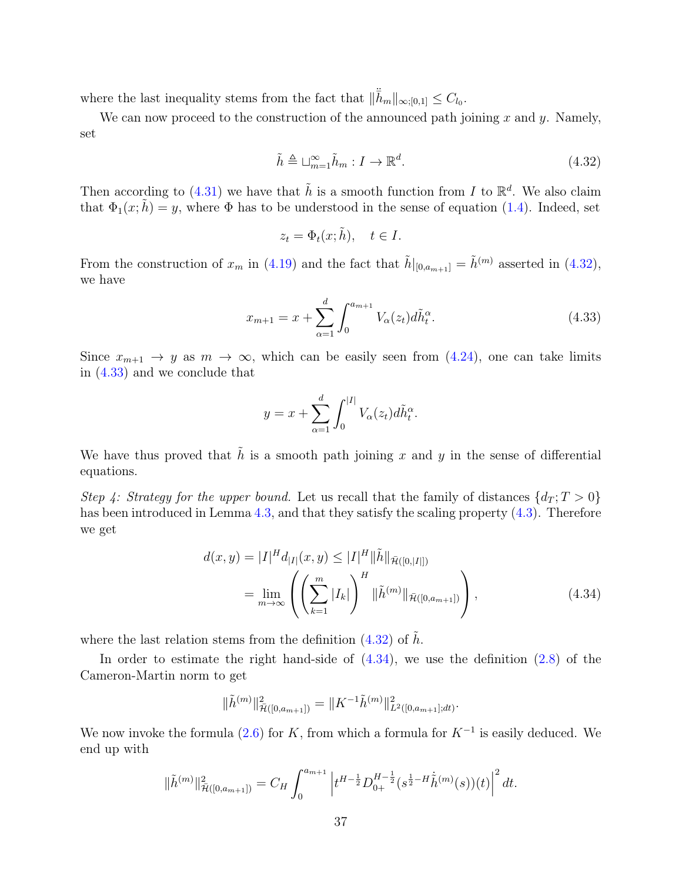where the last inequality stems from the fact that  $\|\ddot{\bar{h}}_m\|_{\infty;[0,1]} \leq C_{l_0}$ .

We can now proceed to the construction of the announced path joining  $x$  and  $y$ . Namely, set

<span id="page-36-0"></span>
$$
\tilde{h} \triangleq \sqcup_{m=1}^{\infty} \tilde{h}_m : I \to \mathbb{R}^d. \tag{4.32}
$$

Then according to [\(4.31\)](#page-35-0) we have that  $\tilde{h}$  is a smooth function from I to  $\mathbb{R}^d$ . We also claim that  $\Phi_1(x;\tilde{h}) = y$ , where  $\Phi$  has to be understood in the sense of equation [\(1.4\)](#page-3-0). Indeed, set

<span id="page-36-1"></span>
$$
z_t = \Phi_t(x; \tilde{h}), \quad t \in I.
$$

From the construction of  $x_m$  in [\(4.19\)](#page-33-0) and the fact that  $\tilde{h}|_{[0,a_{m+1}]} = \tilde{h}^{(m)}$  asserted in [\(4.32\)](#page-36-0), we have

$$
x_{m+1} = x + \sum_{\alpha=1}^{d} \int_{0}^{a_{m+1}} V_{\alpha}(z_t) d\tilde{h}_t^{\alpha}.
$$
 (4.33)

Since  $x_{m+1} \to y$  as  $m \to \infty$ , which can be easily seen from [\(4.24\)](#page-34-0), one can take limits in [\(4.33\)](#page-36-1) and we conclude that

<span id="page-36-2"></span>
$$
y = x + \sum_{\alpha=1}^d \int_0^{|I|} V_\alpha(z_t) d\tilde{h}_t^\alpha.
$$

We have thus proved that  $\tilde{h}$  is a smooth path joining x and y in the sense of differential equations.

Step 4: Strategy for the upper bound. Let us recall that the family of distances  $\{d_T : T > 0\}$ has been introduced in Lemma [4.3,](#page-29-0) and that they satisfy the scaling property  $(4.3)$ . Therefore we get

$$
d(x,y) = |I|^H d_{|I|}(x,y) \le |I|^H ||\tilde{h}||_{\bar{\mathcal{H}}([0,|I|])}
$$
  
= 
$$
\lim_{m \to \infty} \left( \left( \sum_{k=1}^m |I_k| \right)^H ||\tilde{h}^{(m)}||_{\bar{\mathcal{H}}([0,a_{m+1}])} \right),
$$
 (4.34)

where the last relation stems from the definition  $(4.32)$  of  $\tilde{h}$ .

In order to estimate the right hand-side of  $(4.34)$ , we use the definition  $(2.8)$  of the Cameron-Martin norm to get

$$
\|\tilde{h}^{(m)}\|_{\tilde{\mathcal{H}}([0,a_{m+1}])}^2 = \|K^{-1}\tilde{h}^{(m)}\|_{L^2([0,a_{m+1}];dt)}^2.
$$

We now invoke the formula  $(2.6)$  for K, from which a formula for  $K^{-1}$  is easily deduced. We end up with

$$
\|\tilde{h}^{(m)}\|_{\bar{\mathcal{H}}([0,a_{m+1}])}^2 = C_H \int_0^{a_{m+1}} \left| t^{H-\frac{1}{2}} D_{0+}^{H-\frac{1}{2}}(s^{\frac{1}{2}-H} \dot{\tilde{h}}^{(m)}(s))(t) \right|^2 dt.
$$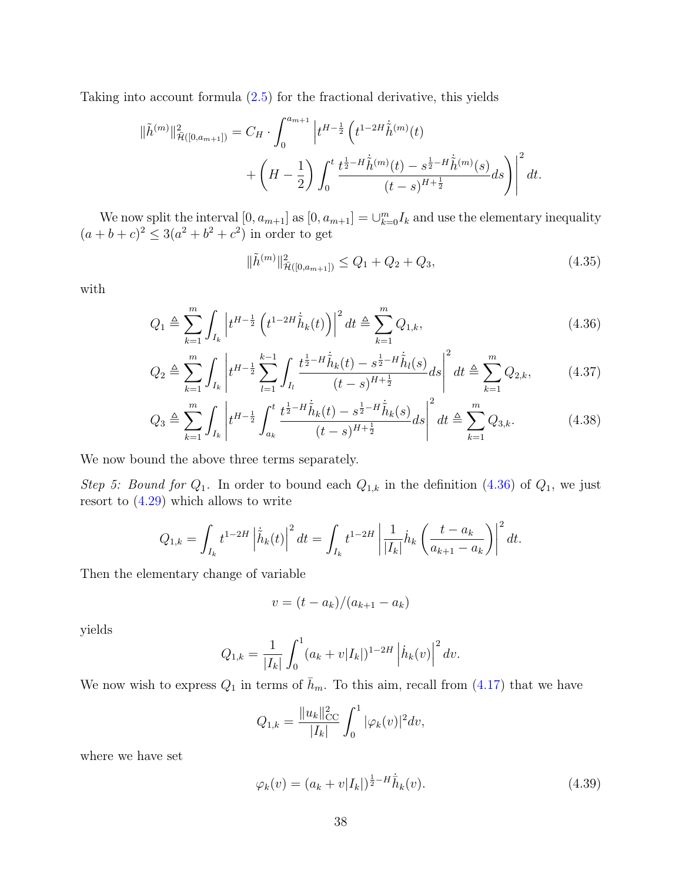Taking into account formula  $(2.5)$  for the fractional derivative, this yields

$$
\|\tilde{h}^{(m)}\|_{\tilde{\mathcal{H}}([0,a_{m+1}])}^2 = C_H \cdot \int_0^{a_{m+1}} \left| t^{H-\frac{1}{2}} \left( t^{1-2H} \dot{\tilde{h}}^{(m)}(t) + \left( H - \frac{1}{2} \right) \int_0^t \frac{t^{\frac{1}{2}-H} \dot{\tilde{h}}^{(m)}(t) - s^{\frac{1}{2}-H} \dot{\tilde{h}}^{(m)}(s)}{(t-s)^{H+\frac{1}{2}}} ds \right) \right|^2 dt.
$$

We now split the interval  $[0, a_{m+1}]$  as  $[0, a_{m+1}] = \bigcup_{k=0}^{m} I_k$  and use the elementary inequality  $(a+b+c)^2 \leq 3(a^2+b^2+c^2)$  in order to get

<span id="page-37-3"></span><span id="page-37-2"></span><span id="page-37-0"></span>
$$
\|\tilde{h}^{(m)}\|_{\tilde{\mathcal{H}}([0,a_{m+1}])}^2 \le Q_1 + Q_2 + Q_3,\tag{4.35}
$$

with

$$
Q_1 \triangleq \sum_{k=1}^{m} \int_{I_k} \left| t^{H-\frac{1}{2}} \left( t^{1-2H} \dot{\tilde{h}}_k(t) \right) \right|^2 dt \triangleq \sum_{k=1}^{m} Q_{1,k}, \tag{4.36}
$$

$$
Q_2 \triangleq \sum_{k=1}^m \int_{I_k} \left| t^{H-\frac{1}{2}} \sum_{l=1}^{k-1} \int_{I_l} \frac{t^{\frac{1}{2}-H} \dot{\tilde{h}}_k(t) - s^{\frac{1}{2}-H} \dot{\tilde{h}}_l(s)}{(t-s)^{H+\frac{1}{2}}} ds \right|^2 dt \triangleq \sum_{k=1}^m Q_{2,k}, \tag{4.37}
$$

$$
Q_3 \triangleq \sum_{k=1}^m \int_{I_k} \left| t^{H-\frac{1}{2}} \int_{a_k}^t \frac{t^{\frac{1}{2}-H} \dot{\tilde{h}}_k(t) - s^{\frac{1}{2}-H} \dot{\tilde{h}}_k(s)}{(t-s)^{H+\frac{1}{2}}} ds \right|^2 dt \triangleq \sum_{k=1}^m Q_{3,k}.
$$
 (4.38)

We now bound the above three terms separately.

Step 5: Bound for  $Q_1$ . In order to bound each  $Q_{1,k}$  in the definition [\(4.36\)](#page-37-0) of  $Q_1$ , we just resort to  $(4.29)$  which allows to write

$$
Q_{1,k} = \int_{I_k} t^{1-2H} \left| \dot{\tilde{h}}_k(t) \right|^2 dt = \int_{I_k} t^{1-2H} \left| \frac{1}{|I_k|} \dot{h}_k \left( \frac{t-a_k}{a_{k+1}-a_k} \right) \right|^2 dt.
$$

Then the elementary change of variable

$$
v = (t - a_k)/(a_{k+1} - a_k)
$$

yields

$$
Q_{1,k} = \frac{1}{|I_k|} \int_0^1 (a_k + v|I_k|)^{1-2H} \left| \dot{h}_k(v) \right|^2 dv.
$$

We now wish to express  $Q_1$  in terms of  $\bar{h}_m$ . To this aim, recall from [\(4.17\)](#page-33-1) that we have

$$
Q_{1,k} = \frac{||u_k||_{CC}^2}{|I_k|} \int_0^1 |\varphi_k(v)|^2 dv,
$$

where we have set

<span id="page-37-1"></span>
$$
\varphi_k(v) = (a_k + v|I_k|)^{\frac{1}{2} - H} \dot{\bar{h}}_k(v).
$$
\n(4.39)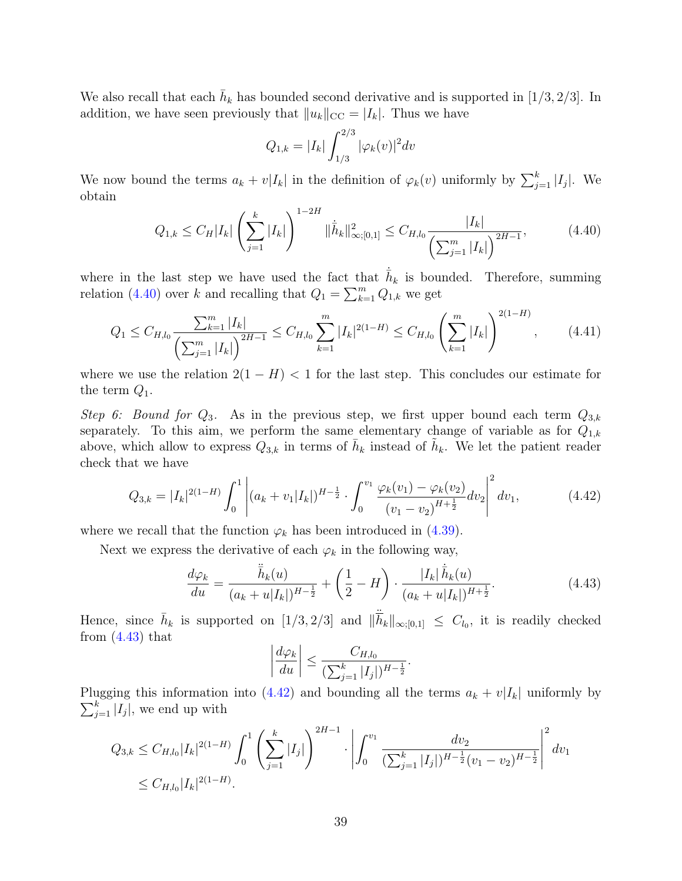We also recall that each  $\bar{h}_k$  has bounded second derivative and is supported in [1/3, 2/3]. In addition, we have seen previously that  $||u_k||_{\text{CC}} = |I_k|$ . Thus we have

<span id="page-38-3"></span><span id="page-38-0"></span>
$$
Q_{1,k} = |I_k| \int_{1/3}^{2/3} |\varphi_k(v)|^2 dv
$$

We now bound the terms  $a_k + v|I_k|$  in the definition of  $\varphi_k(v)$  uniformly by  $\sum_{j=1}^k |I_j|$ . We obtain

$$
Q_{1,k} \le C_H |I_k| \left(\sum_{j=1}^k |I_k|\right)^{1-2H} \|\dot{\bar{h}}_k\|_{\infty;[0,1]}^2 \le C_{H,l_0} \frac{|I_k|}{\left(\sum_{j=1}^m |I_k|\right)^{2H-1}},\tag{4.40}
$$

where in the last step we have used the fact that  $\dot{h}_k$  is bounded. Therefore, summing relation [\(4.40\)](#page-38-0) over k and recalling that  $Q_1 = \sum_{k=1}^{m} Q_{1,k}$  we get

$$
Q_1 \leq C_{H,l_0} \frac{\sum_{k=1}^m |I_k|}{\left(\sum_{j=1}^m |I_k|\right)^{2H-1}} \leq C_{H,l_0} \sum_{k=1}^m |I_k|^{2(1-H)} \leq C_{H,l_0} \left(\sum_{k=1}^m |I_k|\right)^{2(1-H)},\tag{4.41}
$$

where we use the relation  $2(1 - H) < 1$  for the last step. This concludes our estimate for the term  $Q_1$ .

Step 6: Bound for  $Q_3$ . As in the previous step, we first upper bound each term  $Q_{3,k}$ separately. To this aim, we perform the same elementary change of variable as for  $Q_{1,k}$ above, which allow to express  $Q_{3,k}$  in terms of  $\bar{h}_k$  instead of  $\tilde{h}_k$ . We let the patient reader check that we have

$$
Q_{3,k} = |I_k|^{2(1-H)} \int_0^1 \left| (a_k + v_1 |I_k|)^{H - \frac{1}{2}} \cdot \int_0^{v_1} \frac{\varphi_k(v_1) - \varphi_k(v_2)}{(v_1 - v_2)^{H + \frac{1}{2}}} dv_2 \right|^2 dv_1,
$$
 (4.42)

where we recall that the function  $\varphi_k$  has been introduced in [\(4.39\)](#page-37-1).

Next we express the derivative of each  $\varphi_k$  in the following way,

$$
\frac{d\varphi_k}{du} = \frac{\ddot{\bar{h}}_k(u)}{(a_k + u|I_k|)^{H - \frac{1}{2}}} + \left(\frac{1}{2} - H\right) \cdot \frac{|I_k|\dot{\bar{h}}_k(u)}{(a_k + u|I_k|)^{H + \frac{1}{2}}}.
$$
\n(4.43)

Hence, since  $\bar{h}_k$  is supported on  $[1/3, 2/3]$  and  $\|\dot{\bar{h}}_k\|_{\infty;[0,1]} \leq C_{l_0}$ , it is readily checked from  $(4.43)$  that

<span id="page-38-2"></span><span id="page-38-1"></span>
$$
\left|\frac{d\varphi_k}{du}\right| \le \frac{C_{H,l_0}}{(\sum_{j=1}^k |I_j|)^{H-\frac{1}{2}}}.
$$

 $\sum_{j=1}^k |I_j|$ , we end up with Plugging this information into [\(4.42\)](#page-38-2) and bounding all the terms  $a_k + v|I_k|$  uniformly by

$$
Q_{3,k} \leq C_{H,l_0} |I_k|^{2(1-H)} \int_0^1 \left( \sum_{j=1}^k |I_j| \right)^{2H-1} \cdot \left| \int_0^{v_1} \frac{dv_2}{\left( \sum_{j=1}^k |I_j| \right)^{H-\frac{1}{2}} (v_1 - v_2)^{H-\frac{1}{2}}} \right|^2 dv_1
$$
  
  $\leq C_{H,l_0} |I_k|^{2(1-H)}.$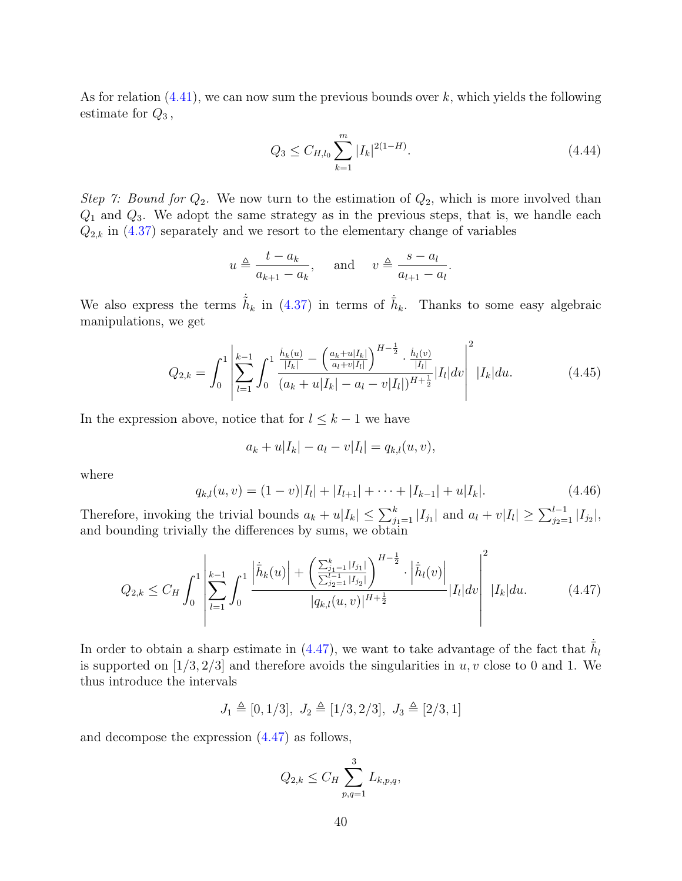As for relation  $(4.41)$ , we can now sum the previous bounds over k, which yields the following estimate for  $Q_3$ ,

<span id="page-39-2"></span>
$$
Q_3 \le C_{H, l_0} \sum_{k=1}^{m} |I_k|^{2(1-H)}.
$$
\n(4.44)

Step 7: Bound for  $Q_2$ . We now turn to the estimation of  $Q_2$ , which is more involved than  $Q_1$  and  $Q_3$ . We adopt the same strategy as in the previous steps, that is, we handle each  $Q_{2,k}$  in  $(4.37)$  separately and we resort to the elementary change of variables

$$
u \triangleq \frac{t - a_k}{a_{k+1} - a_k}
$$
, and  $v \triangleq \frac{s - a_l}{a_{l+1} - a_l}$ .

We also express the terms  $\dot{h}_k$  in [\(4.37\)](#page-37-2) in terms of  $\dot{h}_k$ . Thanks to some easy algebraic manipulations, we get

$$
Q_{2,k} = \int_0^1 \left| \sum_{l=1}^{k-1} \int_0^1 \frac{\frac{\dot{h}_k(u)}{|I_k|} - \left(\frac{a_k + u|I_k|}{a_l + v|I_l|}\right)^{H - \frac{1}{2}} \cdot \frac{\dot{h}_l(v)}{|I_l|}}{(a_k + u|I_k| - a_l - v|I_l|)^{H + \frac{1}{2}}} |I_l| dv \right|^2 |I_k| du.
$$
 (4.45)

In the expression above, notice that for  $l \leq k-1$  we have

$$
a_k + u|I_k| - a_l - v|I_l| = q_{k,l}(u,v),
$$

where

<span id="page-39-1"></span>
$$
q_{k,l}(u,v) = (1-v)|I_l| + |I_{l+1}| + \dots + |I_{k-1}| + u|I_k|.
$$
\n(4.46)

Therefore, invoking the trivial bounds  $a_k + u|I_k| \leq \sum_{j_1=1}^k |I_{j_1}|$  and  $a_l + v|I_l| \geq \sum_{j_2=1}^{l-1} |I_{j_2}|$ , and bounding trivially the differences by sums, we obtain

$$
Q_{2,k} \leq C_H \int_0^1 \left| \sum_{l=1}^{k-1} \int_0^1 \frac{\left| \dot{\bar{h}}_k(u) \right| + \left( \frac{\sum_{j_1=1}^k |I_{j_1}|}{\sum_{j_2=1}^{l-1} |I_{j_2}|} \right)^{H-\frac{1}{2}}}{|q_{k,l}(u,v)|^{H+\frac{1}{2}}} \cdot \left| \dot{\bar{h}}_l(v) \right| \right| |I_k| du. \tag{4.47}
$$

In order to obtain a sharp estimate in [\(4.47\)](#page-39-0), we want to take advantage of the fact that  $\bar{h}_l$ is supported on  $[1/3, 2/3]$  and therefore avoids the singularities in u, v close to 0 and 1. We thus introduce the intervals

$$
J_1 \triangleq [0, 1/3], J_2 \triangleq [1/3, 2/3], J_3 \triangleq [2/3, 1]
$$

and decompose the expression [\(4.47\)](#page-39-0) as follows,

<span id="page-39-0"></span>
$$
Q_{2,k} \leq C_H \sum_{p,q=1}^{3} L_{k,p,q},
$$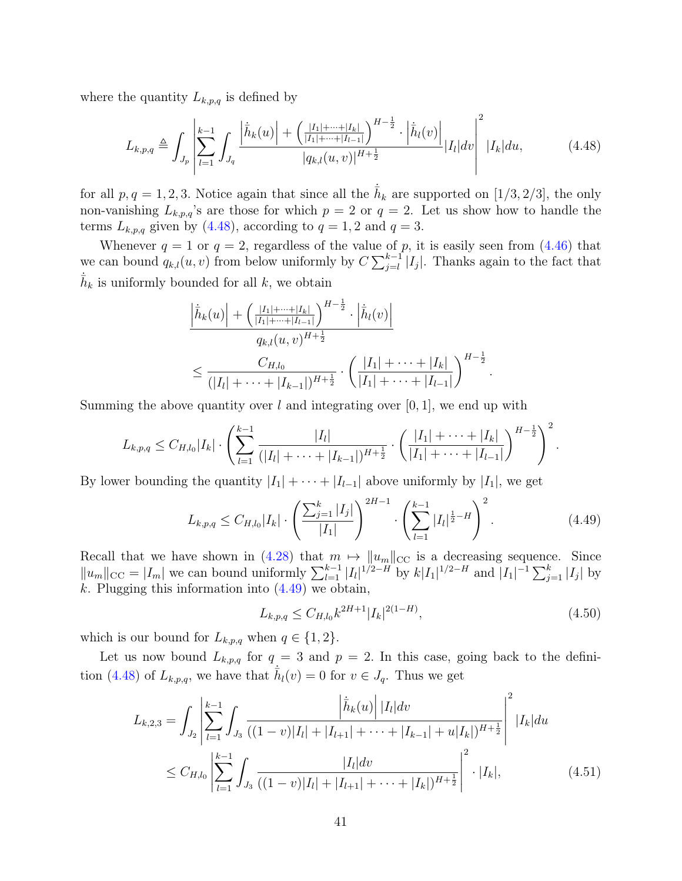where the quantity  $L_{k,p,q}$  is defined by

$$
L_{k,p,q} \triangleq \int_{J_p} \left| \sum_{l=1}^{k-1} \int_{J_q} \frac{\left| \dot{\bar{h}}_k(u) \right| + \left( \frac{|I_1| + \dots + |I_k|}{|I_1| + \dots + |I_{l-1}|} \right)^{H - \frac{1}{2}} \cdot \left| \dot{\bar{h}}_l(v) \right|}{|q_{k,l}(u,v)|^{H + \frac{1}{2}}} |I_l| dv \right|^2 |I_k| du, \tag{4.48}
$$

for all  $p, q = 1, 2, 3$ . Notice again that since all the  $\bar{h}_k$  are supported on [1/3, 2/3], the only non-vanishing  $L_{k,p,q}$ 's are those for which  $p = 2$  or  $q = 2$ . Let us show how to handle the terms  $L_{k,p,q}$  given by [\(4.48\)](#page-40-0), according to  $q=1,2$  and  $q=3$ .

Whenever  $q = 1$  or  $q = 2$ , regardless of the value of p, it is easily seen from  $(4.46)$  that we can bound  $q_{k,l}(u, v)$  from below uniformly by  $C \sum_{j=l}^{k-1} |I_j|$ . Thanks again to the fact that  $\bar{h}_k$  is uniformly bounded for all k, we obtain

<span id="page-40-0"></span>
$$
\frac{\left|\dot{h}_k(u)\right| + \left(\frac{|I_1| + \dots + |I_k|}{|I_1| + \dots + |I_{l-1}|}\right)^{H - \frac{1}{2}} \cdot \left|\dot{h}_l(v)\right|}{q_{k,l}(u,v)^{H + \frac{1}{2}}} \le \frac{C_{H,l_0}}{(|I_l| + \dots + |I_{k-1}|)^{H + \frac{1}{2}}} \cdot \left(\frac{|I_1| + \dots + |I_k|}{|I_1| + \dots + |I_{l-1}|}\right)^{H - \frac{1}{2}}.
$$

Summing the above quantity over l and integrating over  $[0, 1]$ , we end up with

$$
L_{k,p,q} \leq C_{H,l_0}|I_k| \cdot \left(\sum_{l=1}^{k-1} \frac{|I_l|}{(|I_l| + \cdots + |I_{k-1}|)^{H+\frac{1}{2}}} \cdot \left(\frac{|I_1| + \cdots + |I_k|}{|I_1| + \cdots + |I_{l-1}|}\right)^{H-\frac{1}{2}}\right)^2.
$$

By lower bounding the quantity  $|I_1| + \cdots + |I_{l-1}|$  above uniformly by  $|I_1|$ , we get

$$
L_{k,p,q} \leq C_{H,l_0}|I_k| \cdot \left(\frac{\sum_{j=1}^k |I_j|}{|I_1|}\right)^{2H-1} \cdot \left(\sum_{l=1}^{k-1} |I_l|^{\frac{1}{2}-H}\right)^2. \tag{4.49}
$$

Recall that we have shown in [\(4.28\)](#page-35-2) that  $m \mapsto ||u_m||_{CC}$  is a decreasing sequence. Since  $||u_m||_{\text{CC}} = |I_m|$  we can bound uniformly  $\sum_{l=1}^{k-1} |I_l|^{1/2-H}$  by  $k|I_1|^{1/2-H}$  and  $|I_1|^{-1} \sum_{j=1}^{k} |I_j|$  by k. Plugging this information into  $(4.49)$  we obtain,

<span id="page-40-3"></span><span id="page-40-2"></span><span id="page-40-1"></span>
$$
L_{k,p,q} \le C_{H,l_0} k^{2H+1} |I_k|^{2(1-H)},\tag{4.50}
$$

which is our bound for  $L_{k,p,q}$  when  $q \in \{1,2\}.$ 

Let us now bound  $L_{k,p,q}$  for  $q=3$  and  $p=2$ . In this case, going back to the defini-tion [\(4.48\)](#page-40-0) of  $L_{k,p,q}$ , we have that  $\bar{h}_l(v) = 0$  for  $v \in J_q$ . Thus we get

$$
L_{k,2,3} = \int_{J_2} \left| \sum_{l=1}^{k-1} \int_{J_3} \frac{\left| \dot{h}_k(u) \right| |I_l| dv}{((1-v)|I_l| + |I_{l+1}| + \dots + |I_{k-1}| + u|I_k|)^{H + \frac{1}{2}}} \right|^2 |I_k| du
$$
  
 
$$
\leq C_{H,l_0} \left| \sum_{l=1}^{k-1} \int_{J_3} \frac{|I_l| dv}{((1-v)|I_l| + |I_{l+1}| + \dots + |I_k|)^{H + \frac{1}{2}}} \right|^2 \cdot |I_k|, \tag{4.51}
$$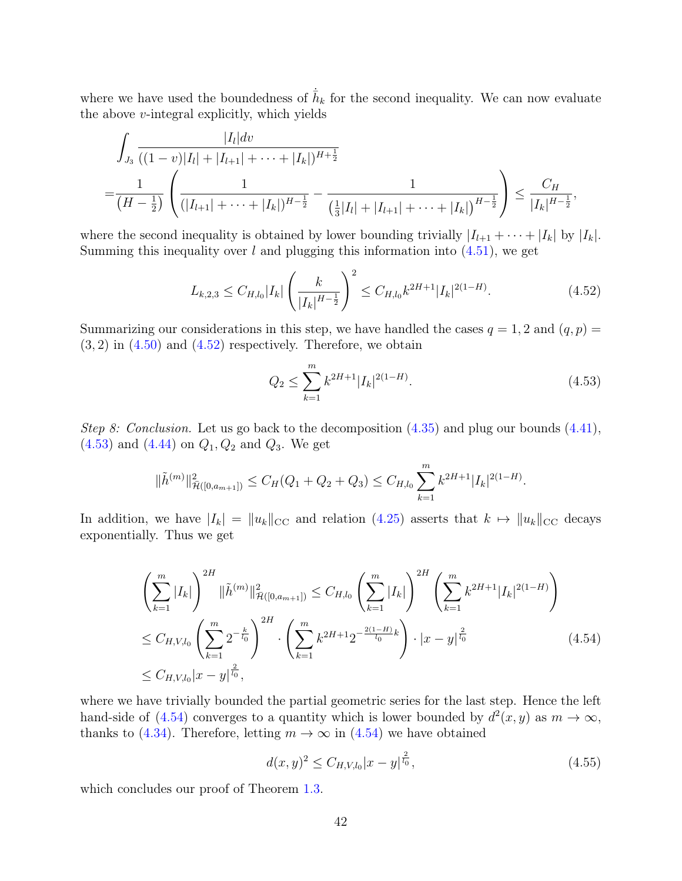where we have used the boundedness of  $\overline{h}_k$  for the second inequality. We can now evaluate the above  $v$ -integral explicitly, which yields

$$
\int_{J_3} \frac{|I_l| dv}{((1-v)|I_l|+|I_{l+1}|+\cdots+|I_k|)^{H+\frac{1}{2}}} \n= \frac{1}{(H-\frac{1}{2})} \left( \frac{1}{(|I_{l+1}|+\cdots+|I_k|)^{H-\frac{1}{2}}} - \frac{1}{(\frac{1}{3}|I_l|+|I_{l+1}|+\cdots+|I_k|)^{H-\frac{1}{2}}} \right) \le \frac{C_H}{|I_k|^{H-\frac{1}{2}}},
$$

where the second inequality is obtained by lower bounding trivially  $|I_{l+1} + \cdots + |I_k|$  by  $|I_k|$ . Summing this inequality over  $l$  and plugging this information into  $(4.51)$ , we get

$$
L_{k,2,3} \le C_{H,l_0}|I_k| \left(\frac{k}{|I_k|^{H-\frac{1}{2}}}\right)^2 \le C_{H,l_0} k^{2H+1} |I_k|^{2(1-H)}.\tag{4.52}
$$

Summarizing our considerations in this step, we have handled the cases  $q = 1, 2$  and  $(q, p) =$  $(3, 2)$  in  $(4.50)$  and  $(4.52)$  respectively. Therefore, we obtain

<span id="page-41-1"></span><span id="page-41-0"></span>
$$
Q_2 \le \sum_{k=1}^m k^{2H+1} |I_k|^{2(1-H)}.\tag{4.53}
$$

Step 8: Conclusion. Let us go back to the decomposition  $(4.35)$  and plug our bounds  $(4.41)$ ,  $(4.53)$  and  $(4.44)$  on  $Q_1, Q_2$  and  $Q_3$ . We get

$$
\|\tilde{h}^{(m)}\|_{\bar{\mathcal{H}}([0,a_{m+1}])}^2 \leq C_H(Q_1+Q_2+Q_3) \leq C_{H,l_0} \sum_{k=1}^m k^{2H+1} |I_k|^{2(1-H)}.
$$

In addition, we have  $|I_k| = ||u_k||_{\text{CC}}$  and relation [\(4.25\)](#page-34-1) asserts that  $k \mapsto ||u_k||_{\text{CC}}$  decays exponentially. Thus we get

<span id="page-41-2"></span>
$$
\left(\sum_{k=1}^{m} |I_k|\right)^{2H} \|\tilde{h}^{(m)}\|_{\tilde{\mathcal{H}}([0,a_{m+1}])}^2 \leq C_{H,l_0} \left(\sum_{k=1}^{m} |I_k|\right)^{2H} \left(\sum_{k=1}^{m} k^{2H+1} |I_k|^{2(1-H)}\right)
$$
  
\n
$$
\leq C_{H,V,l_0} \left(\sum_{k=1}^{m} 2^{-\frac{k}{l_0}}\right)^{2H} \cdot \left(\sum_{k=1}^{m} k^{2H+1} 2^{-\frac{2(1-H)}{l_0}k}\right) \cdot |x-y|^{\frac{2}{l_0}} \qquad (4.54)
$$
  
\n
$$
\leq C_{H,V,l_0} |x-y|^{\frac{2}{l_0}},
$$

where we have trivially bounded the partial geometric series for the last step. Hence the left hand-side of [\(4.54\)](#page-41-2) converges to a quantity which is lower bounded by  $d^2(x, y)$  as  $m \to \infty$ , thanks to [\(4.34\)](#page-36-2). Therefore, letting  $m \to \infty$  in [\(4.54\)](#page-41-2) we have obtained

<span id="page-41-3"></span>
$$
d(x,y)^{2} \leq C_{H,V,l_{0}}|x-y|^{\frac{2}{l_{0}}}, \qquad (4.55)
$$

which concludes our proof of Theorem [1.3.](#page-4-0)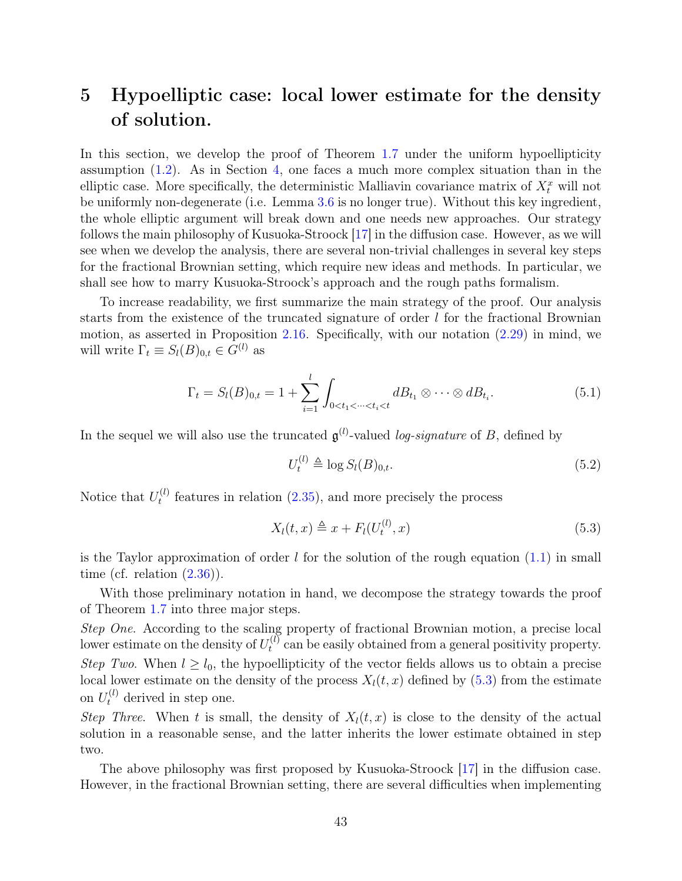# 5 Hypoelliptic case: local lower estimate for the density of solution.

In this section, we develop the proof of Theorem [1.7](#page-5-0) under the uniform hypoellipticity assumption [\(1.2\)](#page-3-1). As in Section [4,](#page-27-0) one faces a much more complex situation than in the elliptic case. More specifically, the deterministic Malliavin covariance matrix of  $X_t^x$  will not be uniformly non-degenerate (i.e. Lemma [3.6](#page-24-0) is no longer true). Without this key ingredient, the whole elliptic argument will break down and one needs new approaches. Our strategy follows the main philosophy of Kusuoka-Stroock [\[17\]](#page-75-0) in the diffusion case. However, as we will see when we develop the analysis, there are several non-trivial challenges in several key steps for the fractional Brownian setting, which require new ideas and methods. In particular, we shall see how to marry Kusuoka-Stroock's approach and the rough paths formalism.

To increase readability, we first summarize the main strategy of the proof. Our analysis starts from the existence of the truncated signature of order  $l$  for the fractional Brownian motion, as asserted in Proposition [2.16.](#page-17-0) Specifically, with our notation [\(2.29\)](#page-15-0) in mind, we will write  $\Gamma_t \equiv S_l(B)_{0,t} \in G^{(l)}$  as

$$
\Gamma_t = S_l(B)_{0,t} = 1 + \sum_{i=1}^l \int_{0 < t_1 < \dots < t_i < t} dB_{t_1} \otimes \dots \otimes dB_{t_i}.\tag{5.1}
$$

In the sequel we will also use the truncated  $\mathfrak{g}^{(l)}$ -valued *log-signature* of B, defined by

<span id="page-42-2"></span><span id="page-42-1"></span>
$$
U_t^{(l)} \triangleq \log S_l(B)_{0,t}.\tag{5.2}
$$

Notice that  $U_t^{(l)}$  $t_t^{(l)}$  features in relation [\(2.35\)](#page-17-1), and more precisely the process

<span id="page-42-0"></span>
$$
X_l(t,x) \triangleq x + F_l(U_t^{(l)},x) \tag{5.3}
$$

is the Taylor approximation of order  $l$  for the solution of the rough equation  $(1.1)$  in small time (cf. relation  $(2.36)$ ).

With those preliminary notation in hand, we decompose the strategy towards the proof of Theorem [1.7](#page-5-0) into three major steps.

Step One. According to the scaling property of fractional Brownian motion, a precise local lower estimate on the density of  $U_t^{(l)}$  $t_t^{(l)}$  can be easily obtained from a general positivity property. Step Two. When  $l \geq l_0$ , the hypoellipticity of the vector fields allows us to obtain a precise local lower estimate on the density of the process  $X_l(t, x)$  defined by [\(5.3\)](#page-42-0) from the estimate on  $U_t^{(l)}$  derived in step one.

Step Three. When t is small, the density of  $X<sub>l</sub>(t, x)$  is close to the density of the actual solution in a reasonable sense, and the latter inherits the lower estimate obtained in step two.

The above philosophy was first proposed by Kusuoka-Stroock [\[17\]](#page-75-0) in the diffusion case. However, in the fractional Brownian setting, there are several difficulties when implementing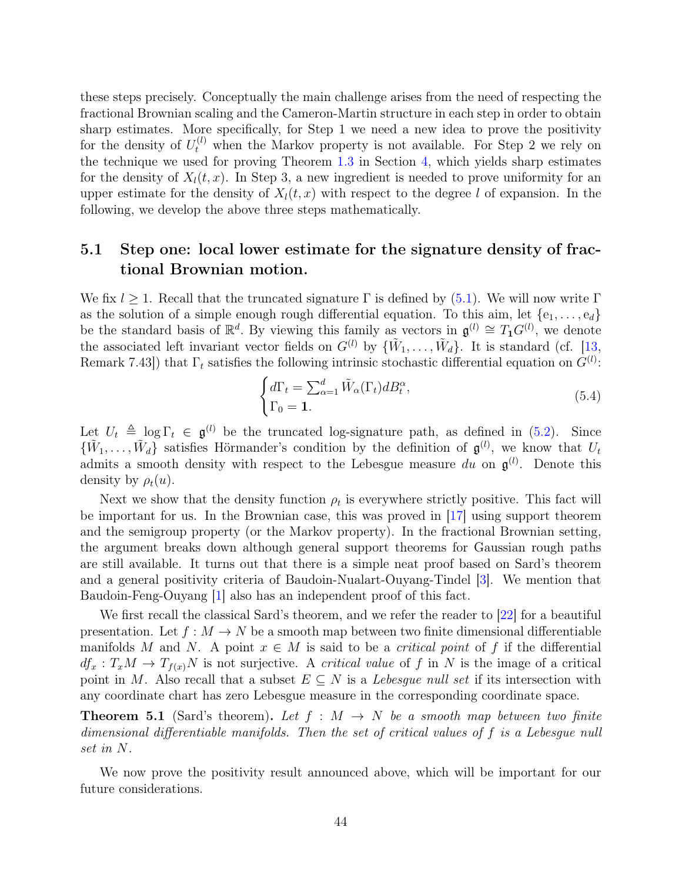these steps precisely. Conceptually the main challenge arises from the need of respecting the fractional Brownian scaling and the Cameron-Martin structure in each step in order to obtain sharp estimates. More specifically, for Step 1 we need a new idea to prove the positivity for the density of  $U_t^{(l)}$  when the Markov property is not available. For Step 2 we rely on the technique we used for proving Theorem [1.3](#page-4-0) in Section [4,](#page-27-0) which yields sharp estimates for the density of  $X<sub>l</sub>(t, x)$ . In Step 3, a new ingredient is needed to prove uniformity for an upper estimate for the density of  $X<sub>l</sub>(t, x)$  with respect to the degree l of expansion. In the following, we develop the above three steps mathematically.

## 5.1 Step one: local lower estimate for the signature density of fractional Brownian motion.

We fix  $l \geq 1$ . Recall that the truncated signature  $\Gamma$  is defined by [\(5.1\)](#page-42-1). We will now write  $\Gamma$ as the solution of a simple enough rough differential equation. To this aim, let  $\{e_1, \ldots, e_d\}$ be the standard basis of  $\mathbb{R}^d$ . By viewing this family as vectors in  $\mathfrak{g}^{(l)} \cong T_1 G^{(l)}$ , we denote the associated left invariant vector fields on  $G^{(l)}$  by  $\{\tilde{W}_1,\ldots,\tilde{W}_d\}$ . It is standard (cf. [\[13,](#page-75-1) Remark 7.43]) that  $\Gamma_t$  satisfies the following intrinsic stochastic differential equation on  $G^{(l)}$ :

<span id="page-43-0"></span>
$$
\begin{cases} d\Gamma_t = \sum_{\alpha=1}^d \tilde{W}_{\alpha}(\Gamma_t) dB_t^{\alpha}, \\ \Gamma_0 = \mathbf{1}. \end{cases} \tag{5.4}
$$

Let  $U_t \triangleq \log \Gamma_t \in \mathfrak{g}^{(l)}$  be the truncated log-signature path, as defined in [\(5.2\)](#page-42-2). Since  $\{\tilde{W}_1,\ldots,\tilde{W}_d\}$  satisfies Hörmander's condition by the definition of  $\mathfrak{g}^{(l)}$ , we know that  $U_t$ admits a smooth density with respect to the Lebesgue measure du on  $\mathfrak{g}^{(l)}$ . Denote this density by  $\rho_t(u)$ .

Next we show that the density function  $\rho_t$  is everywhere strictly positive. This fact will be important for us. In the Brownian case, this was proved in [\[17\]](#page-75-0) using support theorem and the semigroup property (or the Markov property). In the fractional Brownian setting, the argument breaks down although general support theorems for Gaussian rough paths are still available. It turns out that there is a simple neat proof based on Sard's theorem and a general positivity criteria of Baudoin-Nualart-Ouyang-Tindel [\[3\]](#page-74-0). We mention that Baudoin-Feng-Ouyang [\[1\]](#page-74-1) also has an independent proof of this fact.

We first recall the classical Sard's theorem, and we refer the reader to  $|22|$  for a beautiful presentation. Let  $f : M \to N$  be a smooth map between two finite dimensional differentiable manifolds M and N. A point  $x \in M$  is said to be a *critical point* of f if the differential  $df_x: T_xM \to T_{f(x)}N$  is not surjective. A *critical value* of f in N is the image of a critical point in M. Also recall that a subset  $E \subseteq N$  is a Lebesgue null set if its intersection with any coordinate chart has zero Lebesgue measure in the corresponding coordinate space.

<span id="page-43-1"></span>**Theorem 5.1** (Sard's theorem). Let  $f : M \rightarrow N$  be a smooth map between two finite dimensional differentiable manifolds. Then the set of critical values of f is a Lebesgue null set in N.

We now prove the positivity result announced above, which will be important for our future considerations.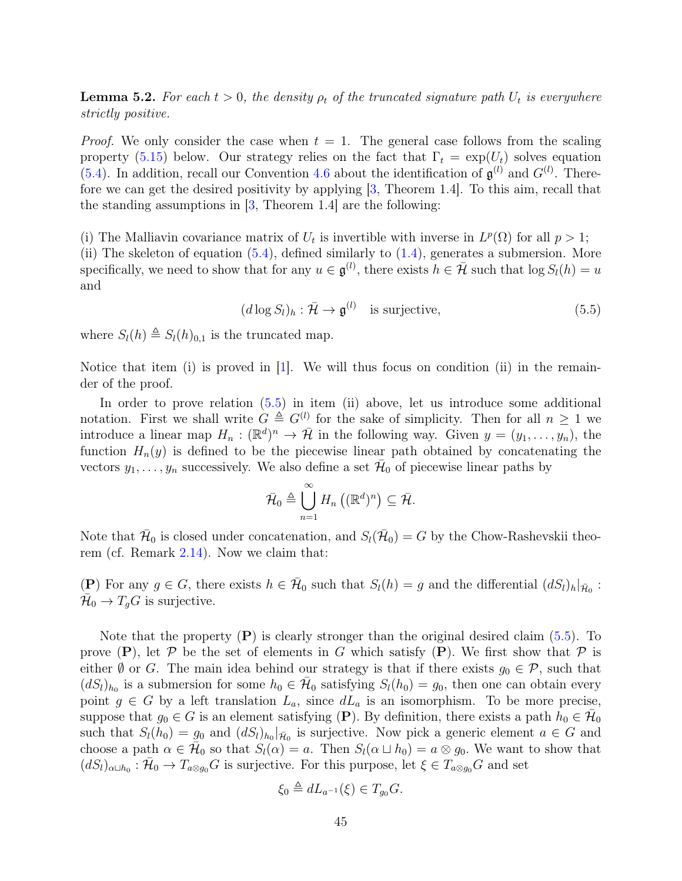<span id="page-44-1"></span>**Lemma 5.2.** For each  $t > 0$ , the density  $\rho_t$  of the truncated signature path  $U_t$  is everywhere strictly positive.

*Proof.* We only consider the case when  $t = 1$ . The general case follows from the scaling property [\(5.15\)](#page-49-0) below. Our strategy relies on the fact that  $\Gamma_t = \exp(U_t)$  solves equation [\(5.4\)](#page-43-0). In addition, recall our Convention [4.6](#page-32-0) about the identification of  $\mathfrak{g}^{(l)}$  and  $G^{(l)}$ . Therefore we can get the desired positivity by applying [\[3,](#page-74-0) Theorem 1.4]. To this aim, recall that the standing assumptions in  $\vert 3$ , Theorem 1.4 are the following:

(i) The Malliavin covariance matrix of  $U_t$  is invertible with inverse in  $L^p(\Omega)$  for all  $p > 1$ ; (ii) The skeleton of equation  $(5.4)$ , defined similarly to  $(1.4)$ , generates a submersion. More specifically, we need to show that for any  $u \in \mathfrak{g}^{(l)}$ , there exists  $h \in \bar{\mathcal{H}}$  such that  $\log S_l(h) = u$ and

<span id="page-44-0"></span> $(d \log S_l)_h : \bar{\mathcal{H}} \to \mathfrak{g}^{(l)}$  is surjective, (5.5)

where  $S_l(h) \triangleq S_l(h)_{0,1}$  is the truncated map.

Notice that item (i) is proved in  $[1]$ . We will thus focus on condition (ii) in the remainder of the proof.

In order to prove relation  $(5.5)$  in item (ii) above, let us introduce some additional notation. First we shall write  $G \triangleq G^{(l)}$  for the sake of simplicity. Then for all  $n \geq 1$  we introduce a linear map  $H_n : (\mathbb{R}^d)^n \to \overline{\mathcal{H}}$  in the following way. Given  $y = (y_1, \ldots, y_n)$ , the function  $H_n(y)$  is defined to be the piecewise linear path obtained by concatenating the vectors  $y_1, \ldots, y_n$  successively. We also define a set  $\overline{\mathcal{H}}_0$  of piecewise linear paths by

$$
\bar{\mathcal{H}}_0 \triangleq \bigcup_{n=1}^{\infty} H_n\left( (\mathbb{R}^d)^n \right) \subseteq \bar{\mathcal{H}}.
$$

Note that  $\bar{\mathcal{H}}_0$  is closed under concatenation, and  $S_l(\bar{\mathcal{H}}_0) = G$  by the Chow-Rashevskii theorem (cf. Remark [2.14\)](#page-16-0). Now we claim that:

(P) For any  $g \in G$ , there exists  $h \in \bar{\mathcal{H}}_0$  such that  $S_l(h) = g$  and the differential  $(dS_l)_h|_{\bar{\mathcal{H}}_0}$ :  $\overline{\mathcal{H}}_0 \to T_g G$  is surjective.

Note that the property  $(P)$  is clearly stronger than the original desired claim  $(5.5)$ . To prove  $(P)$ , let P be the set of elements in G which satisfy  $(P)$ . We first show that P is either  $\emptyset$  or G. The main idea behind our strategy is that if there exists  $g_0 \in \mathcal{P}$ , such that  $(dS_l)_{h_0}$  is a submersion for some  $h_0 \in \bar{\mathcal{H}}_0$  satisfying  $S_l(h_0) = g_0$ , then one can obtain every point  $g \in G$  by a left translation  $L_a$ , since  $dL_a$  is an isomorphism. To be more precise, suppose that  $g_0 \in G$  is an element satisfying (P). By definition, there exists a path  $h_0 \in \overline{\mathcal{H}}_0$ such that  $S_l(h_0) = g_0$  and  $(dS_l)_{h_0}|_{\bar{H}_0}$  is surjective. Now pick a generic element  $a \in G$  and choose a path  $\alpha \in \tilde{\mathcal{H}}_0$  so that  $S_l(\alpha) = a$ . Then  $S_l(\alpha \sqcup h_0) = a \otimes g_0$ . We want to show that  $(dS_l)_{\alpha\sqcup h_0}: \bar{\mathcal{H}}_0 \to T_{a\otimes g_0}G$  is surjective. For this purpose, let  $\xi \in T_{a\otimes g_0}G$  and set

$$
\xi_0 \triangleq dL_{a^{-1}}(\xi) \in T_{g_0}G.
$$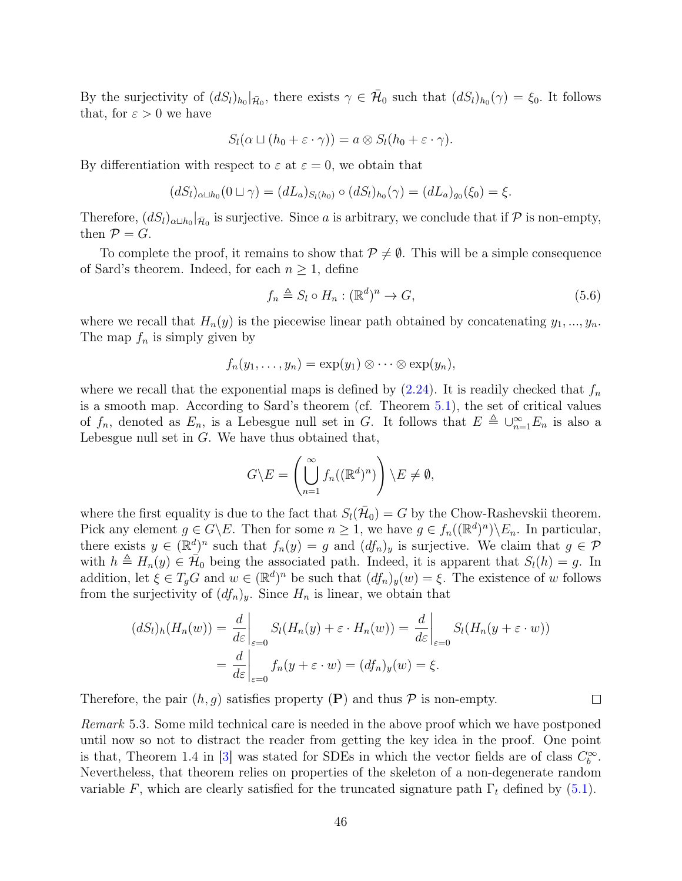By the surjectivity of  $(dS_l)_{h_0}|_{\bar{\mathcal{H}}_0}$ , there exists  $\gamma \in \bar{\mathcal{H}}_0$  such that  $(dS_l)_{h_0}(\gamma) = \xi_0$ . It follows that, for  $\varepsilon > 0$  we have

$$
S_l(\alpha \sqcup (h_0 + \varepsilon \cdot \gamma)) = a \otimes S_l(h_0 + \varepsilon \cdot \gamma).
$$

By differentiation with respect to  $\varepsilon$  at  $\varepsilon = 0$ , we obtain that

$$
(dS_l)_{\alpha \sqcup h_0}(0 \sqcup \gamma) = (dL_a)_{S_l(h_0)} \circ (dS_l)_{h_0}(\gamma) = (dL_a)_{g_0}(\xi_0) = \xi.
$$

Therefore,  $(dS_l)_{\alpha\sqcup h_0}|_{\bar{\mathcal{H}}_0}$  is surjective. Since a is arbitrary, we conclude that if  $\mathcal P$  is non-empty, then  $\mathcal{P} = G$ .

To complete the proof, it remains to show that  $P \neq \emptyset$ . This will be a simple consequence of Sard's theorem. Indeed, for each  $n \geq 1$ , define

$$
f_n \triangleq S_l \circ H_n : (\mathbb{R}^d)^n \to G,
$$
\n
$$
(5.6)
$$

where we recall that  $H_n(y)$  is the piecewise linear path obtained by concatenating  $y_1, ..., y_n$ . The map  $f_n$  is simply given by

$$
f_n(y_1,\ldots,y_n)=\exp(y_1)\otimes\cdots\otimes\exp(y_n),
$$

where we recall that the exponential maps is defined by  $(2.24)$ . It is readily checked that  $f_n$ is a smooth map. According to Sard's theorem (cf. Theorem [5.1\)](#page-43-1), the set of critical values of  $f_n$ , denoted as  $E_n$ , is a Lebesgue null set in G. It follows that  $E \triangleq \bigcup_{n=1}^{\infty} E_n$  is also a Lebesgue null set in  $G$ . We have thus obtained that,

$$
G \backslash E = \left( \bigcup_{n=1}^{\infty} f_n((\mathbb{R}^d)^n) \right) \backslash E \neq \emptyset,
$$

where the first equality is due to the fact that  $S_l(\bar{\mathcal{H}}_0) = G$  by the Chow-Rashevskii theorem. Pick any element  $g \in G \backslash E$ . Then for some  $n \geq 1$ , we have  $g \in f_n((\mathbb{R}^d)^n) \backslash E_n$ . In particular, there exists  $y \in (\mathbb{R}^d)^n$  such that  $f_n(y) = g$  and  $(df_n)_y$  is surjective. We claim that  $g \in \mathcal{P}$ with  $h \triangleq H_n(y) \in \mathcal{H}_0$  being the associated path. Indeed, it is apparent that  $S_l(h) = g$ . In addition, let  $\xi \in T_gG$  and  $w \in (\mathbb{R}^d)^n$  be such that  $(df_n)_y(w) = \xi$ . The existence of w follows from the surjectivity of  $(df_n)_y$ . Since  $H_n$  is linear, we obtain that

$$
(dS_l)_h(H_n(w)) = \frac{d}{d\varepsilon}\Big|_{\varepsilon=0} S_l(H_n(y) + \varepsilon \cdot H_n(w)) = \frac{d}{d\varepsilon}\Big|_{\varepsilon=0} S_l(H_n(y + \varepsilon \cdot w))
$$

$$
= \frac{d}{d\varepsilon}\Big|_{\varepsilon=0} f_n(y + \varepsilon \cdot w) = (df_n)_y(w) = \xi.
$$

Therefore, the pair  $(h, q)$  satisfies property  $(P)$  and thus  $P$  is non-empty.

Remark 5.3. Some mild technical care is needed in the above proof which we have postponed until now so not to distract the reader from getting the key idea in the proof. One point is that, Theorem 1.4 in [\[3\]](#page-74-0) was stated for SDEs in which the vector fields are of class  $C_b^{\infty}$ . Nevertheless, that theorem relies on properties of the skeleton of a non-degenerate random variable F, which are clearly satisfied for the truncated signature path  $\Gamma_t$  defined by [\(5.1\)](#page-42-1).

 $\Box$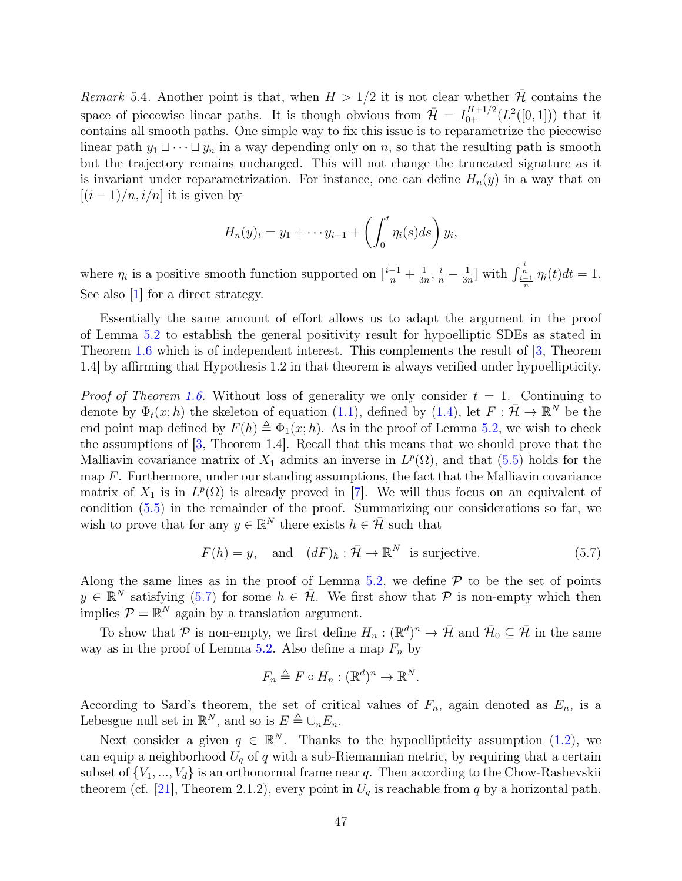Remark 5.4. Another point is that, when  $H > 1/2$  it is not clear whether H contains the space of piecewise linear paths. It is though obvious from  $\bar{\mathcal{H}} = I_{0+}^{H+1/2}(L^2([0,1]))$  that it contains all smooth paths. One simple way to fix this issue is to reparametrize the piecewise linear path  $y_1 \sqcup \cdots \sqcup y_n$  in a way depending only on n, so that the resulting path is smooth but the trajectory remains unchanged. This will not change the truncated signature as it is invariant under reparametrization. For instance, one can define  $H_n(y)$  in a way that on  $[(i-1)/n, i/n]$  it is given by

$$
H_n(y)_t = y_1 + \cdots y_{i-1} + \left(\int_0^t \eta_i(s)ds\right)y_i,
$$

where  $\eta_i$  is a positive smooth function supported on  $\left[\frac{i-1}{n} + \frac{1}{3n}\right]$  $\frac{1}{3n}, \frac{i}{n} - \frac{1}{3n}$  $\frac{1}{3n}$  with  $\int_{\frac{i-1}{n}}^{\frac{i}{n}} \eta_i(t)dt = 1$ . See also [\[1\]](#page-74-1) for a direct strategy.

Essentially the same amount of effort allows us to adapt the argument in the proof of Lemma [5.2](#page-44-1) to establish the general positivity result for hypoelliptic SDEs as stated in Theorem [1.6](#page-5-1) which is of independent interest. This complements the result of [\[3,](#page-74-0) Theorem 1.4] by affirming that Hypothesis 1.2 in that theorem is always verified under hypoellipticity.

*Proof of Theorem [1.6.](#page-5-1)* Without loss of generality we only consider  $t = 1$ . Continuing to denote by  $\Phi_t(x;h)$  the skeleton of equation [\(1.1\)](#page-2-0), defined by [\(1.4\)](#page-3-0), let  $F: \overline{\mathcal{H}} \to \mathbb{R}^N$  be the end point map defined by  $F(h) \triangleq \Phi_1(x; h)$ . As in the proof of Lemma [5.2,](#page-44-1) we wish to check the assumptions of [\[3,](#page-74-0) Theorem 1.4]. Recall that this means that we should prove that the Malliavin covariance matrix of  $X_1$  admits an inverse in  $L^p(\Omega)$ , and that  $(5.5)$  holds for the map  $F$ . Furthermore, under our standing assumptions, the fact that the Malliavin covariance matrix of  $X_1$  is in  $L^p(\Omega)$  is already proved in [\[7\]](#page-74-2). We will thus focus on an equivalent of condition [\(5.5\)](#page-44-0) in the remainder of the proof. Summarizing our considerations so far, we wish to prove that for any  $y \in \mathbb{R}^N$  there exists  $h \in \bar{\mathcal{H}}$  such that

$$
F(h) = y, \quad \text{and} \quad (dF)_h : \bar{\mathcal{H}} \to \mathbb{R}^N \text{ is surjective.} \tag{5.7}
$$

Along the same lines as in the proof of Lemma [5.2,](#page-44-1) we define  $P$  to be the set of points  $y \in \mathbb{R}^N$  satisfying [\(5.7\)](#page-46-0) for some  $h \in \bar{\mathcal{H}}$ . We first show that  $\mathcal P$  is non-empty which then implies  $P = \mathbb{R}^N$  again by a translation argument.

To show that P is non-empty, we first define  $H_n : (\mathbb{R}^d)^n \to \overline{\mathcal{H}}$  and  $\overline{\mathcal{H}}_0 \subseteq \overline{\mathcal{H}}$  in the same way as in the proof of Lemma [5.2.](#page-44-1) Also define a map  $F_n$  by

<span id="page-46-0"></span>
$$
F_n \triangleq F \circ H_n : (\mathbb{R}^d)^n \to \mathbb{R}^N.
$$

According to Sard's theorem, the set of critical values of  $F_n$ , again denoted as  $E_n$ , is a Lebesgue null set in  $\mathbb{R}^N$ , and so is  $E \triangleq \bigcup_n E_n$ .

Next consider a given  $q \in \mathbb{R}^N$ . Thanks to the hypoellipticity assumption [\(1.2\)](#page-3-1), we can equip a neighborhood  $U_q$  of q with a sub-Riemannian metric, by requiring that a certain subset of  $\{V_1, ..., V_d\}$  is an orthonormal frame near q. Then according to the Chow-Rashevskii theorem (cf. [\[21\]](#page-75-3), Theorem 2.1.2), every point in  $U_q$  is reachable from q by a horizontal path.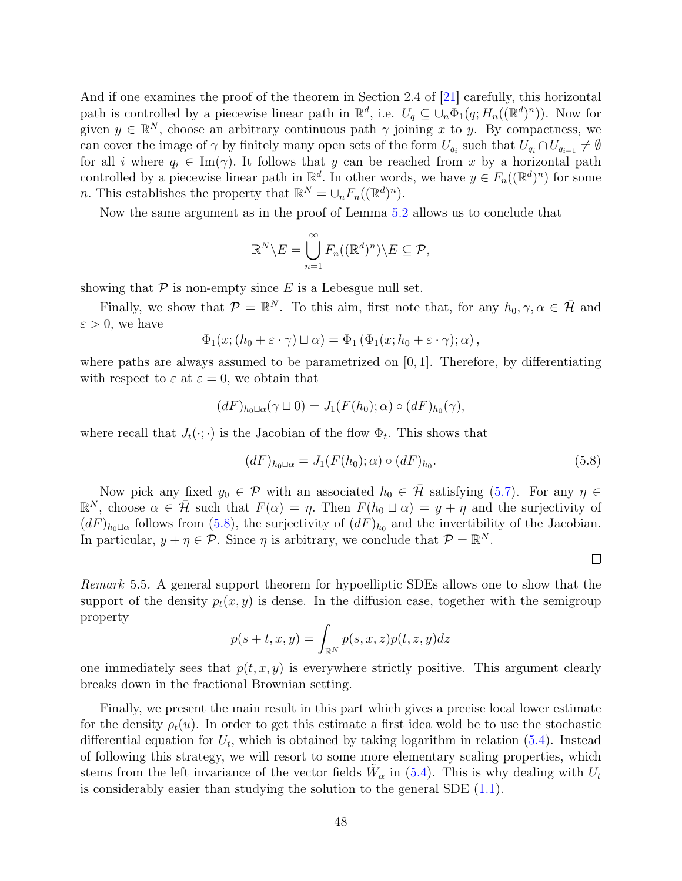And if one examines the proof of the theorem in Section 2.4 of [\[21\]](#page-75-3) carefully, this horizontal path is controlled by a piecewise linear path in  $\mathbb{R}^d$ , i.e.  $U_q \subseteq \bigcup_n \Phi_1(q; H_n((\mathbb{R}^d)^n))$ . Now for given  $y \in \mathbb{R}^N$ , choose an arbitrary continuous path  $\gamma$  joining x to y. By compactness, we can cover the image of  $\gamma$  by finitely many open sets of the form  $U_{q_i}$  such that  $U_{q_i} \cap U_{q_{i+1}} \neq \emptyset$ for all i where  $q_i \in \text{Im}(\gamma)$ . It follows that y can be reached from x by a horizontal path controlled by a piecewise linear path in  $\mathbb{R}^d$ . In other words, we have  $y \in F_n((\mathbb{R}^d)^n)$  for some *n*. This establishes the property that  $\mathbb{R}^N = \bigcup_n F_n((\mathbb{R}^d)^n)$ .

Now the same argument as in the proof of Lemma [5.2](#page-44-1) allows us to conclude that

$$
\mathbb{R}^N \backslash E = \bigcup_{n=1}^{\infty} F_n((\mathbb{R}^d)^n) \backslash E \subseteq \mathcal{P},
$$

showing that  $P$  is non-empty since E is a Lebesgue null set.

Finally, we show that  $\mathcal{P} = \mathbb{R}^N$ . To this aim, first note that, for any  $h_0, \gamma, \alpha \in \bar{\mathcal{H}}$  and  $\varepsilon > 0$ , we have

$$
\Phi_1(x; (h_0 + \varepsilon \cdot \gamma) \sqcup \alpha) = \Phi_1(\Phi_1(x; h_0 + \varepsilon \cdot \gamma); \alpha),
$$

where paths are always assumed to be parametrized on [0, 1]. Therefore, by differentiating with respect to  $\varepsilon$  at  $\varepsilon = 0$ , we obtain that

$$
(dF)_{h_0\sqcup\alpha}(\gamma\sqcup 0)=J_1(F(h_0);\alpha)\circ (dF)_{h_0}(\gamma),
$$

where recall that  $J_t(\cdot; \cdot)$  is the Jacobian of the flow  $\Phi_t$ . This shows that

<span id="page-47-0"></span>
$$
(dF)_{h_0 \sqcup \alpha} = J_1(F(h_0); \alpha) \circ (dF)_{h_0}.
$$
\n(5.8)

Now pick any fixed  $y_0 \in \mathcal{P}$  with an associated  $h_0 \in \bar{\mathcal{H}}$  satisfying [\(5.7\)](#page-46-0). For any  $\eta \in$  $\mathbb{R}^N$ , choose  $\alpha \in \bar{\mathcal{H}}$  such that  $F(\alpha) = \eta$ . Then  $F(h_0 \sqcup \alpha) = y + \eta$  and the surjectivity of  $(dF)_{h_0\perp\alpha}$  follows from [\(5.8\)](#page-47-0), the surjectivity of  $(dF)_{h_0}$  and the invertibility of the Jacobian. In particular,  $y + \eta \in \mathcal{P}$ . Since  $\eta$  is arbitrary, we conclude that  $\mathcal{P} = \mathbb{R}^N$ .

 $\Box$ 

Remark 5.5. A general support theorem for hypoelliptic SDEs allows one to show that the support of the density  $p_t(x, y)$  is dense. In the diffusion case, together with the semigroup property

$$
p(s+t, x, y) = \int_{\mathbb{R}^N} p(s, x, z) p(t, z, y) dz
$$

one immediately sees that  $p(t, x, y)$  is everywhere strictly positive. This argument clearly breaks down in the fractional Brownian setting.

Finally, we present the main result in this part which gives a precise local lower estimate for the density  $\rho_t(u)$ . In order to get this estimate a first idea wold be to use the stochastic differential equation for  $U_t$ , which is obtained by taking logarithm in relation [\(5.4\)](#page-43-0). Instead of following this strategy, we will resort to some more elementary scaling properties, which stems from the left invariance of the vector fields  $\tilde{W}_{\alpha}$  in [\(5.4\)](#page-43-0). This is why dealing with  $U_t$ is considerably easier than studying the solution to the general SDE  $(1.1)$ .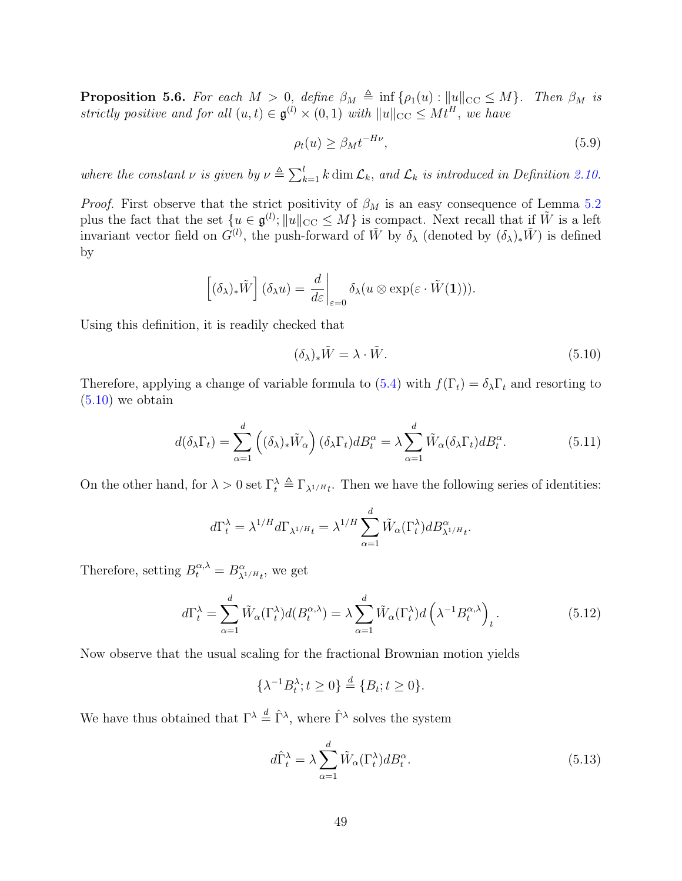<span id="page-48-4"></span>**Proposition 5.6.** For each  $M > 0$ , define  $\beta_M \triangleq \inf \{\rho_1(u) : ||u||_{CC} \leq M\}$ . Then  $\beta_M$  is strictly positive and for all  $(u,t) \in \mathfrak{g}^{(l)} \times (0,1)$  with  $||u||_{\text{CC}} \leq Mt^H$ , we have

<span id="page-48-3"></span>
$$
\rho_t(u) \ge \beta_M t^{-H\nu},\tag{5.9}
$$

where the constant  $\nu$  is given by  $\nu \triangleq \sum_{k=1}^{l} k \dim \mathcal{L}_k$ , and  $\mathcal{L}_k$  is introduced in Definition [2.10.](#page-14-1)

*Proof.* First observe that the strict positivity of  $\beta_M$  is an easy consequence of Lemma [5.2](#page-44-1) plus the fact that the set  $\{u \in \mathfrak{g}^{(l)}; ||u||_{\text{CC}} \leq M\}$  is compact. Next recall that if  $\tilde{W}$  is a left invariant vector field on  $G^{(l)}$ , the push-forward of  $\tilde{W}$  by  $\delta_{\lambda}$  (denoted by  $(\delta_{\lambda})_*\tilde{W}$ ) is defined by

$$
\left[ (\delta_{\lambda})_* \tilde{W} \right] (\delta_{\lambda} u) = \left. \frac{d}{d\varepsilon} \right|_{\varepsilon=0} \delta_{\lambda} (u \otimes \exp(\varepsilon \cdot \tilde{W}(1))).
$$

Using this definition, it is readily checked that

<span id="page-48-2"></span><span id="page-48-0"></span>
$$
(\delta_{\lambda})_{*}\tilde{W} = \lambda \cdot \tilde{W}.
$$
\n(5.10)

Therefore, applying a change of variable formula to [\(5.4\)](#page-43-0) with  $f(\Gamma_t) = \delta_\lambda \Gamma_t$  and resorting to  $(5.10)$  we obtain

$$
d(\delta_{\lambda}\Gamma_t) = \sum_{\alpha=1}^d \left( (\delta_{\lambda})_* \tilde{W}_{\alpha} \right) (\delta_{\lambda}\Gamma_t) dB_t^{\alpha} = \lambda \sum_{\alpha=1}^d \tilde{W}_{\alpha} (\delta_{\lambda}\Gamma_t) dB_t^{\alpha}.
$$
 (5.11)

On the other hand, for  $\lambda > 0$  set  $\Gamma_t^{\lambda} \triangleq \Gamma_{\lambda^{1/H}t}$ . Then we have the following series of identities:

$$
d\Gamma_t^{\lambda} = \lambda^{1/H} d\Gamma_{\lambda^{1/H} t} = \lambda^{1/H} \sum_{\alpha=1}^d \tilde{W}_{\alpha}(\Gamma_t^{\lambda}) dB_{\lambda^{1/H} t}^{\alpha}.
$$

Therefore, setting  $B_t^{\alpha,\lambda} = B_{\lambda^{1/H}t}^{\alpha}$ , we get

$$
d\Gamma_t^{\lambda} = \sum_{\alpha=1}^d \tilde{W}_{\alpha}(\Gamma_t^{\lambda}) d(B_t^{\alpha,\lambda}) = \lambda \sum_{\alpha=1}^d \tilde{W}_{\alpha}(\Gamma_t^{\lambda}) d\left(\lambda^{-1} B_t^{\alpha,\lambda}\right)_t.
$$
 (5.12)

Now observe that the usual scaling for the fractional Brownian motion yields

$$
\{\lambda^{-1}B_t^{\lambda}; t \ge 0\} \stackrel{d}{=} \{B_t; t \ge 0\}.
$$

We have thus obtained that  $\Gamma^{\lambda} \stackrel{d}{=} \hat{\Gamma}^{\lambda}$ , where  $\hat{\Gamma}^{\lambda}$  solves the system

<span id="page-48-1"></span>
$$
d\hat{\Gamma}_t^{\lambda} = \lambda \sum_{\alpha=1}^d \tilde{W}_{\alpha}(\Gamma_t^{\lambda}) dB_t^{\alpha}.
$$
 (5.13)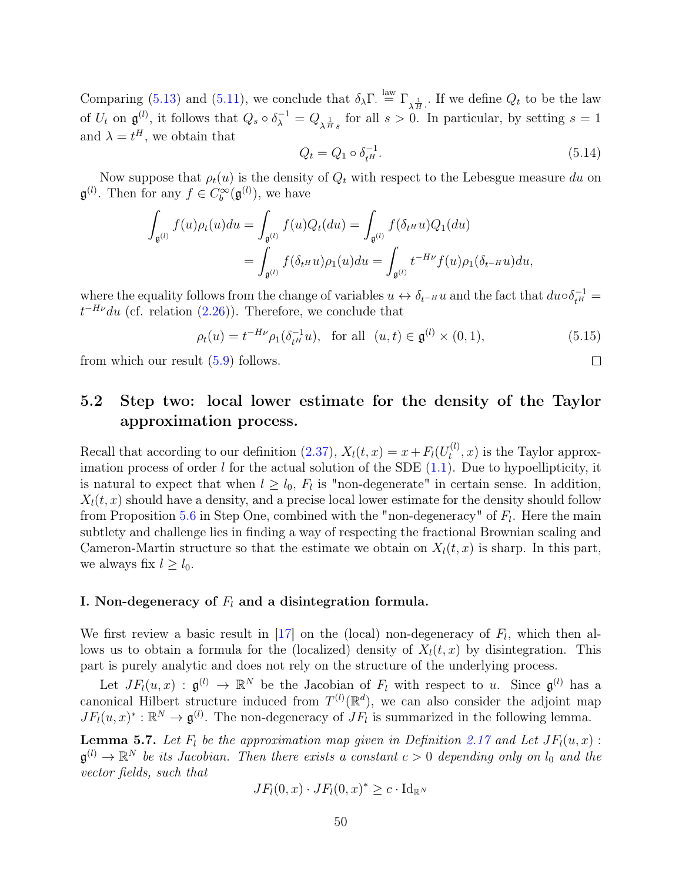Comparing [\(5.13\)](#page-48-1) and [\(5.11\)](#page-48-2), we conclude that  $\delta_{\lambda} \Gamma \stackrel{\text{law}}{=} \Gamma_{\lambda \stackrel{1}{H}}$ . If we define  $Q_t$  to be the law of  $U_t$  on  $\mathfrak{g}^{(l)}$ , it follows that  $Q_s \circ \delta_{\lambda}^{-1} = Q_{\lambda \frac{1}{H}s}$  for all  $s > 0$ . In particular, by setting  $s = 1$ and  $\lambda = t^H$ , we obtain that

<span id="page-49-2"></span>
$$
Q_t = Q_1 \circ \delta_{t^H}^{-1}.
$$
\n(5.14)

 $\Box$ 

Now suppose that  $\rho_t(u)$  is the density of  $Q_t$  with respect to the Lebesgue measure du on  $\mathfrak{g}^{(l)}$ . Then for any  $f \in C_b^{\infty}(\mathfrak{g}^{(l)})$ , we have

$$
\int_{\mathfrak{g}^{(l)}} f(u)\rho_t(u)du = \int_{\mathfrak{g}^{(l)}} f(u)Q_t(du) = \int_{\mathfrak{g}^{(l)}} f(\delta_t \circ u)Q_1(du)
$$
  
= 
$$
\int_{\mathfrak{g}^{(l)}} f(\delta_t \circ u)\rho_1(u)du = \int_{\mathfrak{g}^{(l)}} t^{-H\nu} f(u)\rho_1(\delta_{t} \circ u)du,
$$

where the equality follows from the change of variables  $u \leftrightarrow \delta_{t-H} u$  and the fact that  $du \circ \delta_{t}^{-1} =$  $t^{-H\nu}du$  (cf. relation [\(2.26\)](#page-15-1)). Therefore, we conclude that

<span id="page-49-0"></span>
$$
\rho_t(u) = t^{-H\nu} \rho_1(\delta_{t^H}^{-1} u), \text{ for all } (u, t) \in \mathfrak{g}^{(l)} \times (0, 1), \tag{5.15}
$$

from which our result [\(5.9\)](#page-48-3) follows.

### 5.2 Step two: local lower estimate for the density of the Taylor approximation process.

Recall that according to our definition [\(2.37\)](#page-18-0),  $X_l(t, x) = x + F_l(U_t^{(l)})$  $t^{(t)}(x)$  is the Taylor approximation process of order  $l$  for the actual solution of the SDE  $(1.1)$ . Due to hypoellipticity, it is natural to expect that when  $l \geq l_0$ ,  $F_l$  is "non-degenerate" in certain sense. In addition,  $X_l(t, x)$  should have a density, and a precise local lower estimate for the density should follow from Proposition [5.6](#page-48-4) in Step One, combined with the "non-degeneracy" of  $F_l$ . Here the main subtlety and challenge lies in finding a way of respecting the fractional Brownian scaling and Cameron-Martin structure so that the estimate we obtain on  $X<sub>l</sub>(t, x)$  is sharp. In this part, we always fix  $l \geq l_0$ .

#### I. Non-degeneracy of  $F_l$  and a disintegration formula.

We first review a basic result in  $[17]$  on the (local) non-degeneracy of  $F_l$ , which then allows us to obtain a formula for the (localized) density of  $X<sub>l</sub>(t, x)$  by disintegration. This part is purely analytic and does not rely on the structure of the underlying process.

Let  $JF_l(u,x)$ :  $\mathfrak{g}^{(l)} \to \mathbb{R}^N$  be the Jacobian of  $F_l$  with respect to u. Since  $\mathfrak{g}^{(l)}$  has a canonical Hilbert structure induced from  $T^{(l)}(\mathbb{R}^d)$ , we can also consider the adjoint map  $JF_l(u, x)^* : \mathbb{R}^N \to \mathfrak{g}^{(l)}$ . The non-degeneracy of  $JF_l$  is summarized in the following lemma.

<span id="page-49-1"></span>**Lemma 5.7.** Let  $F_l$  be the approximation map given in Definition [2.17](#page-17-3) and Let  $JF_l(u, x)$ :  $\mathfrak{g}^{(l)} \to \mathbb{R}^N$  be its Jacobian. Then there exists a constant  $c > 0$  depending only on  $l_0$  and the vector fields, such that

$$
JF_l(0, x) \cdot JF_l(0, x)^* \geq c \cdot \mathrm{Id}_{\mathbb{R}^N}
$$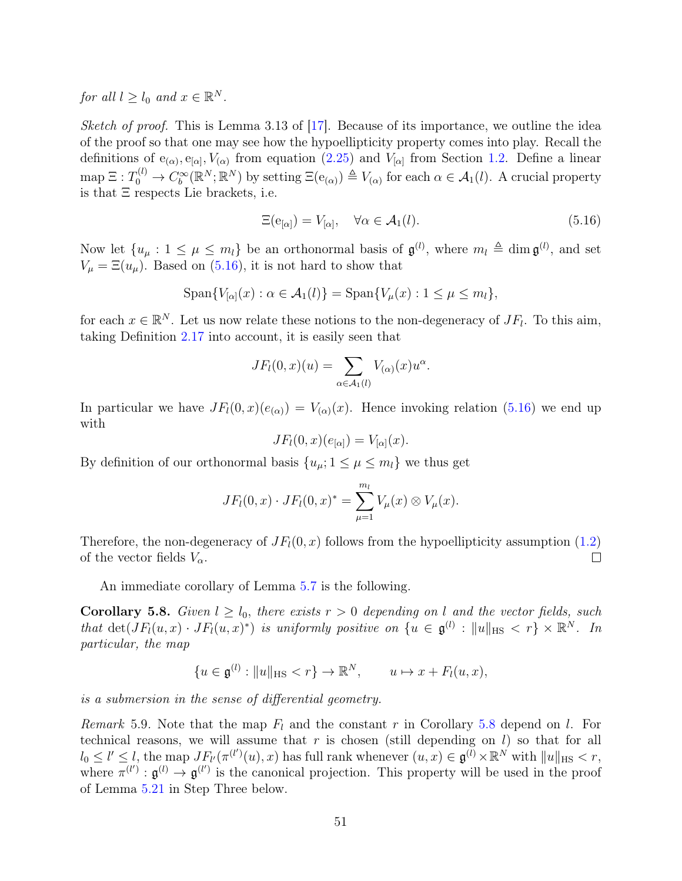for all  $l \geq l_0$  and  $x \in \mathbb{R}^N$ .

Sketch of proof. This is Lemma 3.13 of  $[17]$ . Because of its importance, we outline the idea of the proof so that one may see how the hypoellipticity property comes into play. Recall the definitions of  $e_{(\alpha)}, e_{[\alpha]}, V_{(\alpha)}$  from equation [\(2.25\)](#page-14-2) and  $V_{[\alpha]}$  from Section [1.2.](#page-2-1) Define a linear  $\text{map } \Xi: T_0^{(l)} \to C_b^{\infty}(\mathbb{R}^N;\mathbb{R}^N)$  by setting  $\Xi(\mathbf{e}_{(\alpha)}) \triangleq V_{(\alpha)}$  for each  $\alpha \in \mathcal{A}_1(l)$ . A crucial property is that Ξ respects Lie brackets, i.e.

<span id="page-50-0"></span>
$$
\Xi(\mathbf{e}_{[\alpha]}) = V_{[\alpha]}, \quad \forall \alpha \in \mathcal{A}_1(l). \tag{5.16}
$$

Now let  $\{u_\mu : 1 \leq \mu \leq m_l\}$  be an orthonormal basis of  $\mathfrak{g}^{(l)}$ , where  $m_l \triangleq \dim \mathfrak{g}^{(l)}$ , and set  $V_{\mu} = \Xi(u_{\mu})$ . Based on [\(5.16\)](#page-50-0), it is not hard to show that

$$
\mathrm{Span}\{V_{[\alpha]}(x):\alpha\in\mathcal{A}_1(l)\}=\mathrm{Span}\{V_{\mu}(x):1\leq\mu\leq m_l\},\
$$

for each  $x \in \mathbb{R}^N$ . Let us now relate these notions to the non-degeneracy of  $JF_l$ . To this aim, taking Definition [2.17](#page-17-3) into account, it is easily seen that

$$
JF_l(0,x)(u) = \sum_{\alpha \in \mathcal{A}_1(l)} V_{(\alpha)}(x)u^{\alpha}.
$$

In particular we have  $JF_l(0, x)(e_{(\alpha)}) = V_{(\alpha)}(x)$ . Hence invoking relation [\(5.16\)](#page-50-0) we end up with

$$
JF_l(0, x)(e_{[\alpha]}) = V_{[\alpha]}(x).
$$

By definition of our orthonormal basis  $\{u_{\mu}; 1 \leq \mu \leq m_{l}\}\)$  we thus get

$$
JF_l(0, x) \cdot JF_l(0, x)^* = \sum_{\mu=1}^{m_l} V_{\mu}(x) \otimes V_{\mu}(x).
$$

Therefore, the non-degeneracy of  $JF<sub>l</sub>(0, x)$  follows from the hypoellipticity assumption [\(1.2\)](#page-3-1) of the vector fields  $V_{\alpha}$ .  $\Box$ 

An immediate corollary of Lemma [5.7](#page-49-1) is the following.

<span id="page-50-1"></span>**Corollary 5.8.** Given  $l \geq l_0$ , there exists  $r > 0$  depending on l and the vector fields, such that  $\det(JF_l(u,x) \cdot JF_l(u,x)^*)$  is uniformly positive on  $\{u \in \mathfrak{g}^{(l)} : ||u||_{\text{HS}} < r\} \times \mathbb{R}^N$ . In particular, the map

$$
\{u \in \mathfrak{g}^{(l)} : \|u\|_{\text{HS}} < r\} \to \mathbb{R}^N, \qquad u \mapsto x + F_l(u, x),
$$

is a submersion in the sense of differential geometry.

<span id="page-50-2"></span>Remark 5.9. Note that the map  $F_l$  and the constant r in Corollary [5.8](#page-50-1) depend on l. For technical reasons, we will assume that  $r$  is chosen (still depending on  $l$ ) so that for all  $l_0\leq l'\leq l$ , the map  $J F_{l'}(\pi^{(l')}(u),x)$  has full rank whenever  $(u,x)\in\mathfrak{g}^{(\tilde{l})}\times\mathbb{R}^{N'}$  with  $\|u\|_{\text{HS}}< r,$ where  $\pi^{(l')} : \mathfrak{g}^{(l)} \to \mathfrak{g}^{(l')}$  is the canonical projection. This property will be used in the proof of Lemma [5.21](#page-64-0) in Step Three below.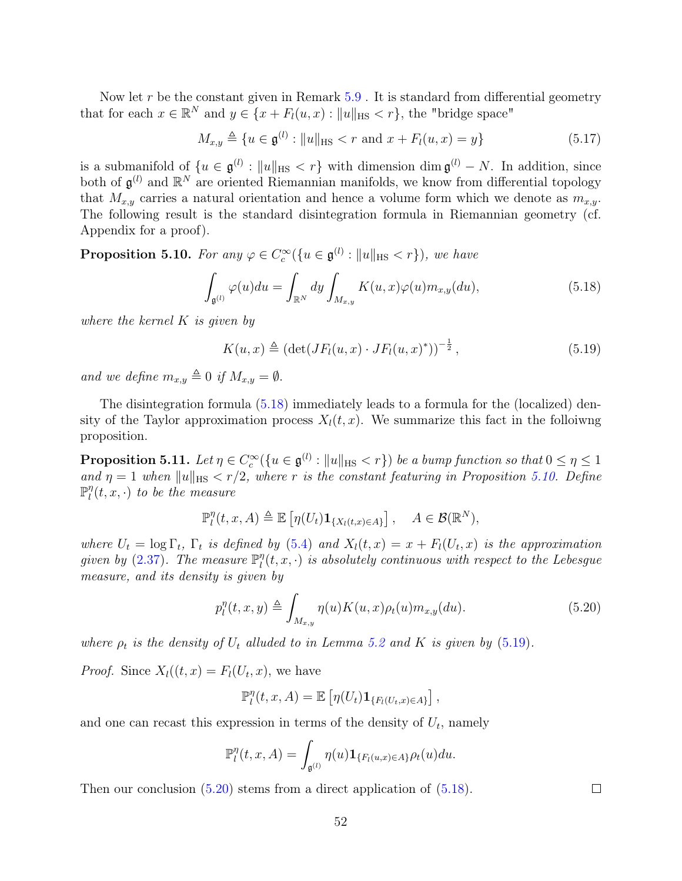Now let  $r$  be the constant given in Remark  $5.9$ . It is standard from differential geometry that for each  $x \in \mathbb{R}^N$  and  $y \in \{x + F_l(u, x) : ||u||_{\text{HS}} < r\}$ , the "bridge space"

<span id="page-51-4"></span>
$$
M_{x,y} \triangleq \{ u \in \mathfrak{g}^{(l)} : ||u||_{\text{HS}} < r \text{ and } x + F_l(u,x) = y \}
$$
(5.17)

is a submanifold of  $\{u \in \mathfrak{g}^{(l)} : ||u||_{\text{HS}} < r\}$  with dimension dim  $\mathfrak{g}^{(l)} - N$ . In addition, since both of  $\mathfrak{g}^{(l)}$  and  $\mathbb{R}^N$  are oriented Riemannian manifolds, we know from differential topology that  $M_{x,y}$  carries a natural orientation and hence a volume form which we denote as  $m_{x,y}$ . The following result is the standard disintegration formula in Riemannian geometry (cf. Appendix for a proof).

<span id="page-51-1"></span>**Proposition 5.10.** For any  $\varphi \in C_c^{\infty}(\{u \in \mathfrak{g}^{(l)} : ||u||_{\text{HS}} < r\})$ , we have

<span id="page-51-0"></span>
$$
\int_{\mathfrak{g}^{(l)}} \varphi(u) du = \int_{\mathbb{R}^N} dy \int_{M_{x,y}} K(u,x) \varphi(u) m_{x,y}(du), \tag{5.18}
$$

where the kernel  $K$  is given by

<span id="page-51-2"></span>
$$
K(u, x) \triangleq (\det(JF_l(u, x) \cdot JF_l(u, x)^*))^{-\frac{1}{2}}, \qquad (5.19)
$$

and we define  $m_{x,y} \triangleq 0$  if  $M_{x,y} = \emptyset$ .

The disintegration formula [\(5.18\)](#page-51-0) immediately leads to a formula for the (localized) density of the Taylor approximation process  $X<sub>l</sub>(t, x)$ . We summarize this fact in the folloiwng proposition.

<span id="page-51-5"></span>**Proposition 5.11.** Let  $\eta \in C_c^{\infty}(\{u \in \mathfrak{g}^{(l)} : ||u||_{\text{HS}} < r\})$  be a bump function so that  $0 \leq \eta \leq 1$ and  $\eta = 1$  when  $||u||_{HS} < r/2$ , where r is the constant featuring in Proposition [5.10.](#page-51-1) Define  $\mathbb{P}^\eta$  $\int_l^{\eta}(t,x,\cdot)$  to be the measure

$$
\mathbb{P}_l^{\eta}(t,x,A) \triangleq \mathbb{E}\left[\eta(U_t)\mathbf{1}_{\{X_l(t,x)\in A\}}\right], \quad A \in \mathcal{B}(\mathbb{R}^N),
$$

where  $U_t = \log \Gamma_t$ ,  $\Gamma_t$  is defined by [\(5.4\)](#page-43-0) and  $X_l(t,x) = x + F_l(U_t,x)$  is the approximation given by  $(2.37)$ . The measure  $\mathbb{P}^{\eta}_l$  $\mathcal{L}_l^{\eta}(t,x,\cdot)$  is absolutely continuous with respect to the Lebesgue measure, and its density is given by

<span id="page-51-3"></span>
$$
p_l^{\eta}(t, x, y) \triangleq \int_{M_{x,y}} \eta(u) K(u, x) \rho_t(u) m_{x,y}(du).
$$
 (5.20)

where  $\rho_t$  is the density of  $U_t$  alluded to in Lemma [5.2](#page-44-1) and K is given by [\(5.19\)](#page-51-2).

*Proof.* Since  $X_l((t, x) = F_l(U_t, x)$ , we have

$$
\mathbb{P}_l^{\eta}(t,x,A)=\mathbb{E}\left[\eta(U_t)\mathbf{1}_{\{F_l(U_t,x)\in A\}}\right],
$$

and one can recast this expression in terms of the density of  $U_t$ , namely

$$
\mathbb{P}_l^{\eta}(t,x,A) = \int_{\mathfrak{g}^{(l)}} \eta(u) \mathbf{1}_{\{F_l(u,x) \in A\}} \rho_t(u) du.
$$

Then our conclusion  $(5.20)$  stems from a direct application of  $(5.18)$ .

52

 $\Box$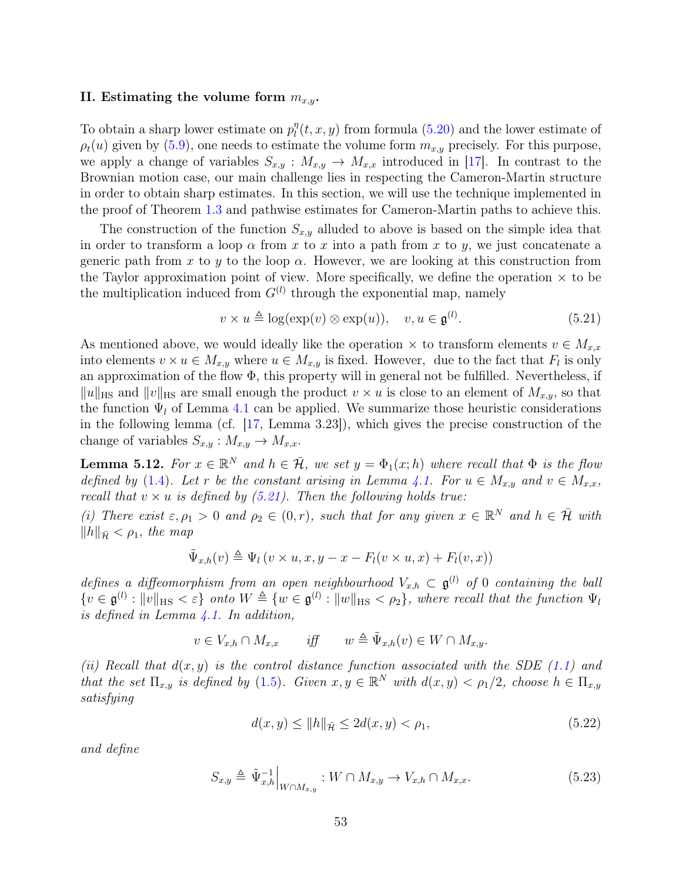#### II. Estimating the volume form  $m_{x,y}$ .

To obtain a sharp lower estimate on  $p_l^n$  $\eta_l^{\eta}(t, x, y)$  from formula [\(5.20\)](#page-51-3) and the lower estimate of  $\rho_t(u)$  given by [\(5.9\)](#page-48-3), one needs to estimate the volume form  $m_{x,y}$  precisely. For this purpose, we apply a change of variables  $S_{x,y}: M_{x,y} \to M_{x,x}$  introduced in [\[17\]](#page-75-0). In contrast to the Brownian motion case, our main challenge lies in respecting the Cameron-Martin structure in order to obtain sharp estimates. In this section, we will use the technique implemented in the proof of Theorem [1.3](#page-4-0) and pathwise estimates for Cameron-Martin paths to achieve this.

The construction of the function  $S_{x,y}$  alluded to above is based on the simple idea that in order to transform a loop  $\alpha$  from x to x into a path from x to y, we just concatenate a generic path from x to y to the loop  $\alpha$ . However, we are looking at this construction from the Taylor approximation point of view. More specifically, we define the operation  $\times$  to be the multiplication induced from  $G^{(l)}$  through the exponential map, namely

<span id="page-52-0"></span>
$$
v \times u \triangleq \log(\exp(v) \otimes \exp(u)), \quad v, u \in \mathfrak{g}^{(l)}.
$$
 (5.21)

As mentioned above, we would ideally like the operation  $\times$  to transform elements  $v \in M_{x,x}$ into elements  $v \times u \in M_{x,y}$  where  $u \in M_{x,y}$  is fixed. However, due to the fact that  $F_l$  is only an approximation of the flow  $\Phi$ , this property will in general not be fulfilled. Nevertheless, if  $||u||_{\text{HS}}$  and  $||v||_{\text{HS}}$  are small enough the product  $v \times u$  is close to an element of  $M_{x,y}$ , so that the function  $\Psi_l$  of Lemma [4.1](#page-27-1) can be applied. We summarize those heuristic considerations in the following lemma (cf. [\[17,](#page-75-0) Lemma 3.23]), which gives the precise construction of the change of variables  $S_{x,y}: M_{x,y} \to M_{x,x}.$ 

<span id="page-52-1"></span>**Lemma 5.12.** For  $x \in \mathbb{R}^N$  and  $h \in \overline{\mathcal{H}}$ , we set  $y = \Phi_1(x; h)$  where recall that  $\Phi$  is the flow defined by [\(1.4\)](#page-3-0). Let r be the constant arising in Lemma [4.1.](#page-27-1) For  $u \in M_{x,y}$  and  $v \in M_{x,x}$ , recall that  $v \times u$  is defined by [\(5.21\)](#page-52-0). Then the following holds true:

(i) There exist  $\varepsilon, \rho_1 > 0$  and  $\rho_2 \in (0, r)$ , such that for any given  $x \in \mathbb{R}^N$  and  $h \in \overline{\mathcal{H}}$  with  $\|h\|_{\bar{\mathcal{H}}} < \rho_1$ , the map

$$
\tilde{\Psi}_{x,h}(v) \triangleq \Psi_l(v \times u, x, y - x - F_l(v \times u, x) + F_l(v, x))
$$

defines a diffeomorphism from an open neighbourhood  $V_{x,h} \subset \mathfrak{g}^{(l)}$  of 0 containing the ball  $\{v \in \mathfrak{g}^{(l)} : ||v||_{\text{HS}} < \varepsilon\}$  onto  $W \triangleq \{w \in \mathfrak{g}^{(l)} : ||w||_{\text{HS}} < \rho_2\}$ , where recall that the function  $\Psi_l$ is defined in Lemma  $\angle 4.1$ . In addition,

$$
v \in V_{x,h} \cap M_{x,x} \qquad \text{iff} \qquad w \triangleq \tilde{\Psi}_{x,h}(v) \in W \cap M_{x,y}.
$$

(ii) Recall that  $d(x, y)$  is the control distance function associated with the SDE [\(1.1\)](#page-2-0) and that the set  $\Pi_{x,y}$  is defined by [\(1.5\)](#page-4-1). Given  $x, y \in \mathbb{R}^N$  with  $d(x,y) < \rho_1/2$ , choose  $h \in \Pi_{x,y}$ satisfying

<span id="page-52-3"></span><span id="page-52-2"></span>
$$
d(x, y) \le ||h||_{\bar{\mathcal{H}}} \le 2d(x, y) < \rho_1,\tag{5.22}
$$

and define

$$
S_{x,y} \triangleq \tilde{\Psi}_{x,h}^{-1} \Big|_{W \cap M_{x,y}} : W \cap M_{x,y} \to V_{x,h} \cap M_{x,x}.
$$
 (5.23)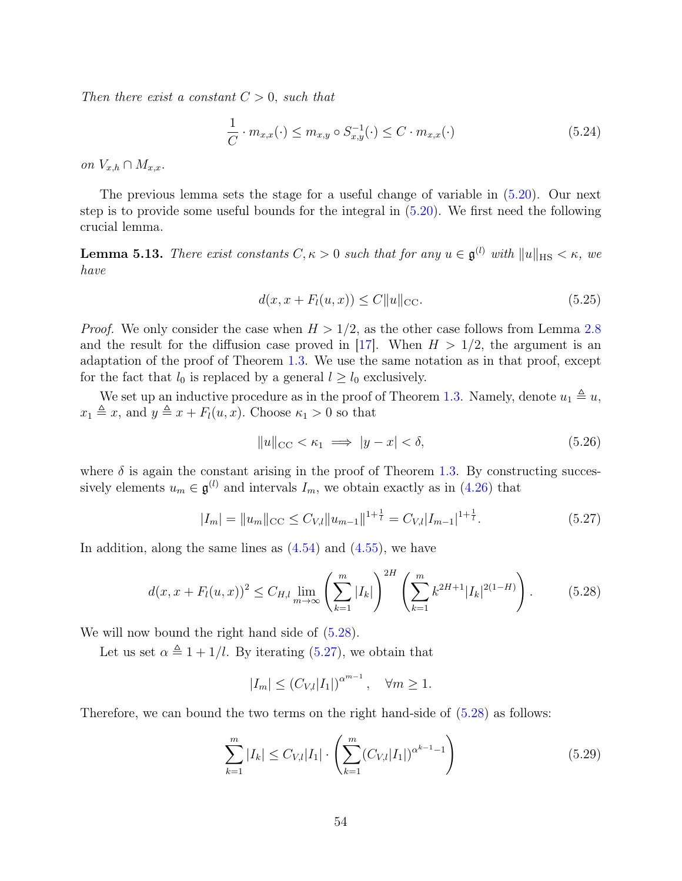Then there exist a constant  $C > 0$ , such that

<span id="page-53-6"></span>
$$
\frac{1}{C} \cdot m_{x,x}(\cdot) \le m_{x,y} \circ S_{x,y}^{-1}(\cdot) \le C \cdot m_{x,x}(\cdot)
$$
\n(5.24)

on  $V_{x,h} \cap M_{x,x}$ .

The previous lemma sets the stage for a useful change of variable in [\(5.20\)](#page-51-3). Our next step is to provide some useful bounds for the integral in [\(5.20\)](#page-51-3). We first need the following crucial lemma.

<span id="page-53-5"></span>**Lemma 5.13.** There exist constants  $C, \kappa > 0$  such that for any  $u \in \mathfrak{g}^{(l)}$  with  $||u||_{\text{HS}} < \kappa$ , we have

<span id="page-53-4"></span>
$$
d(x, x + F_l(u, x)) \le C \|u\|_{\text{CC}}.\tag{5.25}
$$

*Proof.* We only consider the case when  $H > 1/2$ , as the other case follows from Lemma [2.8](#page-11-0) and the result for the diffusion case proved in [\[17\]](#page-75-0). When  $H > 1/2$ , the argument is an adaptation of the proof of Theorem [1.3.](#page-4-0) We use the same notation as in that proof, except for the fact that  $l_0$  is replaced by a general  $l \geq l_0$  exclusively.

We set up an inductive procedure as in the proof of Theorem [1.3.](#page-4-0) Namely, denote  $u_1 \triangleq u$ ,  $x_1 \triangleq x$ , and  $y \triangleq x + F_l(u, x)$ . Choose  $\kappa_1 > 0$  so that

<span id="page-53-3"></span>
$$
||u||_{\text{CC}} < \kappa_1 \implies |y - x| < \delta,\tag{5.26}
$$

where  $\delta$  is again the constant arising in the proof of Theorem [1.3.](#page-4-0) By constructing successively elements  $u_m \in \mathfrak{g}^{(l)}$  and intervals  $I_m$ , we obtain exactly as in [\(4.26\)](#page-34-2) that

<span id="page-53-1"></span>
$$
|I_m| = ||u_m||_{\text{CC}} \le C_{V,l} ||u_{m-1}||^{1+\frac{1}{l}} = C_{V,l} |I_{m-1}|^{1+\frac{1}{l}}.
$$
\n(5.27)

In addition, along the same lines as  $(4.54)$  and  $(4.55)$ , we have

$$
d(x, x + F_l(u, x))^2 \le C_{H,l} \lim_{m \to \infty} \left( \sum_{k=1}^m |I_k| \right)^{2H} \left( \sum_{k=1}^m k^{2H+1} |I_k|^{2(1-H)} \right).
$$
 (5.28)

We will now bound the right hand side of  $(5.28)$ .

Let us set  $\alpha \triangleq 1 + 1/l$ . By iterating [\(5.27\)](#page-53-1), we obtain that

<span id="page-53-2"></span><span id="page-53-0"></span>
$$
|I_m| \le (C_{V,l}|I_1|)^{\alpha^{m-1}}, \quad \forall m \ge 1.
$$

Therefore, we can bound the two terms on the right hand-side of [\(5.28\)](#page-53-0) as follows:

$$
\sum_{k=1}^{m} |I_k| \le C_{V,l} |I_1| \cdot \left( \sum_{k=1}^{m} (C_{V,l} |I_1|)^{\alpha^{k-1}-1} \right) \tag{5.29}
$$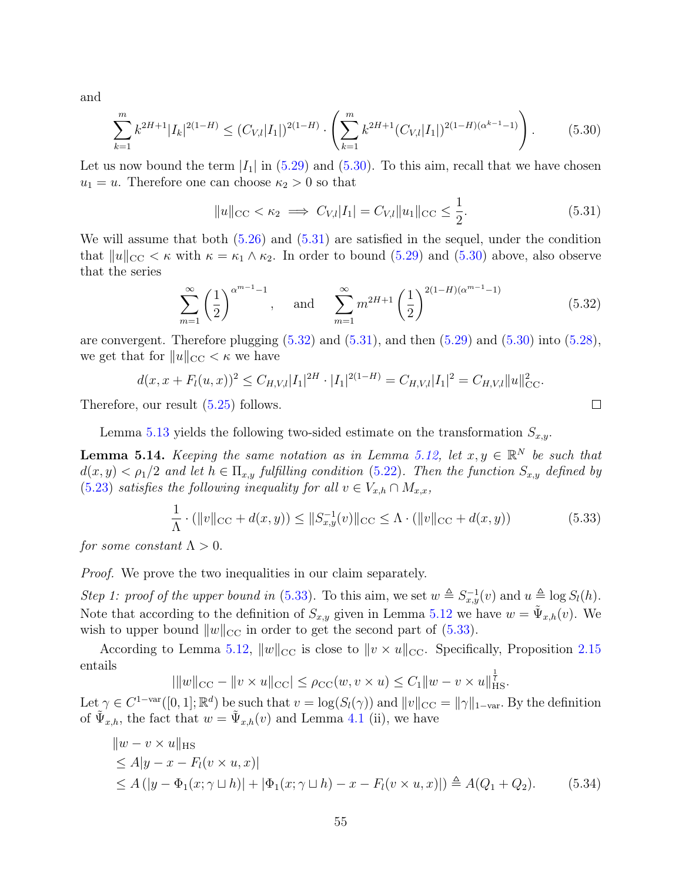and

$$
\sum_{k=1}^{m} k^{2H+1} |I_k|^{2(1-H)} \le (C_{V,l}|I_1|)^{2(1-H)} \cdot \left(\sum_{k=1}^{m} k^{2H+1} (C_{V,l}|I_1|)^{2(1-H)(\alpha^{k-1}-1)}\right). \tag{5.30}
$$

Let us now bound the term  $|I_1|$  in [\(5.29\)](#page-53-2) and [\(5.30\)](#page-54-0). To this aim, recall that we have chosen  $u_1 = u$ . Therefore one can choose  $\kappa_2 > 0$  so that

$$
||u||_{\text{CC}} < \kappa_2 \implies C_{V,l}|I_1| = C_{V,l}||u_1||_{\text{CC}} \le \frac{1}{2}.
$$
\n(5.31)

We will assume that both  $(5.26)$  and  $(5.31)$  are satisfied in the sequel, under the condition that  $||u||_{\text{CC}} < \kappa$  with  $\kappa = \kappa_1 \wedge \kappa_2$ . In order to bound [\(5.29\)](#page-53-2) and [\(5.30\)](#page-54-0) above, also observe that the series

$$
\sum_{m=1}^{\infty} \left(\frac{1}{2}\right)^{\alpha^{m-1}-1}, \quad \text{and} \quad \sum_{m=1}^{\infty} m^{2H+1} \left(\frac{1}{2}\right)^{2(1-H)(\alpha^{m-1}-1)} \tag{5.32}
$$

<span id="page-54-4"></span><span id="page-54-2"></span><span id="page-54-1"></span><span id="page-54-0"></span> $\Box$ 

are convergent. Therefore plugging  $(5.32)$  and  $(5.31)$ , and then  $(5.29)$  and  $(5.30)$  into  $(5.28)$ , we get that for  $||u||_{\text{CC}} < \kappa$  we have

$$
d(x, x + F_l(u, x))^2 \leq C_{H, V, l} |I_1|^{2H} \cdot |I_1|^{2(1-H)} = C_{H, V, l} |I_1|^2 = C_{H, V, l} ||u||_{\text{CC}}^2.
$$

Therefore, our result [\(5.25\)](#page-53-4) follows.

Lemma [5.13](#page-53-5) yields the following two-sided estimate on the transformation  $S_{x,y}$ .

<span id="page-54-5"></span>**Lemma 5.14.** Keeping the same notation as in Lemma [5.12,](#page-52-1) let  $x, y \in \mathbb{R}^N$  be such that  $d(x,y) < \rho_1/2$  and let  $h \in \Pi_{x,y}$  fulfilling condition [\(5.22\)](#page-52-2). Then the function  $S_{x,y}$  defined by [\(5.23\)](#page-52-3) satisfies the following inequality for all  $v \in V_{x,h} \cap M_{x,x}$ ,

<span id="page-54-3"></span>
$$
\frac{1}{\Lambda} \cdot (\|v\|_{\text{CC}} + d(x, y)) \le \|S_{x, y}^{-1}(v)\|_{\text{CC}} \le \Lambda \cdot (\|v\|_{\text{CC}} + d(x, y)) \tag{5.33}
$$

for some constant  $\Lambda > 0$ .

*Proof.* We prove the two inequalities in our claim separately.

Step 1: proof of the upper bound in [\(5.33\)](#page-54-3). To this aim, we set  $w \triangleq S_{x,y}^{-1}(v)$  and  $u \triangleq \log S_l(h)$ . Note that according to the definition of  $S_{x,y}$  given in Lemma [5.12](#page-52-1) we have  $w = \tilde{\Psi}_{x,h}(v)$ . We wish to upper bound  $||w||_{\text{CC}}$  in order to get the second part of [\(5.33\)](#page-54-3).

According to Lemma [5.12,](#page-52-1)  $||w||_{\text{CC}}$  is close to  $||v \times u||_{\text{CC}}$ . Specifically, Proposition [2.15](#page-16-1) entails 1

$$
|||w||_{\text{CC}} - ||v \times u||_{\text{CC}}| \le \rho_{\text{CC}}(w, v \times u) \le C_1 ||w - v \times u||_{\text{HS}}^{\frac{1}{l}}.
$$

Let  $\gamma \in C^{1-\text{var}}([0,1]; \mathbb{R}^d)$  be such that  $v = \log(S_l(\gamma))$  and  $||v||_{CC} = ||\gamma||_{1-\text{var}}$ . By the definition of  $\tilde{\Psi}_{x,h}$ , the fact that  $w = \tilde{\Psi}_{x,h}(v)$  and Lemma [4.1](#page-27-1) (ii), we have

$$
||w - v \times u||_{\text{HS}}\leq A|y - x - Fl(v \times u, x)|\leq A (|y - \Phi1(x; \gamma \sqcup h)| + |\Phi1(x; \gamma \sqcup h) - x - Fl(v \times u, x)|) \stackrel{\Delta}{=} A(Q1 + Q2). (5.34)
$$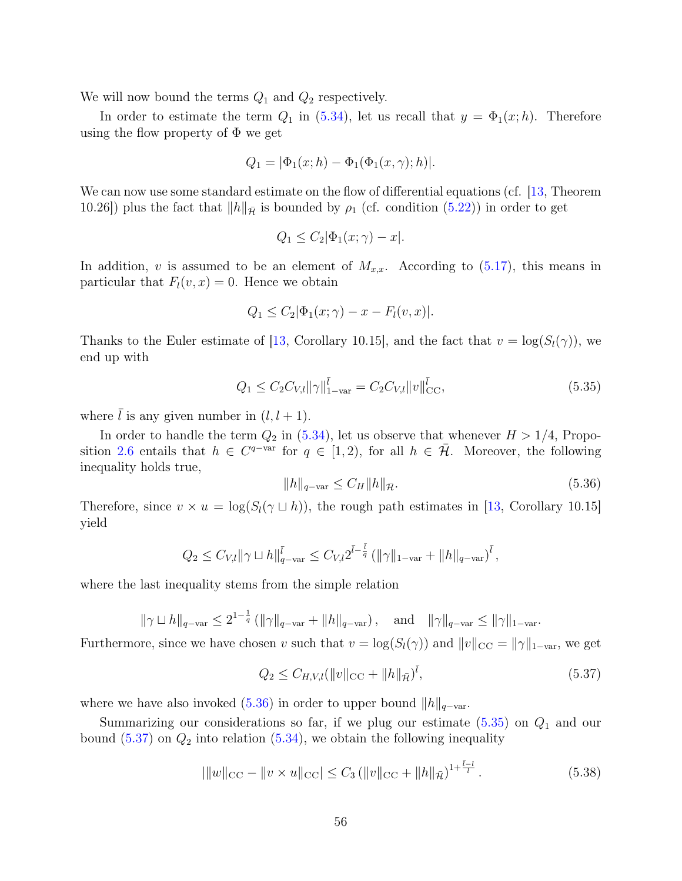We will now bound the terms  $Q_1$  and  $Q_2$  respectively.

In order to estimate the term  $Q_1$  in [\(5.34\)](#page-54-4), let us recall that  $y = \Phi_1(x; h)$ . Therefore using the flow property of  $\Phi$  we get

$$
Q_1 = |\Phi_1(x; h) - \Phi_1(\Phi_1(x, \gamma); h)|.
$$

We can now use some standard estimate on the flow of differential equations (cf. [\[13,](#page-75-1) Theorem 10.26]) plus the fact that  $||h||_{\overline{\mathcal{H}}}$  is bounded by  $\rho_1$  (cf. condition [\(5.22\)](#page-52-2)) in order to get

$$
Q_1 \le C_2 |\Phi_1(x; \gamma) - x|.
$$

In addition, v is assumed to be an element of  $M_{x,x}$ . According to  $(5.17)$ , this means in particular that  $F_l(v, x) = 0$ . Hence we obtain

$$
Q_1 \le C_2 |\Phi_1(x; \gamma) - x - F_l(v, x)|.
$$

Thanks to the Euler estimate of [\[13,](#page-75-1) Corollary 10.15], and the fact that  $v = \log(S_l(\gamma))$ , we end up with

$$
Q_1 \le C_2 C_{V,l} ||\gamma||_{1-\text{var}}^{\bar{l}} = C_2 C_{V,l} ||v||_{\text{CC}}^{\bar{l}},
$$
\n(5.35)

where  $\overline{l}$  is any given number in  $(l, l + 1)$ .

In order to handle the term  $Q_2$  in [\(5.34\)](#page-54-4), let us observe that whenever  $H > 1/4$ , Propo-sition [2.6](#page-10-0) entails that  $h \in C^{q-var}$  for  $q \in [1,2)$ , for all  $h \in \overline{\mathcal{H}}$ . Moreover, the following inequality holds true,

<span id="page-55-1"></span><span id="page-55-0"></span>
$$
||h||_{q-\text{var}} \le C_H ||h||_{\bar{\mathcal{H}}}.\tag{5.36}
$$

Therefore, since  $v \times u = \log(S_l(\gamma \sqcup h))$ , the rough path estimates in [\[13,](#page-75-1) Corollary 10.15] yield

$$
Q_2 \leq C_{V,l} \|\gamma \sqcup h\|_{q-\text{var}}^{\bar{l}} \leq C_{V,l} 2^{\bar{l}-\frac{\bar{l}}{q}} \left(\|\gamma\|_{1-\text{var}} + \|h\|_{q-\text{var}}\right)^{\bar{l}},
$$

where the last inequality stems from the simple relation

 $\|\gamma \sqcup h\|_{q-\text{var}} \leq 2^{1-\frac{1}{q}} (\|\gamma\|_{q-\text{var}} + \|h\|_{q-\text{var}}), \text{ and } \|\gamma\|_{q-\text{var}} \leq \|\gamma\|_{1-\text{var}}.$ 

Furthermore, since we have chosen v such that  $v = \log(S_l(\gamma))$  and  $||v||_{CC} = ||\gamma||_{1-\text{var}}$ , we get

<span id="page-55-2"></span>
$$
Q_2 \le C_{H,V,l} (\|v\|_{\text{CC}} + \|h\|_{\bar{\mathcal{H}}})^{\bar{l}},\tag{5.37}
$$

where we have also invoked [\(5.36\)](#page-55-0) in order to upper bound  $||h||_{q-\text{var}}$ .

Summarizing our considerations so far, if we plug our estimate  $(5.35)$  on  $Q_1$  and our bound  $(5.37)$  on  $Q_2$  into relation  $(5.34)$ , we obtain the following inequality

<span id="page-55-3"></span>
$$
|\|w\|_{\text{CC}} - \|v \times u\|_{\text{CC}}| \le C_3 \left( \|v\|_{\text{CC}} + \|h\|_{\bar{\mathcal{H}}} \right)^{1 + \frac{\bar{l} - l}{l}}.
$$
\n(5.38)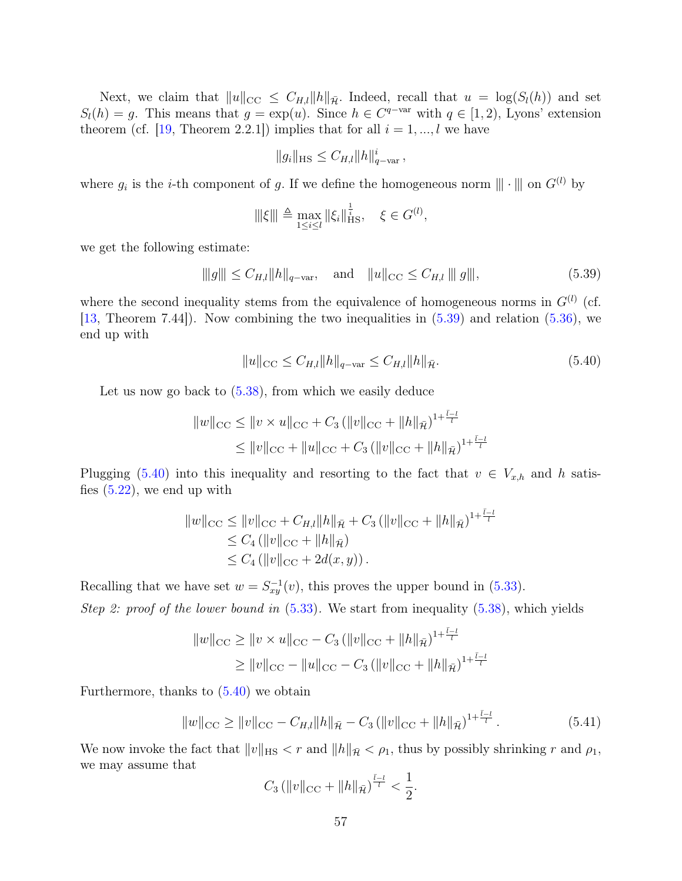Next, we claim that  $||u||_{\text{CC}} \leq C_{H,l} ||h||_{\overline{\mathcal{H}}}$ . Indeed, recall that  $u = \log(S_l(h))$  and set  $S_l(h) = g$ . This means that  $g = \exp(u)$ . Since  $h \in C^{q-var}$  with  $q \in [1, 2)$ , Lyons' extension theorem (cf. [\[19,](#page-75-4) Theorem 2.2.1]) implies that for all  $i = 1, ..., l$  we have

<span id="page-56-0"></span>
$$
||g_i||_{\text{HS}} \leq C_{H,l} ||h||_{q-\text{var}}^i \,,
$$

where  $g_i$  is the *i*-th component of g. If we define the homogeneous norm  $\|\cdot\|$  on  $G^{(l)}$  by

$$
\|\xi\| \triangleq \max_{1 \le i \le l} \|\xi_i\|_{\text{HS}}^{\frac{1}{i}}, \quad \xi \in G^{(l)},
$$

we get the following estimate:

$$
\|g\| \le C_{H,l} \|h\|_{q-\text{var}}, \quad \text{and} \quad \|u\|_{\text{CC}} \le C_{H,l} \|g\|,\tag{5.39}
$$

where the second inequality stems from the equivalence of homogeneous norms in  $G^{(l)}$  (cf. [\[13,](#page-75-1) Theorem 7.44]). Now combining the two inequalities in [\(5.39\)](#page-56-0) and relation [\(5.36\)](#page-55-0), we end up with

<span id="page-56-1"></span>
$$
||u||_{\text{CC}} \le C_{H,l} ||h||_{q-\text{var}} \le C_{H,l} ||h||_{\bar{\mathcal{H}}}.
$$
\n(5.40)

Let us now go back to  $(5.38)$ , from which we easily deduce

$$
||w||_{\text{CC}} \le ||v \times u||_{\text{CC}} + C_3 (||v||_{\text{CC}} + ||h||_{\bar{\mathcal{H}}})^{1 + \frac{\bar{l}-l}{l}}
$$
  

$$
\le ||v||_{\text{CC}} + ||u||_{\text{CC}} + C_3 (||v||_{\text{CC}} + ||h||_{\bar{\mathcal{H}}})^{1 + \frac{\bar{l}-l}{l}}
$$

Plugging [\(5.40\)](#page-56-1) into this inequality and resorting to the fact that  $v \in V_{x,h}$  and h satisfies  $(5.22)$ , we end up with

$$
||w||_{\text{CC}} \le ||v||_{\text{CC}} + C_{H,l}||h||_{\bar{\mathcal{H}}} + C_3 (||v||_{\text{CC}} + ||h||_{\bar{\mathcal{H}}})^{1 + \frac{\bar{l}-l}{l}}
$$
  
\n
$$
\le C_4 (||v||_{\text{CC}} + ||h||_{\bar{\mathcal{H}}})
$$
  
\n
$$
\le C_4 (||v||_{\text{CC}} + 2d(x, y)).
$$

Recalling that we have set  $w = S_{xy}^{-1}(v)$ , this proves the upper bound in [\(5.33\)](#page-54-3). Step 2: proof of the lower bound in  $(5.33)$ . We start from inequality  $(5.38)$ , which yields

$$
||w||_{\text{CC}} \ge ||v \times u||_{\text{CC}} - C_3 (||v||_{\text{CC}} + ||h||_{\tilde{\mathcal{H}}})^{1 + \frac{\bar{l}-l}{l}}
$$
  
 
$$
\ge ||v||_{\text{CC}} - ||u||_{\text{CC}} - C_3 (||v||_{\text{CC}} + ||h||_{\tilde{\mathcal{H}}})^{1 + \frac{\bar{l}-l}{l}}
$$

Furthermore, thanks to [\(5.40\)](#page-56-1) we obtain

$$
||w||_{\text{CC}} \ge ||v||_{\text{CC}} - C_{H,l}||h||_{\bar{\mathcal{H}}} - C_3 \left( ||v||_{\text{CC}} + ||h||_{\bar{\mathcal{H}}} \right)^{1 + \frac{\bar{l}-l}{l}}.
$$
\n(5.41)

We now invoke the fact that  $||v||_{\text{HS}} < r$  and  $||h||_{\bar{\mathcal{H}}} < \rho_1$ , thus by possibly shrinking r and  $\rho_1$ , we may assume that

<span id="page-56-2"></span>
$$
C_3 \left( \|v\|_{\rm CC} + \|h\|_{\bar{\mathcal{H}}}\right)^{\frac{\bar{l}-l}{l}} < \frac{1}{2}.
$$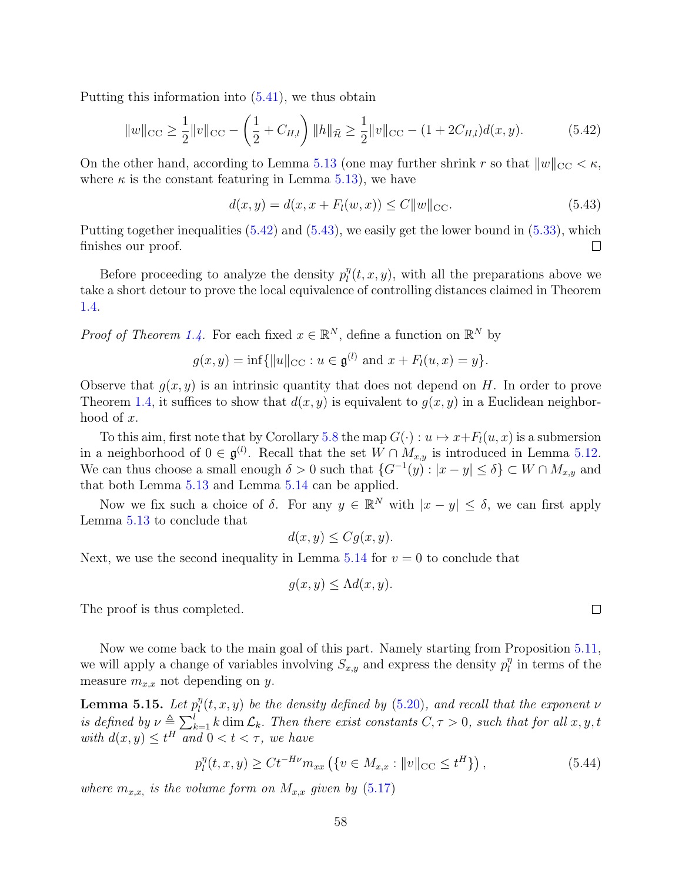Putting this information into [\(5.41\)](#page-56-2), we thus obtain

$$
||w||_{\text{CC}} \ge \frac{1}{2} ||v||_{\text{CC}} - \left(\frac{1}{2} + C_{H,l}\right) ||h||_{\tilde{\mathcal{H}}} \ge \frac{1}{2} ||v||_{\text{CC}} - (1 + 2C_{H,l})d(x, y). \tag{5.42}
$$

On the other hand, according to Lemma [5.13](#page-53-5) (one may further shrink r so that  $||w||_{\text{CC}} < \kappa$ , where  $\kappa$  is the constant featuring in Lemma [5.13\)](#page-53-5), we have

<span id="page-57-1"></span><span id="page-57-0"></span>
$$
d(x, y) = d(x, x + Fl(w, x)) \le C ||w||_{\text{CC}}.
$$
\n(5.43)

Putting together inequalities  $(5.42)$  and  $(5.43)$ , we easily get the lower bound in  $(5.33)$ , which finishes our proof.  $\Box$ 

Before proceeding to analyze the density  $p_l^n$  $\int_l^{\eta}(t, x, y)$ , with all the preparations above we take a short detour to prove the local equivalence of controlling distances claimed in Theorem [1.4.](#page-4-2)

*Proof of Theorem [1.4.](#page-4-2)* For each fixed  $x \in \mathbb{R}^N$ , define a function on  $\mathbb{R}^N$  by

$$
g(x, y) = \inf\{\|u\|_{\text{CC}} : u \in \mathfrak{g}^{(l)} \text{ and } x + F_l(u, x) = y\}.
$$

Observe that  $g(x, y)$  is an intrinsic quantity that does not depend on H. In order to prove Theorem [1.4,](#page-4-2) it suffices to show that  $d(x, y)$  is equivalent to  $g(x, y)$  in a Euclidean neighborhood of x.

To this aim, first note that by Corollary [5.8](#page-50-1) the map  $G(\cdot) : u \mapsto x + F_l(u, x)$  is a submersion in a neighborhood of  $0 \in \mathfrak{g}^{(l)}$ . Recall that the set  $W \cap M_{x,y}$  is introduced in Lemma [5.12.](#page-52-1) We can thus choose a small enough  $\delta > 0$  such that  $\{G^{-1}(y) : |x - y| \leq \delta\} \subset W \cap M_{x,y}$  and that both Lemma [5.13](#page-53-5) and Lemma [5.14](#page-54-5) can be applied.

Now we fix such a choice of  $\delta$ . For any  $y \in \mathbb{R}^N$  with  $|x - y| \leq \delta$ , we can first apply Lemma [5.13](#page-53-5) to conclude that

$$
d(x, y) \leq Cg(x, y).
$$

Next, we use the second inequality in Lemma  $5.14$  for  $v = 0$  to conclude that

$$
g(x, y) \le \Lambda d(x, y).
$$

The proof is thus completed.

Now we come back to the main goal of this part. Namely starting from Proposition [5.11,](#page-51-5) we will apply a change of variables involving  $S_{x,y}$  and express the density  $p_l^n$  $\int_l^{\eta}$  in terms of the measure  $m_{x,x}$  not depending on y.

<span id="page-57-3"></span>Lemma 5.15. Let  $p_l^{\eta}$  $\mathcal{L}^\eta_l(t,x,y)$  be the density defined by [\(5.20\)](#page-51-3), and recall that the exponent  $\nu$ is defined by  $\nu \triangleq \sum_{k=1}^{l} k \dim \mathcal{L}_k$ . Then there exist constants  $C, \tau > 0$ , such that for all  $x, y, t$ with  $d(x, y) \leq t^H$  and  $0 < t < \tau$ , we have

<span id="page-57-2"></span>
$$
p_l^{\eta}(t, x, y) \ge Ct^{-H\nu} m_{xx} \left( \{ v \in M_{x,x} : ||v||_{\text{CC}} \le t^H \} \right), \tag{5.44}
$$

where  $m_{x,x}$ , is the volume form on  $M_{x,x}$  given by [\(5.17\)](#page-51-4)

 $\Box$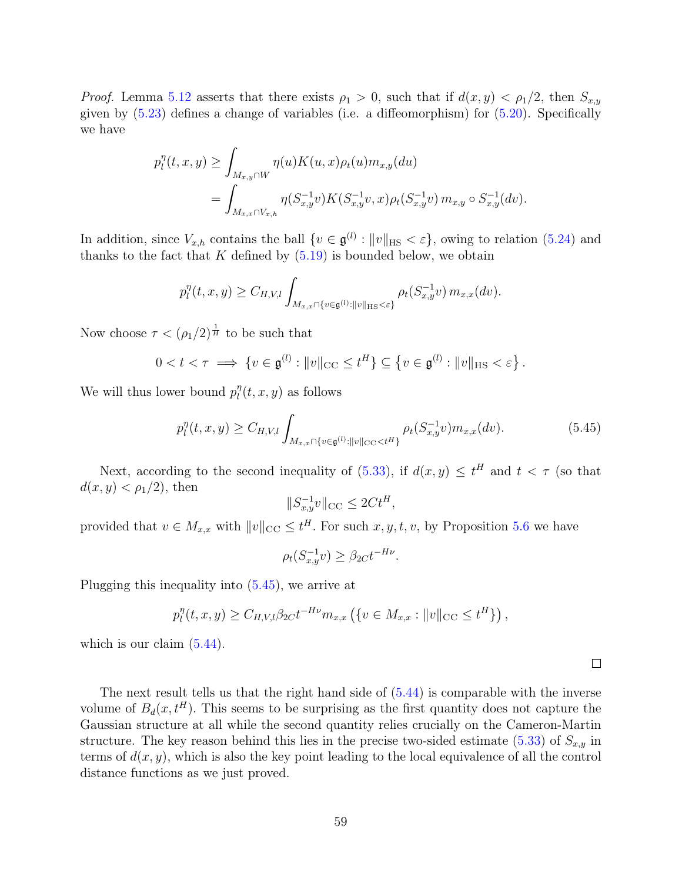*Proof.* Lemma [5.12](#page-52-1) asserts that there exists  $\rho_1 > 0$ , such that if  $d(x, y) < \rho_1/2$ , then  $S_{x,y}$ given by [\(5.23\)](#page-52-3) defines a change of variables (i.e. a diffeomorphism) for [\(5.20\)](#page-51-3). Specifically we have

$$
p_l^{\eta}(t, x, y) \ge \int_{M_{x,y} \cap W} \eta(u) K(u, x) \rho_t(u) m_{x,y}(du)
$$
  
= 
$$
\int_{M_{x,x} \cap V_{x,h}} \eta(S_{x,y}^{-1}v) K(S_{x,y}^{-1}v, x) \rho_t(S_{x,y}^{-1}v) m_{x,y} \circ S_{x,y}^{-1}(dv).
$$

In addition, since  $V_{x,h}$  contains the ball  $\{v \in \mathfrak{g}^{(l)} : ||v||_{\text{HS}} < \varepsilon\}$ , owing to relation [\(5.24\)](#page-53-6) and thanks to the fact that K defined by  $(5.19)$  is bounded below, we obtain

$$
p_l^{\eta}(t, x, y) \ge C_{H, V, l} \int_{M_{x, x} \cap \{v \in \mathfrak{g}^{(l)} : ||v||_{\text{HS}} < \varepsilon\}} \rho_t(S_{x, y}^{-1} v) \, m_{x, x}(dv).
$$

Now choose  $\tau < (\rho_1/2)^{\frac{1}{H}}$  to be such that

$$
0 < t < \tau \implies \{v \in \mathfrak{g}^{(l)} : ||v||_{\text{CC}} \le t^H\} \subseteq \{v \in \mathfrak{g}^{(l)} : ||v||_{\text{HS}} < \varepsilon\}.
$$

We will thus lower bound  $p_l^{\eta}$  $\int_l^{\eta}(t, x, y)$  as follows

$$
p_l^{\eta}(t, x, y) \ge C_{H, V, l} \int_{M_{x, x} \cap \{v \in \mathfrak{g}^{(l)} : ||v||_{\text{CC}} < t^H\}} \rho_t(S_{x, y}^{-1} v) m_{x, x}(dv). \tag{5.45}
$$

<span id="page-58-0"></span> $\Box$ 

Next, according to the second inequality of  $(5.33)$ , if  $d(x, y) \le t^H$  and  $t < \tau$  (so that  $d(x, y) < \rho_1/2$ , then

$$
||S_{x,y}^{-1}v||_{\text{CC}} \leq 2Ct^H,
$$

provided that  $v \in M_{x,x}$  with  $||v||_{\text{CC}} \leq t^H$ . For such  $x, y, t, v$ , by Proposition [5.6](#page-48-4) we have

$$
\rho_t(S_{x,y}^{-1}v) \ge \beta_{2C} t^{-H\nu}.
$$

Plugging this inequality into [\(5.45\)](#page-58-0), we arrive at

$$
p_l^{\eta}(t, x, y) \ge C_{H, V, l} \beta_{2C} t^{-H\nu} m_{x, x} (\{v \in M_{x, x} : ||v||_{\text{CC}} \le t^H \}),
$$

which is our claim  $(5.44)$ .

The next result tells us that the right hand side of [\(5.44\)](#page-57-2) is comparable with the inverse volume of  $B_d(x, t^H)$ . This seems to be surprising as the first quantity does not capture the Gaussian structure at all while the second quantity relies crucially on the Cameron-Martin structure. The key reason behind this lies in the precise two-sided estimate [\(5.33\)](#page-54-3) of  $S_{x,y}$  in terms of  $d(x, y)$ , which is also the key point leading to the local equivalence of all the control distance functions as we just proved.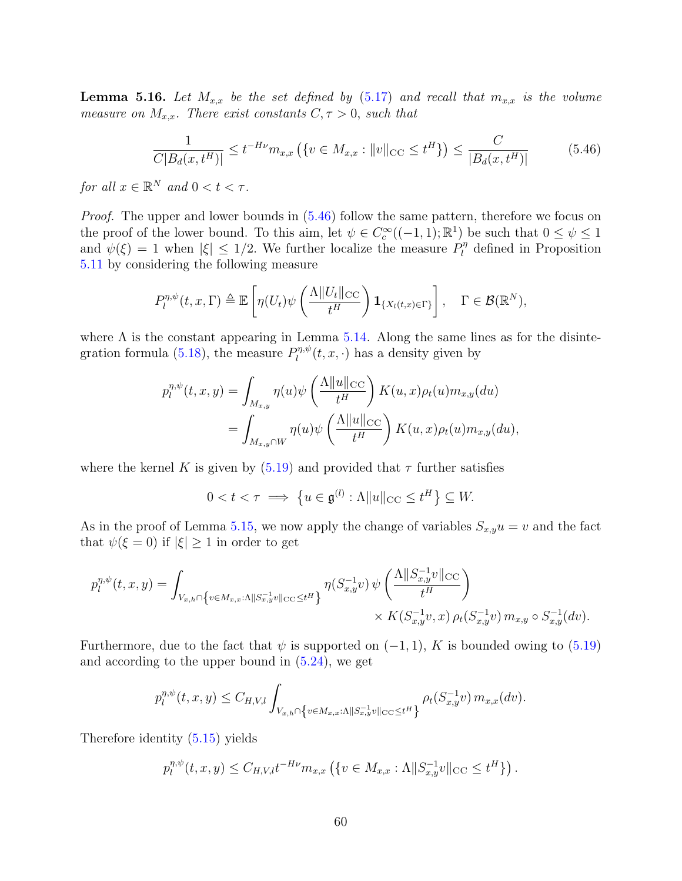<span id="page-59-1"></span>**Lemma 5.16.** Let  $M_{x,x}$  be the set defined by [\(5.17\)](#page-51-4) and recall that  $m_{x,x}$  is the volume measure on  $M_{x,x}$ . There exist constants  $C, \tau > 0$ , such that

<span id="page-59-0"></span>
$$
\frac{1}{C|B_d(x, t^H)|} \le t^{-H\nu} m_{x,x} \left( \{ v \in M_{x,x} : ||v||_{\text{CC}} \le t^H \} \right) \le \frac{C}{|B_d(x, t^H)|} \tag{5.46}
$$

for all  $x \in \mathbb{R}^N$  and  $0 < t < \tau$ .

*Proof.* The upper and lower bounds in  $(5.46)$  follow the same pattern, therefore we focus on the proof of the lower bound. To this aim, let  $\psi \in C_c^{\infty}((-1,1);\mathbb{R}^1)$  be such that  $0 \leq \psi \leq 1$ and  $\psi(\xi) = 1$  when  $|\xi| \leq 1/2$ . We further localize the measure  $P_l^{\eta}$  $\ell_l^{\eta}$  defined in Proposition [5.11](#page-51-5) by considering the following measure

$$
P_l^{\eta,\psi}(t,x,\Gamma) \triangleq \mathbb{E}\left[\eta(U_t)\psi\left(\frac{\Lambda\|U_t\|_{\text{CC}}}{t^H}\right)\mathbf{1}_{\{X_l(t,x)\in\Gamma\}}\right], \quad \Gamma \in \mathcal{B}(\mathbb{R}^N),
$$

where  $\Lambda$  is the constant appearing in Lemma [5.14.](#page-54-5) Along the same lines as for the disinte-gration formula [\(5.18\)](#page-51-0), the measure  $P_l^{\eta,\psi}$  $\mathcal{U}^{\eta,\psi}(t,x,\cdot)$  has a density given by

$$
p_l^{\eta,\psi}(t,x,y) = \int_{M_{x,y}} \eta(u)\psi\left(\frac{\Lambda \|u\|_{\text{CC}}}{t^H}\right) K(u,x)\rho_t(u)m_{x,y}(du)
$$
  
= 
$$
\int_{M_{x,y}\cap W} \eta(u)\psi\left(\frac{\Lambda \|u\|_{\text{CC}}}{t^H}\right) K(u,x)\rho_t(u)m_{x,y}(du),
$$

where the kernel K is given by  $(5.19)$  and provided that  $\tau$  further satisfies

$$
0 < t < \tau \implies \left\{ u \in \mathfrak{g}^{(l)} : \Lambda \| u \|_{\text{CC}} \le t^H \right\} \subseteq W.
$$

As in the proof of Lemma [5.15,](#page-57-3) we now apply the change of variables  $S_{x,y}u = v$  and the fact that  $\psi(\xi = 0)$  if  $|\xi| \geq 1$  in order to get

$$
p_l^{\eta,\psi}(t,x,y) = \int_{V_{x,h} \cap \{v \in M_{x,x} : \Lambda \|S_{x,y}^{-1}v\|_{\text{CC}} \le t^H\}} \eta(S_{x,y}^{-1}v) \psi\left(\frac{\Lambda \|S_{x,y}^{-1}v\|_{\text{CC}}}{t^H}\right) \times K(S_{x,y}^{-1}v, x) \rho_t(S_{x,y}^{-1}v) m_{x,y} \circ S_{x,y}^{-1}(dv).
$$

Furthermore, due to the fact that  $\psi$  is supported on  $(-1, 1)$ , K is bounded owing to  $(5.19)$ and according to the upper bound in  $(5.24)$ , we get

$$
p_l^{\eta,\psi}(t,x,y) \leq C_{H,V,l} \int_{V_{x,h} \cap \left\{v \in M_{x,x}:\Lambda \|S_{x,y}^{-1}v\|_{\text{CC}} \leq t^H\right\}} \rho_t(S_{x,y}^{-1}v) \, m_{x,x}(dv).
$$

Therefore identity [\(5.15\)](#page-49-0) yields

$$
p_l^{\eta,\psi}(t,x,y) \le C_{H,V,l} t^{-H\nu} m_{x,x} \left( \{ v \in M_{x,x} : \Lambda \| S_{x,y}^{-1} v \|_{\text{CC}} \le t^H \} \right).
$$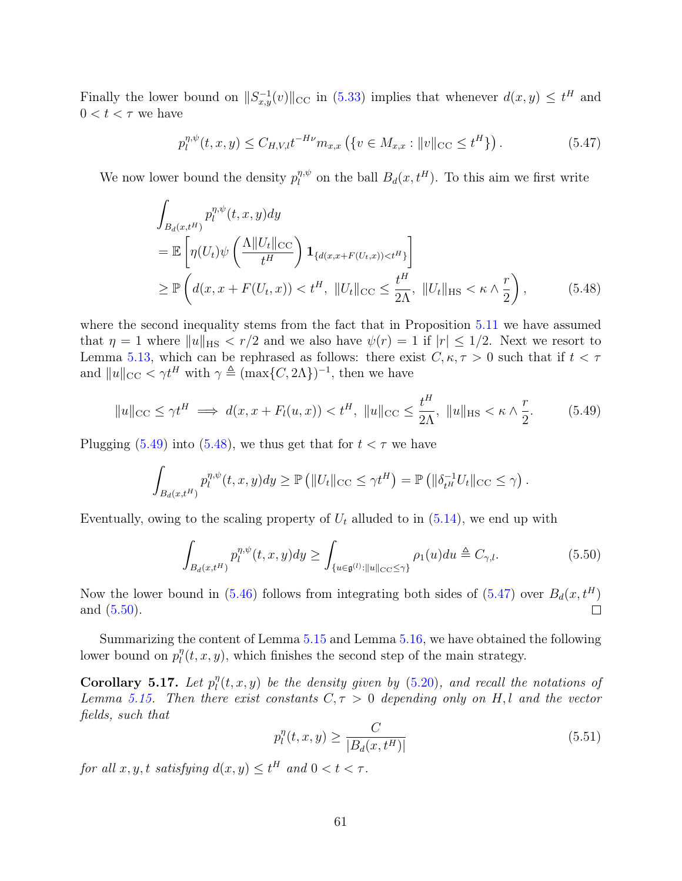Finally the lower bound on  $||S_{x,y}^{-1}(v)||_{\text{CC}}$  in [\(5.33\)](#page-54-3) implies that whenever  $d(x,y) \leq t^H$  and  $0 < t < \tau$  we have

<span id="page-60-2"></span><span id="page-60-1"></span>
$$
p_l^{\eta,\psi}(t,x,y) \le C_{H,V,l} t^{-H\nu} m_{x,x} \left( \{ v \in M_{x,x} : ||v||_{\text{CC}} \le t^H \} \right). \tag{5.47}
$$

We now lower bound the density  $p_l^{\eta,\psi}$  $\eta, \psi$  on the ball  $B_d(x, t^H)$ . To this aim we first write

$$
\int_{B_d(x,t^H)} p_l^{\eta,\psi}(t,x,y) dy
$$
\n
$$
= \mathbb{E}\left[\eta(U_t)\psi\left(\frac{\Lambda \|U_t\|_{\text{CC}}}{t^H}\right) \mathbf{1}_{\{d(x,x+F(U_t,x)) < t^H\}}\right]
$$
\n
$$
\geq \mathbb{P}\left(d(x,x+F(U_t,x)) < t^H, \|U_t\|_{\text{CC}} \leq \frac{t^H}{2\Lambda}, \|U_t\|_{\text{HS}} < \kappa \wedge \frac{r}{2}\right),\tag{5.48}
$$

where the second inequality stems from the fact that in Proposition [5.11](#page-51-5) we have assumed that  $\eta = 1$  where  $||u||_{\text{HS}} < r/2$  and we also have  $\psi(r) = 1$  if  $|r| \leq 1/2$ . Next we resort to Lemma [5.13,](#page-53-5) which can be rephrased as follows: there exist  $C, \kappa, \tau > 0$  such that if  $t < \tau$ and  $||u||_{\text{CC}} < \gamma t^H$  with  $\gamma \triangleq (\max\{C, 2\Lambda\})^{-1}$ , then we have

$$
\|u\|_{\text{CC}} \le \gamma t^H \implies d(x, x + F_l(u, x)) < t^H, \ \|u\|_{\text{CC}} \le \frac{t^H}{2\Lambda}, \ \|u\|_{\text{HS}} < \kappa \wedge \frac{r}{2}.\tag{5.49}
$$

Plugging [\(5.49\)](#page-60-0) into [\(5.48\)](#page-60-1), we thus get that for  $t < \tau$  we have

$$
\int_{B_d(x,t^H)} p_l^{\eta,\psi}(t,x,y) dy \geq \mathbb{P}\left( ||U_t||_{\text{CC}} \leq \gamma t^H \right) = \mathbb{P}\left( ||\delta_{t^H}^{-1} U_t||_{\text{CC}} \leq \gamma \right).
$$

Eventually, owing to the scaling property of  $U_t$  alluded to in  $(5.14)$ , we end up with

<span id="page-60-0"></span>
$$
\int_{B_d(x,t^H)} p_l^{\eta,\psi}(t,x,y) dy \ge \int_{\{u \in \mathfrak{g}^{(l)} : ||u||_{\mathcal{CC}} \le \gamma\}} \rho_1(u) du \triangleq C_{\gamma,l}.
$$
\n(5.50)

Now the lower bound in [\(5.46\)](#page-59-0) follows from integrating both sides of [\(5.47\)](#page-60-2) over  $B_d(x, t^H)$  $\Box$ and [\(5.50\)](#page-60-3).

Summarizing the content of Lemma [5.15](#page-57-3) and Lemma [5.16,](#page-59-1) we have obtained the following lower bound on  $p_l^{\eta}$  $\eta_l^n(t, x, y)$ , which finishes the second step of the main strategy.

Corollary 5.17. Let  $p_l^{\eta}$  $\mathcal{C}_l^{\eta}(t,x,y)$  be the density given by  $(5.20)$ , and recall the notations of Lemma [5.15.](#page-57-3) Then there exist constants  $C, \tau > 0$  depending only on H,l and the vector fields, such that

<span id="page-60-4"></span><span id="page-60-3"></span>
$$
p_l^{\eta}(t, x, y) \ge \frac{C}{|B_d(x, t^H)|} \tag{5.51}
$$

for all  $x, y, t$  satisfying  $d(x, y) \leq t^H$  and  $0 < t < \tau$ .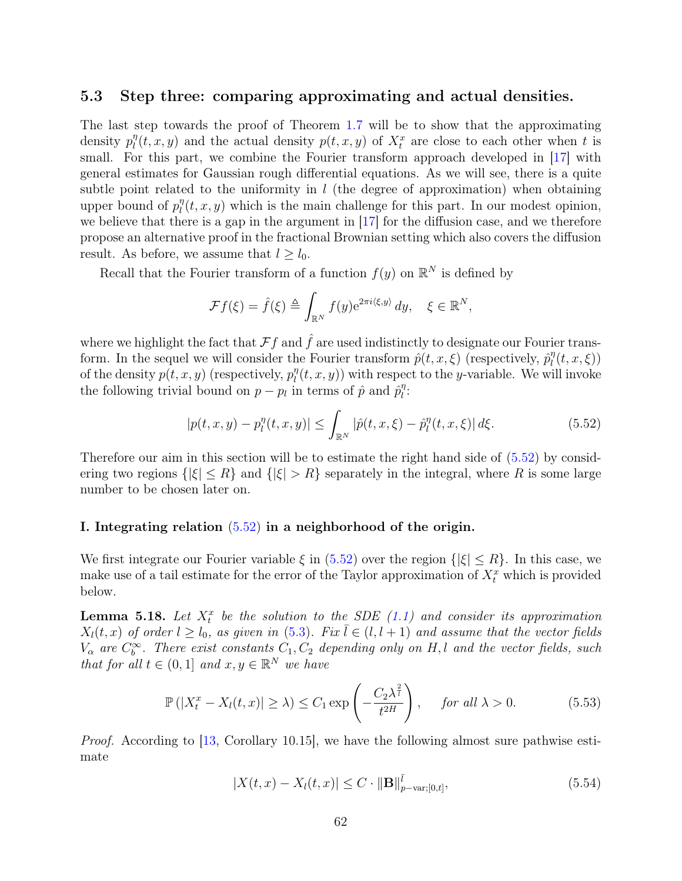#### 5.3 Step three: comparing approximating and actual densities.

The last step towards the proof of Theorem [1.7](#page-5-0) will be to show that the approximating density  $p_l^{\eta}$  $\eta(t, x, y)$  and the actual density  $p(t, x, y)$  of  $X_t^x$  are close to each other when t is small. For this part, we combine the Fourier transform approach developed in [\[17\]](#page-75-0) with general estimates for Gaussian rough differential equations. As we will see, there is a quite subtle point related to the uniformity in  $l$  (the degree of approximation) when obtaining upper bound of  $p_l^{\eta}$  $\eta_l(t, x, y)$  which is the main challenge for this part. In our modest opinion, we believe that there is a gap in the argument in [\[17\]](#page-75-0) for the diffusion case, and we therefore propose an alternative proof in the fractional Brownian setting which also covers the diffusion result. As before, we assume that  $l \geq l_0$ .

Recall that the Fourier transform of a function  $f(y)$  on  $\mathbb{R}^N$  is defined by

$$
\mathcal{F}f(\xi) = \hat{f}(\xi) \triangleq \int_{\mathbb{R}^N} f(y) e^{2\pi i \langle \xi, y \rangle} dy, \quad \xi \in \mathbb{R}^N,
$$

where we highlight the fact that  $\mathcal{F}f$  and  $\hat{f}$  are used indistinctly to designate our Fourier transform. In the sequel we will consider the Fourier transform  $\hat{p}(t, x, \xi)$  (respectively,  $\hat{p}_l^{\eta}$  $\eta_l^{\eta}(t,x,\xi))$ of the density  $p(t, x, y)$  (respectively,  $p_l^{\eta}$  $\eta_l^{(t)}(t, x, y)$  with respect to the y-variable. We will invoke the following trivial bound on  $p - p_l$  in terms of  $\hat{p}$  and  $\hat{p}_l^{\eta}$  $\frac{\eta}{l}$ :

<span id="page-61-0"></span>
$$
|p(t, x, y) - p_l^{\eta}(t, x, y)| \le \int_{\mathbb{R}^N} |\hat{p}(t, x, \xi) - \hat{p}_l^{\eta}(t, x, \xi)| d\xi.
$$
 (5.52)

Therefore our aim in this section will be to estimate the right hand side of [\(5.52\)](#page-61-0) by considering two regions  $\{|\xi| \leq R\}$  and  $\{|\xi| > R\}$  separately in the integral, where R is some large number to be chosen later on.

#### I. Integrating relation [\(5.52\)](#page-61-0) in a neighborhood of the origin.

We first integrate our Fourier variable  $\xi$  in [\(5.52\)](#page-61-0) over the region  $\{|\xi| \leq R\}$ . In this case, we make use of a tail estimate for the error of the Taylor approximation of  $X_t^x$  which is provided below.

<span id="page-61-3"></span>**Lemma 5.18.** Let  $X_t^x$  be the solution to the SDE  $(1.1)$  and consider its approximation  $X_l(t, x)$  of order  $l \geq l_0$ , as given in [\(5.3\)](#page-42-0). Fix  $l \in (l, l + 1)$  and assume that the vector fields  $V_{\alpha}$  are  $C_b^{\infty}$ . There exist constants  $C_1, C_2$  depending only on H, l and the vector fields, such that for all  $t \in (0,1]$  and  $x, y \in \mathbb{R}^N$  we have

$$
\mathbb{P}\left(|X_t^x - X_l(t,x)| \ge \lambda\right) \le C_1 \exp\left(-\frac{C_2 \lambda^{\frac{2}{l}}}{t^{2H}}\right), \quad \text{for all } \lambda > 0. \tag{5.53}
$$

Proof. According to [\[13,](#page-75-1) Corollary 10.15], we have the following almost sure pathwise estimate

<span id="page-61-2"></span><span id="page-61-1"></span>
$$
|X(t,x) - X_l(t,x)| \le C \cdot ||\mathbf{B}||_{p-\text{var};[0,t]}^{\bar{l}},\tag{5.54}
$$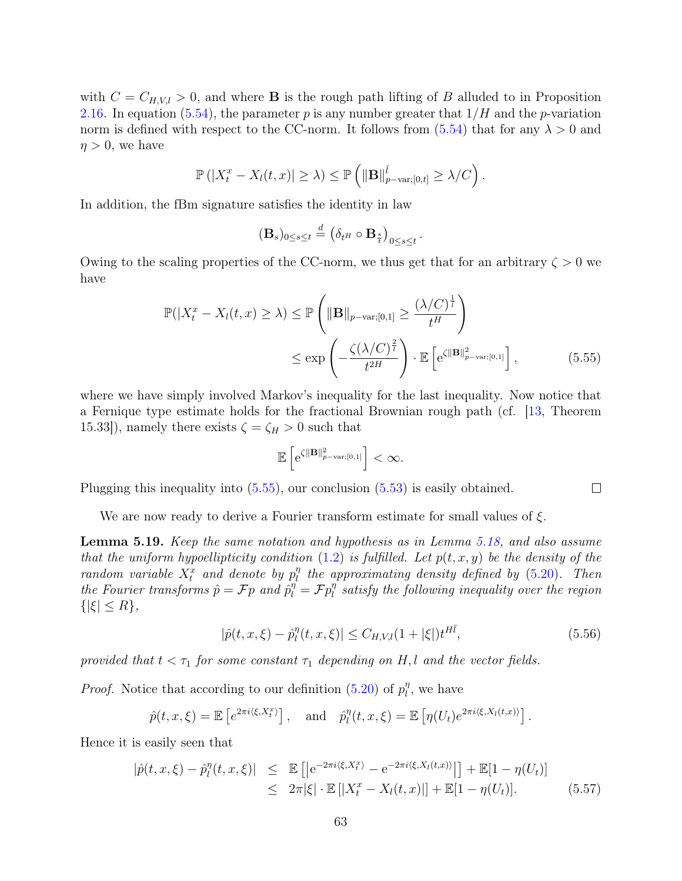with  $C = C_{H,V,l} > 0$ , and where **B** is the rough path lifting of B alluded to in Proposition [2.16.](#page-17-0) In equation [\(5.54\)](#page-61-1), the parameter p is any number greater that  $1/H$  and the p-variation norm is defined with respect to the CC-norm. It follows from  $(5.54)$  that for any  $\lambda > 0$  and  $\eta > 0$ , we have

$$
\mathbb{P}\left(|X_t^x - X_l(t,x)| \geq \lambda\right) \leq \mathbb{P}\left(\|\mathbf{B}\|_{p-\text{var};[0,t]}^{\overline{l}} \geq \lambda/C\right).
$$

In addition, the fBm signature satisfies the identity in law

$$
(\mathbf{B}_s)_{0 \leq s \leq t} \stackrel{d}{=} \left( \delta_{t^H} \circ \mathbf{B}_{\frac{s}{t}} \right)_{0 \leq s \leq t}
$$

Owing to the scaling properties of the CC-norm, we thus get that for an arbitrary  $\zeta > 0$  we have

$$
\mathbb{P}(|X_t^x - X_l(t, x) \ge \lambda) \le \mathbb{P}\left(\|\mathbf{B}\|_{p-\text{var};[0,1]} \ge \frac{(\lambda/C)^{\frac{1}{t}}}{t^H}\right)
$$
  

$$
\le \exp\left(-\frac{\zeta(\lambda/C)^{\frac{2}{t}}}{t^{2H}}\right) \cdot \mathbb{E}\left[e^{\zeta\|\mathbf{B}\|_{p-\text{var};[0,1]}^2}\right],
$$
 (5.55)

.

where we have simply involved Markov's inequality for the last inequality. Now notice that a Fernique type estimate holds for the fractional Brownian rough path (cf. [\[13,](#page-75-1) Theorem 15.33]), namely there exists  $\zeta = \zeta_H > 0$  such that

$$
\mathbb{E}\left[e^{\zeta\|\mathbf{B}\|_{p-var;[0,1]}^2}\right]<\infty.
$$

Plugging this inequality into [\(5.55\)](#page-62-0), our conclusion [\(5.53\)](#page-61-2) is easily obtained.

We are now ready to derive a Fourier transform estimate for small values of  $\xi$ .

<span id="page-62-3"></span>Lemma 5.19. Keep the same notation and hypothesis as in Lemma [5.18,](#page-61-3) and also assume that the uniform hypoellipticity condition  $(1.2)$  is fulfilled. Let  $p(t, x, y)$  be the density of the random variable  $X_t^x$  and denote by  $p_l^n$  $\eta$ <sup>n</sup> the approximating density defined by [\(5.20\)](#page-51-3). Then the Fourier transforms  $\hat{p} = \mathcal{F}p$  and  $\hat{p}_l^{\eta} = \mathcal{F}p_l^{\eta}$  $\frac{\eta}{l}$  satisfy the following inequality over the region  $\{|\xi|\leq R\},\$ 

$$
|\hat{p}(t, x, \xi) - \hat{p}_l^{\eta}(t, x, \xi)| \le C_{H, V, l} (1 + |\xi|) t^{H\bar{l}},
$$
\n(5.56)

<span id="page-62-2"></span><span id="page-62-0"></span> $\Box$ 

provided that  $t < \tau_1$  for some constant  $\tau_1$  depending on H, l and the vector fields.

*Proof.* Notice that according to our definition [\(5.20\)](#page-51-3) of  $p_l^n$  $\eta$ , we have

$$
\hat{p}(t,x,\xi) = \mathbb{E}\left[e^{2\pi i\langle\xi,X_t^x\rangle}\right], \text{ and } \hat{p}_l^{\eta}(t,x,\xi) = \mathbb{E}\left[\eta(U_t)e^{2\pi i\langle\xi,X_l(t,x)\rangle}\right].
$$

Hence it is easily seen that

<span id="page-62-1"></span>
$$
|\hat{p}(t, x, \xi) - \hat{p}_l^{\eta}(t, x, \xi)| \leq \mathbb{E}\left[|e^{-2\pi i \langle \xi, X_t^x \rangle} - e^{-2\pi i \langle \xi, X_l(t, x) \rangle}|\right] + \mathbb{E}[1 - \eta(U_t)]
$$
  
 
$$
\leq 2\pi |\xi| \cdot \mathbb{E}\left[|X_t^x - X_l(t, x)|\right] + \mathbb{E}[1 - \eta(U_t)]. \tag{5.57}
$$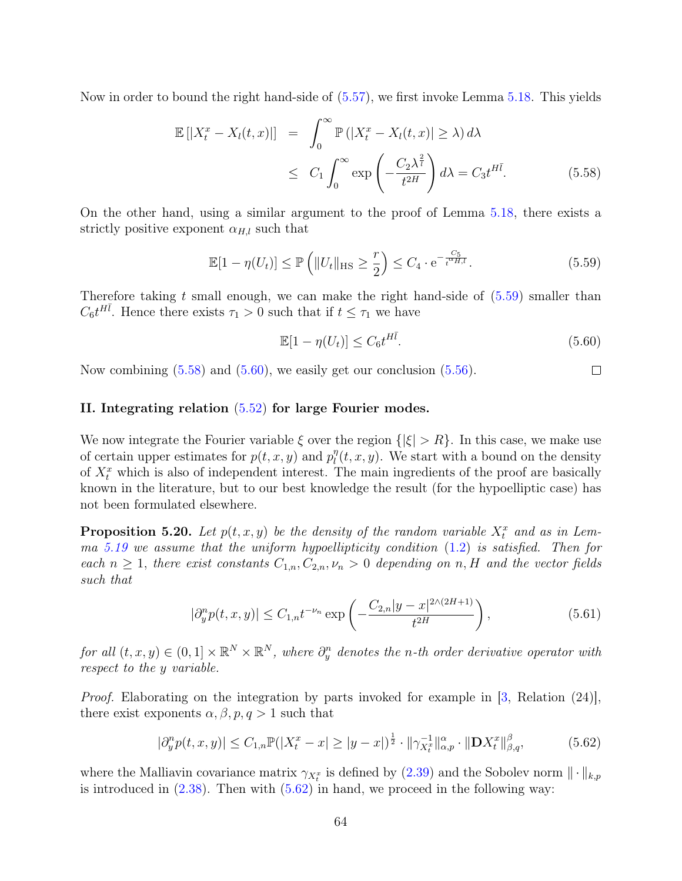Now in order to bound the right hand-side of [\(5.57\)](#page-62-1), we first invoke Lemma [5.18.](#page-61-3) This yields

<span id="page-63-1"></span>
$$
\mathbb{E}\left[|X_t^x - X_l(t,x)|\right] = \int_0^\infty \mathbb{P}\left(|X_t^x - X_l(t,x)| \ge \lambda\right) d\lambda
$$
  

$$
\le C_1 \int_0^\infty \exp\left(-\frac{C_2 \lambda^{\frac{2}{l}}}{t^{2H}}\right) d\lambda = C_3 t^{H\bar{l}}.
$$
 (5.58)

On the other hand, using a similar argument to the proof of Lemma [5.18,](#page-61-3) there exists a strictly positive exponent  $\alpha_{H,l}$  such that

$$
\mathbb{E}[1 - \eta(U_t)] \le \mathbb{P}\left(\|U_t\|_{\text{HS}} \ge \frac{r}{2}\right) \le C_4 \cdot \mathrm{e}^{-\frac{C_5}{t^{\alpha_{H,l}}}}.\tag{5.59}
$$

Therefore taking t small enough, we can make the right hand-side of  $(5.59)$  smaller than  $C_6 t^{H\bar{l}}$ . Hence there exists  $\tau_1 > 0$  such that if  $t \leq \tau_1$  we have

<span id="page-63-2"></span><span id="page-63-0"></span>
$$
\mathbb{E}[1 - \eta(U_t)] \le C_6 t^{H\bar{l}}.\tag{5.60}
$$

Now combining [\(5.58\)](#page-63-1) and [\(5.60\)](#page-63-2), we easily get our conclusion [\(5.56\)](#page-62-2).  $\Box$ 

#### II. Integrating relation [\(5.52\)](#page-61-0) for large Fourier modes.

We now integrate the Fourier variable  $\xi$  over the region  $\{|\xi| > R\}$ . In this case, we make use of certain upper estimates for  $p(t, x, y)$  and  $p_l^n$  $\int_l^{\eta}(t, x, y)$ . We start with a bound on the density of  $X_t^x$  which is also of independent interest. The main ingredients of the proof are basically known in the literature, but to our best knowledge the result (for the hypoelliptic case) has not been formulated elsewhere.

<span id="page-63-5"></span>**Proposition 5.20.** Let  $p(t, x, y)$  be the density of the random variable  $X_t^x$  and as in Lem-ma [5.19](#page-62-3) we assume that the uniform hypoellipticity condition  $(1.2)$  is satisfied. Then for each  $n \geq 1$ , there exist constants  $C_{1,n}, C_{2,n}, \nu_n > 0$  depending on n, H and the vector fields such that

<span id="page-63-4"></span><span id="page-63-3"></span>
$$
|\partial_y^n p(t, x, y)| \le C_{1,n} t^{-\nu_n} \exp\left(-\frac{C_{2,n} |y-x|^{2\wedge (2H+1)}}{t^{2H}}\right),\tag{5.61}
$$

for all  $(t, x, y) \in (0, 1] \times \mathbb{R}^N \times \mathbb{R}^N$ , where  $\partial_y^n$  denotes the n-th order derivative operator with respect to the y variable.

*Proof.* Elaborating on the integration by parts invoked for example in  $\left[3, \text{ Relation } (24)\right]$  $\left[3, \text{ Relation } (24)\right]$  $\left[3, \text{ Relation } (24)\right]$ , there exist exponents  $\alpha, \beta, p, q > 1$  such that

$$
|\partial_y^n p(t, x, y)| \le C_{1,n} \mathbb{P}(|X_t^x - x| \ge |y - x|)^{\frac{1}{2}} \cdot \|\gamma_{X_t^x}^{-1}\|_{\alpha, p}^{\alpha} \cdot \|\mathbf{D} X_t^x\|_{\beta, q}^{\beta},\tag{5.62}
$$

where the Malliavin covariance matrix  $\gamma_{X_t^x}$  is defined by [\(2.39\)](#page-19-0) and the Sobolev norm  $\|\cdot\|_{k,p}$ is introduced in  $(2.38)$ . Then with  $(5.62)$  in hand, we proceed in the following way: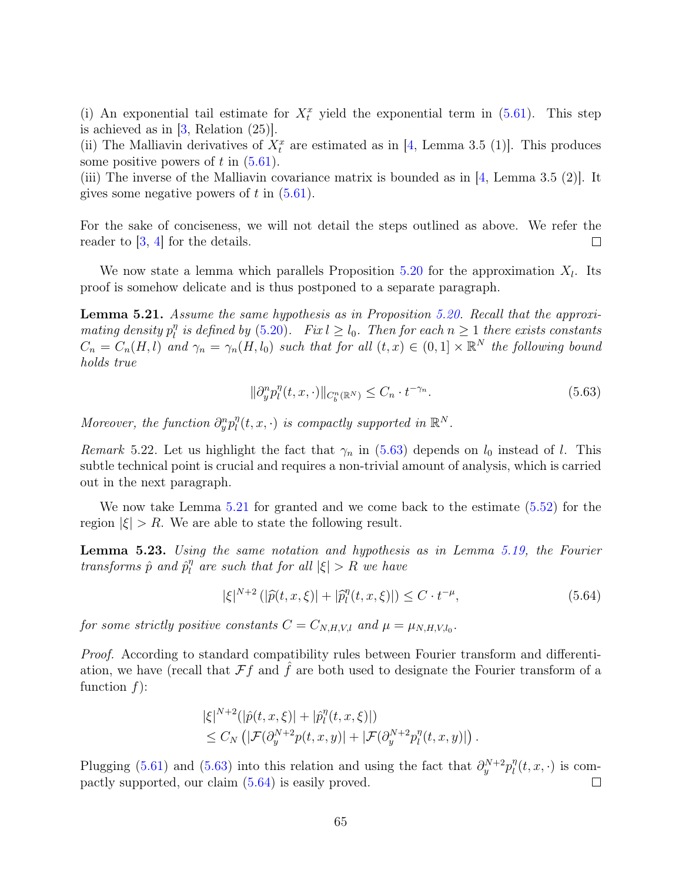(i) An exponential tail estimate for  $X_t^x$  yield the exponential term in [\(5.61\)](#page-63-4). This step is achieved as in  $[3,$  Relation  $(25)$ ].

(ii) The Malliavin derivatives of  $X_t^x$  are estimated as in [\[4,](#page-74-3) Lemma 3.5 (1)]. This produces some positive powers of  $t$  in  $(5.61)$ .

(iii) The inverse of the Malliavin covariance matrix is bounded as in  $[4, \text{ Lemma } 3.5 \ (2)].$  $[4, \text{ Lemma } 3.5 \ (2)].$  It gives some negative powers of  $t$  in  $(5.61)$ .

For the sake of conciseness, we will not detail the steps outlined as above. We refer the reader to [\[3,](#page-74-0) [4\]](#page-74-3) for the details.  $\Box$ 

We now state a lemma which parallels Proposition [5.20](#page-63-5) for the approximation  $X_l$ . Its proof is somehow delicate and is thus postponed to a separate paragraph.

<span id="page-64-0"></span>Lemma 5.21. Assume the same hypothesis as in Proposition [5.20.](#page-63-5) Recall that the approxi $matrix$  density  $p_l^{\eta}$  $\frac{\eta}{l}$  is defined by [\(5.20\)](#page-51-3). Fix  $l \geq l_0$ . Then for each  $n \geq 1$  there exists constants  $C_n = C_n(H, l)$  and  $\gamma_n = \gamma_n(H, l_0)$  such that for all  $(t, x) \in (0, 1] \times \mathbb{R}^N$  the following bound holds true

<span id="page-64-1"></span>
$$
\|\partial_y^n p_l^n(t, x, \cdot)\|_{C_b^n(\mathbb{R}^N)} \le C_n \cdot t^{-\gamma_n}.\tag{5.63}
$$

Moreover, the function  $\partial_y^n p_l^n$  $\eta_l^n(t, x, \cdot)$  is compactly supported in  $\mathbb{R}^N$ .

*Remark* 5.22. Let us highlight the fact that  $\gamma_n$  in [\(5.63\)](#page-64-1) depends on  $l_0$  instead of l. This subtle technical point is crucial and requires a non-trivial amount of analysis, which is carried out in the next paragraph.

We now take Lemma [5.21](#page-64-0) for granted and we come back to the estimate [\(5.52\)](#page-61-0) for the region  $|\xi| > R$ . We are able to state the following result.

Lemma 5.23. Using the same notation and hypothesis as in Lemma [5.19,](#page-62-3) the Fourier transforms  $\hat{p}$  and  $\hat{p}_l^{\eta}$  $\int_{l}^{\eta}$  are such that for all  $|\xi| > R$  we have

<span id="page-64-2"></span>
$$
|\xi|^{N+2} (|\hat{p}(t, x, \xi)| + |\hat{p}_l^{\eta}(t, x, \xi)|) \le C \cdot t^{-\mu}, \tag{5.64}
$$

for some strictly positive constants  $C = C_{N,H,V,l}$  and  $\mu = \mu_{N,H,V,l_0}$ .

Proof. According to standard compatibility rules between Fourier transform and differentiation, we have (recall that  $\mathcal{F}f$  and  $f$  are both used to designate the Fourier transform of a function  $f$ :

$$
|\xi|^{N+2} (|\hat{p}(t, x, \xi)| + |\hat{p}_l^{\eta}(t, x, \xi)|)
$$
  
\n
$$
\leq C_N \left( |\mathcal{F}(\partial_y^{N+2} p(t, x, y))| + |\mathcal{F}(\partial_y^{N+2} p_l^{\eta}(t, x, y))| \right).
$$

Plugging [\(5.61\)](#page-63-4) and [\(5.63\)](#page-64-1) into this relation and using the fact that  $\partial_y^{N+2} p_l^{\eta}$  $\int_l^{\eta}(t,x,\cdot)$  is compactly supported, our claim [\(5.64\)](#page-64-2) is easily proved.  $\Box$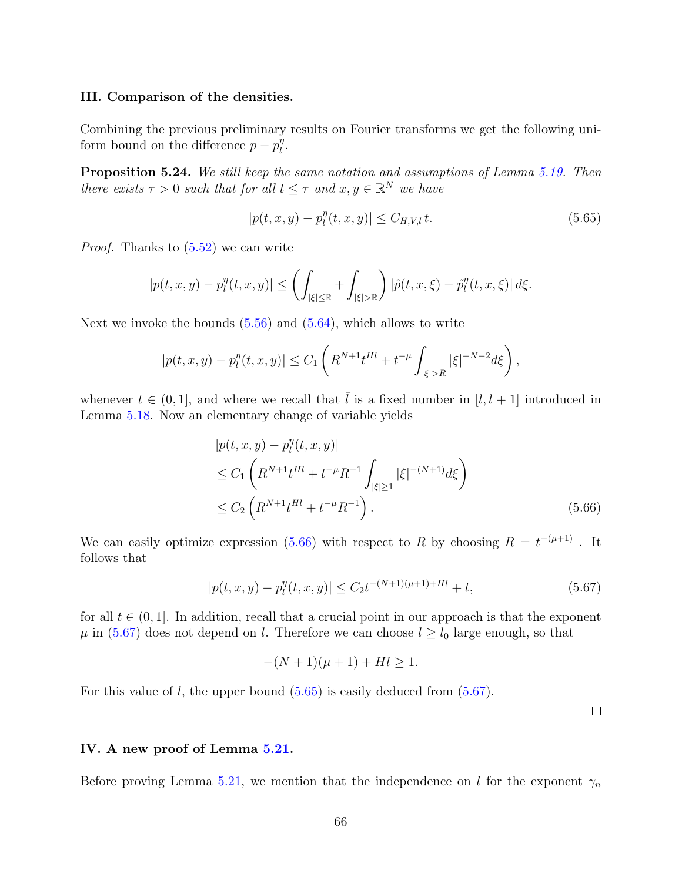#### III. Comparison of the densities.

Combining the previous preliminary results on Fourier transforms we get the following uniform bound on the difference  $p - p_l^{\eta}$  $\frac{\eta}{l}$ .

Proposition 5.24. We still keep the same notation and assumptions of Lemma [5.19.](#page-62-3) Then there exists  $\tau > 0$  such that for all  $t \leq \tau$  and  $x, y \in \mathbb{R}^N$  we have

<span id="page-65-2"></span>
$$
|p(t, x, y) - p_l^{\eta}(t, x, y)| \le C_{H, V, l} t.
$$
\n(5.65)

Proof. Thanks to [\(5.52\)](#page-61-0) we can write

$$
|p(t, x, y) - p_l^{\eta}(t, x, y)| \le \left( \int_{|\xi| \le \mathbb{R}} + \int_{|\xi| > \mathbb{R}} \right) |\hat{p}(t, x, \xi) - \hat{p}_l^{\eta}(t, x, \xi)| d\xi.
$$

Next we invoke the bounds  $(5.56)$  and  $(5.64)$ , which allows to write

$$
|p(t, x, y) - p_l^{\eta}(t, x, y)| \le C_1 \left( R^{N+1} t^{H \bar{l}} + t^{-\mu} \int_{|\xi| > R} |\xi|^{-N-2} d\xi \right),
$$

whenever  $t \in (0, 1]$ , and where we recall that  $\overline{l}$  is a fixed number in  $[l, l + 1]$  introduced in Lemma [5.18.](#page-61-3) Now an elementary change of variable yields

$$
|p(t, x, y) - p_l^{\eta}(t, x, y)|
$$
  
\n
$$
\leq C_1 \left( R^{N+1} t^{H\bar{l}} + t^{-\mu} R^{-1} \int_{|\xi| \geq 1} |\xi|^{-(N+1)} d\xi \right)
$$
  
\n
$$
\leq C_2 \left( R^{N+1} t^{H\bar{l}} + t^{-\mu} R^{-1} \right).
$$
\n(5.66)

We can easily optimize expression [\(5.66\)](#page-65-0) with respect to R by choosing  $R = t^{-(\mu+1)}$ . It follows that

$$
|p(t, x, y) - p_l^{\eta}(t, x, y)| \le C_2 t^{-(N+1)(\mu+1) + H\bar{l}} + t,
$$
\n(5.67)

for all  $t \in (0, 1]$ . In addition, recall that a crucial point in our approach is that the exponent  $\mu$  in [\(5.67\)](#page-65-1) does not depend on *l*. Therefore we can choose  $l \geq l_0$  large enough, so that

$$
-(N+1)(\mu+1) + Hl \ge 1.
$$

For this value of  $l$ , the upper bound  $(5.65)$  is easily deduced from  $(5.67)$ .

<span id="page-65-1"></span><span id="page-65-0"></span> $\Box$ 

#### IV. A new proof of Lemma [5.21.](#page-64-0)

Before proving Lemma [5.21,](#page-64-0) we mention that the independence on l for the exponent  $\gamma_n$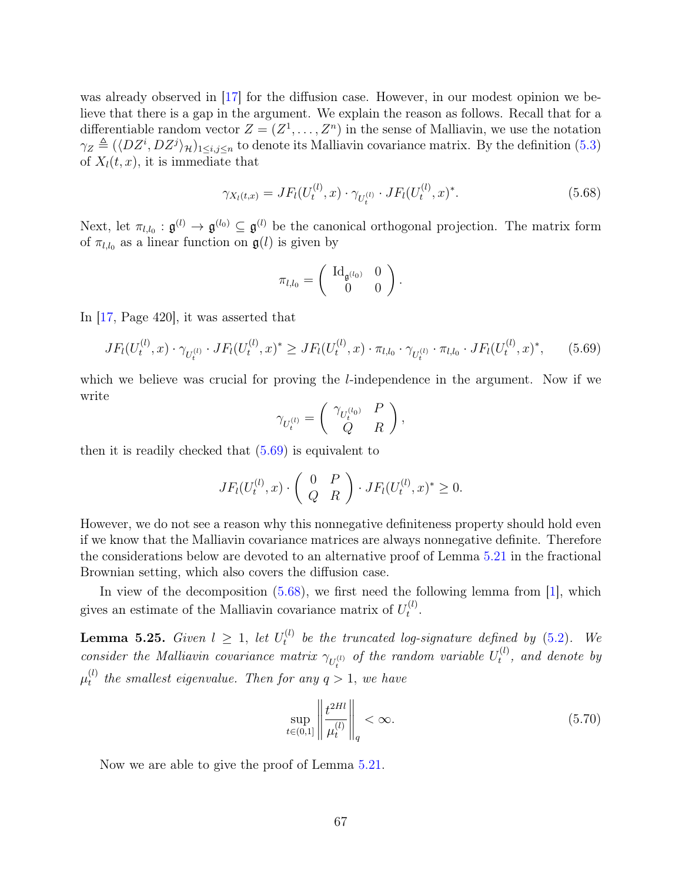was already observed in [\[17\]](#page-75-0) for the diffusion case. However, in our modest opinion we believe that there is a gap in the argument. We explain the reason as follows. Recall that for a differentiable random vector  $Z = (Z^1, \ldots, Z^n)$  in the sense of Malliavin, we use the notation  $\gamma_Z \triangleq (\langle DZ^i, DZ^j \rangle_{\mathcal{H}})_{1 \leq i,j \leq n}$  to denote its Malliavin covariance matrix. By the definition [\(5.3\)](#page-42-0) of  $X_l(t, x)$ , it is immediate that

$$
\gamma_{X_l(t,x)} = JF_l(U_t^{(l)}, x) \cdot \gamma_{U_t^{(l)}} \cdot JF_l(U_t^{(l)}, x)^*.
$$
\n(5.68)

Next, let  $\pi_{l,l_0}: \mathfrak{g}^{(l)} \to \mathfrak{g}^{(l_0)} \subseteq \mathfrak{g}^{(l)}$  be the canonical orthogonal projection. The matrix form of  $\pi_{l,l_0}$  as a linear function on  $\mathfrak{g}(l)$  is given by

<span id="page-66-1"></span>
$$
\pi_{l,l_0} = \left( \begin{array}{cc} \mathrm{Id}_{\mathfrak{g}^{(l_0)}} & 0 \\ 0 & 0 \end{array} \right).
$$

In [\[17,](#page-75-0) Page 420], it was asserted that

<span id="page-66-0"></span>
$$
JF_l(U_t^{(l)}, x) \cdot \gamma_{U_t^{(l)}} \cdot JF_l(U_t^{(l)}, x)^* \ge JF_l(U_t^{(l)}, x) \cdot \pi_{l, l_0} \cdot \gamma_{U_t^{(l)}} \cdot \pi_{l, l_0} \cdot JF_l(U_t^{(l)}, x)^*, \qquad (5.69)
$$

which we believe was crucial for proving the *l*-independence in the argument. Now if we write

$$
\gamma_{U_t^{(l)}} = \left(\begin{array}{cc} \gamma_{U_t^{(l_0)}} & P \\ Q & R \end{array}\right),\,
$$

then it is readily checked that  $(5.69)$  is equivalent to

$$
JF_l(U_t^{(l)},x) \cdot \left(\begin{array}{cc} 0 & P \\ Q & R \end{array}\right) \cdot JF_l(U_t^{(l)},x)^* \ge 0.
$$

However, we do not see a reason why this nonnegative definiteness property should hold even if we know that the Malliavin covariance matrices are always nonnegative definite. Therefore the considerations below are devoted to an alternative proof of Lemma [5.21](#page-64-0) in the fractional Brownian setting, which also covers the diffusion case.

In view of the decomposition  $(5.68)$ , we first need the following lemma from [\[1\]](#page-74-1), which gives an estimate of the Malliavin covariance matrix of  $U_t^{(l)}$  $\frac{u}{t}$ .

<span id="page-66-2"></span>**Lemma 5.25.** Given  $l \geq 1$ , let  $U_t^{(l)}$  $t_t^{(t)}$  be the truncated log-signature defined by  $(5.2)$ . We consider the Malliavin covariance matrix  $\gamma_{U_t^{(l)}}$  of the random variable  $U_t^{(l)}$  $t_t^{(t)}$ , and denote by  $\mu_t^{(l)}$  $t_t^{(t)}$  the smallest eigenvalue. Then for any  $q > 1$ , we have

$$
\sup_{t \in (0,1]} \left\| \frac{t^{2Hl}}{\mu_t^{(l)}} \right\|_q < \infty. \tag{5.70}
$$

Now we are able to give the proof of Lemma [5.21.](#page-64-0)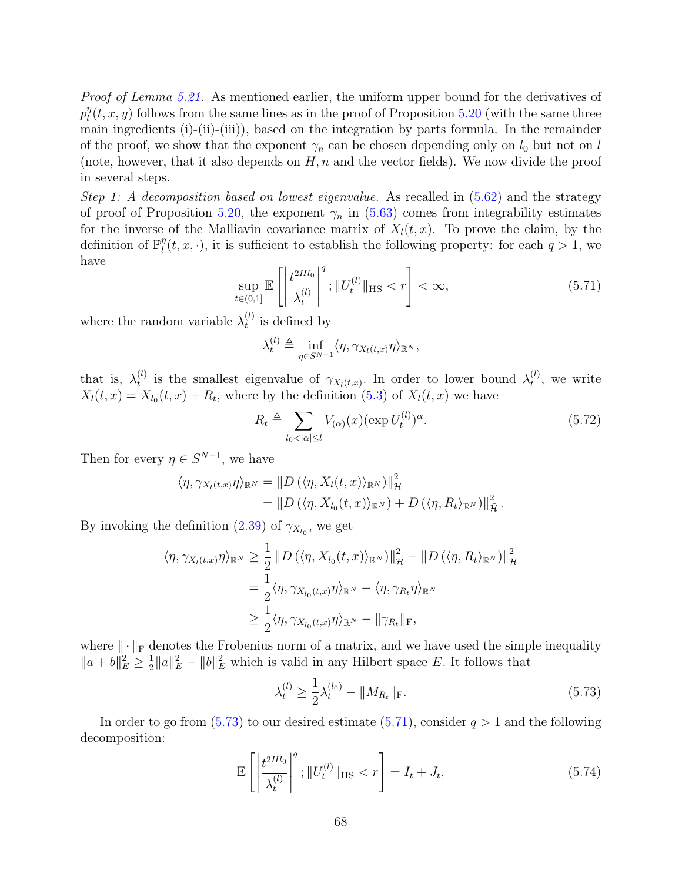Proof of Lemma [5.21.](#page-64-0) As mentioned earlier, the uniform upper bound for the derivatives of  $p_l^n$  $\eta_l^n(t, x, y)$  follows from the same lines as in the proof of Proposition [5.20](#page-63-5) (with the same three main ingredients (i)-(ii)-(iii)), based on the integration by parts formula. In the remainder of the proof, we show that the exponent  $\gamma_n$  can be chosen depending only on  $l_0$  but not on l (note, however, that it also depends on  $H, n$  and the vector fields). We now divide the proof in several steps.

Step 1: A decomposition based on lowest eigenvalue. As recalled in  $(5.62)$  and the strategy of proof of Proposition [5.20,](#page-63-5) the exponent  $\gamma_n$  in [\(5.63\)](#page-64-1) comes from integrability estimates for the inverse of the Malliavin covariance matrix of  $X<sub>l</sub>(t, x)$ . To prove the claim, by the definition of  $\mathbb{P}_{l}^{\eta}$  $\eta_l(t, x, \cdot)$ , it is sufficient to establish the following property: for each  $q > 1$ , we have

<span id="page-67-1"></span>
$$
\sup_{t \in (0,1]} \mathbb{E} \left[ \left| \frac{t^{2Hl_0}}{\lambda_t^{(l)}} \right|^q; \| U_t^{(l)} \|_{\text{HS}} < r \right] < \infty,\tag{5.71}
$$

where the random variable  $\lambda_t^{(l)}$  $t_i^{(t)}$  is defined by

$$
\lambda_t^{(l)} \triangleq \inf_{\eta \in S^{N-1}} \langle \eta, \gamma_{X_l(t,x)} \eta \rangle_{\mathbb{R}^N},
$$

that is,  $\lambda_t^{(l)}$ <sup>(l)</sup> is the smallest eigenvalue of  $\gamma_{X_l(t,x)}$ . In order to lower bound  $\lambda_t^{(l)}$  $t^{(t)}$ , we write  $X_l(t,x) = X_{l_0}(t,x) + R_t$ , where by the definition [\(5.3\)](#page-42-0) of  $X_l(t,x)$  we have

<span id="page-67-2"></span>
$$
R_t \triangleq \sum_{l_0 < |\alpha| \le l} V_{(\alpha)}(x) (\exp U_t^{(l)})^{\alpha}.\tag{5.72}
$$

Then for every  $\eta \in S^{N-1}$ , we have

$$
\langle \eta, \gamma_{X_l(t,x)} \eta \rangle_{\mathbb{R}^N} = \| D \left( \langle \eta, X_l(t,x) \rangle_{\mathbb{R}^N} \right) \|_{\overline{\mathcal{H}}}^2
$$
  
= 
$$
\| D \left( \langle \eta, X_{l_0}(t,x) \rangle_{\mathbb{R}^N} \right) + D \left( \langle \eta, R_t \rangle_{\mathbb{R}^N} \right) \|_{\overline{\mathcal{H}}}^2.
$$

By invoking the definition [\(2.39\)](#page-19-0) of  $\gamma_{X_{l_0}}$ , we get

$$
\langle \eta, \gamma_{X_l(t,x)} \eta \rangle_{\mathbb{R}^N} \ge \frac{1}{2} \| D \left( \langle \eta, X_{l_0}(t,x) \rangle_{\mathbb{R}^N} \right) \|_{\bar{\mathcal{H}}}^2 - \| D \left( \langle \eta, R_t \rangle_{\mathbb{R}^N} \right) \|_{\bar{\mathcal{H}}}^2
$$
  

$$
= \frac{1}{2} \langle \eta, \gamma_{X_{l_0}(t,x)} \eta \rangle_{\mathbb{R}^N} - \langle \eta, \gamma_{R_t} \eta \rangle_{\mathbb{R}^N}
$$
  

$$
\ge \frac{1}{2} \langle \eta, \gamma_{X_{l_0}(t,x)} \eta \rangle_{\mathbb{R}^N} - \| \gamma_{R_t} \|_{\mathrm{F}},
$$

where  $\|\cdot\|_F$  denotes the Frobenius norm of a matrix, and we have used the simple inequality  $||a + b||_E^2 \ge \frac{1}{2}$  $\frac{1}{2} ||a||_E^2 - ||b||_E^2$  which is valid in any Hilbert space E. It follows that

<span id="page-67-3"></span><span id="page-67-0"></span>
$$
\lambda_t^{(l)} \ge \frac{1}{2} \lambda_t^{(l_0)} - \|M_{R_t}\|_{\mathcal{F}}.\tag{5.73}
$$

In order to go from  $(5.73)$  to our desired estimate  $(5.71)$ , consider  $q > 1$  and the following decomposition:

$$
\mathbb{E}\left[\left|\frac{t^{2Hl_{0}}}{\lambda_{t}^{(l)}}\right|^{q};\|U_{t}^{(l)}\|_{\text{HS}} < r\right] = I_{t} + J_{t},\tag{5.74}
$$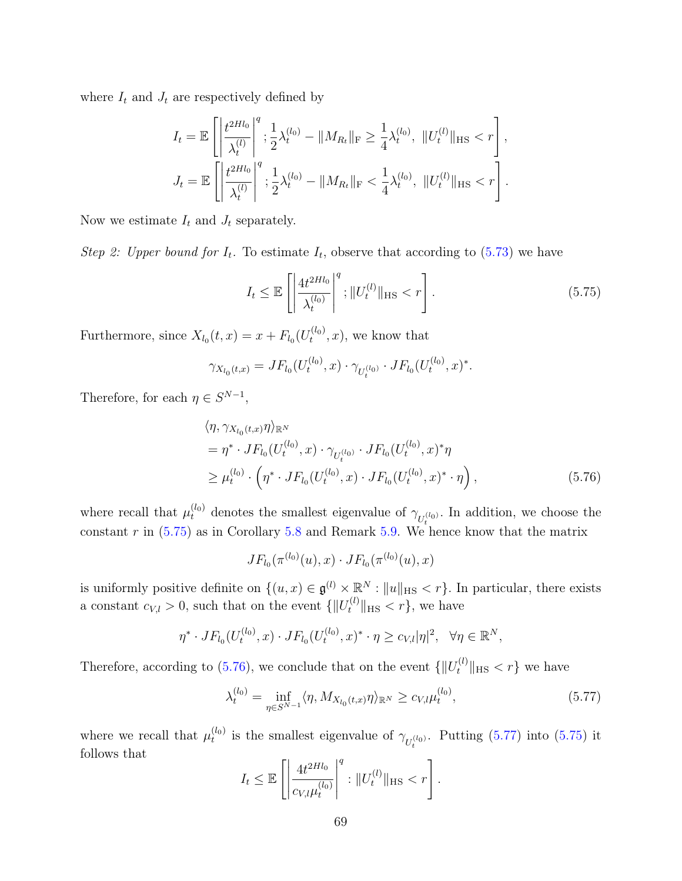where  $I_t$  and  $J_t$  are respectively defined by

$$
I_t = \mathbb{E}\left[\left|\frac{t^{2Hl_0}}{\lambda_t^{(l)}}\right|^q; \frac{1}{2}\lambda_t^{(l_0)} - \|M_{R_t}\|_{\mathrm{F}} \ge \frac{1}{4}\lambda_t^{(l_0)}, \|U_t^{(l)}\|_{\mathrm{HS}} < r\right],
$$
  

$$
J_t = \mathbb{E}\left[\left|\frac{t^{2Hl_0}}{\lambda_t^{(l)}}\right|^q; \frac{1}{2}\lambda_t^{(l_0)} - \|M_{R_t}\|_{\mathrm{F}} < \frac{1}{4}\lambda_t^{(l_0)}, \|U_t^{(l)}\|_{\mathrm{HS}} < r\right].
$$

Now we estimate  $I_t$  and  $J_t$  separately.

Step 2: Upper bound for  $I_t$ . To estimate  $I_t$ , observe that according to  $(5.73)$  we have

<span id="page-68-0"></span>
$$
I_t \le \mathbb{E}\left[\left|\frac{4t^{2Hl_0}}{\lambda_t^{(l_0)}}\right|^q; \|U_t^{(l)}\|_{\text{HS}} < r\right].\tag{5.75}
$$

Furthermore, since  $X_{l_0}(t,x) = x + F_{l_0}(U_t^{(l_0)})$  $t^{(0)}(x)$ , we know that

$$
\gamma_{X_{l_0}(t,x)} = JF_{l_0}(U_t^{(l_0)}, x) \cdot \gamma_{U_t^{(l_0)}} \cdot JF_{l_0}(U_t^{(l_0)}, x)^*.
$$

Therefore, for each  $\eta \in S^{N-1}$ ,

$$
\langle \eta, \gamma_{X_{l_0}(t,x)} \eta \rangle_{\mathbb{R}^N}
$$
  
=  $\eta^* \cdot J F_{l_0}(U_t^{(l_0)}, x) \cdot \gamma_{U_t^{(l_0)}} \cdot J F_{l_0}(U_t^{(l_0)}, x)^* \eta$   

$$
\geq \mu_t^{(l_0)} \cdot \left(\eta^* \cdot J F_{l_0}(U_t^{(l_0)}, x) \cdot J F_{l_0}(U_t^{(l_0)}, x)^* \cdot \eta\right),
$$
 (5.76)

where recall that  $\mu_t^{(l_0)}$  denotes the smallest eigenvalue of  $\gamma_{U_t^{(l_0)}}$ . In addition, we choose the constant  $r$  in  $(5.75)$  as in Corollary [5.8](#page-50-1) and Remark [5.9.](#page-50-2) We hence know that the matrix

<span id="page-68-1"></span>
$$
JF_{l_0}(\pi^{(l_0)}(u),x)\cdot JF_{l_0}(\pi^{(l_0)}(u),x)
$$

is uniformly positive definite on  $\{(u, x) \in \mathfrak{g}^{(l)} \times \mathbb{R}^N : ||u||_{\text{HS}} < r\}$ . In particular, there exists a constant  $c_{V,l} > 0$ , such that on the event  $\{\|U_t^{(l)}\|_{\text{HS}} < r\}$ , we have

$$
\eta^* \cdot JF_{l_0}(U_t^{(l_0)}, x) \cdot JF_{l_0}(U_t^{(l_0)}, x)^* \cdot \eta \ge c_{V,l} |\eta|^2, \ \ \forall \eta \in \mathbb{R}^N,
$$

Therefore, according to [\(5.76\)](#page-68-1), we conclude that on the event  $\{\Vert U_t^{(l)} \Vert_{\text{HS}} < r\}$  we have

$$
\lambda_t^{(l_0)} = \inf_{\eta \in S^{N-1}} \langle \eta, M_{X_{l_0}(t,x)} \eta \rangle_{\mathbb{R}^N} \ge c_{V,l} \mu_t^{(l_0)},\tag{5.77}
$$

where we recall that  $\mu_t^{(l_0)}$  $t_t^{(l_0)}$  is the smallest eigenvalue of  $\gamma_{U_t^{(l_0)}}$ . Putting [\(5.77\)](#page-68-2) into [\(5.75\)](#page-68-0) it follows that q

<span id="page-68-2"></span>
$$
I_t \leq \mathbb{E}\left[\left|\frac{4t^{2Hl_0}}{c_{V,l}\mu_t^{(l_0)}}\right|^q : ||U_t^{(l)}||_{\text{HS}} < r\right].
$$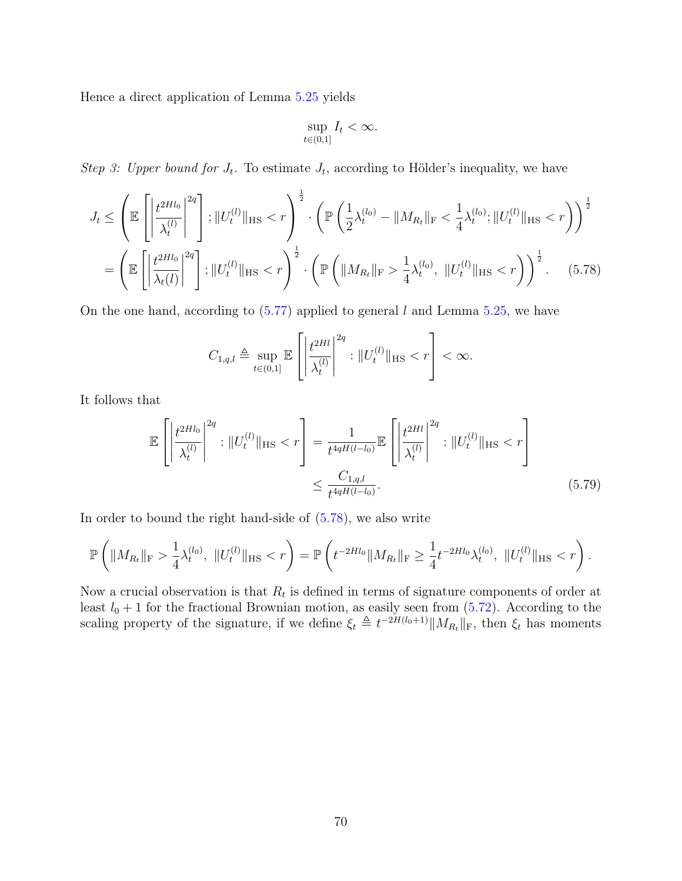Hence a direct application of Lemma [5.25](#page-66-2) yields

<span id="page-69-0"></span>
$$
\sup_{t\in(0,1]}I_t<\infty.
$$

Step 3: Upper bound for  $J_t$ . To estimate  $J_t$ , according to Hölder's inequality, we have

$$
J_t \leq \left(\mathbb{E}\left[\left|\frac{t^{2Hl_0}}{\lambda_t^{(l)}}\right|^{2q}\right]; \|U_t^{(l)}\|_{\text{HS}} < r\right)^{\frac{1}{2}} \cdot \left(\mathbb{P}\left(\frac{1}{2}\lambda_t^{(l_0)} - \|M_{R_t}\|_{\text{F}} < \frac{1}{4}\lambda_t^{(l_0)}; \|U_t^{(l)}\|_{\text{HS}} < r\right)\right)^{\frac{1}{2}}
$$

$$
= \left(\mathbb{E}\left[\left|\frac{t^{2Hl_0}}{\lambda_t(l)}\right|^{2q}\right]; \|U_t^{(l)}\|_{\text{HS}} < r\right)^{\frac{1}{2}} \cdot \left(\mathbb{P}\left(\|M_{R_t}\|_{\text{F}} > \frac{1}{4}\lambda_t^{(l_0)}, \|U_t^{(l)}\|_{\text{HS}} < r\right)\right)^{\frac{1}{2}}.\tag{5.78}
$$

On the one hand, according to  $(5.77)$  applied to general l and Lemma [5.25,](#page-66-2) we have

<span id="page-69-1"></span>
$$
C_{1,q,l} \triangleq \sup_{t \in (0,1]} \mathbb{E} \left[ \left| \frac{t^{2Hl}}{\lambda_t^{(l)}} \right|^{2q} : \| U_t^{(l)} \|_{\text{HS}} < r \right] < \infty.
$$

It follows that

$$
\mathbb{E}\left[\left|\frac{t^{2Hl_{0}}}{\lambda_{t}^{(l)}}\right|^{2q} : \|U_{t}^{(l)}\|_{\text{HS}} < r\right] = \frac{1}{t^{4qH(l-l_{0})}} \mathbb{E}\left[\left|\frac{t^{2Hl}}{\lambda_{t}^{(l)}}\right|^{2q} : \|U_{t}^{(l)}\|_{\text{HS}} < r\right] \leq \frac{C_{1,q,l}}{t^{4qH(l-l_{0})}}.\tag{5.79}
$$

In order to bound the right hand-side of [\(5.78\)](#page-69-0), we also write

$$
\mathbb{P}\left(\|M_{R_t}\|_{\mathrm{F}} > \frac{1}{4}\lambda_t^{(l_0)},\ \|U_t^{(l)}\|_{\mathrm{HS}} < r\right) = \mathbb{P}\left(t^{-2Hl_0} \|M_{R_t}\|_{\mathrm{F}} \ge \frac{1}{4}t^{-2Hl_0}\lambda_t^{(l_0)},\ \|U_t^{(l)}\|_{\mathrm{HS}} < r\right).
$$

Now a crucial observation is that  $R_t$  is defined in terms of signature components of order at least  $l_0 + 1$  for the fractional Brownian motion, as easily seen from  $(5.72)$ . According to the scaling property of the signature, if we define  $\xi_t \triangleq t^{-2H(l_0+1)}||M_{R_t}||_F$ , then  $\xi_t$  has moments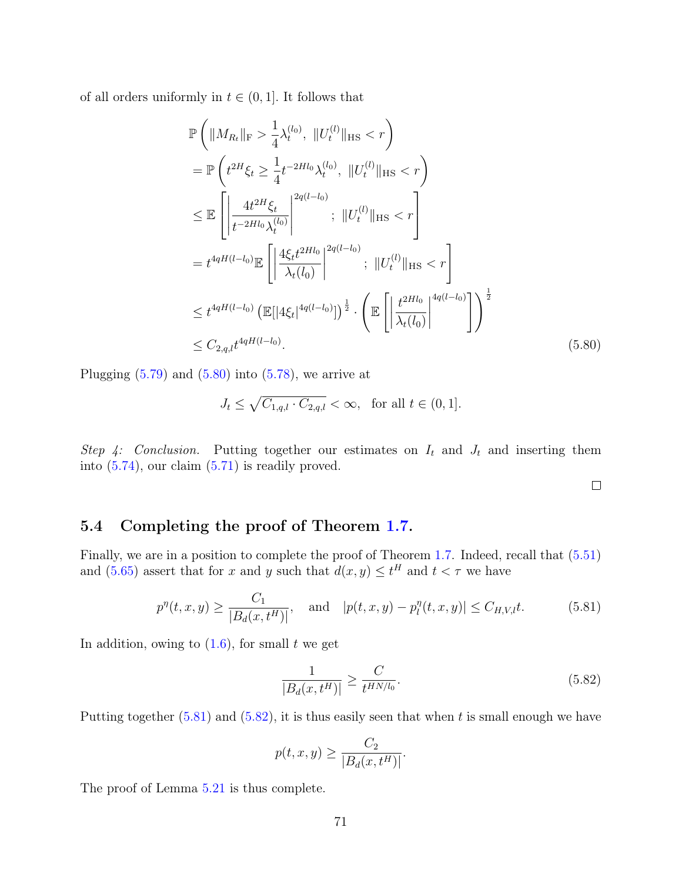of all orders uniformly in  $t \in (0, 1]$ . It follows that

$$
\mathbb{P}\left(\|M_{R_t}\|_{\mathrm{F}} > \frac{1}{4}\lambda_t^{(l_0)}, \|U_t^{(l)}\|_{\mathrm{HS}} < r\right)
$$
\n
$$
= \mathbb{P}\left(t^{2H}\xi_t \ge \frac{1}{4}t^{-2Hl_0}\lambda_t^{(l_0)}, \|U_t^{(l)}\|_{\mathrm{HS}} < r\right)
$$
\n
$$
\le \mathbb{E}\left[\left|\frac{4t^{2H}\xi_t}{t^{-2Hl_0}\lambda_t^{(l_0)}}\right|^{2q(l-l_0)}; \|U_t^{(l)}\|_{\mathrm{HS}} < r\right]
$$
\n
$$
= t^{4qH(l-l_0)}\mathbb{E}\left[\left|\frac{4\xi_t t^{2Hl_0}}{\lambda_t(l_0)}\right|^{2q(l-l_0)}; \|U_t^{(l)}\|_{\mathrm{HS}} < r\right]
$$
\n
$$
\le t^{4qH(l-l_0)} \left(\mathbb{E}[\left|4\xi_t\right|^{4q(l-l_0)}\right)\right)^{\frac{1}{2}} \cdot \left(\mathbb{E}\left[\left|\frac{t^{2Hl_0}}{\lambda_t(l_0)}\right|^{4q(l-l_0)}\right]\right)^{\frac{1}{2}}
$$
\n
$$
\le C_{2,q,l} t^{4qH(l-l_0)}.
$$
\n(5.80)

Plugging  $(5.79)$  and  $(5.80)$  into  $(5.78)$ , we arrive at

$$
J_t \le \sqrt{C_{1,q,l} \cdot C_{2,q,l}} < \infty, \text{ for all } t \in (0,1].
$$

Step 4: Conclusion. Putting together our estimates on  $I_t$  and  $J_t$  and inserting them into  $(5.74)$ , our claim  $(5.71)$  is readily proved.

<span id="page-70-1"></span><span id="page-70-0"></span> $\Box$ 

### 5.4 Completing the proof of Theorem [1.7.](#page-5-0)

Finally, we are in a position to complete the proof of Theorem [1.7.](#page-5-0) Indeed, recall that [\(5.51\)](#page-60-4) and  $(5.65)$  assert that for x and y such that  $d(x, y) \le t^H$  and  $t < \tau$  we have

$$
p^{\eta}(t, x, y) \ge \frac{C_1}{|B_d(x, t^H)|}
$$
, and  $|p(t, x, y) - p_l^{\eta}(t, x, y)| \le C_{H, V, l} t.$  (5.81)

In addition, owing to  $(1.6)$ , for small t we get

<span id="page-70-2"></span>
$$
\frac{1}{|B_d(x, t^H)|} \ge \frac{C}{t^{HN/l_0}}.\tag{5.82}
$$

Putting together  $(5.81)$  and  $(5.82)$ , it is thus easily seen that when t is small enough we have

$$
p(t, x, y) \ge \frac{C_2}{|B_d(x, t^H)|}.
$$

The proof of Lemma [5.21](#page-64-0) is thus complete.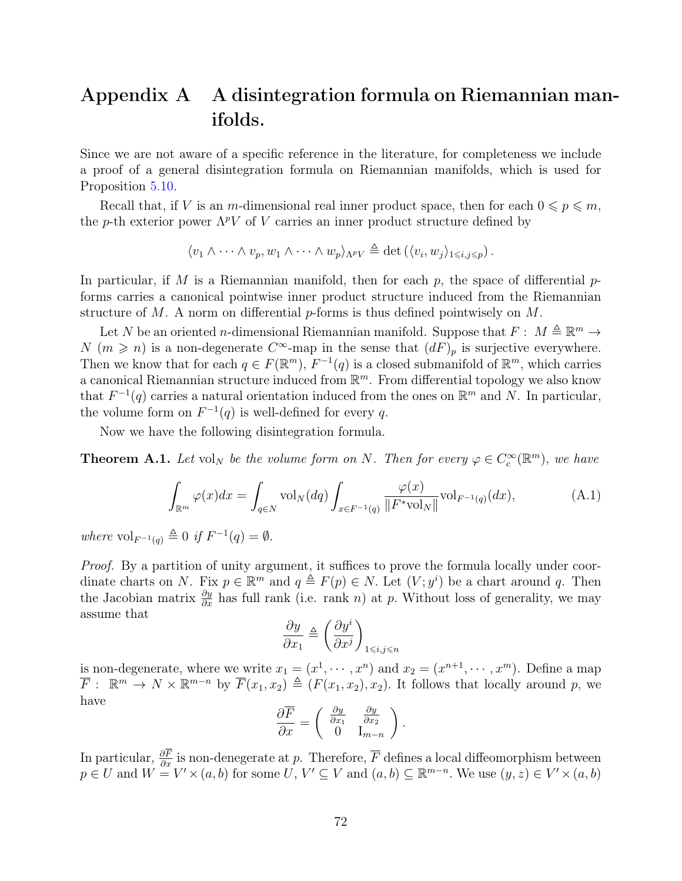# Appendix A A disintegration formula on Riemannian manifolds.

Since we are not aware of a specific reference in the literature, for completeness we include a proof of a general disintegration formula on Riemannian manifolds, which is used for Proposition [5.10.](#page-51-1)

Recall that, if V is an m-dimensional real inner product space, then for each  $0 \leqslant p \leqslant m$ , the p-th exterior power  $\Lambda^p V$  of V carries an inner product structure defined by

$$
\langle v_1 \wedge \cdots \wedge v_p, w_1 \wedge \cdots \wedge w_p \rangle_{\Lambda^p V} \triangleq \det \left( \langle v_i, w_j \rangle_{1 \leq i,j \leq p} \right).
$$

In particular, if M is a Riemannian manifold, then for each  $p$ , the space of differential  $p$ forms carries a canonical pointwise inner product structure induced from the Riemannian structure of M. A norm on differential  $p$ -forms is thus defined pointwisely on M.

Let N be an oriented n-dimensional Riemannian manifold. Suppose that  $F: M \triangleq \mathbb{R}^m \rightarrow$ N  $(m \geq n)$  is a non-degenerate  $C^{\infty}$ -map in the sense that  $(dF)_{p}$  is surjective everywhere. Then we know that for each  $q \in F(\mathbb{R}^m)$ ,  $F^{-1}(q)$  is a closed submanifold of  $\mathbb{R}^m$ , which carries a canonical Riemannian structure induced from  $\mathbb{R}^m$ . From differential topology we also know that  $F^{-1}(q)$  carries a natural orientation induced from the ones on  $\mathbb{R}^m$  and N. In particular, the volume form on  $F^{-1}(q)$  is well-defined for every q.

Now we have the following disintegration formula.

**Theorem A.1.** Let vol<sub>N</sub> be the volume form on N. Then for every  $\varphi \in C_c^{\infty}(\mathbb{R}^m)$ , we have

$$
\int_{\mathbb{R}^m} \varphi(x) dx = \int_{q \in N} \text{vol}_N(dq) \int_{x \in F^{-1}(q)} \frac{\varphi(x)}{\|F^* \text{vol}_N\|} \text{vol}_{F^{-1}(q)}(dx),\tag{A.1}
$$

where  $\mathrm{vol}_{F^{-1}(q)} \triangleq 0$  if  $F^{-1}(q) = \emptyset$ .

Proof. By a partition of unity argument, it suffices to prove the formula locally under coordinate charts on N. Fix  $p \in \mathbb{R}^m$  and  $q \triangleq F(p) \in N$ . Let  $(V; y^i)$  be a chart around q. Then the Jacobian matrix  $\frac{\partial y}{\partial x}$  has full rank (i.e. rank n) at p. Without loss of generality, we may assume that

$$
\frac{\partial y}{\partial x_1} \triangleq \left(\frac{\partial y^i}{\partial x^j}\right)_{1 \le i,j \le n}
$$

is non-degenerate, where we write  $x_1 = (x^1, \dots, x^n)$  and  $x_2 = (x^{n+1}, \dots, x^m)$ . Define a map  $\overline{F}$ :  $\mathbb{R}^m \to N \times \mathbb{R}^{m-n}$  by  $\overline{F}(x_1, x_2) \triangleq (F(x_1, x_2), x_2)$ . It follows that locally around p, we have

$$
\frac{\partial \overline{F}}{\partial x} = \begin{pmatrix} \frac{\partial y}{\partial x_1} & \frac{\partial y}{\partial x_2} \\ 0 & I_{m-n} \end{pmatrix}.
$$

In particular,  $\frac{\partial F}{\partial x}$  is non-denegerate at p. Therefore,  $\overline{F}$  defines a local diffeomorphism between  $p \in U$  and  $W = V' \times (a, b)$  for some  $U, V' \subseteq V$  and  $(a, b) \subseteq \mathbb{R}^{m-n}$ . We use  $(y, z) \in V' \times (a, b)$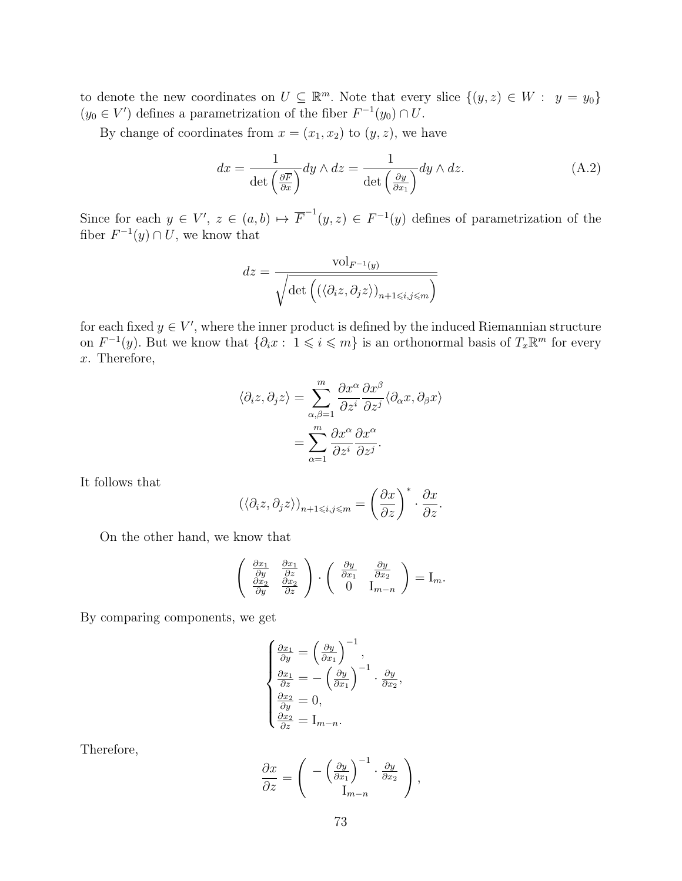to denote the new coordinates on  $U \subseteq \mathbb{R}^m$ . Note that every slice  $\{(y, z) \in W : y = y_0\}$  $(y_0 \in V')$  defines a parametrization of the fiber  $F^{-1}(y_0) \cap U$ .

By change of coordinates from  $x = (x_1, x_2)$  to  $(y, z)$ , we have

<span id="page-72-0"></span>
$$
dx = \frac{1}{\det\left(\frac{\partial \overline{F}}{\partial x}\right)} dy \wedge dz = \frac{1}{\det\left(\frac{\partial y}{\partial x_1}\right)} dy \wedge dz.
$$
 (A.2)

Since for each  $y \in V'$ ,  $z \in (a, b) \mapsto \overline{F}^{-1}(y, z) \in F^{-1}(y)$  defines of parametrization of the fiber  $F^{-1}(y) \cap U$ , we know that

$$
dz = \frac{\text{vol}_{F^{-1}(y)}}{\sqrt{\det\left( (\langle \partial_i z, \partial_j z \rangle)_{n+1 \le i,j \le m} \right)}}
$$

for each fixed  $y \in V'$ , where the inner product is defined by the induced Riemannian structure on  $F^{-1}(y)$ . But we know that  $\{\partial_i x : 1 \leq i \leq m\}$  is an orthonormal basis of  $T_x \mathbb{R}^m$  for every x. Therefore,

$$
\langle \partial_i z, \partial_j z \rangle = \sum_{\alpha, \beta = 1}^m \frac{\partial x^{\alpha}}{\partial z^i} \frac{\partial x^{\beta}}{\partial z^j} \langle \partial_{\alpha} x, \partial_{\beta} x \rangle
$$

$$
= \sum_{\alpha = 1}^m \frac{\partial x^{\alpha}}{\partial z^i} \frac{\partial x^{\alpha}}{\partial z^j}.
$$

It follows that

$$
\left(\langle \partial_i z, \partial_j z \rangle\right)_{n+1 \leq i,j \leq m} = \left(\frac{\partial x}{\partial z}\right)^* \cdot \frac{\partial x}{\partial z}.
$$

On the other hand, we know that

$$
\begin{pmatrix}\n\frac{\partial x_1}{\partial y} & \frac{\partial x_1}{\partial z} \\
\frac{\partial x_2}{\partial y} & \frac{\partial x_2}{\partial z}\n\end{pmatrix} \cdot \begin{pmatrix}\n\frac{\partial y}{\partial x_1} & \frac{\partial y}{\partial x_2} \\
0 & I_{m-n}\n\end{pmatrix} = I_m.
$$

By comparing components, we get

$$
\begin{cases}\n\frac{\partial x_1}{\partial y} = \left(\frac{\partial y}{\partial x_1}\right)^{-1}, \n\frac{\partial x_1}{\partial z} = -\left(\frac{\partial y}{\partial x_1}\right)^{-1} \cdot \frac{\partial y}{\partial x_2}, \n\frac{\partial x_2}{\partial y} = 0, \n\frac{\partial x_2}{\partial z} = I_{m-n}.\n\end{cases}
$$

Therefore,

$$
\frac{\partial x}{\partial z} = \begin{pmatrix} -\left(\frac{\partial y}{\partial x_1}\right)^{-1} \cdot \frac{\partial y}{\partial x_2} \\ I_{m-n} \end{pmatrix},
$$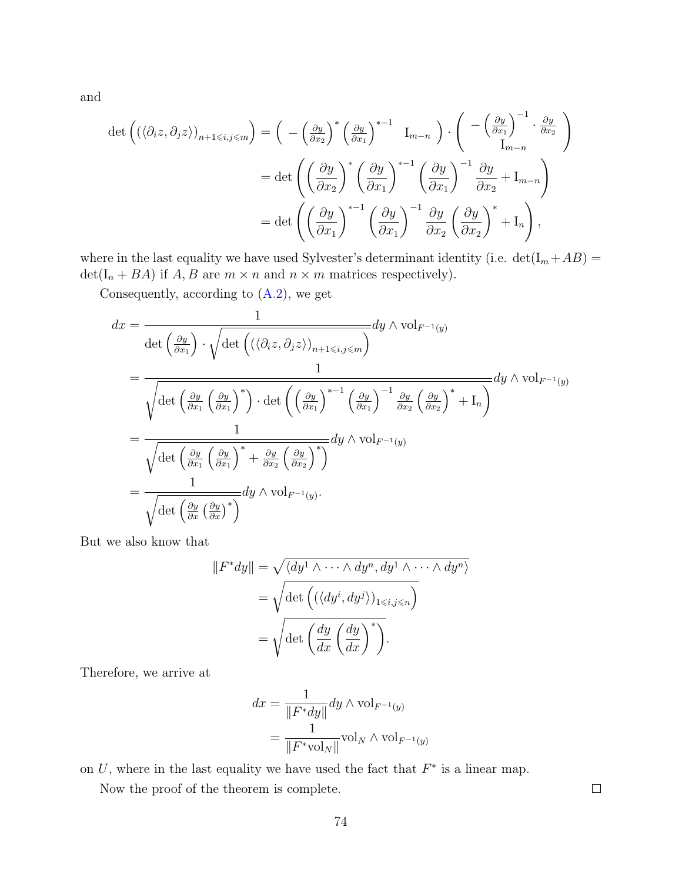and

$$
\det \left( (\langle \partial_i z, \partial_j z \rangle)_{n+1 \le i,j \le m} \right) = \left( -\left( \frac{\partial y}{\partial x_2} \right)^* \left( \frac{\partial y}{\partial x_1} \right)^{*-1} \mathbf{I}_{m-n} \right) \cdot \left( -\left( \frac{\partial y}{\partial x_1} \right)^{-1} \cdot \frac{\partial y}{\partial x_2} \right)
$$

$$
= \det \left( \left( \frac{\partial y}{\partial x_2} \right)^* \left( \frac{\partial y}{\partial x_1} \right)^{*-1} \left( \frac{\partial y}{\partial x_1} \right)^{-1} \frac{\partial y}{\partial x_2} + \mathbf{I}_{m-n} \right)
$$

$$
= \det \left( \left( \frac{\partial y}{\partial x_1} \right)^{*-1} \left( \frac{\partial y}{\partial x_1} \right)^{-1} \frac{\partial y}{\partial x_2} \left( \frac{\partial y}{\partial x_2} \right)^{*} + \mathbf{I}_n \right),
$$

where in the last equality we have used Sylvester's determinant identity (i.e.  $det(I_m + AB)$ )  $\det(I_n + BA)$  if  $A, B$  are  $m \times n$  and  $n \times m$  matrices respectively).

Consequently, according to [\(A.2\)](#page-72-0), we get

$$
dx = \frac{1}{\det\left(\frac{\partial y}{\partial x_1}\right) \cdot \sqrt{\det\left(\left(\langle \partial_i z, \partial_j z\rangle\right)_{n+1\leq i,j\leq m}\right)}} dy \wedge \text{vol}_{F^{-1}(y)}
$$
\n
$$
= \frac{1}{\sqrt{\det\left(\frac{\partial y}{\partial x_1}\left(\frac{\partial y}{\partial x_1}\right)^*\right) \cdot \det\left(\left(\frac{\partial y}{\partial x_1}\right)^{*-1}\left(\frac{\partial y}{\partial x_1}\right)^{-1}\frac{\partial y}{\partial x_2}\left(\frac{\partial y}{\partial x_2}\right)^{*} + I_n\right)}} dy \wedge \text{vol}_{F^{-1}(y)}
$$
\n
$$
= \frac{1}{\sqrt{\det\left(\frac{\partial y}{\partial x_1}\left(\frac{\partial y}{\partial x_1}\right)^* + \frac{\partial y}{\partial x_2}\left(\frac{\partial y}{\partial x_2}\right)^{*}\right)}} dy \wedge \text{vol}_{F^{-1}(y)}
$$
\n
$$
= \frac{1}{\sqrt{\det\left(\frac{\partial y}{\partial x}\left(\frac{\partial y}{\partial x}\right)^{*}\right)}} dy \wedge \text{vol}_{F^{-1}(y)}.
$$

But we also know that

$$
||F^*dy|| = \sqrt{\langle dy^1 \wedge \cdots \wedge dy^n, dy^1 \wedge \cdots \wedge dy^n \rangle}
$$
  
=  $\sqrt{\det \left( (\langle dy^i, dy^j \rangle)_{1 \le i, j \le n} \right)}$   
=  $\sqrt{\det \left( \frac{dy}{dx} \left( \frac{dy}{dx} \right)^* \right)}.$ 

Therefore, we arrive at

$$
dx = \frac{1}{\|F^*dy\|} dy \wedge \text{vol}_{F^{-1}(y)}
$$

$$
= \frac{1}{\|F^*\text{vol}_N\|} \text{vol}_N \wedge \text{vol}_{F^{-1}(y)}
$$

on  $U$ , where in the last equality we have used the fact that  $F^*$  is a linear map.

Now the proof of the theorem is complete.

 $\Box$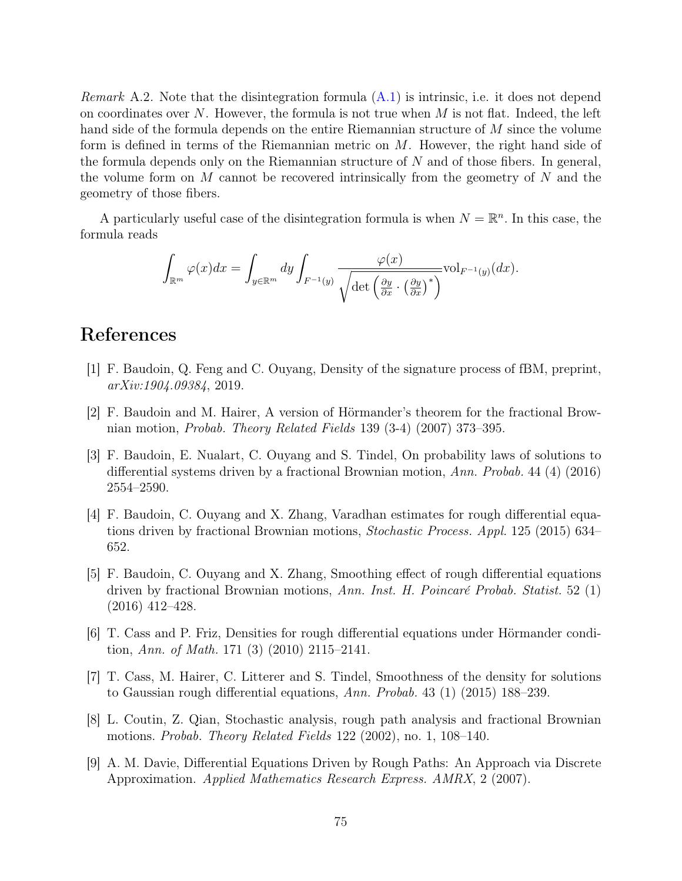*Remark* A.2. Note that the disintegration formula  $(A.1)$  is intrinsic, i.e. it does not depend on coordinates over  $N$ . However, the formula is not true when  $M$  is not flat. Indeed, the left hand side of the formula depends on the entire Riemannian structure of M since the volume form is defined in terms of the Riemannian metric on M. However, the right hand side of the formula depends only on the Riemannian structure of  $N$  and of those fibers. In general, the volume form on  $M$  cannot be recovered intrinsically from the geometry of  $N$  and the geometry of those fibers.

A particularly useful case of the disintegration formula is when  $N = \mathbb{R}^n$ . In this case, the formula reads

$$
\int_{\mathbb{R}^m} \varphi(x) dx = \int_{y \in \mathbb{R}^m} dy \int_{F^{-1}(y)} \frac{\varphi(x)}{\sqrt{\det \left(\frac{\partial y}{\partial x} \cdot \left(\frac{\partial y}{\partial x}\right)^*\right)}} \text{vol}_{F^{-1}(y)}(dx).
$$

## References

- [1] F. Baudoin, Q. Feng and C. Ouyang, Density of the signature process of fBM, preprint, arXiv:1904.09384, 2019.
- [2] F. Baudoin and M. Hairer, A version of Hörmander's theorem for the fractional Brownian motion, Probab. Theory Related Fields 139 (3-4) (2007) 373–395.
- [3] F. Baudoin, E. Nualart, C. Ouyang and S. Tindel, On probability laws of solutions to differential systems driven by a fractional Brownian motion, Ann. Probab. 44 (4) (2016) 2554–2590.
- [4] F. Baudoin, C. Ouyang and X. Zhang, Varadhan estimates for rough differential equations driven by fractional Brownian motions, Stochastic Process. Appl. 125 (2015) 634– 652.
- [5] F. Baudoin, C. Ouyang and X. Zhang, Smoothing effect of rough differential equations driven by fractional Brownian motions, Ann. Inst. H. Poincaré Probab. Statist. 52 (1) (2016) 412–428.
- [6] T. Cass and P. Friz, Densities for rough differential equations under Hörmander condition, Ann. of Math. 171 (3) (2010) 2115–2141.
- [7] T. Cass, M. Hairer, C. Litterer and S. Tindel, Smoothness of the density for solutions to Gaussian rough differential equations, Ann. Probab. 43 (1) (2015) 188–239.
- [8] L. Coutin, Z. Qian, Stochastic analysis, rough path analysis and fractional Brownian motions. Probab. Theory Related Fields 122 (2002), no. 1, 108–140.
- [9] A. M. Davie, Differential Equations Driven by Rough Paths: An Approach via Discrete Approximation. Applied Mathematics Research Express. AMRX, 2 (2007).